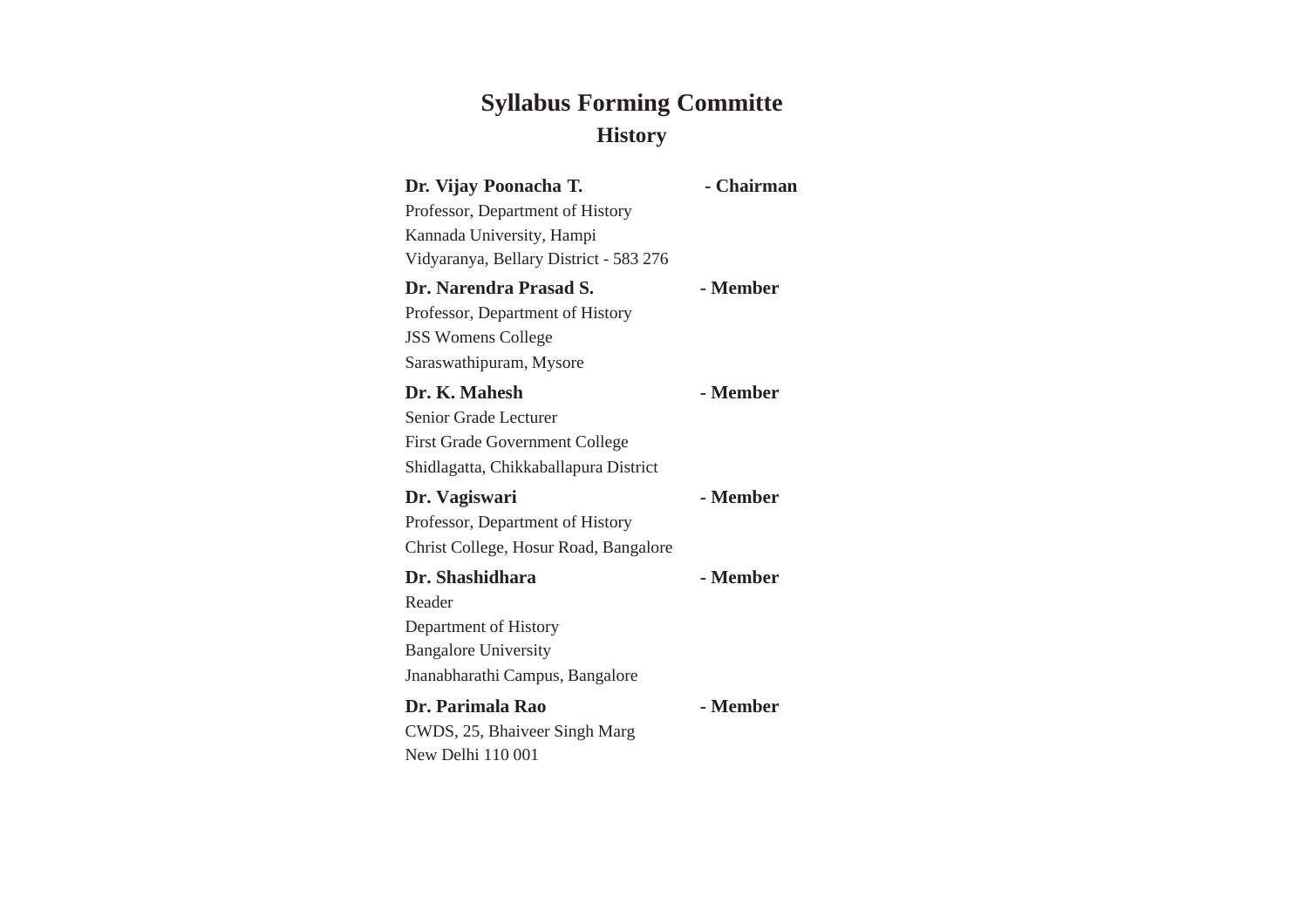## **Syllabus Forming Committe History**

| Dr. Vijay Poonacha T.                  | - Chairman |
|----------------------------------------|------------|
| Professor, Department of History       |            |
| Kannada University, Hampi              |            |
| Vidyaranya, Bellary District - 583 276 |            |
| Dr. Narendra Prasad S.                 | - Member   |
| Professor, Department of History       |            |
| <b>JSS Womens College</b>              |            |
| Saraswathipuram, Mysore                |            |
| Dr. K. Mahesh                          | - Member   |
| Senior Grade Lecturer                  |            |
| <b>First Grade Government College</b>  |            |
| Shidlagatta, Chikkaballapura District  |            |
| Dr. Vagiswari                          | - Member   |
| Professor, Department of History       |            |
| Christ College, Hosur Road, Bangalore  |            |
| Dr. Shashidhara                        | - Member   |
| Reader                                 |            |
| Department of History                  |            |
| <b>Bangalore University</b>            |            |
| Jnanabharathi Campus, Bangalore        |            |
| Dr. Parimala Rao                       | - Member   |
| CWDS, 25, Bhaiveer Singh Marg          |            |
| New Delhi 110 001                      |            |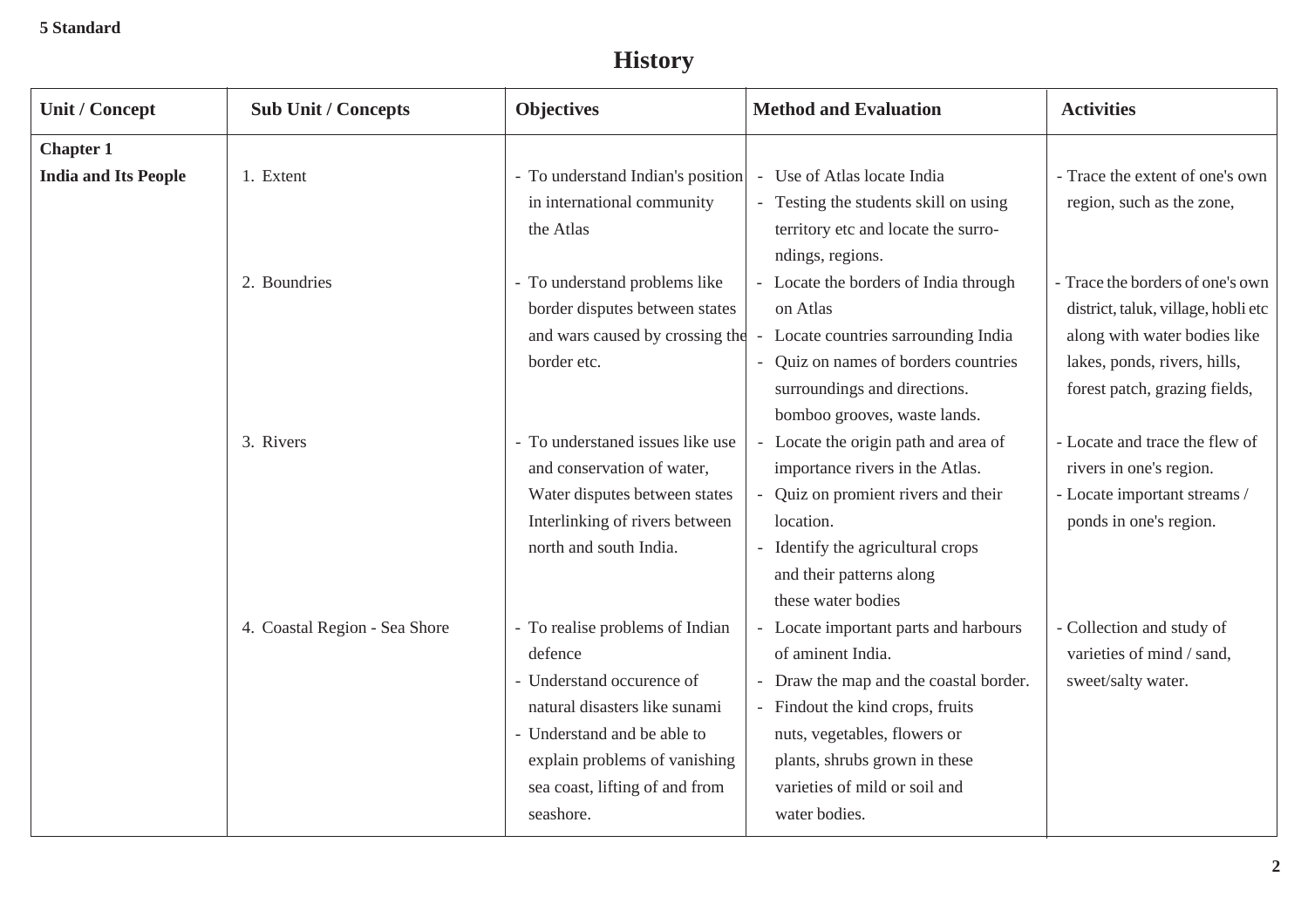**History**

| <b>Unit / Concept</b>       | <b>Sub Unit / Concepts</b>    | <b>Objectives</b>                                                                                                                                                                                                       | <b>Method and Evaluation</b>                                                                                                                                                                                                                              | <b>Activities</b>                                                                                                                                                        |
|-----------------------------|-------------------------------|-------------------------------------------------------------------------------------------------------------------------------------------------------------------------------------------------------------------------|-----------------------------------------------------------------------------------------------------------------------------------------------------------------------------------------------------------------------------------------------------------|--------------------------------------------------------------------------------------------------------------------------------------------------------------------------|
| <b>Chapter 1</b>            |                               |                                                                                                                                                                                                                         |                                                                                                                                                                                                                                                           |                                                                                                                                                                          |
| <b>India and Its People</b> | 1. Extent                     | - To understand Indian's position<br>in international community<br>the Atlas                                                                                                                                            | - Use of Atlas locate India<br>- Testing the students skill on using<br>territory etc and locate the surro-<br>ndings, regions.                                                                                                                           | - Trace the extent of one's own<br>region, such as the zone,                                                                                                             |
|                             | 2. Boundries                  | - To understand problems like<br>border disputes between states<br>and wars caused by crossing the<br>border etc.                                                                                                       | - Locate the borders of India through<br>on Atlas<br>Locate countries sarrounding India<br>$\overline{\phantom{a}}$<br>Quiz on names of borders countries<br>surroundings and directions.<br>bomboo grooves, waste lands.                                 | - Trace the borders of one's own<br>district, taluk, village, hobli etc<br>along with water bodies like<br>lakes, ponds, rivers, hills,<br>forest patch, grazing fields, |
|                             | 3. Rivers                     | - To understaned issues like use<br>and conservation of water,<br>Water disputes between states<br>Interlinking of rivers between<br>north and south India.                                                             | - Locate the origin path and area of<br>importance rivers in the Atlas.<br>Quiz on promient rivers and their<br>location.<br>- Identify the agricultural crops<br>and their patterns along<br>these water bodies                                          | - Locate and trace the flew of<br>rivers in one's region.<br>- Locate important streams /<br>ponds in one's region.                                                      |
|                             | 4. Coastal Region - Sea Shore | - To realise problems of Indian<br>defence<br>- Understand occurence of<br>natural disasters like sunami<br>- Understand and be able to<br>explain problems of vanishing<br>sea coast, lifting of and from<br>seashore. | - Locate important parts and harbours<br>of aminent India.<br>Draw the map and the coastal border.<br>- Findout the kind crops, fruits<br>nuts, vegetables, flowers or<br>plants, shrubs grown in these<br>varieties of mild or soil and<br>water bodies. | - Collection and study of<br>varieties of mind / sand,<br>sweet/salty water.                                                                                             |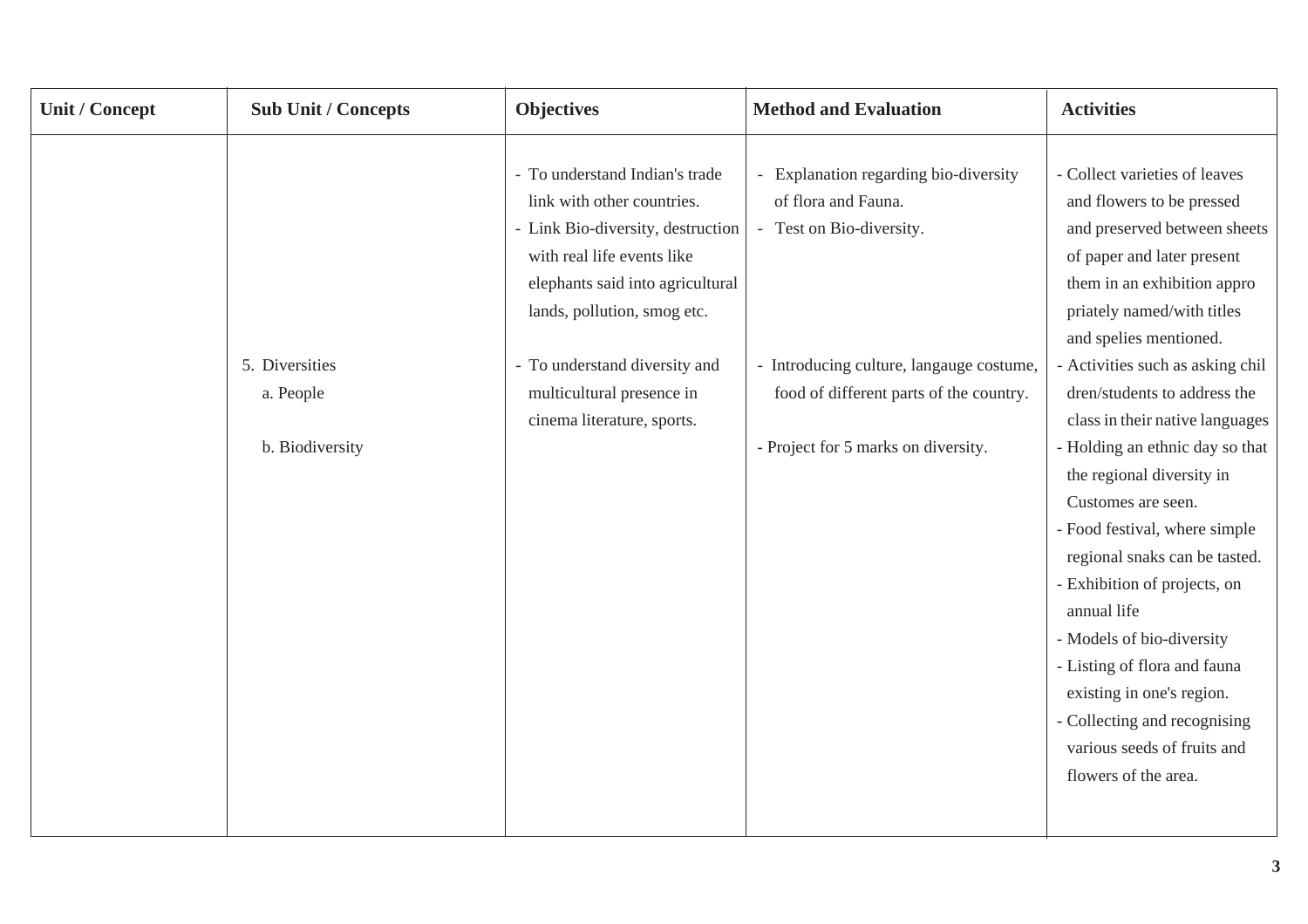| <b>Unit / Concept</b> | <b>Sub Unit / Concepts</b>                     | <b>Objectives</b>                                                                                                                                                                                                                                                                              | <b>Method and Evaluation</b>                                                                                                                                                                                                                   | <b>Activities</b>                                                                                                                                                                                                                                                                                                                                                                                                                                                                                                                                                                                                                                                                                              |
|-----------------------|------------------------------------------------|------------------------------------------------------------------------------------------------------------------------------------------------------------------------------------------------------------------------------------------------------------------------------------------------|------------------------------------------------------------------------------------------------------------------------------------------------------------------------------------------------------------------------------------------------|----------------------------------------------------------------------------------------------------------------------------------------------------------------------------------------------------------------------------------------------------------------------------------------------------------------------------------------------------------------------------------------------------------------------------------------------------------------------------------------------------------------------------------------------------------------------------------------------------------------------------------------------------------------------------------------------------------------|
|                       | 5. Diversities<br>a. People<br>b. Biodiversity | - To understand Indian's trade<br>link with other countries.<br>- Link Bio-diversity, destruction<br>with real life events like<br>elephants said into agricultural<br>lands, pollution, smog etc.<br>- To understand diversity and<br>multicultural presence in<br>cinema literature, sports. | Explanation regarding bio-diversity<br>of flora and Fauna.<br>Test on Bio-diversity.<br>$\overline{\phantom{0}}$<br>- Introducing culture, langauge costume,<br>food of different parts of the country.<br>- Project for 5 marks on diversity. | - Collect varieties of leaves<br>and flowers to be pressed<br>and preserved between sheets<br>of paper and later present<br>them in an exhibition appro<br>priately named/with titles<br>and spelies mentioned.<br>- Activities such as asking chil<br>dren/students to address the<br>class in their native languages<br>- Holding an ethnic day so that<br>the regional diversity in<br>Customes are seen.<br>- Food festival, where simple<br>regional snaks can be tasted.<br>- Exhibition of projects, on<br>annual life<br>- Models of bio-diversity<br>- Listing of flora and fauna<br>existing in one's region.<br>- Collecting and recognising<br>various seeds of fruits and<br>flowers of the area. |
|                       |                                                |                                                                                                                                                                                                                                                                                                |                                                                                                                                                                                                                                                |                                                                                                                                                                                                                                                                                                                                                                                                                                                                                                                                                                                                                                                                                                                |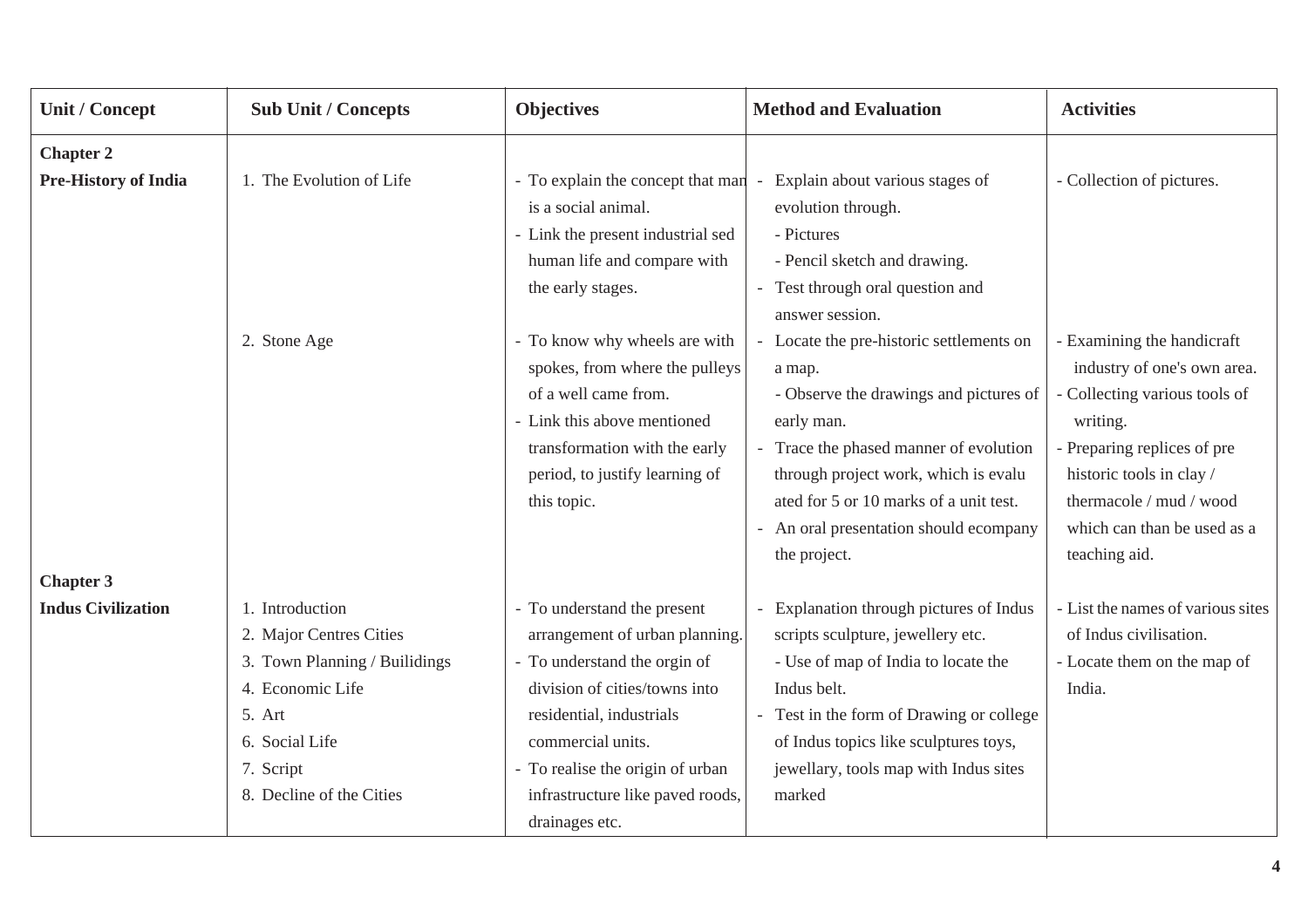| <b>Unit / Concept</b>                           | <b>Sub Unit / Concepts</b>                                                                                                                                           | <b>Objectives</b>                                                                                                                                                                                                                                                         | <b>Method and Evaluation</b>                                                                                                                                                                                                                                                               | <b>Activities</b>                                                                                                                                                                                                                          |
|-------------------------------------------------|----------------------------------------------------------------------------------------------------------------------------------------------------------------------|---------------------------------------------------------------------------------------------------------------------------------------------------------------------------------------------------------------------------------------------------------------------------|--------------------------------------------------------------------------------------------------------------------------------------------------------------------------------------------------------------------------------------------------------------------------------------------|--------------------------------------------------------------------------------------------------------------------------------------------------------------------------------------------------------------------------------------------|
| <b>Chapter 2</b><br><b>Pre-History of India</b> | 1. The Evolution of Life                                                                                                                                             | - To explain the concept that man<br>is a social animal.<br>- Link the present industrial sed<br>human life and compare with<br>the early stages.                                                                                                                         | Explain about various stages of<br>evolution through.<br>- Pictures<br>- Pencil sketch and drawing.<br>- Test through oral question and<br>answer session.                                                                                                                                 | - Collection of pictures.                                                                                                                                                                                                                  |
|                                                 | 2. Stone Age                                                                                                                                                         | - To know why wheels are with<br>spokes, from where the pulleys<br>of a well came from.<br>- Link this above mentioned<br>transformation with the early<br>period, to justify learning of<br>this topic.                                                                  | Locate the pre-historic settlements on<br>a map.<br>- Observe the drawings and pictures of<br>early man.<br>Trace the phased manner of evolution<br>through project work, which is evalu<br>ated for 5 or 10 marks of a unit test.<br>An oral presentation should ecompany<br>the project. | - Examining the handicraft<br>industry of one's own area.<br>Collecting various tools of<br>writing.<br>- Preparing replices of pre<br>historic tools in clay /<br>thermacole / mud / wood<br>which can than be used as a<br>teaching aid. |
| <b>Chapter 3</b><br><b>Indus Civilization</b>   | 1. Introduction<br>2. Major Centres Cities<br>3. Town Planning / Builidings<br>4. Economic Life<br>5. Art<br>6. Social Life<br>7. Script<br>8. Decline of the Cities | - To understand the present<br>arrangement of urban planning.<br>- To understand the orgin of<br>division of cities/towns into<br>residential, industrials<br>commercial units.<br>- To realise the origin of urban<br>infrastructure like paved roods,<br>drainages etc. | Explanation through pictures of Indus<br>scripts sculpture, jewellery etc.<br>- Use of map of India to locate the<br>Indus belt.<br>- Test in the form of Drawing or college<br>of Indus topics like sculptures toys,<br>jewellary, tools map with Indus sites<br>marked                   | - List the names of various sites<br>of Indus civilisation.<br>- Locate them on the map of<br>India.                                                                                                                                       |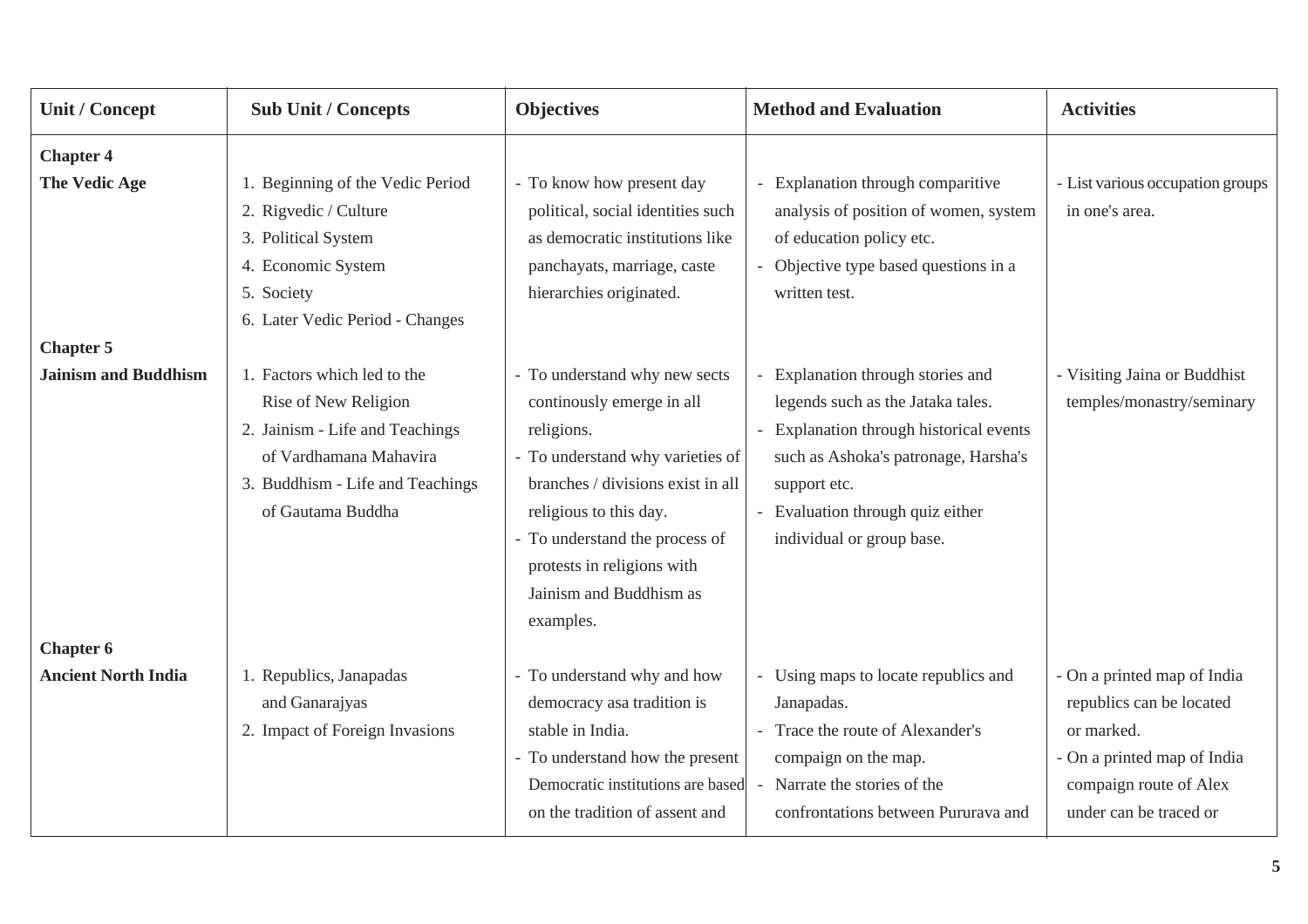| <b>Unit / Concept</b>       | <b>Sub Unit / Concepts</b>                                                                                                                                                | <b>Objectives</b>                                                                                                                                                                                                                                                                   | <b>Method and Evaluation</b>                                                                                                                                                                                                           | <b>Activities</b>                                                                                                                                        |
|-----------------------------|---------------------------------------------------------------------------------------------------------------------------------------------------------------------------|-------------------------------------------------------------------------------------------------------------------------------------------------------------------------------------------------------------------------------------------------------------------------------------|----------------------------------------------------------------------------------------------------------------------------------------------------------------------------------------------------------------------------------------|----------------------------------------------------------------------------------------------------------------------------------------------------------|
| <b>Chapter 4</b>            |                                                                                                                                                                           |                                                                                                                                                                                                                                                                                     |                                                                                                                                                                                                                                        |                                                                                                                                                          |
| The Vedic Age               | 1. Beginning of the Vedic Period<br>2. Rigvedic / Culture<br>3. Political System<br>4. Economic System<br>5. Society<br>6. Later Vedic Period - Changes                   | - To know how present day<br>political, social identities such<br>as democratic institutions like<br>panchayats, marriage, caste<br>hierarchies originated.                                                                                                                         | - Explanation through comparitive<br>analysis of position of women, system<br>of education policy etc.<br>Objective type based questions in a<br>written test.                                                                         | - List various occupation groups<br>in one's area.                                                                                                       |
| <b>Chapter 5</b>            |                                                                                                                                                                           |                                                                                                                                                                                                                                                                                     |                                                                                                                                                                                                                                        |                                                                                                                                                          |
| <b>Jainism and Buddhism</b> | 1. Factors which led to the<br>Rise of New Religion<br>2. Jainism - Life and Teachings<br>of Vardhamana Mahavira<br>3. Buddhism - Life and Teachings<br>of Gautama Buddha | - To understand why new sects<br>continously emerge in all<br>religions.<br>- To understand why varieties of<br>branches / divisions exist in all<br>religious to this day.<br>- To understand the process of<br>protests in religions with<br>Jainism and Buddhism as<br>examples. | Explanation through stories and<br>legends such as the Jataka tales.<br>Explanation through historical events<br>such as Ashoka's patronage, Harsha's<br>support etc.<br>- Evaluation through quiz either<br>individual or group base. | - Visiting Jaina or Buddhist<br>temples/monastry/seminary                                                                                                |
| <b>Chapter 6</b>            |                                                                                                                                                                           |                                                                                                                                                                                                                                                                                     |                                                                                                                                                                                                                                        |                                                                                                                                                          |
| <b>Ancient North India</b>  | 1. Republics, Janapadas<br>and Ganarajyas<br>2. Impact of Foreign Invasions                                                                                               | - To understand why and how<br>democracy asa tradition is<br>stable in India.<br>- To understand how the present<br>Democratic institutions are based<br>on the tradition of assent and                                                                                             | - Using maps to locate republics and<br>Janapadas.<br>Trace the route of Alexander's<br>compaign on the map.<br>Narrate the stories of the<br>confrontations between Pururava and                                                      | - On a printed map of India<br>republics can be located<br>or marked.<br>- On a printed map of India<br>compaign route of Alex<br>under can be traced or |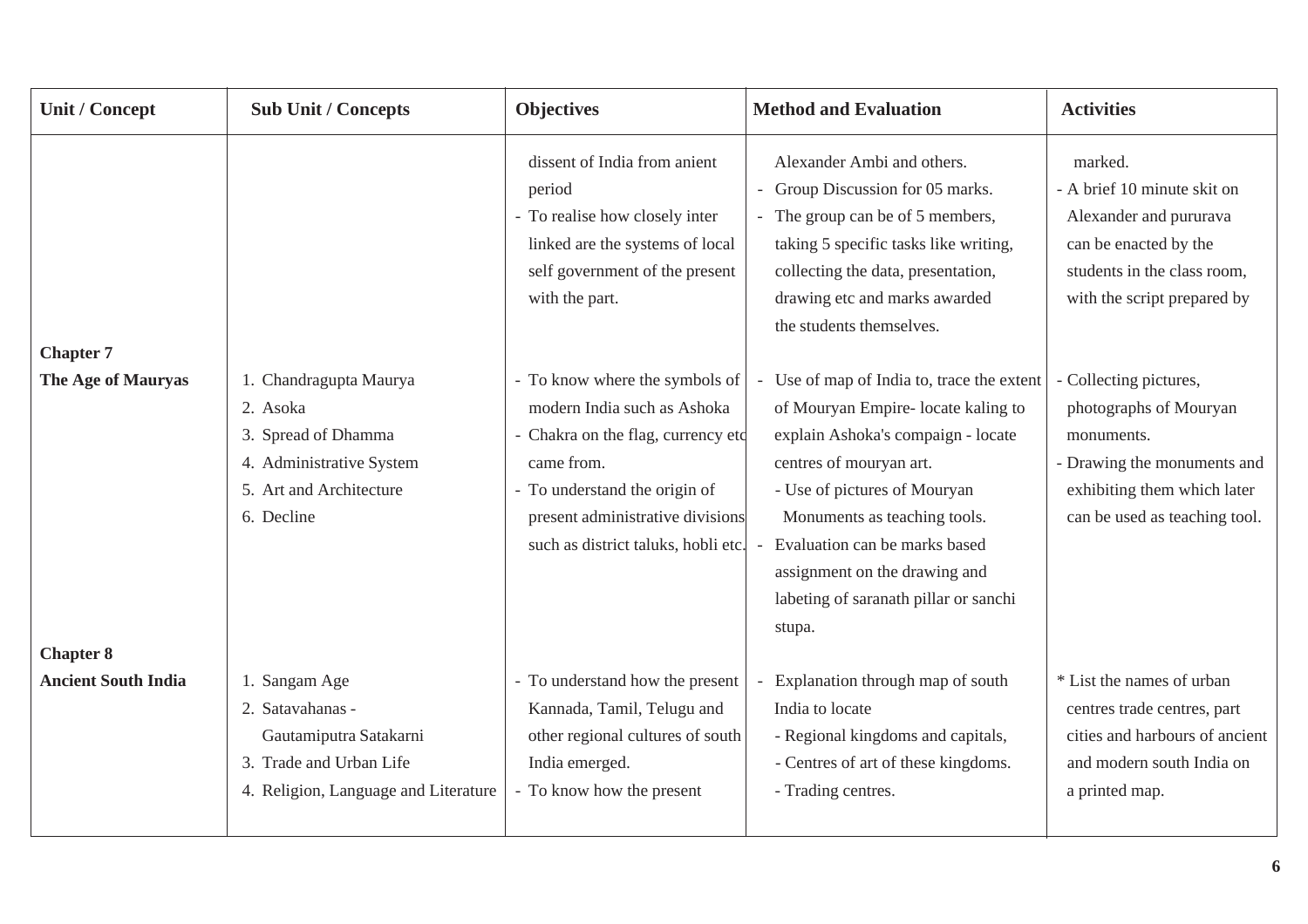| <b>Unit / Concept</b>      | <b>Sub Unit / Concepts</b>                                                                                                     | <b>Objectives</b>                                                                                                                                                                                                             | <b>Method and Evaluation</b>                                                                                                                                                                                                                                                                                                         | <b>Activities</b>                                                                                                                                           |
|----------------------------|--------------------------------------------------------------------------------------------------------------------------------|-------------------------------------------------------------------------------------------------------------------------------------------------------------------------------------------------------------------------------|--------------------------------------------------------------------------------------------------------------------------------------------------------------------------------------------------------------------------------------------------------------------------------------------------------------------------------------|-------------------------------------------------------------------------------------------------------------------------------------------------------------|
|                            |                                                                                                                                | dissent of India from anient<br>period<br>- To realise how closely inter<br>linked are the systems of local<br>self government of the present<br>with the part.                                                               | Alexander Ambi and others.<br>Group Discussion for 05 marks.<br>The group can be of 5 members,<br>taking 5 specific tasks like writing,<br>collecting the data, presentation,<br>drawing etc and marks awarded<br>the students themselves.                                                                                           | marked.<br>- A brief 10 minute skit on<br>Alexander and pururava<br>can be enacted by the<br>students in the class room,<br>with the script prepared by     |
| <b>Chapter 7</b>           |                                                                                                                                |                                                                                                                                                                                                                               |                                                                                                                                                                                                                                                                                                                                      |                                                                                                                                                             |
| The Age of Mauryas         | 1. Chandragupta Maurya<br>2. Asoka<br>3. Spread of Dhamma<br>4. Administrative System<br>5. Art and Architecture<br>6. Decline | - To know where the symbols of<br>modern India such as Ashoka<br>- Chakra on the flag, currency etc<br>came from.<br>- To understand the origin of<br>present administrative divisions<br>such as district taluks, hobli etc. | Use of map of India to, trace the extent<br>of Mouryan Empire-locate kaling to<br>explain Ashoka's compaign - locate<br>centres of mouryan art.<br>- Use of pictures of Mouryan<br>Monuments as teaching tools.<br>Evaluation can be marks based<br>assignment on the drawing and<br>labeting of saranath pillar or sanchi<br>stupa. | Collecting pictures,<br>photographs of Mouryan<br>monuments.<br>- Drawing the monuments and<br>exhibiting them which later<br>can be used as teaching tool. |
| <b>Chapter 8</b>           |                                                                                                                                |                                                                                                                                                                                                                               |                                                                                                                                                                                                                                                                                                                                      |                                                                                                                                                             |
| <b>Ancient South India</b> | 1. Sangam Age<br>2. Satavahanas -<br>Gautamiputra Satakarni<br>3. Trade and Urban Life<br>4. Religion, Language and Literature | - To understand how the present<br>Kannada, Tamil, Telugu and<br>other regional cultures of south<br>India emerged.<br>- To know how the present                                                                              | Explanation through map of south<br>India to locate<br>- Regional kingdoms and capitals,<br>- Centres of art of these kingdoms.<br>- Trading centres.                                                                                                                                                                                | * List the names of urban<br>centres trade centres, part<br>cities and harbours of ancient<br>and modern south India on<br>a printed map.                   |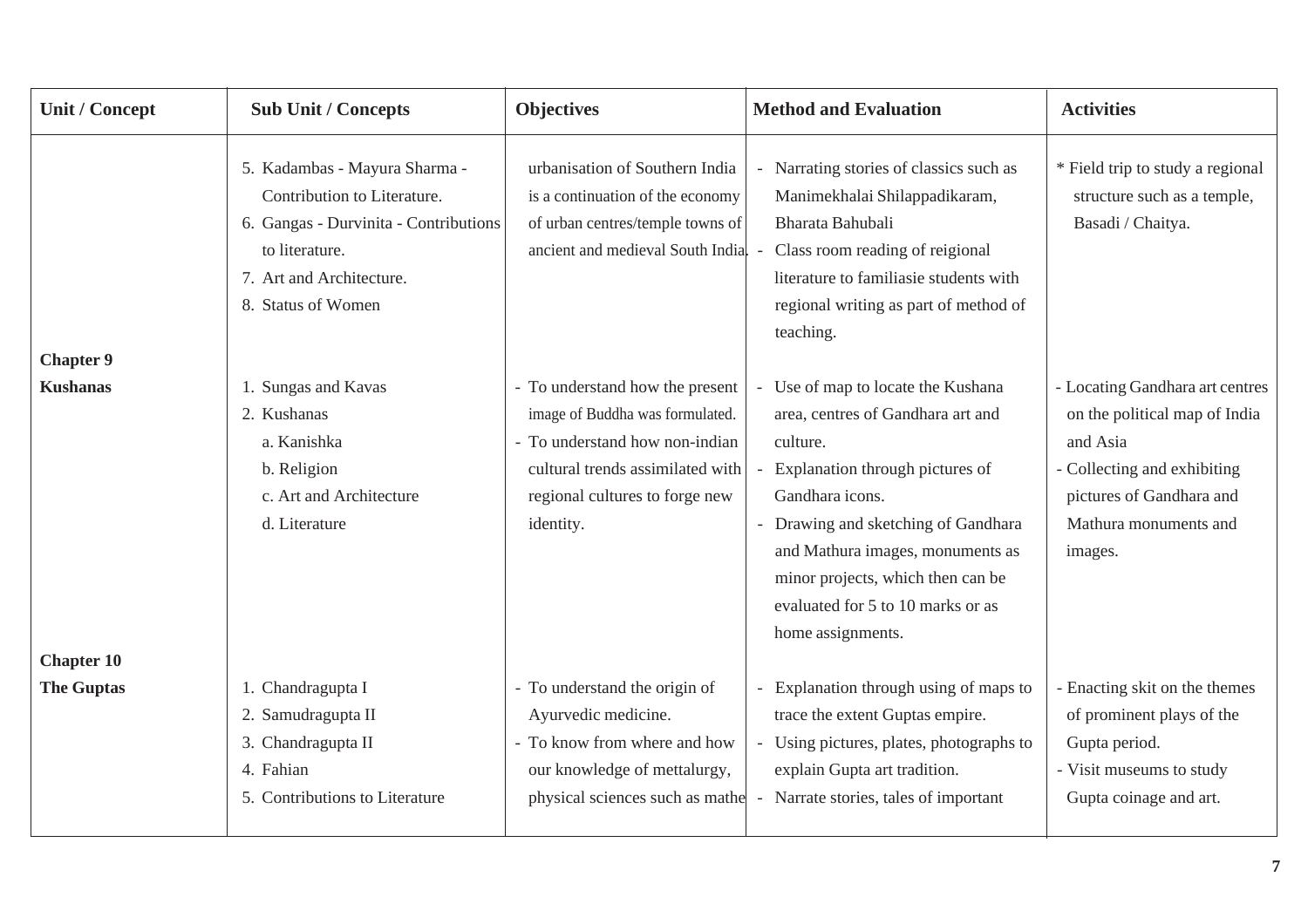| <b>Unit / Concept</b> | <b>Sub Unit / Concepts</b>                                                                                                                                                | <b>Objectives</b>                                                                                                                                                                       | <b>Method and Evaluation</b>                                                                                                                                                                                                                                                                                      | <b>Activities</b>                                                                                                                                                           |
|-----------------------|---------------------------------------------------------------------------------------------------------------------------------------------------------------------------|-----------------------------------------------------------------------------------------------------------------------------------------------------------------------------------------|-------------------------------------------------------------------------------------------------------------------------------------------------------------------------------------------------------------------------------------------------------------------------------------------------------------------|-----------------------------------------------------------------------------------------------------------------------------------------------------------------------------|
|                       | 5. Kadambas - Mayura Sharma -<br>Contribution to Literature.<br>6. Gangas - Durvinita - Contributions<br>to literature.<br>7. Art and Architecture.<br>8. Status of Women | urbanisation of Southern India<br>is a continuation of the economy<br>of urban centres/temple towns of<br>ancient and medieval South India.                                             | Narrating stories of classics such as<br>Manimekhalai Shilappadikaram,<br>Bharata Bahubali<br>Class room reading of reigional<br>literature to familiasie students with<br>regional writing as part of method of<br>teaching.                                                                                     | * Field trip to study a regional<br>structure such as a temple,<br>Basadi / Chaitya.                                                                                        |
| <b>Chapter 9</b>      |                                                                                                                                                                           |                                                                                                                                                                                         |                                                                                                                                                                                                                                                                                                                   |                                                                                                                                                                             |
| <b>Kushanas</b>       | 1. Sungas and Kavas<br>2. Kushanas<br>a. Kanishka<br>b. Religion<br>c. Art and Architecture<br>d. Literature                                                              | - To understand how the present<br>image of Buddha was formulated.<br>- To understand how non-indian<br>cultural trends assimilated with<br>regional cultures to forge new<br>identity. | Use of map to locate the Kushana<br>area, centres of Gandhara art and<br>culture.<br>Explanation through pictures of<br>Gandhara icons.<br>- Drawing and sketching of Gandhara<br>and Mathura images, monuments as<br>minor projects, which then can be<br>evaluated for 5 to 10 marks or as<br>home assignments. | - Locating Gandhara art centres<br>on the political map of India<br>and Asia<br>- Collecting and exhibiting<br>pictures of Gandhara and<br>Mathura monuments and<br>images. |
| <b>Chapter 10</b>     |                                                                                                                                                                           |                                                                                                                                                                                         |                                                                                                                                                                                                                                                                                                                   |                                                                                                                                                                             |
| <b>The Guptas</b>     | 1. Chandragupta I<br>2. Samudragupta II<br>3. Chandragupta II<br>4. Fahian<br>5. Contributions to Literature                                                              | - To understand the origin of<br>Ayurvedic medicine.<br>- To know from where and how<br>our knowledge of mettalurgy,<br>physical sciences such as mathe                                 | - Explanation through using of maps to<br>trace the extent Guptas empire.<br>Using pictures, plates, photographs to<br>explain Gupta art tradition.<br>Narrate stories, tales of important                                                                                                                        | - Enacting skit on the themes<br>of prominent plays of the<br>Gupta period.<br>- Visit museums to study<br>Gupta coinage and art.                                           |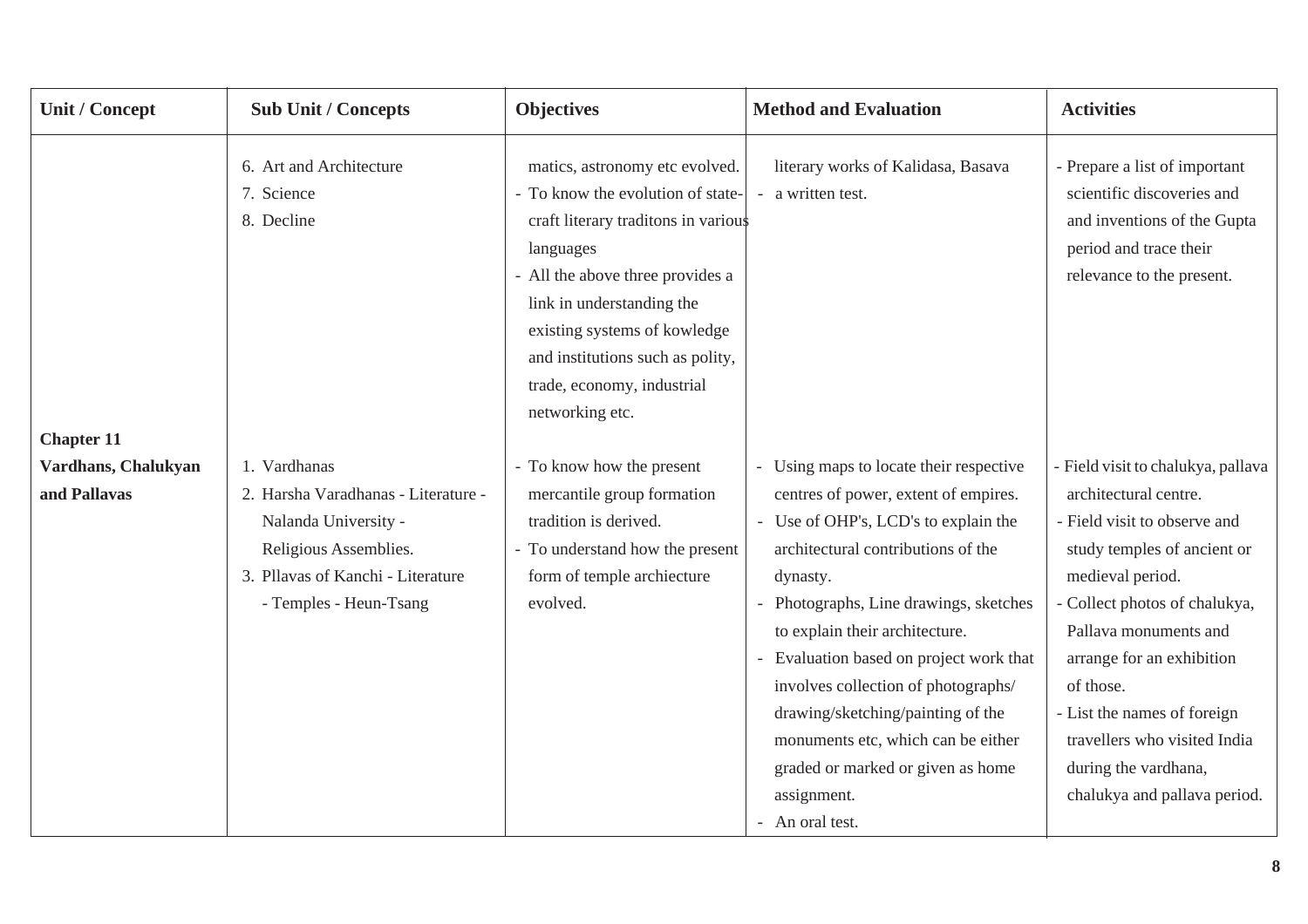| <b>Unit / Concept</b>               | <b>Sub Unit / Concepts</b>                                                                                                                                          | <b>Objectives</b>                                                                                                                                                                                                                                                                                              | <b>Method and Evaluation</b>                                                                                                                                                                                                                                                                                                                                                                                                                                                          | <b>Activities</b>                                                                                                                                                                                                                                                                                                                                                         |
|-------------------------------------|---------------------------------------------------------------------------------------------------------------------------------------------------------------------|----------------------------------------------------------------------------------------------------------------------------------------------------------------------------------------------------------------------------------------------------------------------------------------------------------------|---------------------------------------------------------------------------------------------------------------------------------------------------------------------------------------------------------------------------------------------------------------------------------------------------------------------------------------------------------------------------------------------------------------------------------------------------------------------------------------|---------------------------------------------------------------------------------------------------------------------------------------------------------------------------------------------------------------------------------------------------------------------------------------------------------------------------------------------------------------------------|
| <b>Chapter 11</b>                   | 6. Art and Architecture<br>7. Science<br>8. Decline                                                                                                                 | matics, astronomy etc evolved.<br>- To know the evolution of state-<br>craft literary traditions in various<br>languages<br>- All the above three provides a<br>link in understanding the<br>existing systems of kowledge<br>and institutions such as polity,<br>trade, economy, industrial<br>networking etc. | literary works of Kalidasa, Basava<br>a written test.<br>$\mathcal{L}$                                                                                                                                                                                                                                                                                                                                                                                                                | - Prepare a list of important<br>scientific discoveries and<br>and inventions of the Gupta<br>period and trace their<br>relevance to the present.                                                                                                                                                                                                                         |
| Vardhans, Chalukyan<br>and Pallavas | 1. Vardhanas<br>2. Harsha Varadhanas - Literature -<br>Nalanda University -<br>Religious Assemblies.<br>3. Pllavas of Kanchi - Literature<br>- Temples - Heun-Tsang | - To know how the present<br>mercantile group formation<br>tradition is derived.<br>- To understand how the present<br>form of temple archiecture<br>evolved.                                                                                                                                                  | Using maps to locate their respective<br>centres of power, extent of empires.<br>- Use of OHP's, LCD's to explain the<br>architectural contributions of the<br>dynasty.<br>Photographs, Line drawings, sketches<br>to explain their architecture.<br>- Evaluation based on project work that<br>involves collection of photographs/<br>drawing/sketching/painting of the<br>monuments etc, which can be either<br>graded or marked or given as home<br>assignment.<br>- An oral test. | - Field visit to chalukya, pallava<br>architectural centre.<br>- Field visit to observe and<br>study temples of ancient or<br>medieval period.<br>- Collect photos of chalukya,<br>Pallava monuments and<br>arrange for an exhibition<br>of those.<br>- List the names of foreign<br>travellers who visited India<br>during the vardhana,<br>chalukya and pallava period. |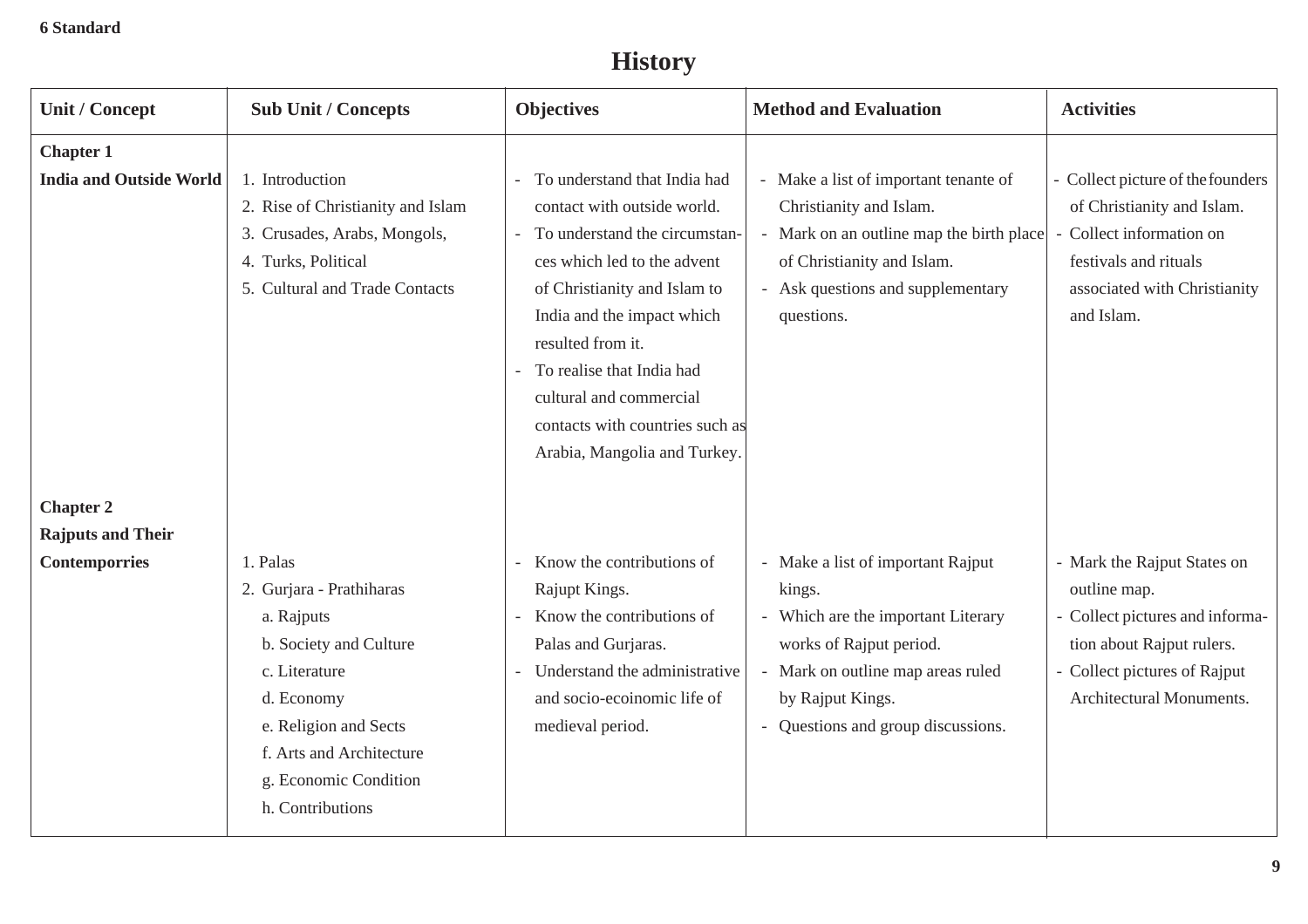**History**

| <b>Unit / Concept</b>                                                | <b>Sub Unit / Concepts</b>                                                                                                                                                                        | <b>Objectives</b>                                                                                                                                                                                                                                                                                                                         | <b>Method and Evaluation</b>                                                                                                                                                                  | <b>Activities</b>                                                                                                                                              |
|----------------------------------------------------------------------|---------------------------------------------------------------------------------------------------------------------------------------------------------------------------------------------------|-------------------------------------------------------------------------------------------------------------------------------------------------------------------------------------------------------------------------------------------------------------------------------------------------------------------------------------------|-----------------------------------------------------------------------------------------------------------------------------------------------------------------------------------------------|----------------------------------------------------------------------------------------------------------------------------------------------------------------|
| <b>Chapter 1</b>                                                     |                                                                                                                                                                                                   |                                                                                                                                                                                                                                                                                                                                           |                                                                                                                                                                                               |                                                                                                                                                                |
| <b>India and Outside World</b>                                       | 1. Introduction<br>2. Rise of Christianity and Islam<br>3. Crusades, Arabs, Mongols,<br>4. Turks, Political<br>5. Cultural and Trade Contacts                                                     | To understand that India had<br>contact with outside world.<br>To understand the circumstan-<br>ces which led to the advent<br>of Christianity and Islam to<br>India and the impact which<br>resulted from it.<br>To realise that India had<br>cultural and commercial<br>contacts with countries such as<br>Arabia, Mangolia and Turkey. | - Make a list of important tenante of<br>Christianity and Islam.<br>- Mark on an outline map the birth place<br>of Christianity and Islam.<br>- Ask questions and supplementary<br>questions. | Collect picture of the founders<br>of Christianity and Islam.<br>Collect information on<br>festivals and rituals<br>associated with Christianity<br>and Islam. |
| <b>Chapter 2</b><br><b>Rajputs and Their</b><br><b>Contemporries</b> | 1. Palas                                                                                                                                                                                          | Know the contributions of                                                                                                                                                                                                                                                                                                                 | - Make a list of important Rajput                                                                                                                                                             | - Mark the Rajput States on                                                                                                                                    |
|                                                                      | 2. Gurjara - Prathiharas<br>a. Rajputs<br>b. Society and Culture<br>c. Literature<br>d. Economy<br>e. Religion and Sects<br>f. Arts and Architecture<br>g. Economic Condition<br>h. Contributions | Rajupt Kings.<br>Know the contributions of<br>Palas and Gurjaras.<br>Understand the administrative<br>and socio-ecoinomic life of<br>medieval period.                                                                                                                                                                                     | kings.<br>- Which are the important Literary<br>works of Rajput period.<br>- Mark on outline map areas ruled<br>by Rajput Kings.<br>Questions and group discussions.                          | outline map.<br>- Collect pictures and informa-<br>tion about Rajput rulers.<br>- Collect pictures of Rajput<br>Architectural Monuments.                       |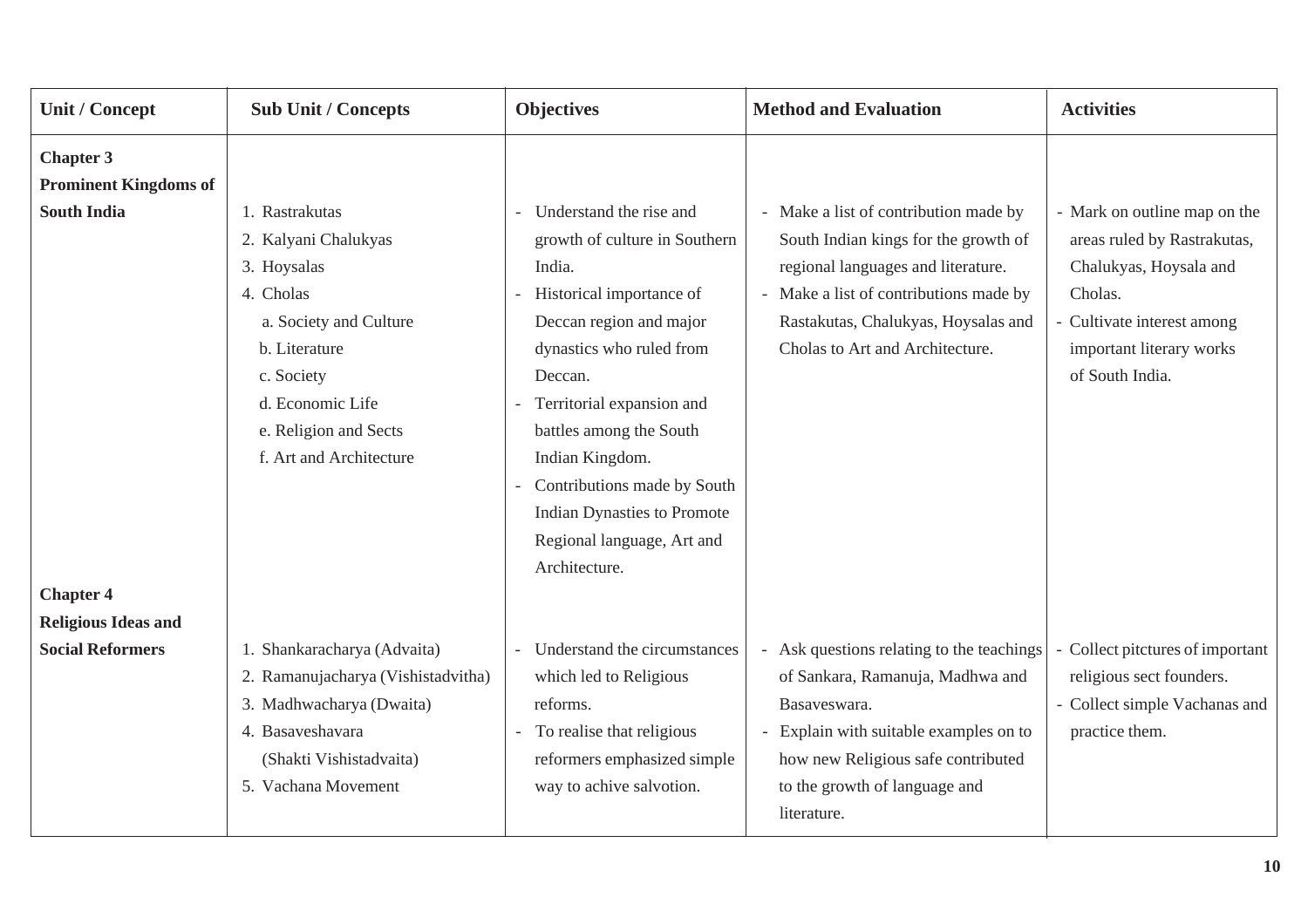| <b>Unit / Concept</b>                                                | <b>Sub Unit / Concepts</b>                                                                                                                                                                          | <b>Objectives</b>                                                                                                                                                                                                                                                                                                                                                                                      | <b>Method and Evaluation</b>                                                                                                                                                                                                            | <b>Activities</b>                                                                                                                                                             |
|----------------------------------------------------------------------|-----------------------------------------------------------------------------------------------------------------------------------------------------------------------------------------------------|--------------------------------------------------------------------------------------------------------------------------------------------------------------------------------------------------------------------------------------------------------------------------------------------------------------------------------------------------------------------------------------------------------|-----------------------------------------------------------------------------------------------------------------------------------------------------------------------------------------------------------------------------------------|-------------------------------------------------------------------------------------------------------------------------------------------------------------------------------|
| <b>Chapter 3</b><br><b>Prominent Kingdoms of</b>                     |                                                                                                                                                                                                     |                                                                                                                                                                                                                                                                                                                                                                                                        |                                                                                                                                                                                                                                         |                                                                                                                                                                               |
| <b>South India</b><br><b>Chapter 4</b><br><b>Religious Ideas and</b> | 1. Rastrakutas<br>2. Kalyani Chalukyas<br>3. Hoysalas<br>4. Cholas<br>a. Society and Culture<br>b. Literature<br>c. Society<br>d. Economic Life<br>e. Religion and Sects<br>f. Art and Architecture | Understand the rise and<br>$\overline{a}$<br>growth of culture in Southern<br>India.<br>Historical importance of<br>Deccan region and major<br>dynastics who ruled from<br>Deccan.<br>Territorial expansion and<br>battles among the South<br>Indian Kingdom.<br>Contributions made by South<br>$\overline{\phantom{a}}$<br>Indian Dynasties to Promote<br>Regional language, Art and<br>Architecture. | - Make a list of contribution made by<br>South Indian kings for the growth of<br>regional languages and literature.<br>- Make a list of contributions made by<br>Rastakutas, Chalukyas, Hoysalas and<br>Cholas to Art and Architecture. | - Mark on outline map on the<br>areas ruled by Rastrakutas,<br>Chalukyas, Hoysala and<br>Cholas.<br>- Cultivate interest among<br>important literary works<br>of South India. |
| <b>Social Reformers</b>                                              | 1. Shankaracharya (Advaita)<br>2. Ramanujacharya (Vishistadvitha)<br>3. Madhwacharya (Dwaita)                                                                                                       | Understand the circumstances<br>which led to Religious<br>reforms.                                                                                                                                                                                                                                                                                                                                     | - Ask questions relating to the teachings<br>of Sankara, Ramanuja, Madhwa and<br>Basaveswara.                                                                                                                                           | Collect pitctures of important<br>religious sect founders.<br>- Collect simple Vachanas and                                                                                   |
|                                                                      | 4. Basaveshavara<br>(Shakti Vishistadvaita)<br>5. Vachana Movement                                                                                                                                  | - To realise that religious<br>reformers emphasized simple<br>way to achive salvotion.                                                                                                                                                                                                                                                                                                                 | - Explain with suitable examples on to<br>how new Religious safe contributed<br>to the growth of language and<br>literature.                                                                                                            | practice them.                                                                                                                                                                |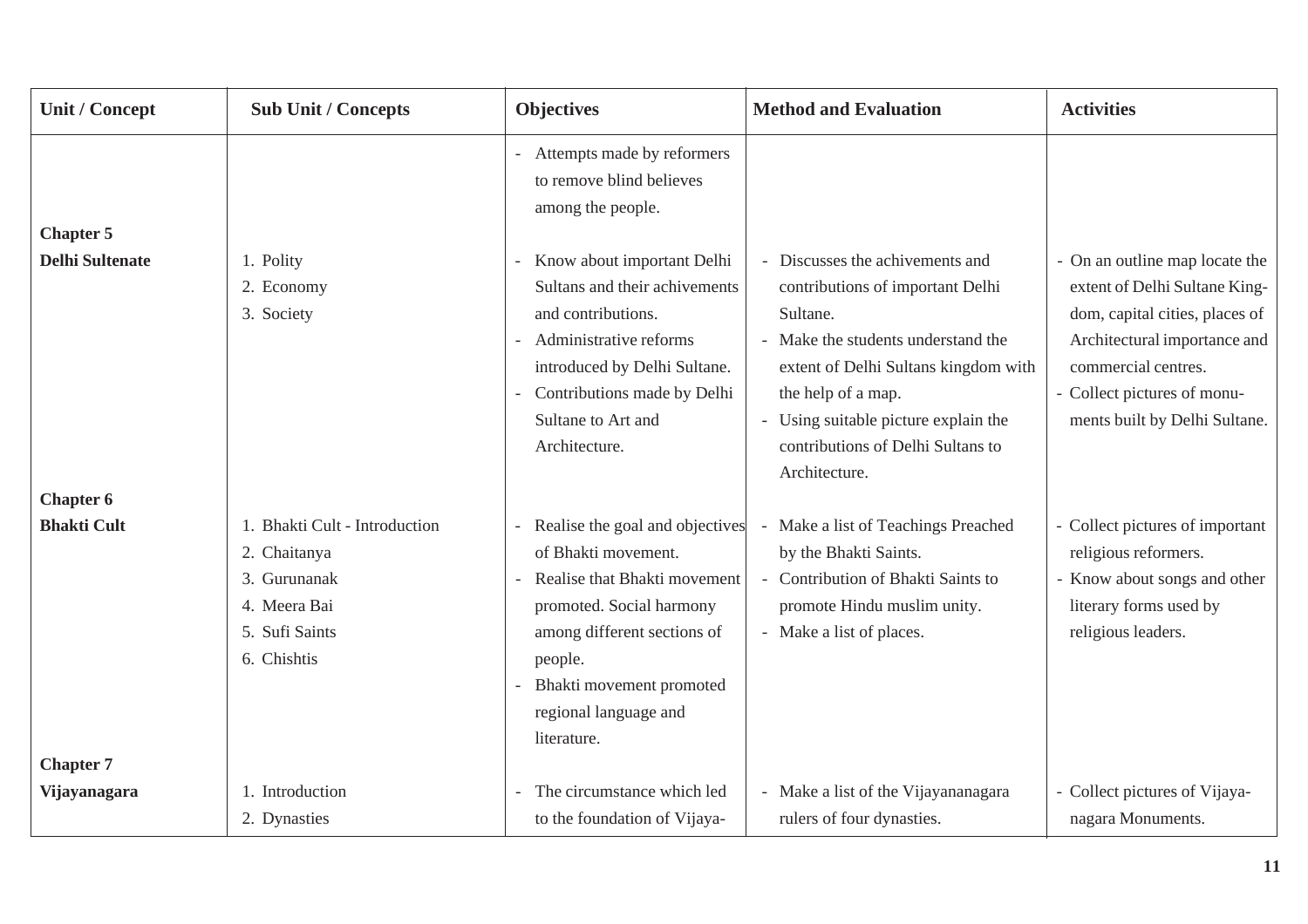| <b>Unit / Concept</b>                  | <b>Sub Unit / Concepts</b>                                                                                     | <b>Objectives</b>                                                                                                                                                                                                                | <b>Method and Evaluation</b>                                                                                                                                                                                                                                                      | <b>Activities</b>                                                                                                                                                                                                        |
|----------------------------------------|----------------------------------------------------------------------------------------------------------------|----------------------------------------------------------------------------------------------------------------------------------------------------------------------------------------------------------------------------------|-----------------------------------------------------------------------------------------------------------------------------------------------------------------------------------------------------------------------------------------------------------------------------------|--------------------------------------------------------------------------------------------------------------------------------------------------------------------------------------------------------------------------|
|                                        |                                                                                                                | Attempts made by reformers<br>to remove blind believes<br>among the people.                                                                                                                                                      |                                                                                                                                                                                                                                                                                   |                                                                                                                                                                                                                          |
| <b>Chapter 5</b>                       |                                                                                                                |                                                                                                                                                                                                                                  |                                                                                                                                                                                                                                                                                   |                                                                                                                                                                                                                          |
| <b>Delhi Sultenate</b>                 | 1. Polity<br>2. Economy<br>3. Society                                                                          | Know about important Delhi<br>Sultans and their achivements<br>and contributions.<br>Administrative reforms<br>introduced by Delhi Sultane.<br>Contributions made by Delhi<br>$\sim$<br>Sultane to Art and<br>Architecture.      | - Discusses the achivements and<br>contributions of important Delhi<br>Sultane.<br>- Make the students understand the<br>extent of Delhi Sultans kingdom with<br>the help of a map.<br>- Using suitable picture explain the<br>contributions of Delhi Sultans to<br>Architecture. | - On an outline map locate the<br>extent of Delhi Sultane King-<br>dom, capital cities, places of<br>Architectural importance and<br>commercial centres.<br>- Collect pictures of monu-<br>ments built by Delhi Sultane. |
| <b>Chapter 6</b>                       |                                                                                                                |                                                                                                                                                                                                                                  |                                                                                                                                                                                                                                                                                   |                                                                                                                                                                                                                          |
| <b>Bhakti Cult</b><br><b>Chapter 7</b> | 1. Bhakti Cult - Introduction<br>2. Chaitanya<br>3. Gurunanak<br>4. Meera Bai<br>5. Sufi Saints<br>6. Chishtis | Realise the goal and objectives<br>of Bhakti movement.<br>Realise that Bhakti movement<br>promoted. Social harmony<br>among different sections of<br>people.<br>Bhakti movement promoted<br>regional language and<br>literature. | Make a list of Teachings Preached<br>by the Bhakti Saints.<br>- Contribution of Bhakti Saints to<br>promote Hindu muslim unity.<br>- Make a list of places.                                                                                                                       | - Collect pictures of important<br>religious reformers.<br>- Know about songs and other<br>literary forms used by<br>religious leaders.                                                                                  |
| Vijayanagara                           | 1. Introduction                                                                                                | The circumstance which led                                                                                                                                                                                                       | - Make a list of the Vijayananagara                                                                                                                                                                                                                                               | - Collect pictures of Vijaya-                                                                                                                                                                                            |
|                                        | 2. Dynasties                                                                                                   | to the foundation of Vijaya-                                                                                                                                                                                                     | rulers of four dynasties.                                                                                                                                                                                                                                                         | nagara Monuments.                                                                                                                                                                                                        |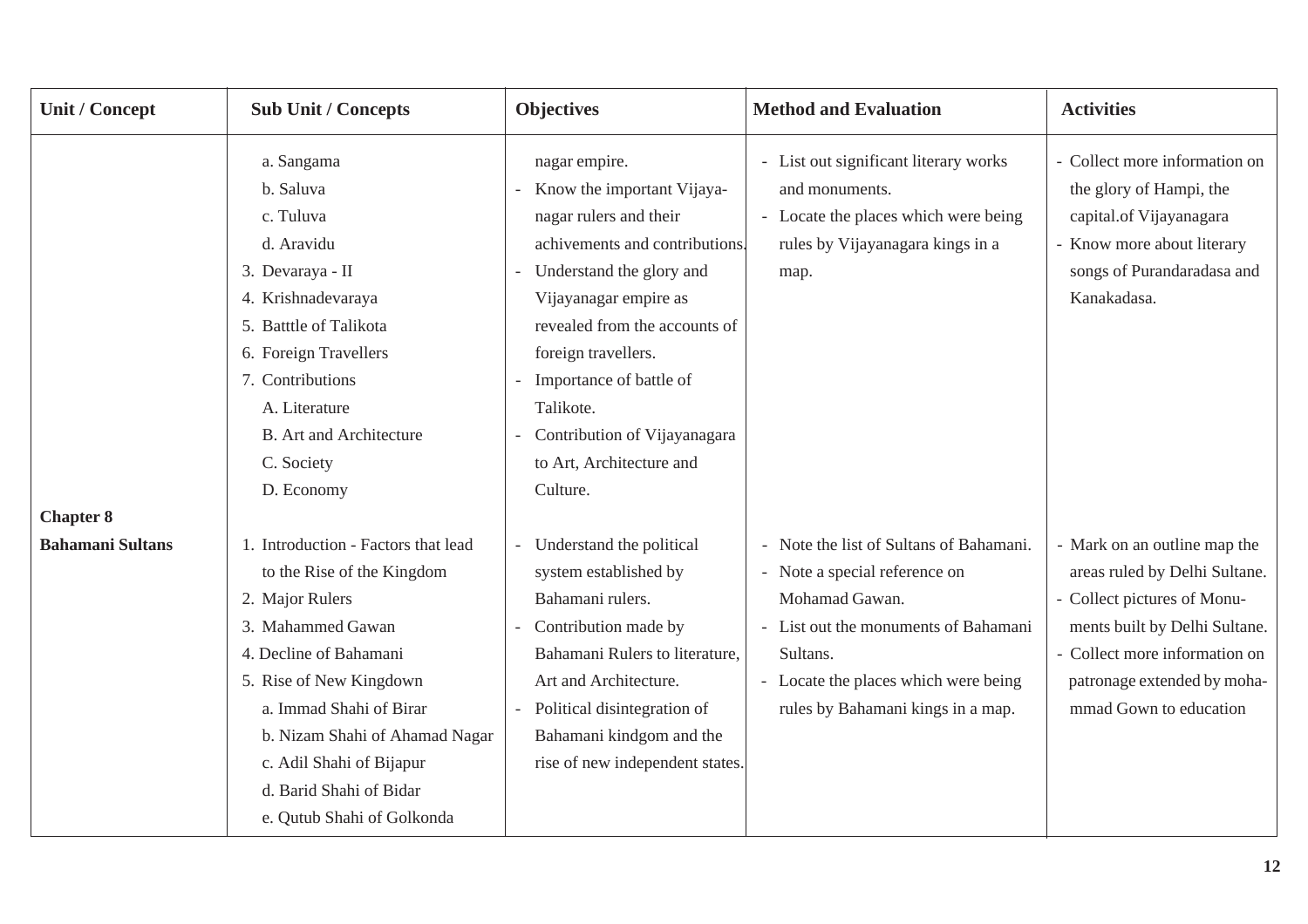| <b>Unit / Concept</b>   | <b>Sub Unit / Concepts</b>                                                                                                                                                                                                                                                                                       | <b>Objectives</b>                                                                                                                                                                                                                                                                                                                    | <b>Method and Evaluation</b>                                                                                                                                                                                                | <b>Activities</b>                                                                                                                                                                                                     |
|-------------------------|------------------------------------------------------------------------------------------------------------------------------------------------------------------------------------------------------------------------------------------------------------------------------------------------------------------|--------------------------------------------------------------------------------------------------------------------------------------------------------------------------------------------------------------------------------------------------------------------------------------------------------------------------------------|-----------------------------------------------------------------------------------------------------------------------------------------------------------------------------------------------------------------------------|-----------------------------------------------------------------------------------------------------------------------------------------------------------------------------------------------------------------------|
| <b>Chapter 8</b>        | a. Sangama<br>b. Saluva<br>c. Tuluva<br>d. Aravidu<br>3. Devaraya - II<br>4. Krishnadevaraya<br>5. Batttle of Talikota<br>6. Foreign Travellers<br>7. Contributions<br>A. Literature<br><b>B.</b> Art and Architecture<br>C. Society<br>D. Economy                                                               | nagar empire.<br>Know the important Vijaya-<br>nagar rulers and their<br>achivements and contributions.<br>Understand the glory and<br>Vijayanagar empire as<br>revealed from the accounts of<br>foreign travellers.<br>Importance of battle of<br>Talikote.<br>Contribution of Vijayanagara<br>to Art, Architecture and<br>Culture. | - List out significant literary works<br>and monuments.<br>- Locate the places which were being<br>rules by Vijayanagara kings in a<br>map.                                                                                 | - Collect more information on<br>the glory of Hampi, the<br>capital.of Vijayanagara<br>- Know more about literary<br>songs of Purandaradasa and<br>Kanakadasa.                                                        |
| <b>Bahamani Sultans</b> | 1. Introduction - Factors that lead<br>to the Rise of the Kingdom<br>2. Major Rulers<br>3. Mahammed Gawan<br>4. Decline of Bahamani<br>5. Rise of New Kingdown<br>a. Immad Shahi of Birar<br>b. Nizam Shahi of Ahamad Nagar<br>c. Adil Shahi of Bijapur<br>d. Barid Shahi of Bidar<br>e. Qutub Shahi of Golkonda | Understand the political<br>system established by<br>Bahamani rulers.<br>Contribution made by<br>Bahamani Rulers to literature,<br>Art and Architecture.<br>Political disintegration of<br>Bahamani kindgom and the<br>rise of new independent states.                                                                               | - Note the list of Sultans of Bahamani.<br>- Note a special reference on<br>Mohamad Gawan.<br>- List out the monuments of Bahamani<br>Sultans.<br>- Locate the places which were being<br>rules by Bahamani kings in a map. | - Mark on an outline map the<br>areas ruled by Delhi Sultane.<br>Collect pictures of Monu-<br>ments built by Delhi Sultane.<br>- Collect more information on<br>patronage extended by moha-<br>mmad Gown to education |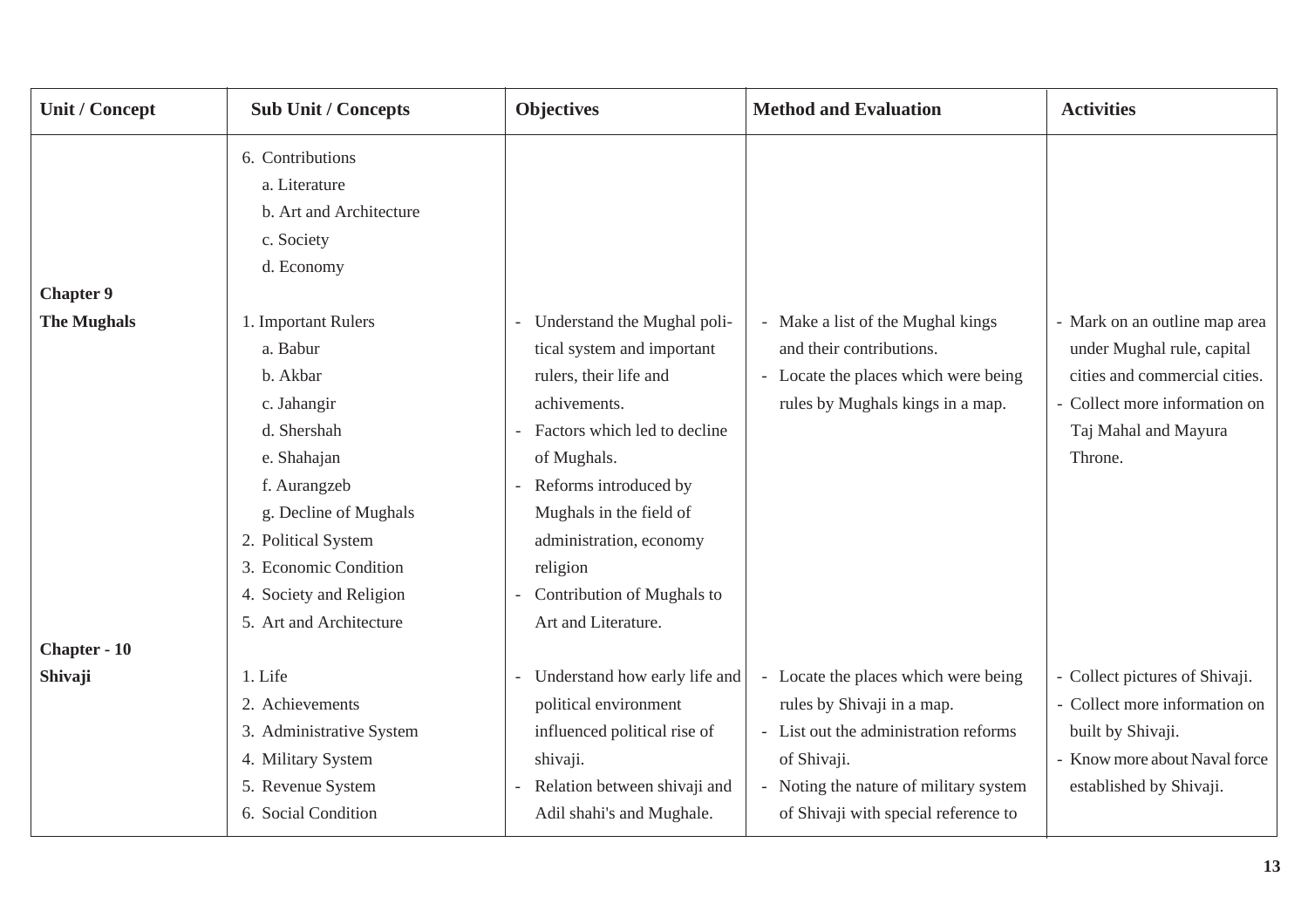| <b>Unit / Concept</b>                  | <b>Sub Unit / Concepts</b>                                                                                                                                                                                                                           | <b>Objectives</b>                                                                                                                                                                                                                   | <b>Method and Evaluation</b>                                                                                                                                                                                 | <b>Activities</b>                                                                                                                                                |
|----------------------------------------|------------------------------------------------------------------------------------------------------------------------------------------------------------------------------------------------------------------------------------------------------|-------------------------------------------------------------------------------------------------------------------------------------------------------------------------------------------------------------------------------------|--------------------------------------------------------------------------------------------------------------------------------------------------------------------------------------------------------------|------------------------------------------------------------------------------------------------------------------------------------------------------------------|
| <b>Chapter 9</b><br><b>The Mughals</b> | 6. Contributions<br>a. Literature<br>b. Art and Architecture<br>c. Society<br>d. Economy<br>1. Important Rulers<br>a. Babur<br>b. Akbar<br>c. Jahangir<br>d. Shershah<br>e. Shahajan<br>f. Aurangzeb<br>g. Decline of Mughals<br>2. Political System | - Understand the Mughal poli-<br>tical system and important<br>rulers, their life and<br>achivements.<br>Factors which led to decline<br>of Mughals.<br>Reforms introduced by<br>Mughals in the field of<br>administration, economy | - Make a list of the Mughal kings<br>and their contributions.<br>- Locate the places which were being<br>rules by Mughals kings in a map.                                                                    | - Mark on an outline map area<br>under Mughal rule, capital<br>cities and commercial cities.<br>- Collect more information on<br>Taj Mahal and Mayura<br>Throne. |
| Chapter - 10<br>Shivaji                | 3. Economic Condition<br>4. Society and Religion<br>5. Art and Architecture<br>1. Life<br>2. Achievements<br>3. Administrative System<br>4. Military System<br>5. Revenue System<br>6. Social Condition                                              | religion<br>Contribution of Mughals to<br>Art and Literature.<br>Understand how early life and<br>political environment<br>influenced political rise of<br>shivaji.<br>Relation between shivaji and<br>Adil shahi's and Mughale.    | - Locate the places which were being<br>rules by Shivaji in a map.<br>- List out the administration reforms<br>of Shivaji.<br>- Noting the nature of military system<br>of Shivaji with special reference to | - Collect pictures of Shivaji.<br>- Collect more information on<br>built by Shivaji.<br>- Know more about Naval force<br>established by Shivaji.                 |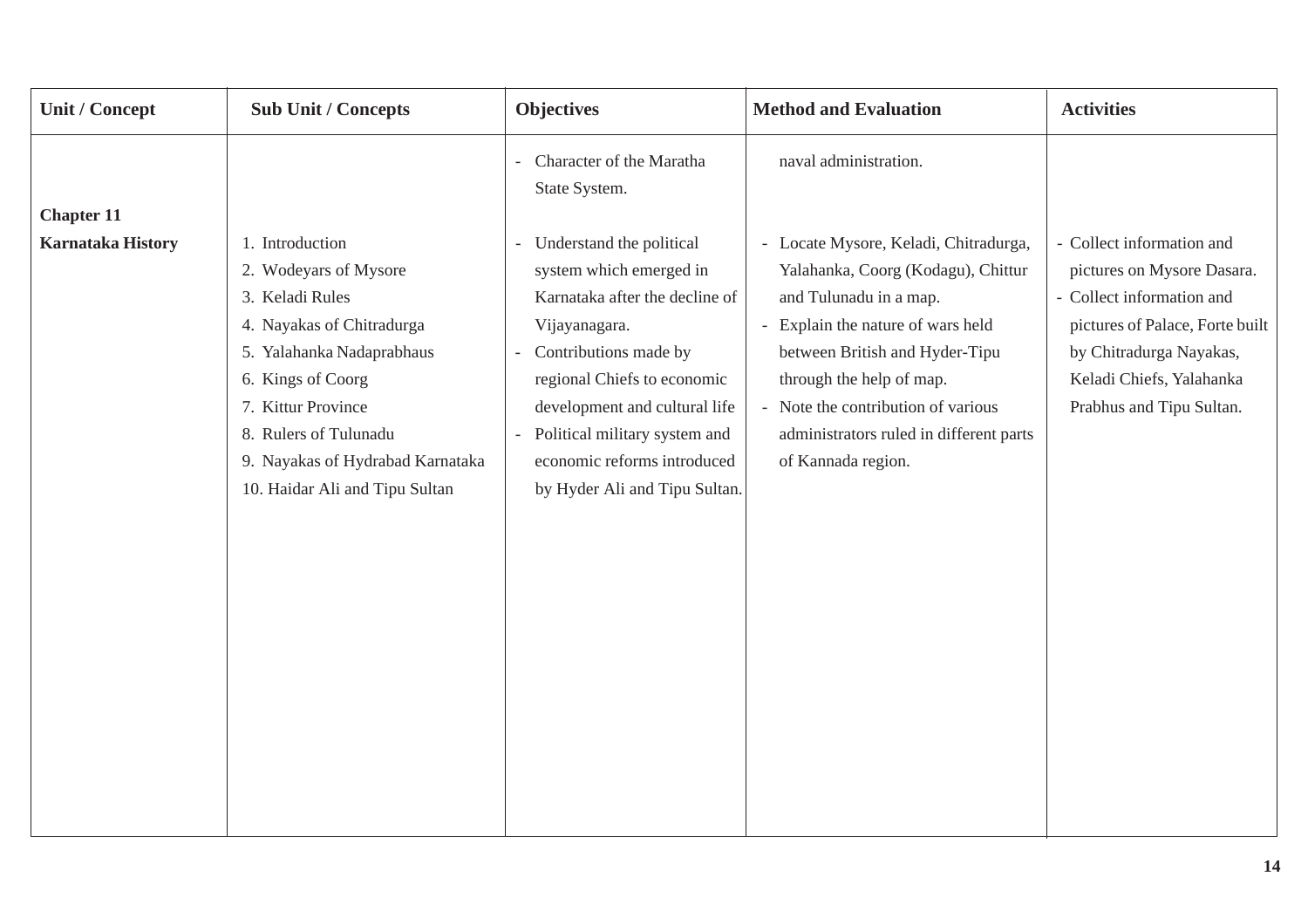| <b>Unit / Concept</b>    | <b>Sub Unit / Concepts</b>                                                                                                                                                                                                                                      | <b>Objectives</b>                                                                                                                                                                                                                                                                                | <b>Method and Evaluation</b>                                                                                                                                                                                                                                                                                  | <b>Activities</b>                                                                                                                                                                                        |
|--------------------------|-----------------------------------------------------------------------------------------------------------------------------------------------------------------------------------------------------------------------------------------------------------------|--------------------------------------------------------------------------------------------------------------------------------------------------------------------------------------------------------------------------------------------------------------------------------------------------|---------------------------------------------------------------------------------------------------------------------------------------------------------------------------------------------------------------------------------------------------------------------------------------------------------------|----------------------------------------------------------------------------------------------------------------------------------------------------------------------------------------------------------|
|                          |                                                                                                                                                                                                                                                                 | - Character of the Maratha<br>State System.                                                                                                                                                                                                                                                      | naval administration.                                                                                                                                                                                                                                                                                         |                                                                                                                                                                                                          |
| <b>Chapter 11</b>        |                                                                                                                                                                                                                                                                 |                                                                                                                                                                                                                                                                                                  |                                                                                                                                                                                                                                                                                                               |                                                                                                                                                                                                          |
| <b>Karnataka History</b> | 1. Introduction<br>2. Wodeyars of Mysore<br>3. Keladi Rules<br>4. Nayakas of Chitradurga<br>5. Yalahanka Nadaprabhaus<br>6. Kings of Coorg<br>7. Kittur Province<br>8. Rulers of Tulunadu<br>9. Nayakas of Hydrabad Karnataka<br>10. Haidar Ali and Tipu Sultan | Understand the political<br>system which emerged in<br>Karnataka after the decline of<br>Vijayanagara.<br>Contributions made by<br>regional Chiefs to economic<br>development and cultural life<br>Political military system and<br>economic reforms introduced<br>by Hyder Ali and Tipu Sultan. | - Locate Mysore, Keladi, Chitradurga,<br>Yalahanka, Coorg (Kodagu), Chittur<br>and Tulunadu in a map.<br>Explain the nature of wars held<br>between British and Hyder-Tipu<br>through the help of map.<br>- Note the contribution of various<br>administrators ruled in different parts<br>of Kannada region. | Collect information and<br>pictures on Mysore Dasara.<br>- Collect information and<br>pictures of Palace, Forte built<br>by Chitradurga Nayakas,<br>Keladi Chiefs, Yalahanka<br>Prabhus and Tipu Sultan. |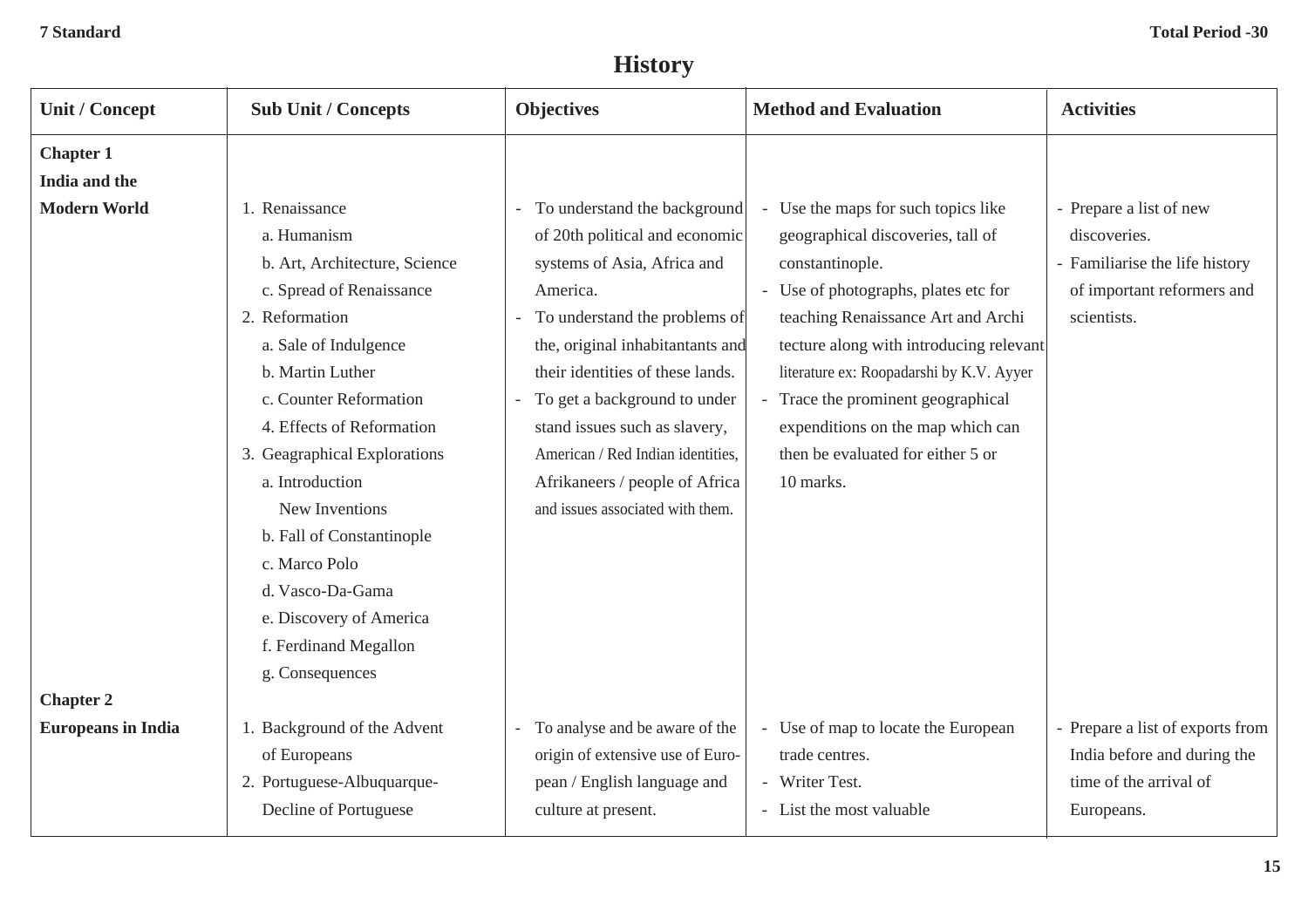## **History**

| <b>Unit / Concept</b>                   | <b>Sub Unit / Concepts</b>                                                                                                                                                                                                                                                                                                                                                                                                     | <b>Objectives</b>                                                                                                                                                                                                                                                                                                                                                                                                          | <b>Method and Evaluation</b>                                                                                                                                                                                                                                                                                                                                                                  | <b>Activities</b>                                                                                                      |
|-----------------------------------------|--------------------------------------------------------------------------------------------------------------------------------------------------------------------------------------------------------------------------------------------------------------------------------------------------------------------------------------------------------------------------------------------------------------------------------|----------------------------------------------------------------------------------------------------------------------------------------------------------------------------------------------------------------------------------------------------------------------------------------------------------------------------------------------------------------------------------------------------------------------------|-----------------------------------------------------------------------------------------------------------------------------------------------------------------------------------------------------------------------------------------------------------------------------------------------------------------------------------------------------------------------------------------------|------------------------------------------------------------------------------------------------------------------------|
| <b>Chapter 1</b><br>India and the       |                                                                                                                                                                                                                                                                                                                                                                                                                                |                                                                                                                                                                                                                                                                                                                                                                                                                            |                                                                                                                                                                                                                                                                                                                                                                                               |                                                                                                                        |
| <b>Modern World</b><br><b>Chapter 2</b> | 1. Renaissance<br>a. Humanism<br>b. Art, Architecture, Science<br>c. Spread of Renaissance<br>2. Reformation<br>a. Sale of Indulgence<br>b. Martin Luther<br>c. Counter Reformation<br>4. Effects of Reformation<br>3. Geagraphical Explorations<br>a. Introduction<br>New Inventions<br>b. Fall of Constantinople<br>c. Marco Polo<br>d. Vasco-Da-Gama<br>e. Discovery of America<br>f. Ferdinand Megallon<br>g. Consequences | To understand the background<br>$\overline{\phantom{a}}$<br>of 20th political and economic<br>systems of Asia, Africa and<br>America.<br>To understand the problems of<br>the, original inhabitantants and<br>their identities of these lands.<br>To get a background to under<br>stand issues such as slavery,<br>American / Red Indian identities,<br>Afrikaneers / people of Africa<br>and issues associated with them. | - Use the maps for such topics like<br>geographical discoveries, tall of<br>constantinople.<br>- Use of photographs, plates etc for<br>teaching Renaissance Art and Archi<br>tecture along with introducing relevant<br>literature ex: Roopadarshi by K.V. Ayyer<br>- Trace the prominent geographical<br>expenditions on the map which can<br>then be evaluated for either 5 or<br>10 marks. | - Prepare a list of new<br>discoveries.<br>- Familiarise the life history<br>of important reformers and<br>scientists. |
| <b>Europeans in India</b>               | 1. Background of the Advent<br>of Europeans<br>2. Portuguese-Albuquarque-<br>Decline of Portuguese                                                                                                                                                                                                                                                                                                                             | To analyse and be aware of the<br>origin of extensive use of Euro-<br>pean / English language and<br>culture at present.                                                                                                                                                                                                                                                                                                   | - Use of map to locate the European<br>trade centres.<br>- Writer Test.<br>- List the most valuable                                                                                                                                                                                                                                                                                           | - Prepare a list of exports from<br>India before and during the<br>time of the arrival of<br>Europeans.                |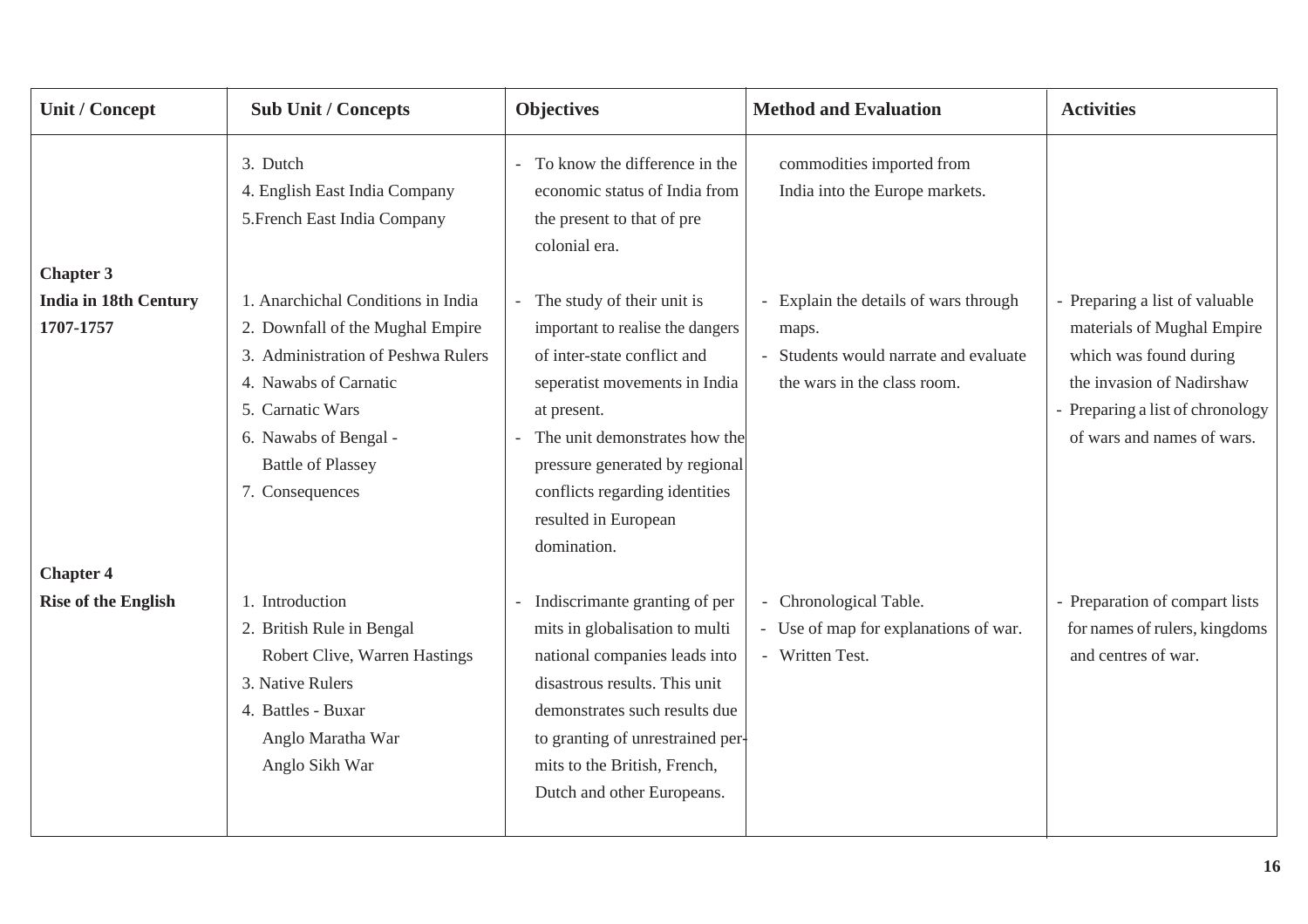| <b>Unit / Concept</b>                                         | <b>Sub Unit / Concepts</b>                                                                                                                                                                                                        | <b>Objectives</b>                                                                                                                                                                                                                                                                         | <b>Method and Evaluation</b>                                                                                           | <b>Activities</b>                                                                                                                                                                     |
|---------------------------------------------------------------|-----------------------------------------------------------------------------------------------------------------------------------------------------------------------------------------------------------------------------------|-------------------------------------------------------------------------------------------------------------------------------------------------------------------------------------------------------------------------------------------------------------------------------------------|------------------------------------------------------------------------------------------------------------------------|---------------------------------------------------------------------------------------------------------------------------------------------------------------------------------------|
|                                                               | 3. Dutch<br>4. English East India Company<br>5. French East India Company                                                                                                                                                         | To know the difference in the<br>economic status of India from<br>the present to that of pre<br>colonial era.                                                                                                                                                                             | commodities imported from<br>India into the Europe markets.                                                            |                                                                                                                                                                                       |
| <b>Chapter 3</b><br><b>India in 18th Century</b><br>1707-1757 | 1. Anarchichal Conditions in India<br>2. Downfall of the Mughal Empire<br>3. Administration of Peshwa Rulers<br>4. Nawabs of Carnatic<br>5. Carnatic Wars<br>6. Nawabs of Bengal -<br><b>Battle of Plassey</b><br>7. Consequences | The study of their unit is<br>important to realise the dangers<br>of inter-state conflict and<br>seperatist movements in India<br>at present.<br>The unit demonstrates how the<br>pressure generated by regional<br>conflicts regarding identities<br>resulted in European<br>domination. | - Explain the details of wars through<br>maps.<br>- Students would narrate and evaluate<br>the wars in the class room. | - Preparing a list of valuable<br>materials of Mughal Empire<br>which was found during<br>the invasion of Nadirshaw<br>- Preparing a list of chronology<br>of wars and names of wars. |
| <b>Chapter 4</b><br><b>Rise of the English</b>                | 1. Introduction<br>2. British Rule in Bengal<br>Robert Clive, Warren Hastings<br>3. Native Rulers<br>4. Battles - Buxar<br>Anglo Maratha War<br>Anglo Sikh War                                                                    | Indiscrimante granting of per<br>mits in globalisation to multi<br>national companies leads into<br>disastrous results. This unit<br>demonstrates such results due<br>to granting of unrestrained per-<br>mits to the British, French,<br>Dutch and other Europeans.                      | - Chronological Table.<br>- Use of map for explanations of war.<br>- Written Test.                                     | - Preparation of compart lists<br>for names of rulers, kingdoms<br>and centres of war.                                                                                                |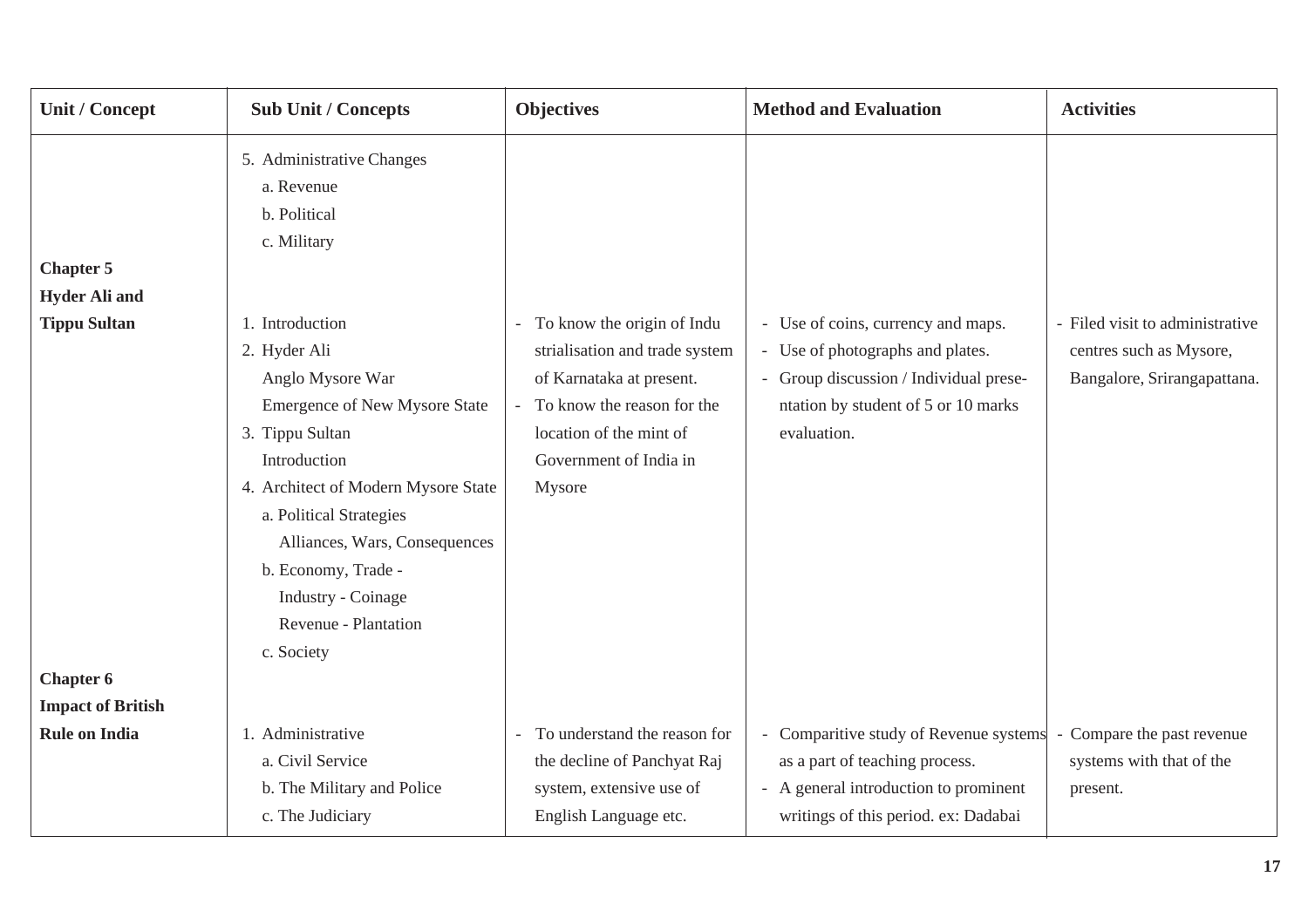| <b>Unit / Concept</b>                                                                                           | <b>Sub Unit / Concepts</b>                                                                                                                                                                                                                                                                                                                                                                     | <b>Objectives</b>                                                                                                                                                                       | <b>Method and Evaluation</b>                                                                                                                                           | <b>Activities</b>                                                                         |
|-----------------------------------------------------------------------------------------------------------------|------------------------------------------------------------------------------------------------------------------------------------------------------------------------------------------------------------------------------------------------------------------------------------------------------------------------------------------------------------------------------------------------|-----------------------------------------------------------------------------------------------------------------------------------------------------------------------------------------|------------------------------------------------------------------------------------------------------------------------------------------------------------------------|-------------------------------------------------------------------------------------------|
| <b>Chapter 5</b><br><b>Hyder Ali and</b><br><b>Tippu Sultan</b><br><b>Chapter 6</b><br><b>Impact of British</b> | 5. Administrative Changes<br>a. Revenue<br>b. Political<br>c. Military<br>1. Introduction<br>2. Hyder Ali<br>Anglo Mysore War<br><b>Emergence of New Mysore State</b><br>3. Tippu Sultan<br>Introduction<br>4. Architect of Modern Mysore State<br>a. Political Strategies<br>Alliances, Wars, Consequences<br>b. Economy, Trade -<br>Industry - Coinage<br>Revenue - Plantation<br>c. Society | To know the origin of Indu<br>strialisation and trade system<br>of Karnataka at present.<br>- To know the reason for the<br>location of the mint of<br>Government of India in<br>Mysore | - Use of coins, currency and maps.<br>- Use of photographs and plates.<br>- Group discussion / Individual prese-<br>ntation by student of 5 or 10 marks<br>evaluation. | - Filed visit to administrative<br>centres such as Mysore,<br>Bangalore, Srirangapattana. |
| <b>Rule on India</b>                                                                                            | 1. Administrative<br>a. Civil Service<br>b. The Military and Police<br>c. The Judiciary                                                                                                                                                                                                                                                                                                        | To understand the reason for<br>the decline of Panchyat Raj<br>system, extensive use of<br>English Language etc.                                                                        | - Comparitive study of Revenue systems<br>as a part of teaching process.<br>- A general introduction to prominent<br>writings of this period. ex: Dadabai              | Compare the past revenue<br>systems with that of the<br>present.                          |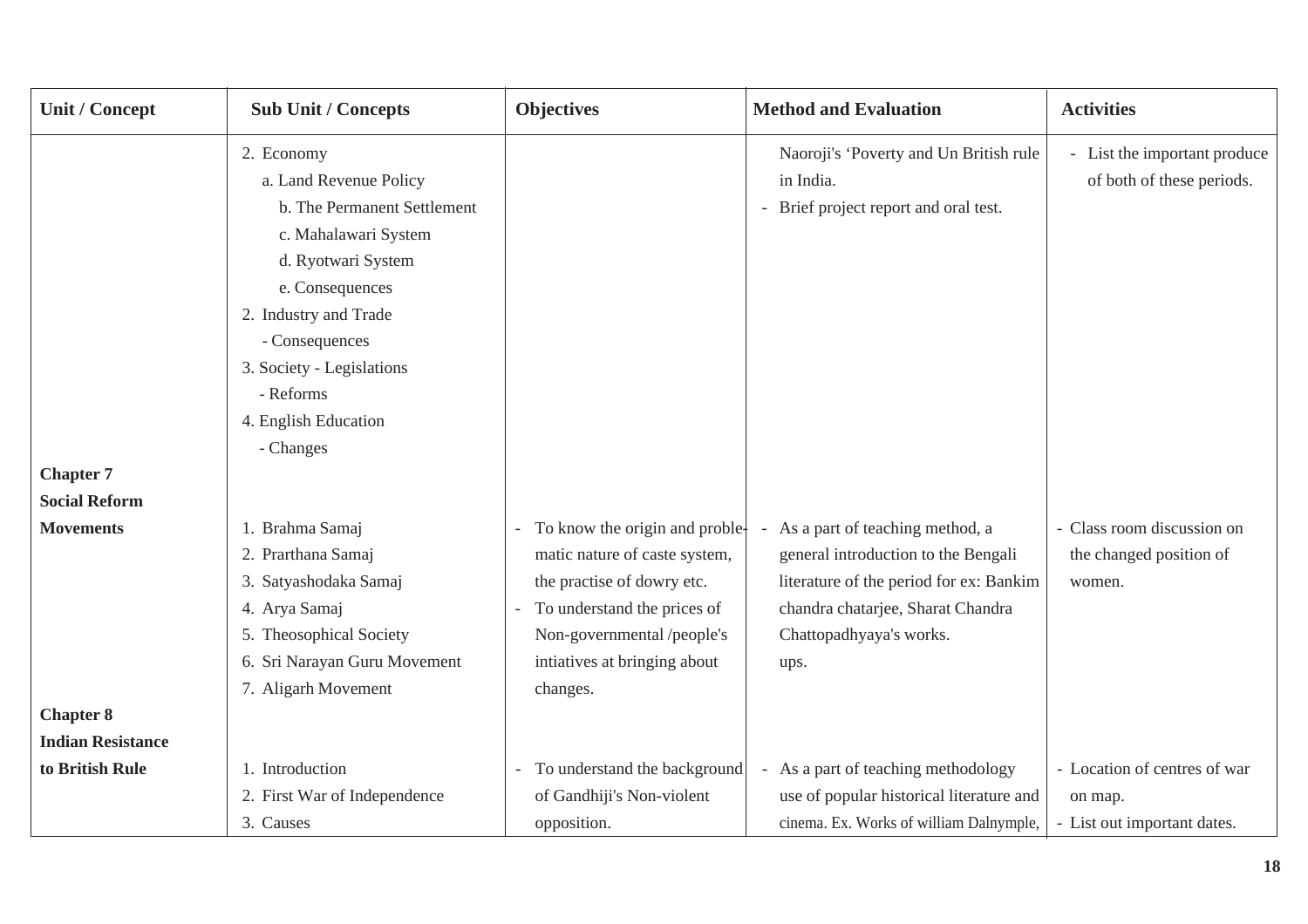| <b>Unit / Concept</b>                       | <b>Sub Unit / Concepts</b>                                                                                                                                                                                                                                     | <b>Objectives</b>                                                                                                                                                                                          | <b>Method and Evaluation</b>                                                                                                                                                              | <b>Activities</b>                                             |
|---------------------------------------------|----------------------------------------------------------------------------------------------------------------------------------------------------------------------------------------------------------------------------------------------------------------|------------------------------------------------------------------------------------------------------------------------------------------------------------------------------------------------------------|-------------------------------------------------------------------------------------------------------------------------------------------------------------------------------------------|---------------------------------------------------------------|
| <b>Chapter 7</b><br><b>Social Reform</b>    | 2. Economy<br>a. Land Revenue Policy<br>b. The Permanent Settlement<br>c. Mahalawari System<br>d. Ryotwari System<br>e. Consequences<br>2. Industry and Trade<br>- Consequences<br>3. Society - Legislations<br>- Reforms<br>4. English Education<br>- Changes |                                                                                                                                                                                                            | Naoroji's 'Poverty and Un British rule<br>in India.<br>- Brief project report and oral test.                                                                                              | - List the important produce<br>of both of these periods.     |
| <b>Movements</b><br><b>Chapter 8</b>        | 1. Brahma Samaj<br>2. Prarthana Samaj<br>3. Satyashodaka Samaj<br>4. Arya Samaj<br>5. Theosophical Society<br>6. Sri Narayan Guru Movement<br>7. Aligarh Movement                                                                                              | - To know the origin and proble-<br>matic nature of caste system,<br>the practise of dowry etc.<br>- To understand the prices of<br>Non-governmental /people's<br>intiatives at bringing about<br>changes. | As a part of teaching method, a<br>general introduction to the Bengali<br>literature of the period for ex: Bankim<br>chandra chatarjee, Sharat Chandra<br>Chattopadhyaya's works.<br>ups. | Class room discussion on<br>the changed position of<br>women. |
| <b>Indian Resistance</b><br>to British Rule | 1. Introduction<br>2. First War of Independence                                                                                                                                                                                                                | To understand the background<br>of Gandhiji's Non-violent                                                                                                                                                  | - As a part of teaching methodology<br>use of popular historical literature and                                                                                                           | - Location of centres of war<br>on map.                       |
|                                             | 3. Causes                                                                                                                                                                                                                                                      | opposition.                                                                                                                                                                                                | cinema. Ex. Works of william Dalnymple,                                                                                                                                                   | - List out important dates.                                   |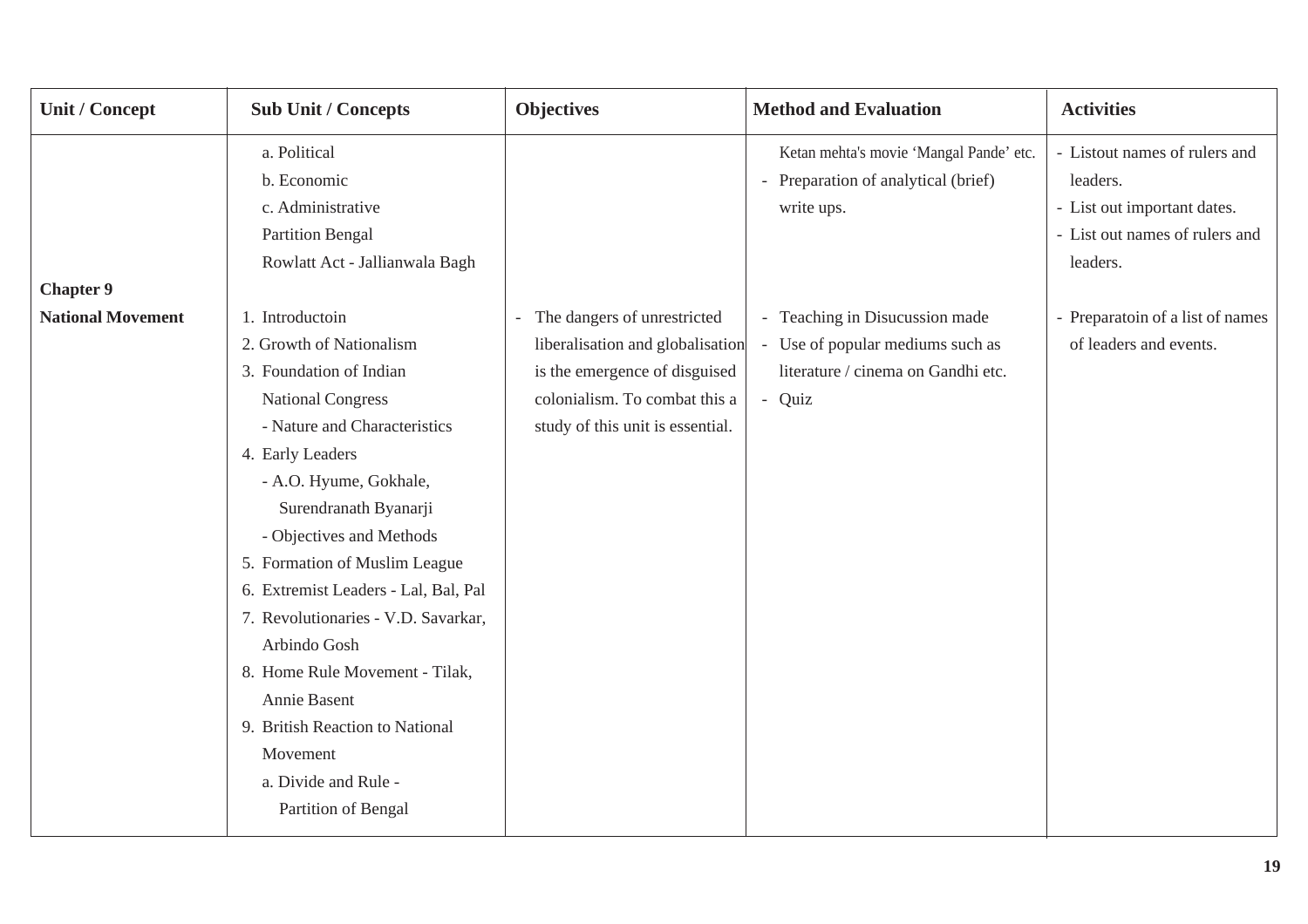| <b>Unit / Concept</b>    | <b>Sub Unit / Concepts</b>                                                                                                                                                                                                                                                                                                                                                                                                                                                                                            | <b>Objectives</b>                                                                                                                                                     | <b>Method and Evaluation</b>                                                                                   | <b>Activities</b>                                                                                                      |
|--------------------------|-----------------------------------------------------------------------------------------------------------------------------------------------------------------------------------------------------------------------------------------------------------------------------------------------------------------------------------------------------------------------------------------------------------------------------------------------------------------------------------------------------------------------|-----------------------------------------------------------------------------------------------------------------------------------------------------------------------|----------------------------------------------------------------------------------------------------------------|------------------------------------------------------------------------------------------------------------------------|
| <b>Chapter 9</b>         | a. Political<br>b. Economic<br>c. Administrative<br><b>Partition Bengal</b><br>Rowlatt Act - Jallianwala Bagh                                                                                                                                                                                                                                                                                                                                                                                                         |                                                                                                                                                                       | Ketan mehta's movie 'Mangal Pande' etc.<br>- Preparation of analytical (brief)<br>write ups.                   | - Listout names of rulers and<br>leaders.<br>- List out important dates.<br>- List out names of rulers and<br>leaders. |
| <b>National Movement</b> | 1. Introductoin<br>2. Growth of Nationalism<br>3. Foundation of Indian<br><b>National Congress</b><br>- Nature and Characteristics<br>4. Early Leaders<br>- A.O. Hyume, Gokhale,<br>Surendranath Byanarji<br>- Objectives and Methods<br>5. Formation of Muslim League<br>6. Extremist Leaders - Lal, Bal, Pal<br>7. Revolutionaries - V.D. Savarkar,<br>Arbindo Gosh<br>8. Home Rule Movement - Tilak,<br>Annie Basent<br>9. British Reaction to National<br>Movement<br>a. Divide and Rule -<br>Partition of Bengal | The dangers of unrestricted<br>liberalisation and globalisation<br>is the emergence of disguised<br>colonialism. To combat this a<br>study of this unit is essential. | Teaching in Disucussion made<br>Use of popular mediums such as<br>literature / cinema on Gandhi etc.<br>- Quiz | - Preparatoin of a list of names<br>of leaders and events.                                                             |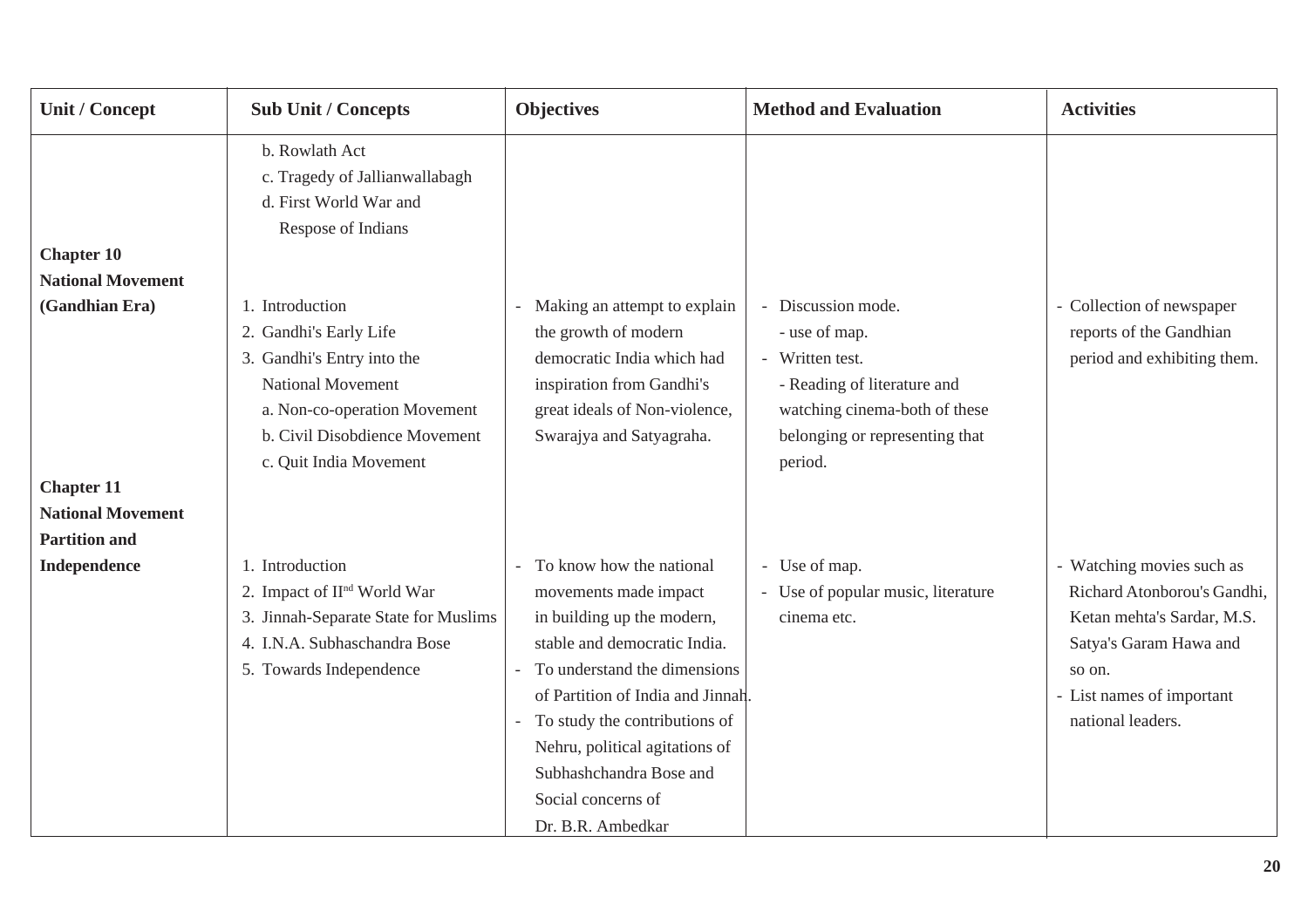| <b>Unit / Concept</b>                         | <b>Sub Unit / Concepts</b>                                                                                                                                                                     | <b>Objectives</b>                                                                                                                                                                                                                                                                                                             | <b>Method and Evaluation</b>                                                                                                                                      | <b>Activities</b>                                                                                                                                                            |
|-----------------------------------------------|------------------------------------------------------------------------------------------------------------------------------------------------------------------------------------------------|-------------------------------------------------------------------------------------------------------------------------------------------------------------------------------------------------------------------------------------------------------------------------------------------------------------------------------|-------------------------------------------------------------------------------------------------------------------------------------------------------------------|------------------------------------------------------------------------------------------------------------------------------------------------------------------------------|
|                                               | b. Rowlath Act<br>c. Tragedy of Jallianwallabagh<br>d. First World War and<br>Respose of Indians                                                                                               |                                                                                                                                                                                                                                                                                                                               |                                                                                                                                                                   |                                                                                                                                                                              |
| <b>Chapter 10</b><br><b>National Movement</b> |                                                                                                                                                                                                |                                                                                                                                                                                                                                                                                                                               |                                                                                                                                                                   |                                                                                                                                                                              |
| (Gandhian Era)                                | 1. Introduction<br>2. Gandhi's Early Life<br>3. Gandhi's Entry into the<br><b>National Movement</b><br>a. Non-co-operation Movement<br>b. Civil Disobdience Movement<br>c. Quit India Movement | Making an attempt to explain<br>the growth of modern<br>democratic India which had<br>inspiration from Gandhi's<br>great ideals of Non-violence,<br>Swarajya and Satyagraha.                                                                                                                                                  | Discussion mode.<br>- use of map.<br>- Written test.<br>- Reading of literature and<br>watching cinema-both of these<br>belonging or representing that<br>period. | - Collection of newspaper<br>reports of the Gandhian<br>period and exhibiting them.                                                                                          |
| <b>Chapter 11</b>                             |                                                                                                                                                                                                |                                                                                                                                                                                                                                                                                                                               |                                                                                                                                                                   |                                                                                                                                                                              |
| <b>National Movement</b>                      |                                                                                                                                                                                                |                                                                                                                                                                                                                                                                                                                               |                                                                                                                                                                   |                                                                                                                                                                              |
| <b>Partition and</b><br>Independence          | 1. Introduction<br>2. Impact of II <sup>nd</sup> World War<br>3. Jinnah-Separate State for Muslims<br>4. I.N.A. Subhaschandra Bose<br>5. Towards Independence                                  | To know how the national<br>movements made impact<br>in building up the modern,<br>stable and democratic India.<br>To understand the dimensions<br>of Partition of India and Jinnah.<br>To study the contributions of<br>Nehru, political agitations of<br>Subhashchandra Bose and<br>Social concerns of<br>Dr. B.R. Ambedkar | - Use of map.<br>- Use of popular music, literature<br>cinema etc.                                                                                                | - Watching movies such as<br>Richard Atonborou's Gandhi,<br>Ketan mehta's Sardar, M.S.<br>Satya's Garam Hawa and<br>so on.<br>- List names of important<br>national leaders. |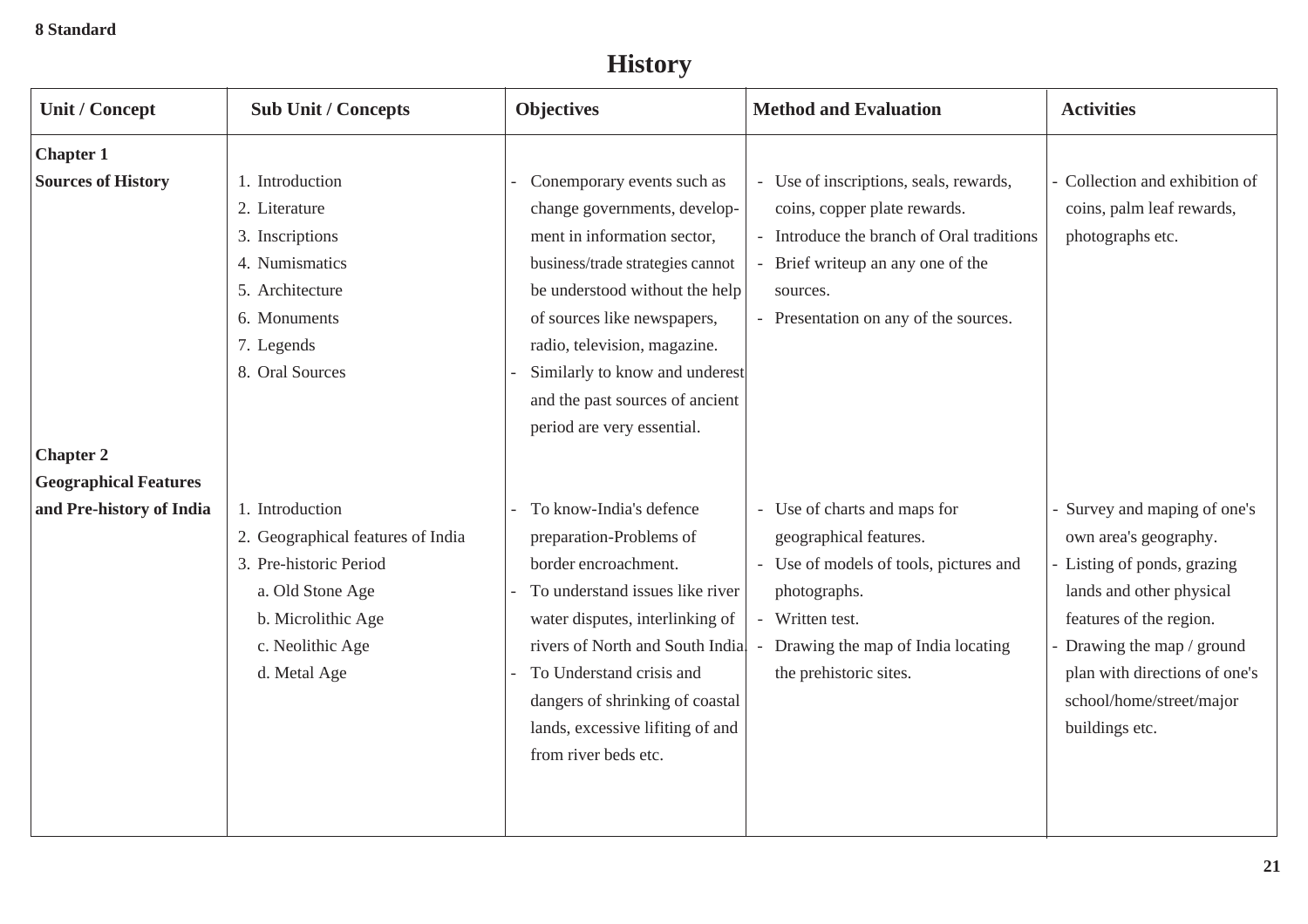**History**

| <b>Unit / Concept</b>        | <b>Sub Unit / Concepts</b>                                                                                                                                   | <b>Objectives</b>                                                                                                                                                                                                                                                                                               | <b>Method and Evaluation</b>                                                                                                                                                                       | <b>Activities</b>                                                                                                                                                                                                                                    |
|------------------------------|--------------------------------------------------------------------------------------------------------------------------------------------------------------|-----------------------------------------------------------------------------------------------------------------------------------------------------------------------------------------------------------------------------------------------------------------------------------------------------------------|----------------------------------------------------------------------------------------------------------------------------------------------------------------------------------------------------|------------------------------------------------------------------------------------------------------------------------------------------------------------------------------------------------------------------------------------------------------|
| <b>Chapter 1</b>             |                                                                                                                                                              |                                                                                                                                                                                                                                                                                                                 |                                                                                                                                                                                                    |                                                                                                                                                                                                                                                      |
| <b>Sources of History</b>    | 1. Introduction<br>2. Literature<br>3. Inscriptions                                                                                                          | Conemporary events such as<br>change governments, develop-<br>ment in information sector,                                                                                                                                                                                                                       | - Use of inscriptions, seals, rewards,<br>coins, copper plate rewards.<br>- Introduce the branch of Oral traditions                                                                                | Collection and exhibition of<br>coins, palm leaf rewards,<br>photographs etc.                                                                                                                                                                        |
|                              | 4. Numismatics<br>5. Architecture<br>6. Monuments<br>7. Legends<br>8. Oral Sources                                                                           | business/trade strategies cannot<br>be understood without the help<br>of sources like newspapers,<br>radio, television, magazine.<br>Similarly to know and underest<br>and the past sources of ancient<br>period are very essential.                                                                            | - Brief writeup an any one of the<br>sources.<br>- Presentation on any of the sources.                                                                                                             |                                                                                                                                                                                                                                                      |
| <b>Chapter 2</b>             |                                                                                                                                                              |                                                                                                                                                                                                                                                                                                                 |                                                                                                                                                                                                    |                                                                                                                                                                                                                                                      |
| <b>Geographical Features</b> |                                                                                                                                                              |                                                                                                                                                                                                                                                                                                                 |                                                                                                                                                                                                    |                                                                                                                                                                                                                                                      |
| and Pre-history of India     | 1. Introduction<br>2. Geographical features of India<br>3. Pre-historic Period<br>a. Old Stone Age<br>b. Microlithic Age<br>c. Neolithic Age<br>d. Metal Age | To know-India's defence<br>preparation-Problems of<br>border encroachment.<br>To understand issues like river<br>water disputes, interlinking of<br>rivers of North and South India.<br>To Understand crisis and<br>dangers of shrinking of coastal<br>lands, excessive lifiting of and<br>from river beds etc. | - Use of charts and maps for<br>geographical features.<br>- Use of models of tools, pictures and<br>photographs.<br>- Written test.<br>Drawing the map of India locating<br>the prehistoric sites. | Survey and maping of one's<br>own area's geography.<br>- Listing of ponds, grazing<br>lands and other physical<br>features of the region.<br>Drawing the map / ground<br>plan with directions of one's<br>school/home/street/major<br>buildings etc. |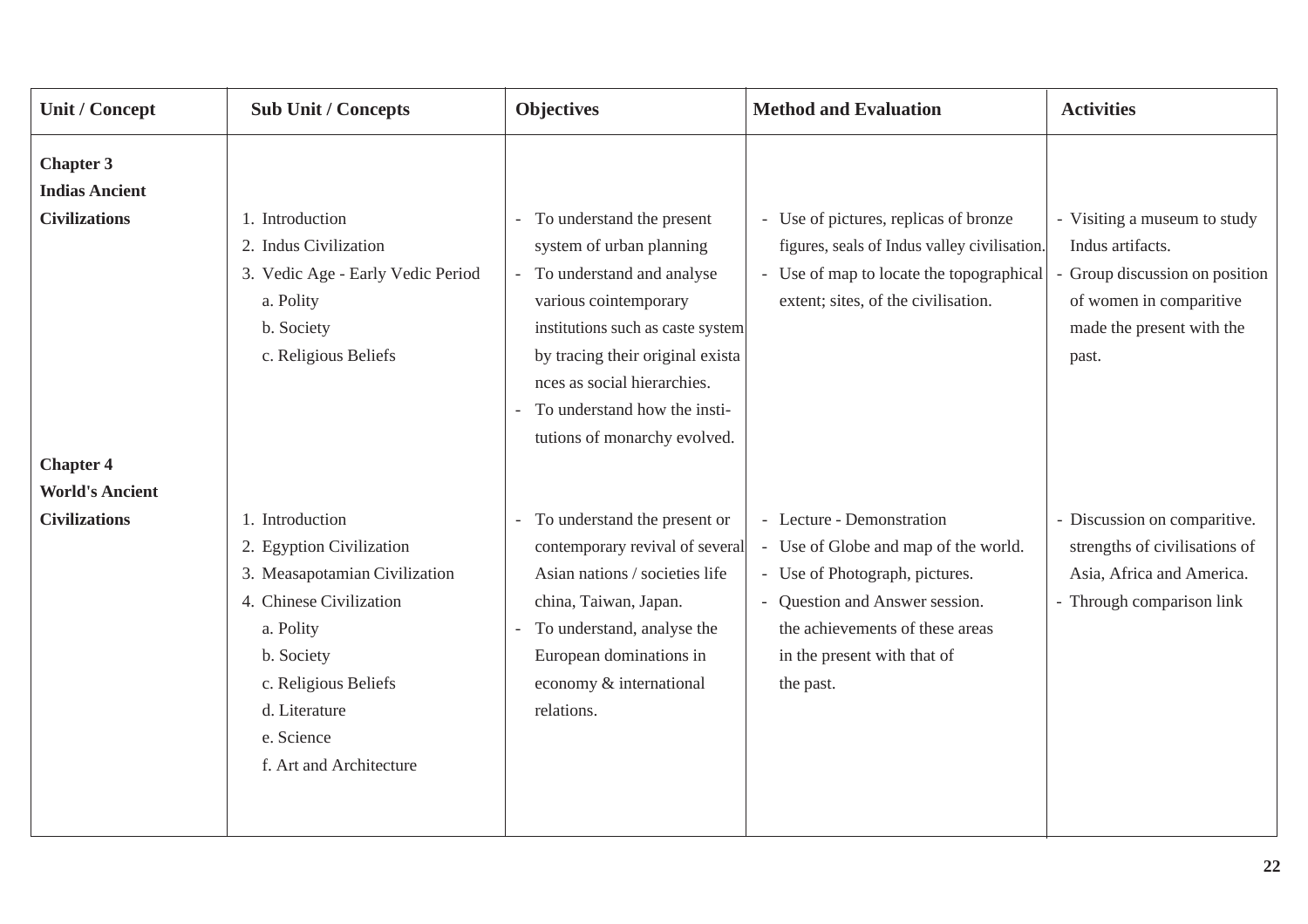| <b>Unit / Concept</b>                     | <b>Sub Unit / Concepts</b>                                                                                                                                                                                           | <b>Objectives</b>                                                                                                                                                                                                                                                                               | <b>Method and Evaluation</b>                                                                                                                                                                                         | <b>Activities</b>                                                                                                                                 |
|-------------------------------------------|----------------------------------------------------------------------------------------------------------------------------------------------------------------------------------------------------------------------|-------------------------------------------------------------------------------------------------------------------------------------------------------------------------------------------------------------------------------------------------------------------------------------------------|----------------------------------------------------------------------------------------------------------------------------------------------------------------------------------------------------------------------|---------------------------------------------------------------------------------------------------------------------------------------------------|
| <b>Chapter 3</b><br><b>Indias Ancient</b> |                                                                                                                                                                                                                      |                                                                                                                                                                                                                                                                                                 |                                                                                                                                                                                                                      |                                                                                                                                                   |
| <b>Civilizations</b>                      | 1. Introduction<br>2. Indus Civilization<br>3. Vedic Age - Early Vedic Period<br>a. Polity<br>b. Society<br>c. Religious Beliefs                                                                                     | To understand the present<br>system of urban planning<br>To understand and analyse<br>$\sim$<br>various cointemporary<br>institutions such as caste system<br>by tracing their original exista<br>nces as social hierarchies.<br>- To understand how the insti-<br>tutions of monarchy evolved. | - Use of pictures, replicas of bronze<br>figures, seals of Indus valley civilisation.<br>- Use of map to locate the topographical<br>extent; sites, of the civilisation.                                             | - Visiting a museum to study<br>Indus artifacts.<br>Group discussion on position<br>of women in comparitive<br>made the present with the<br>past. |
| <b>Chapter 4</b>                          |                                                                                                                                                                                                                      |                                                                                                                                                                                                                                                                                                 |                                                                                                                                                                                                                      |                                                                                                                                                   |
| <b>World's Ancient</b>                    |                                                                                                                                                                                                                      |                                                                                                                                                                                                                                                                                                 |                                                                                                                                                                                                                      |                                                                                                                                                   |
| <b>Civilizations</b>                      | 1. Introduction<br>2. Egyption Civilization<br>3. Measapotamian Civilization<br>4. Chinese Civilization<br>a. Polity<br>b. Society<br>c. Religious Beliefs<br>d. Literature<br>e. Science<br>f. Art and Architecture | To understand the present or<br>contemporary revival of several<br>Asian nations / societies life<br>china, Taiwan, Japan.<br>To understand, analyse the<br>$\blacksquare$<br>European dominations in<br>economy & international<br>relations.                                                  | - Lecture - Demonstration<br>- Use of Globe and map of the world.<br>- Use of Photograph, pictures.<br>- Question and Answer session.<br>the achievements of these areas<br>in the present with that of<br>the past. | - Discussion on comparitive.<br>strengths of civilisations of<br>Asia, Africa and America.<br>- Through comparison link                           |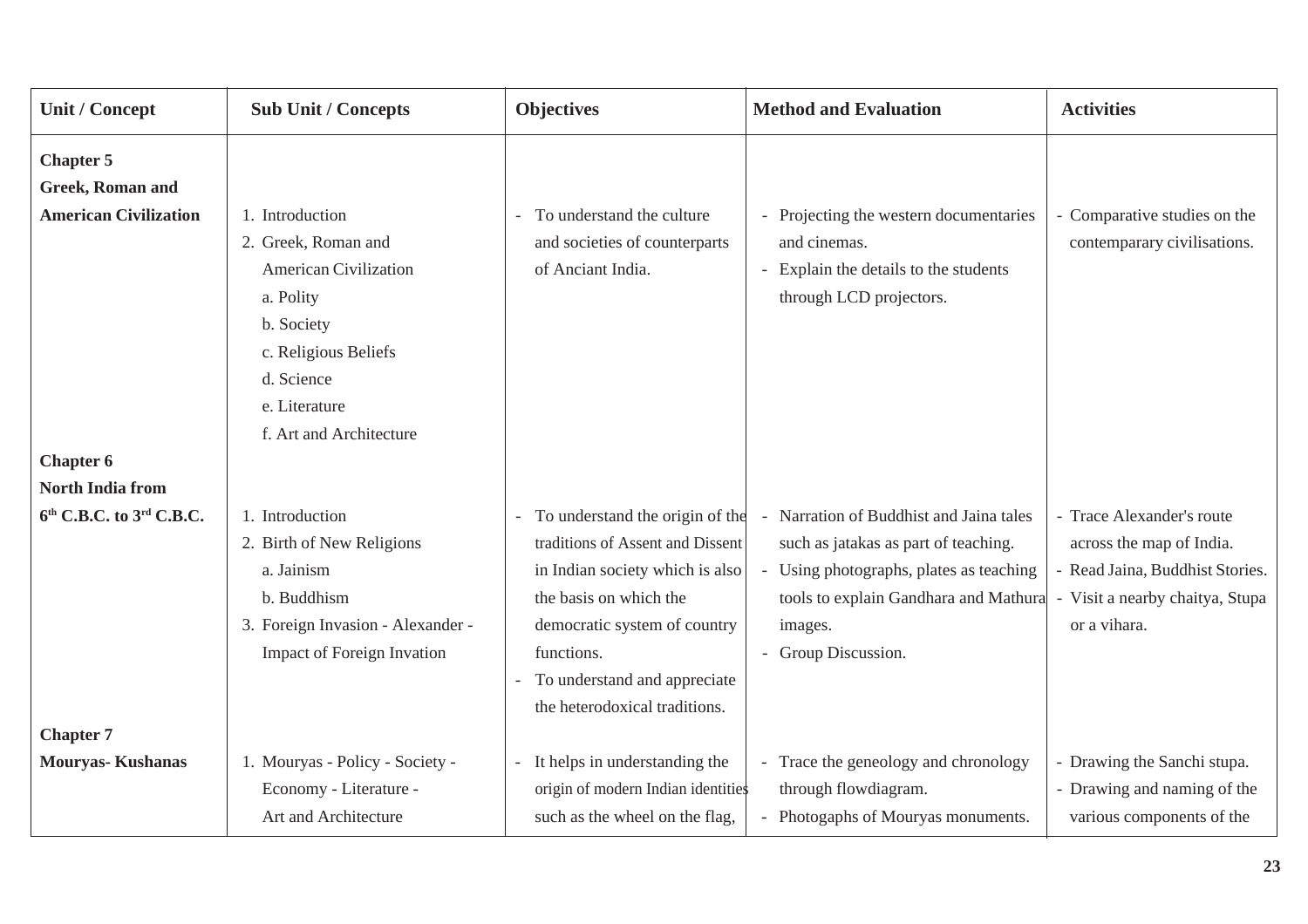| <b>Unit / Concept</b>                            | <b>Sub Unit / Concepts</b>                                                                                                                                                          | <b>Objectives</b>                                                                                                                                                                                                                               | <b>Method and Evaluation</b>                                                                                                                                                                        | <b>Activities</b>                                                                                                                           |
|--------------------------------------------------|-------------------------------------------------------------------------------------------------------------------------------------------------------------------------------------|-------------------------------------------------------------------------------------------------------------------------------------------------------------------------------------------------------------------------------------------------|-----------------------------------------------------------------------------------------------------------------------------------------------------------------------------------------------------|---------------------------------------------------------------------------------------------------------------------------------------------|
| <b>Chapter 5</b><br><b>Greek, Roman and</b>      |                                                                                                                                                                                     |                                                                                                                                                                                                                                                 |                                                                                                                                                                                                     |                                                                                                                                             |
| <b>American Civilization</b><br><b>Chapter 6</b> | 1. Introduction<br>2. Greek, Roman and<br><b>American Civilization</b><br>a. Polity<br>b. Society<br>c. Religious Beliefs<br>d. Science<br>e. Literature<br>f. Art and Architecture | To understand the culture<br>and societies of counterparts<br>of Anciant India.                                                                                                                                                                 | - Projecting the western documentaries<br>and cinemas.<br>- Explain the details to the students<br>through LCD projectors.                                                                          | Comparative studies on the<br>contemparary civilisations.                                                                                   |
| <b>North India from</b>                          |                                                                                                                                                                                     |                                                                                                                                                                                                                                                 |                                                                                                                                                                                                     |                                                                                                                                             |
| 6th C.B.C. to 3rd C.B.C.                         | 1. Introduction<br>2. Birth of New Religions<br>a. Jainism<br>b. Buddhism<br>3. Foreign Invasion - Alexander -<br><b>Impact of Foreign Invation</b>                                 | To understand the origin of the<br>traditions of Assent and Dissent<br>in Indian society which is also<br>the basis on which the<br>democratic system of country<br>functions.<br>To understand and appreciate<br>the heterodoxical traditions. | Narration of Buddhist and Jaina tales<br>such as jatakas as part of teaching.<br>- Using photographs, plates as teaching<br>tools to explain Gandhara and Mathura<br>images.<br>- Group Discussion. | - Trace Alexander's route<br>across the map of India.<br>- Read Jaina, Buddhist Stories.<br>- Visit a nearby chaitya, Stupa<br>or a vihara. |
| <b>Chapter 7</b>                                 |                                                                                                                                                                                     |                                                                                                                                                                                                                                                 |                                                                                                                                                                                                     |                                                                                                                                             |
| <b>Mouryas-Kushanas</b>                          | 1. Mouryas - Policy - Society -<br>Economy - Literature -<br>Art and Architecture                                                                                                   | It helps in understanding the<br>$\overline{\phantom{0}}$<br>origin of modern Indian identities<br>such as the wheel on the flag,                                                                                                               | - Trace the geneology and chronology<br>through flowdiagram.<br>- Photogaphs of Mouryas monuments.                                                                                                  | - Drawing the Sanchi stupa.<br>- Drawing and naming of the<br>various components of the                                                     |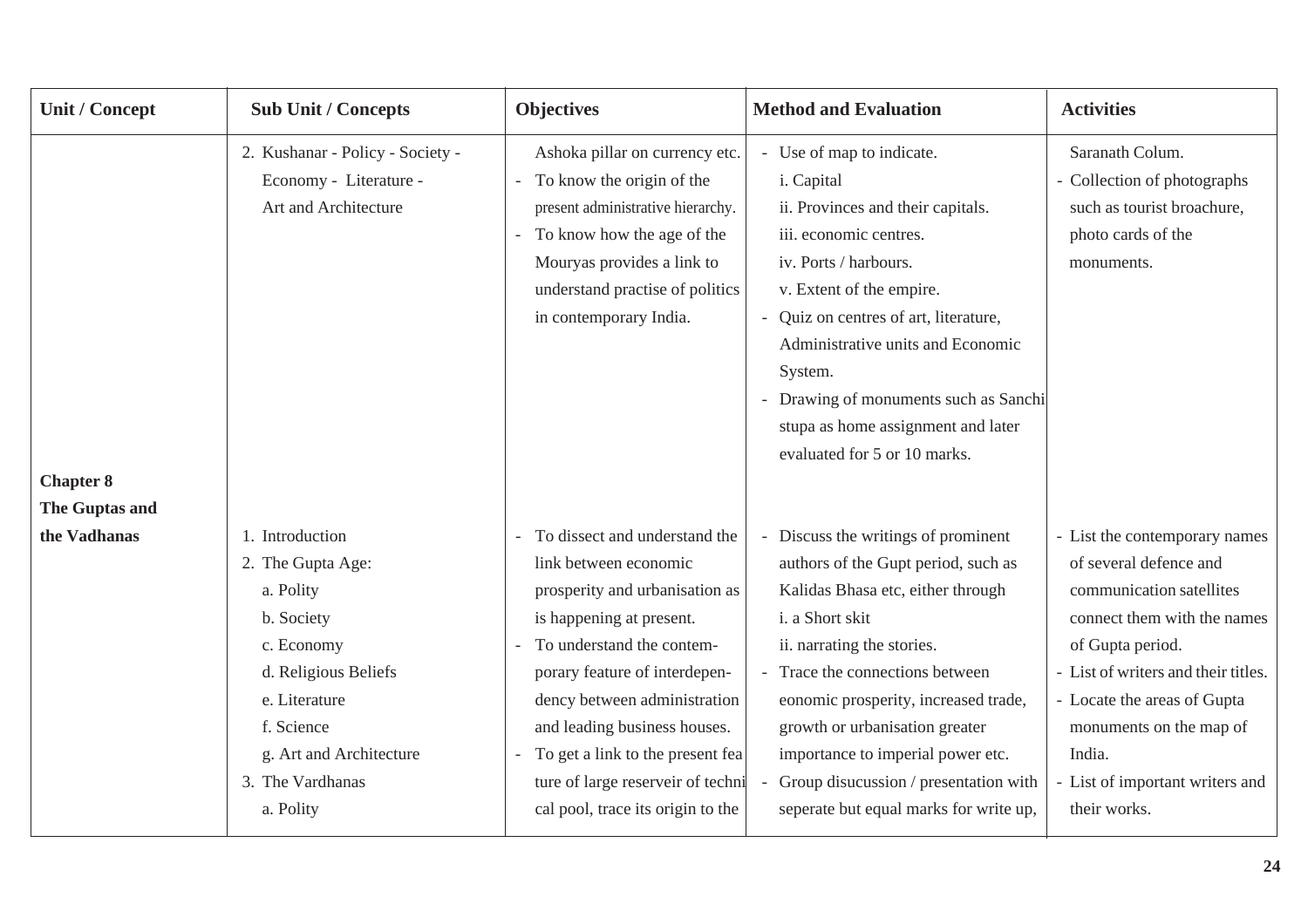| <b>Unit / Concept</b>              | <b>Sub Unit / Concepts</b>                                                                                                                                                                       | <b>Objectives</b>                                                                                                                                                                                                                                                                                                                                                | <b>Method and Evaluation</b>                                                                                                                                                                                                                                                                                                                                                                        | <b>Activities</b>                                                                                                                                                                                                                                                                                    |
|------------------------------------|--------------------------------------------------------------------------------------------------------------------------------------------------------------------------------------------------|------------------------------------------------------------------------------------------------------------------------------------------------------------------------------------------------------------------------------------------------------------------------------------------------------------------------------------------------------------------|-----------------------------------------------------------------------------------------------------------------------------------------------------------------------------------------------------------------------------------------------------------------------------------------------------------------------------------------------------------------------------------------------------|------------------------------------------------------------------------------------------------------------------------------------------------------------------------------------------------------------------------------------------------------------------------------------------------------|
| <b>Chapter 8</b><br>The Guptas and | 2. Kushanar - Policy - Society -<br>Economy - Literature -<br>Art and Architecture                                                                                                               | Ashoka pillar on currency etc.<br>To know the origin of the<br>present administrative hierarchy.<br>To know how the age of the<br>Mouryas provides a link to<br>understand practise of politics<br>in contemporary India.                                                                                                                                        | - Use of map to indicate.<br>i. Capital<br>ii. Provinces and their capitals.<br>iii. economic centres.<br>iv. Ports / harbours.<br>v. Extent of the empire.<br>Quiz on centres of art, literature,<br>Administrative units and Economic<br>System.<br>- Drawing of monuments such as Sanchi<br>stupa as home assignment and later<br>evaluated for 5 or 10 marks.                                   | Saranath Colum.<br>- Collection of photographs<br>such as tourist broachure,<br>photo cards of the<br>monuments.                                                                                                                                                                                     |
| the Vadhanas                       | 1. Introduction<br>2. The Gupta Age:<br>a. Polity<br>b. Society<br>c. Economy<br>d. Religious Beliefs<br>e. Literature<br>f. Science<br>g. Art and Architecture<br>3. The Vardhanas<br>a. Polity | To dissect and understand the<br>link between economic<br>prosperity and urbanisation as<br>is happening at present.<br>To understand the contem-<br>porary feature of interdepen-<br>dency between administration<br>and leading business houses.<br>To get a link to the present fea<br>ture of large reserveir of techni<br>cal pool, trace its origin to the | Discuss the writings of prominent<br>authors of the Gupt period, such as<br>Kalidas Bhasa etc, either through<br>i. a Short skit<br>ii. narrating the stories.<br>- Trace the connections between<br>eonomic prosperity, increased trade,<br>growth or urbanisation greater<br>importance to imperial power etc.<br>Group disucussion / presentation with<br>seperate but equal marks for write up, | - List the contemporary names<br>of several defence and<br>communication satellites<br>connect them with the names<br>of Gupta period.<br>- List of writers and their titles.<br>- Locate the areas of Gupta<br>monuments on the map of<br>India.<br>- List of important writers and<br>their works. |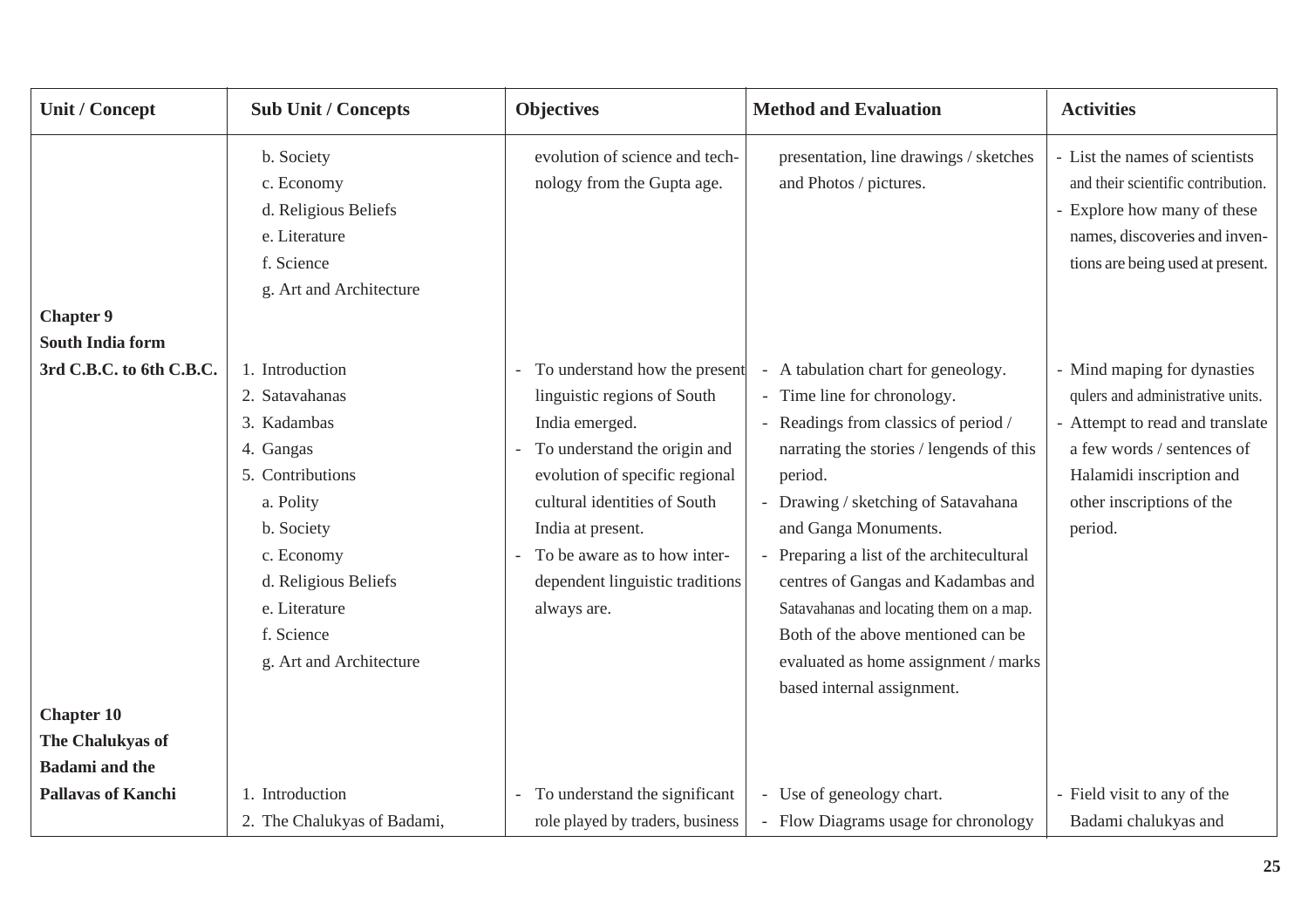| <b>Unit / Concept</b>                                                                      | <b>Sub Unit / Concepts</b>                                                                                                                                                                                   | <b>Objectives</b>                                                                                                                                                                                                                                                                                                   | <b>Method and Evaluation</b>                                                                                                                                                                                                                                                                                                                                                                                                                                             | <b>Activities</b>                                                                                                                                                                                    |
|--------------------------------------------------------------------------------------------|--------------------------------------------------------------------------------------------------------------------------------------------------------------------------------------------------------------|---------------------------------------------------------------------------------------------------------------------------------------------------------------------------------------------------------------------------------------------------------------------------------------------------------------------|--------------------------------------------------------------------------------------------------------------------------------------------------------------------------------------------------------------------------------------------------------------------------------------------------------------------------------------------------------------------------------------------------------------------------------------------------------------------------|------------------------------------------------------------------------------------------------------------------------------------------------------------------------------------------------------|
| <b>Chapter 9</b><br>South India form                                                       | b. Society<br>c. Economy<br>d. Religious Beliefs<br>e. Literature<br>f. Science<br>g. Art and Architecture                                                                                                   | evolution of science and tech-<br>nology from the Gupta age.                                                                                                                                                                                                                                                        | presentation, line drawings / sketches<br>and Photos / pictures.                                                                                                                                                                                                                                                                                                                                                                                                         | - List the names of scientists<br>and their scientific contribution.<br>- Explore how many of these<br>names, discoveries and inven-<br>tions are being used at present.                             |
| 3rd C.B.C. to 6th C.B.C.<br><b>Chapter 10</b><br>The Chalukyas of<br><b>Badami</b> and the | 1. Introduction<br>2. Satavahanas<br>3. Kadambas<br>4. Gangas<br>5. Contributions<br>a. Polity<br>b. Society<br>c. Economy<br>d. Religious Beliefs<br>e. Literature<br>f. Science<br>g. Art and Architecture | To understand how the present<br>$\overline{\phantom{a}}$<br>linguistic regions of South<br>India emerged.<br>To understand the origin and<br>evolution of specific regional<br>cultural identities of South<br>India at present.<br>To be aware as to how inter-<br>dependent linguistic traditions<br>always are. | A tabulation chart for geneology.<br>- Time line for chronology.<br>- Readings from classics of period /<br>narrating the stories / lengends of this<br>period.<br>- Drawing / sketching of Satavahana<br>and Ganga Monuments.<br>- Preparing a list of the architecultural<br>centres of Gangas and Kadambas and<br>Satavahanas and locating them on a map.<br>Both of the above mentioned can be<br>evaluated as home assignment / marks<br>based internal assignment. | - Mind maping for dynasties<br>qulers and administrative units.<br>- Attempt to read and translate<br>a few words / sentences of<br>Halamidi inscription and<br>other inscriptions of the<br>period. |
| <b>Pallavas of Kanchi</b>                                                                  | 1. Introduction<br>2. The Chalukyas of Badami,                                                                                                                                                               | To understand the significant<br>$\overline{\phantom{a}}$<br>role played by traders, business                                                                                                                                                                                                                       | - Use of geneology chart.<br>- Flow Diagrams usage for chronology                                                                                                                                                                                                                                                                                                                                                                                                        | - Field visit to any of the<br>Badami chalukyas and                                                                                                                                                  |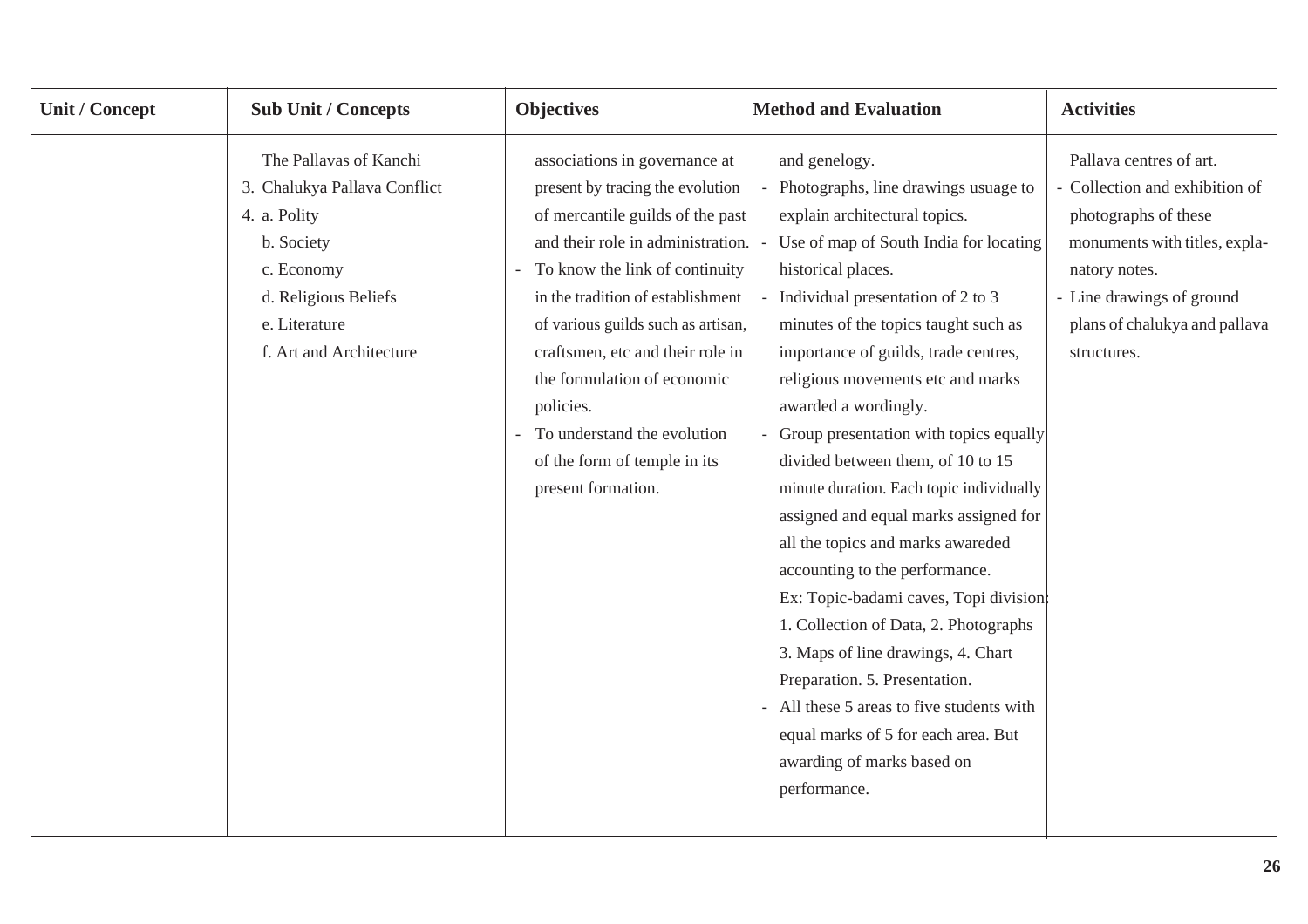| <b>Unit / Concept</b><br><b>Sub Unit / Concepts</b>                                                                                                                    | <b>Objectives</b>                                                                                                                                                                                                                                                                                                                                                                                                            | <b>Method and Evaluation</b>                                                                                                                                                                                                                                                                                                                                                                                                                                                                                                                                                                                                                                                                                                                                                                                                                                                 | <b>Activities</b>                                                                                                                                                                                                |
|------------------------------------------------------------------------------------------------------------------------------------------------------------------------|------------------------------------------------------------------------------------------------------------------------------------------------------------------------------------------------------------------------------------------------------------------------------------------------------------------------------------------------------------------------------------------------------------------------------|------------------------------------------------------------------------------------------------------------------------------------------------------------------------------------------------------------------------------------------------------------------------------------------------------------------------------------------------------------------------------------------------------------------------------------------------------------------------------------------------------------------------------------------------------------------------------------------------------------------------------------------------------------------------------------------------------------------------------------------------------------------------------------------------------------------------------------------------------------------------------|------------------------------------------------------------------------------------------------------------------------------------------------------------------------------------------------------------------|
| The Pallavas of Kanchi<br>3. Chalukya Pallava Conflict<br>4. a. Polity<br>b. Society<br>c. Economy<br>d. Religious Beliefs<br>e. Literature<br>f. Art and Architecture | associations in governance at<br>present by tracing the evolution<br>of mercantile guilds of the past<br>and their role in administration.<br>To know the link of continuity<br>in the tradition of establishment<br>of various guilds such as artisan,<br>craftsmen, etc and their role in<br>the formulation of economic<br>policies.<br>To understand the evolution<br>of the form of temple in its<br>present formation. | and genelogy.<br>Photographs, line drawings usuage to<br>explain architectural topics.<br>Use of map of South India for locating<br>historical places.<br>Individual presentation of 2 to 3<br>minutes of the topics taught such as<br>importance of guilds, trade centres,<br>religious movements etc and marks<br>awarded a wordingly.<br>Group presentation with topics equally<br>divided between them, of 10 to 15<br>minute duration. Each topic individually<br>assigned and equal marks assigned for<br>all the topics and marks awareded<br>accounting to the performance.<br>Ex: Topic-badami caves, Topi division<br>1. Collection of Data, 2. Photographs<br>3. Maps of line drawings, 4. Chart<br>Preparation. 5. Presentation.<br>All these 5 areas to five students with<br>equal marks of 5 for each area. But<br>awarding of marks based on<br>performance. | Pallava centres of art.<br>- Collection and exhibition of<br>photographs of these<br>monuments with titles, expla-<br>natory notes.<br>- Line drawings of ground<br>plans of chalukya and pallava<br>structures. |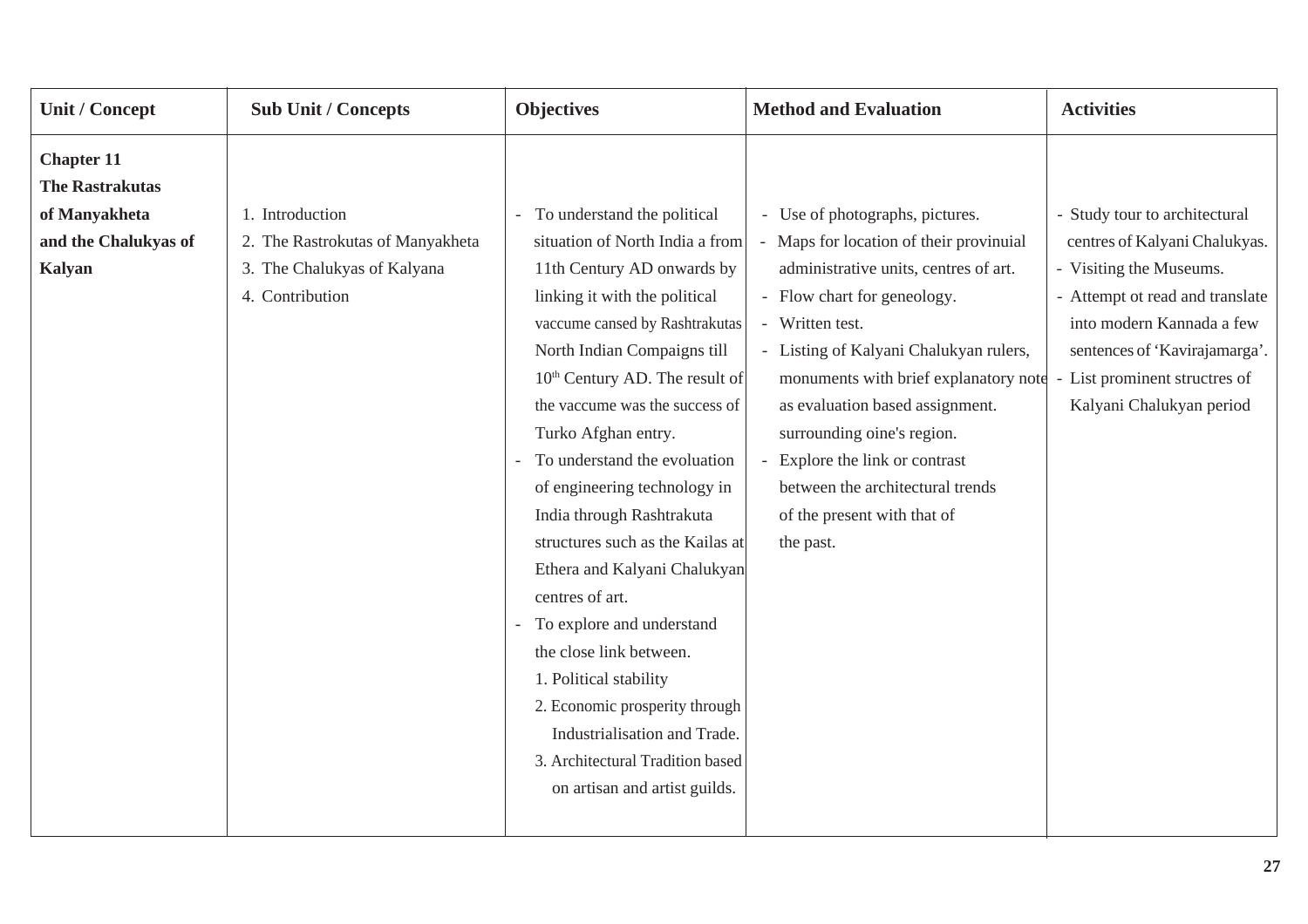| <b>Unit / Concept</b>                                                                          | <b>Sub Unit / Concepts</b>                                                                            | <b>Objectives</b>                                                                                                                                                                                                                                                                                                                                                                                                                                                                                                                                                                                                                                                                                                  | <b>Method and Evaluation</b>                                                                                                                                                                                                                                                                                                                                                                                                                | <b>Activities</b>                                                                                                                                                                                                                                     |
|------------------------------------------------------------------------------------------------|-------------------------------------------------------------------------------------------------------|--------------------------------------------------------------------------------------------------------------------------------------------------------------------------------------------------------------------------------------------------------------------------------------------------------------------------------------------------------------------------------------------------------------------------------------------------------------------------------------------------------------------------------------------------------------------------------------------------------------------------------------------------------------------------------------------------------------------|---------------------------------------------------------------------------------------------------------------------------------------------------------------------------------------------------------------------------------------------------------------------------------------------------------------------------------------------------------------------------------------------------------------------------------------------|-------------------------------------------------------------------------------------------------------------------------------------------------------------------------------------------------------------------------------------------------------|
| <b>Chapter 11</b><br><b>The Rastrakutas</b><br>of Manyakheta<br>and the Chalukyas of<br>Kalyan | 1. Introduction<br>2. The Rastrokutas of Manyakheta<br>3. The Chalukyas of Kalyana<br>4. Contribution | To understand the political<br>situation of North India a from<br>11th Century AD onwards by<br>linking it with the political<br>vaccume cansed by Rashtrakutas<br>North Indian Compaigns till<br>10 <sup>th</sup> Century AD. The result of<br>the vaccume was the success of<br>Turko Afghan entry.<br>To understand the evoluation<br>of engineering technology in<br>India through Rashtrakuta<br>structures such as the Kailas at<br>Ethera and Kalyani Chalukyan<br>centres of art.<br>To explore and understand<br>the close link between.<br>1. Political stability<br>2. Economic prosperity through<br>Industrialisation and Trade.<br>3. Architectural Tradition based<br>on artisan and artist guilds. | - Use of photographs, pictures.<br>- Maps for location of their provinuial<br>administrative units, centres of art.<br>- Flow chart for geneology.<br>- Written test.<br>- Listing of Kalyani Chalukyan rulers,<br>monuments with brief explanatory note<br>as evaluation based assignment.<br>surrounding oine's region.<br>- Explore the link or contrast<br>between the architectural trends<br>of the present with that of<br>the past. | - Study tour to architectural<br>centres of Kalyani Chalukyas.<br>- Visiting the Museums.<br>- Attempt ot read and translate<br>into modern Kannada a few<br>sentences of 'Kavirajamarga'.<br>List prominent structres of<br>Kalyani Chalukyan period |
|                                                                                                |                                                                                                       |                                                                                                                                                                                                                                                                                                                                                                                                                                                                                                                                                                                                                                                                                                                    |                                                                                                                                                                                                                                                                                                                                                                                                                                             |                                                                                                                                                                                                                                                       |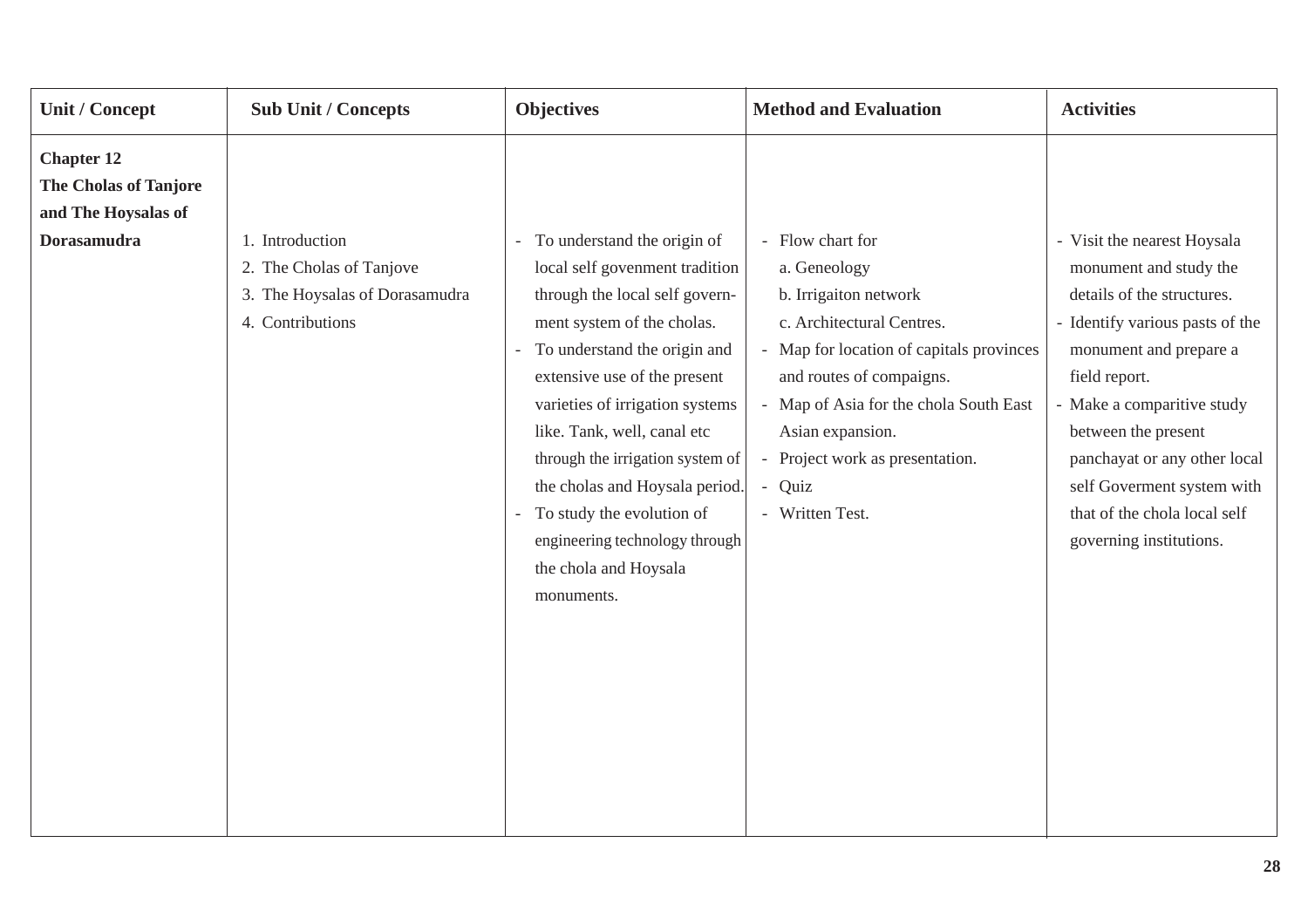| <b>Unit / Concept</b>                                                                          | <b>Sub Unit / Concepts</b>                                                                        | <b>Objectives</b>                                                                                                                                                                                                                                                                                                                 | <b>Method and Evaluation</b>                                                                                                                                                                                                                                  | <b>Activities</b>                                                                                                                                                                                                                                      |
|------------------------------------------------------------------------------------------------|---------------------------------------------------------------------------------------------------|-----------------------------------------------------------------------------------------------------------------------------------------------------------------------------------------------------------------------------------------------------------------------------------------------------------------------------------|---------------------------------------------------------------------------------------------------------------------------------------------------------------------------------------------------------------------------------------------------------------|--------------------------------------------------------------------------------------------------------------------------------------------------------------------------------------------------------------------------------------------------------|
| <b>Chapter 12</b><br><b>The Cholas of Tanjore</b><br>and The Hoysalas of<br><b>Dorasamudra</b> | 1. Introduction<br>2. The Cholas of Tanjove<br>3. The Hoysalas of Dorasamudra<br>4. Contributions | To understand the origin of<br>$\overline{\phantom{a}}$<br>local self govenment tradition<br>through the local self govern-<br>ment system of the cholas.<br>- To understand the origin and<br>extensive use of the present<br>varieties of irrigation systems<br>like. Tank, well, canal etc<br>through the irrigation system of | - Flow chart for<br>a. Geneology<br>b. Irrigaiton network<br>c. Architectural Centres.<br>- Map for location of capitals provinces<br>and routes of compaigns.<br>- Map of Asia for the chola South East<br>Asian expansion.<br>Project work as presentation. | - Visit the nearest Hoysala<br>monument and study the<br>details of the structures.<br>- Identify various pasts of the<br>monument and prepare a<br>field report.<br>- Make a comparitive study<br>between the present<br>panchayat or any other local |
|                                                                                                |                                                                                                   | the cholas and Hoysala period.<br>To study the evolution of<br>$\blacksquare$<br>engineering technology through<br>the chola and Hoysala<br>monuments.                                                                                                                                                                            | Quiz<br>$\sim$<br>- Written Test.                                                                                                                                                                                                                             | self Governent system with<br>that of the chola local self<br>governing institutions.                                                                                                                                                                  |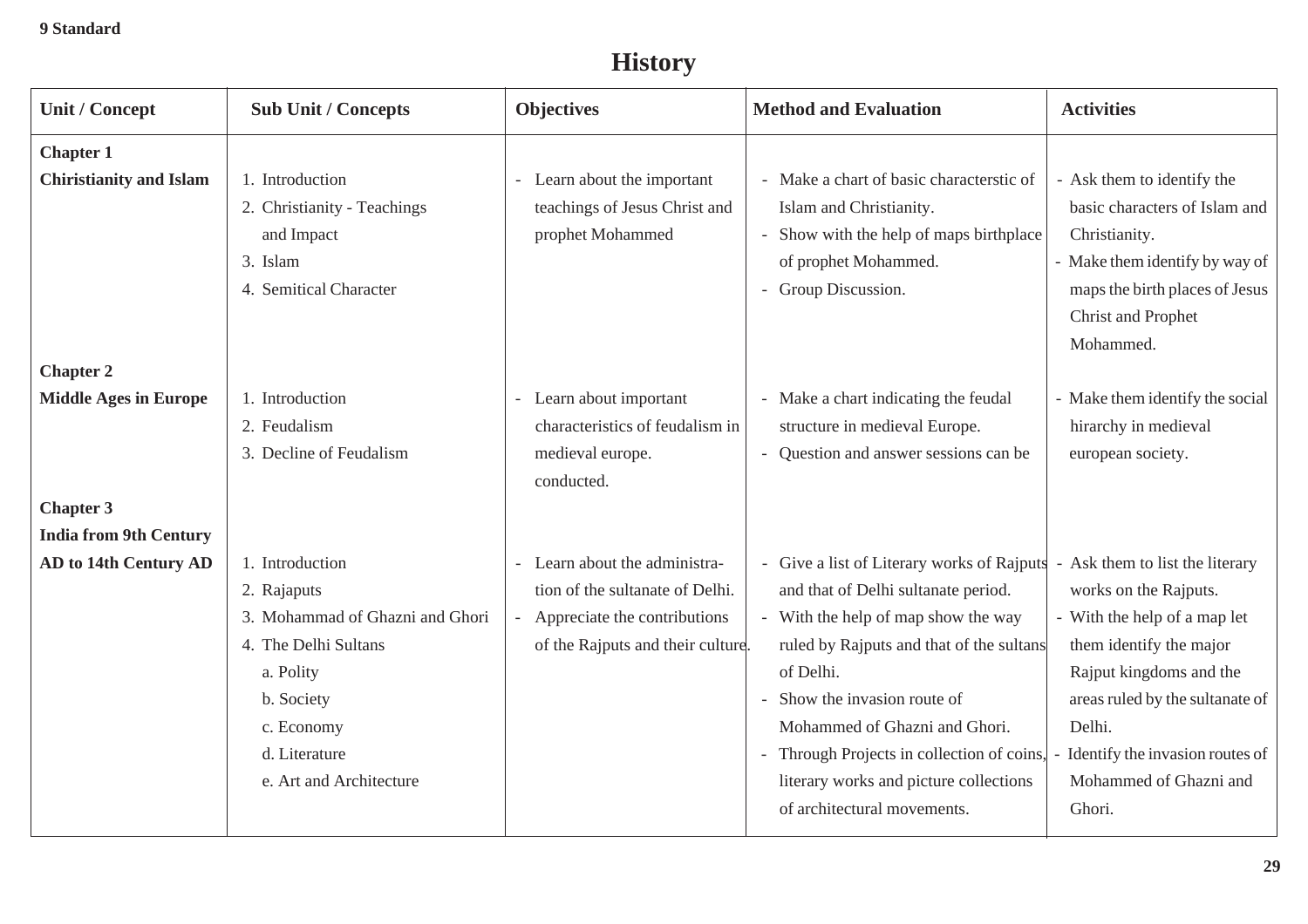**History**

| <b>Unit / Concept</b>          | <b>Sub Unit / Concepts</b>      | <b>Objectives</b>                      | <b>Method and Evaluation</b>               | <b>Activities</b>               |
|--------------------------------|---------------------------------|----------------------------------------|--------------------------------------------|---------------------------------|
| <b>Chapter 1</b>               |                                 |                                        |                                            |                                 |
| <b>Chiristianity and Islam</b> | 1. Introduction                 | Learn about the important              | - Make a chart of basic characterstic of   | - Ask them to identify the      |
|                                | 2. Christianity - Teachings     | teachings of Jesus Christ and          | Islam and Christianity.                    | basic characters of Islam and   |
|                                | and Impact                      | prophet Mohammed                       | - Show with the help of maps birthplace    | Christianity.                   |
|                                | 3. Islam                        |                                        | of prophet Mohammed.                       | - Make them identify by way of  |
|                                | 4. Semitical Character          |                                        | - Group Discussion.                        | maps the birth places of Jesus  |
|                                |                                 |                                        |                                            | <b>Christ and Prophet</b>       |
|                                |                                 |                                        |                                            | Mohammed.                       |
| <b>Chapter 2</b>               |                                 |                                        |                                            |                                 |
| <b>Middle Ages in Europe</b>   | 1. Introduction                 | Learn about important<br>$\sim$        | - Make a chart indicating the feudal       | - Make them identify the social |
|                                | 2. Feudalism                    | characteristics of feudalism in        | structure in medieval Europe.              | hirarchy in medieval            |
|                                | 3. Decline of Feudalism         | medieval europe.                       | - Question and answer sessions can be      | european society.               |
|                                |                                 | conducted.                             |                                            |                                 |
| <b>Chapter 3</b>               |                                 |                                        |                                            |                                 |
| <b>India from 9th Century</b>  |                                 |                                        |                                            |                                 |
| AD to 14th Century AD          | 1. Introduction                 | Learn about the administra-            | - Give a list of Literary works of Rajputs | Ask them to list the literary   |
|                                | 2. Rajaputs                     | tion of the sultanate of Delhi.        | and that of Delhi sultanate period.        | works on the Rajputs.           |
|                                | 3. Mohammad of Ghazni and Ghori | Appreciate the contributions<br>$\sim$ | - With the help of map show the way        | - With the help of a map let    |
|                                | 4. The Delhi Sultans            | of the Rajputs and their culture.      | ruled by Rajputs and that of the sultans   | them identify the major         |
|                                | a. Polity                       |                                        | of Delhi.                                  | Rajput kingdoms and the         |
|                                | b. Society                      |                                        | - Show the invasion route of               | areas ruled by the sultanate of |
|                                | c. Economy                      |                                        | Mohammed of Ghazni and Ghori.              | Delhi.                          |
|                                | d. Literature                   |                                        | - Through Projects in collection of coins, | Identify the invasion routes of |
|                                | e. Art and Architecture         |                                        | literary works and picture collections     | Mohammed of Ghazni and          |
|                                |                                 |                                        | of architectural movements.                | Ghori.                          |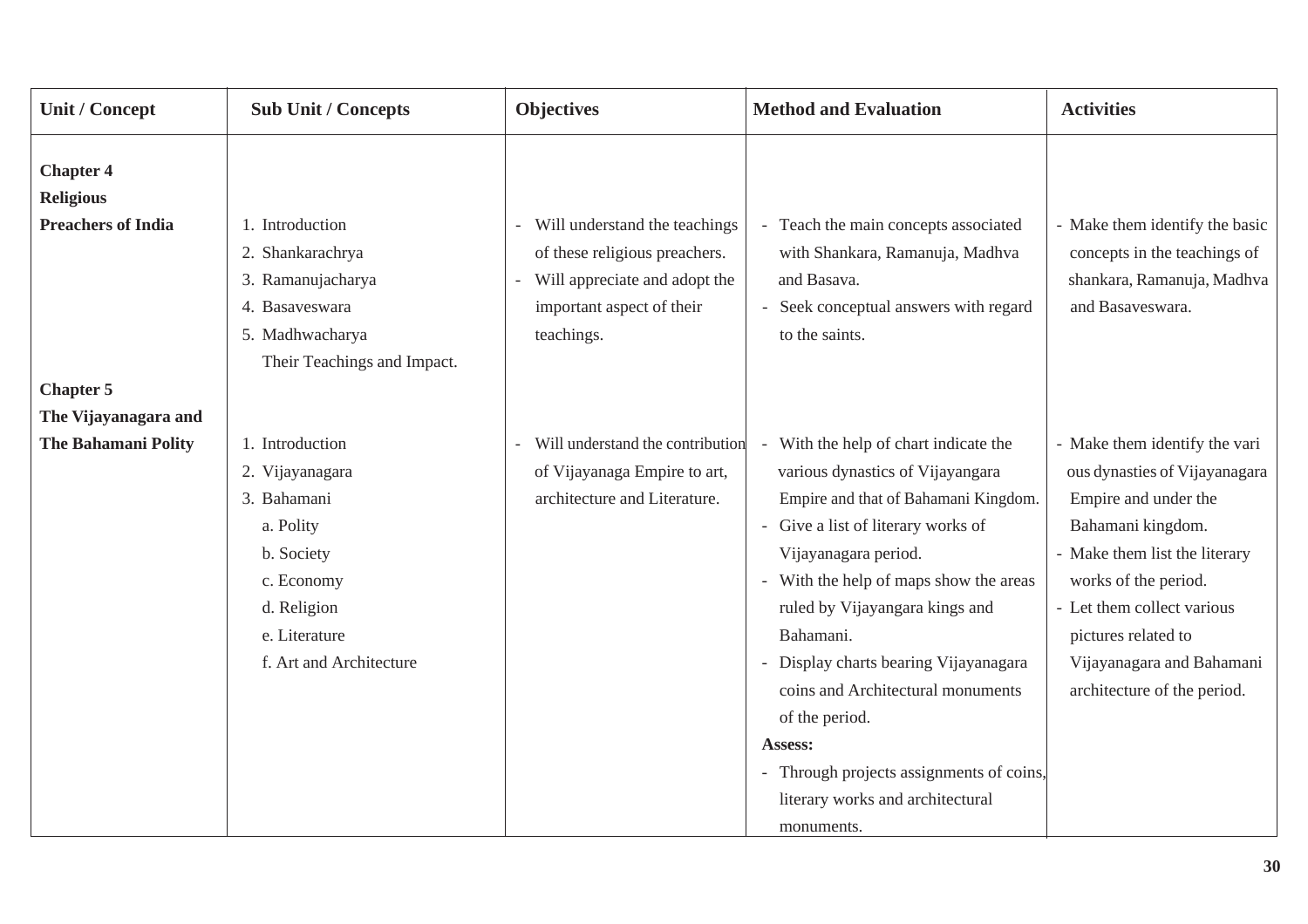| <b>Unit / Concept</b>                                             | <b>Sub Unit / Concepts</b>                                                                                                                            | <b>Objectives</b>                                                                                         | <b>Method and Evaluation</b>                                                                                                                                                                                                                                                                                                                                                                                                                                      | <b>Activities</b>                                                                                                                                                                                                                                                                     |
|-------------------------------------------------------------------|-------------------------------------------------------------------------------------------------------------------------------------------------------|-----------------------------------------------------------------------------------------------------------|-------------------------------------------------------------------------------------------------------------------------------------------------------------------------------------------------------------------------------------------------------------------------------------------------------------------------------------------------------------------------------------------------------------------------------------------------------------------|---------------------------------------------------------------------------------------------------------------------------------------------------------------------------------------------------------------------------------------------------------------------------------------|
| <b>Chapter 4</b><br><b>Religious</b><br><b>Preachers of India</b> | 1. Introduction                                                                                                                                       | Will understand the teachings                                                                             | - Teach the main concepts associated                                                                                                                                                                                                                                                                                                                                                                                                                              | - Make them identify the basic                                                                                                                                                                                                                                                        |
|                                                                   | 2. Shankarachrya<br>3. Ramanujacharya<br>4. Basaveswara<br>5. Madhwacharya<br>Their Teachings and Impact.                                             | of these religious preachers.<br>Will appreciate and adopt the<br>important aspect of their<br>teachings. | with Shankara, Ramanuja, Madhva<br>and Basava.<br>Seek conceptual answers with regard<br>to the saints.                                                                                                                                                                                                                                                                                                                                                           | concepts in the teachings of<br>shankara, Ramanuja, Madhva<br>and Basaveswara.                                                                                                                                                                                                        |
| <b>Chapter 5</b>                                                  |                                                                                                                                                       |                                                                                                           |                                                                                                                                                                                                                                                                                                                                                                                                                                                                   |                                                                                                                                                                                                                                                                                       |
| The Vijayanagara and                                              |                                                                                                                                                       |                                                                                                           |                                                                                                                                                                                                                                                                                                                                                                                                                                                                   |                                                                                                                                                                                                                                                                                       |
| <b>The Bahamani Polity</b>                                        | 1. Introduction<br>2. Vijayanagara<br>3. Bahamani<br>a. Polity<br>b. Society<br>c. Economy<br>d. Religion<br>e. Literature<br>f. Art and Architecture | Will understand the contribution<br>of Vijayanaga Empire to art,<br>architecture and Literature.          | With the help of chart indicate the<br>various dynastics of Vijayangara<br>Empire and that of Bahamani Kingdom.<br>- Give a list of literary works of<br>Vijayanagara period.<br>- With the help of maps show the areas<br>ruled by Vijayangara kings and<br>Bahamani.<br>- Display charts bearing Vijayanagara<br>coins and Architectural monuments<br>of the period.<br>Assess:<br>- Through projects assignments of coins,<br>literary works and architectural | - Make them identify the vari<br>ous dynasties of Vijayanagara<br>Empire and under the<br>Bahamani kingdom.<br>- Make them list the literary<br>works of the period.<br>- Let them collect various<br>pictures related to<br>Vijayanagara and Bahamani<br>architecture of the period. |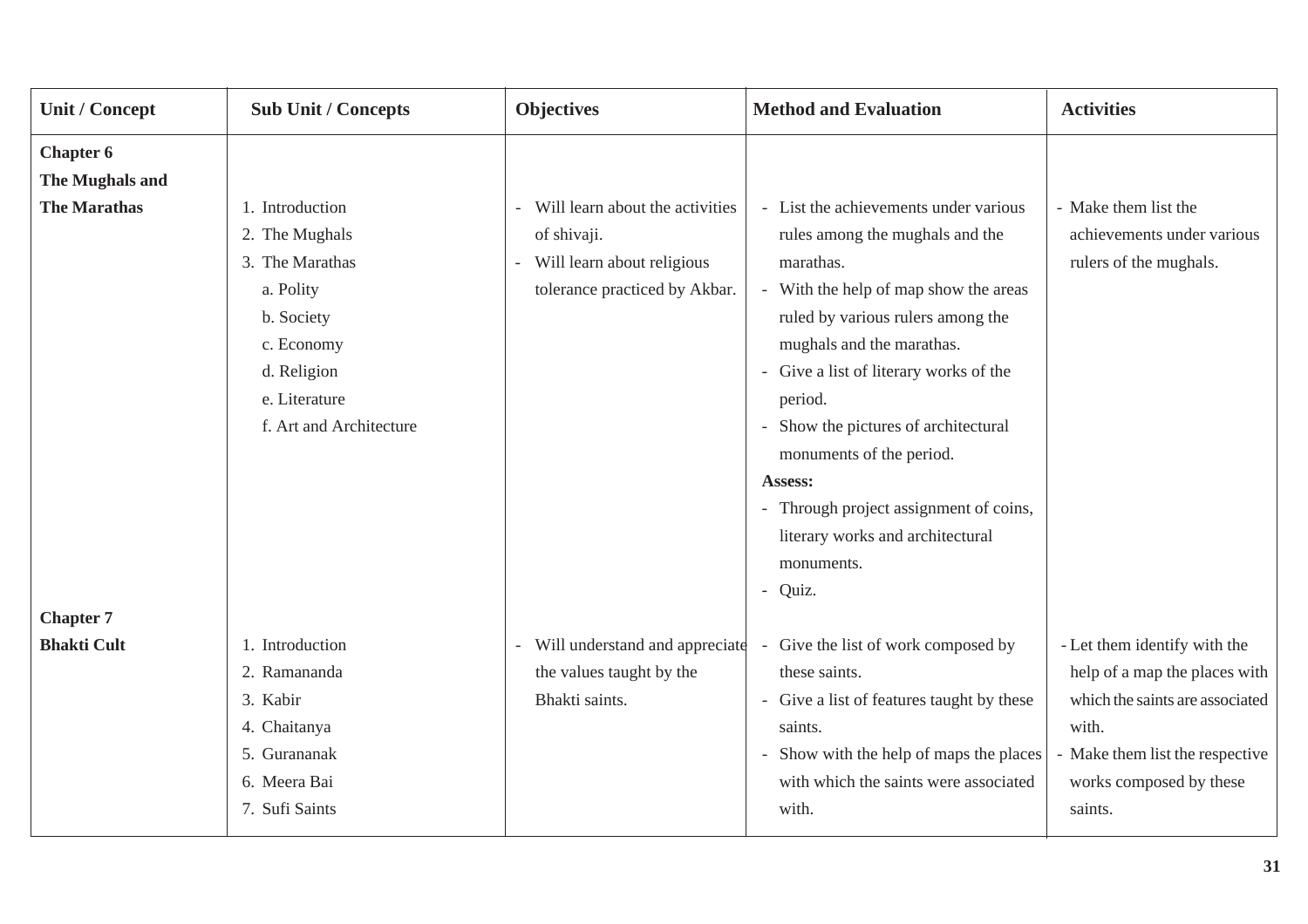| <b>Unit / Concept</b>               | <b>Sub Unit / Concepts</b>                                                                                                                               | <b>Objectives</b>                                                                                                       | <b>Method and Evaluation</b>                                                                                                                                                                                                                                                                                                                                                                                                                | <b>Activities</b>                                                                                                                                                                  |
|-------------------------------------|----------------------------------------------------------------------------------------------------------------------------------------------------------|-------------------------------------------------------------------------------------------------------------------------|---------------------------------------------------------------------------------------------------------------------------------------------------------------------------------------------------------------------------------------------------------------------------------------------------------------------------------------------------------------------------------------------------------------------------------------------|------------------------------------------------------------------------------------------------------------------------------------------------------------------------------------|
| <b>Chapter 6</b><br>The Mughals and |                                                                                                                                                          |                                                                                                                         |                                                                                                                                                                                                                                                                                                                                                                                                                                             |                                                                                                                                                                                    |
| <b>The Marathas</b>                 | 1. Introduction<br>2. The Mughals<br>3. The Marathas<br>a. Polity<br>b. Society<br>c. Economy<br>d. Religion<br>e. Literature<br>f. Art and Architecture | Will learn about the activities<br>of shivaji.<br>Will learn about religious<br>$\sim$<br>tolerance practiced by Akbar. | - List the achievements under various<br>rules among the mughals and the<br>marathas.<br>- With the help of map show the areas<br>ruled by various rulers among the<br>mughals and the marathas.<br>- Give a list of literary works of the<br>period.<br>- Show the pictures of architectural<br>monuments of the period.<br>Assess:<br>- Through project assignment of coins,<br>literary works and architectural<br>monuments.<br>- Quiz. | - Make them list the<br>achievements under various<br>rulers of the mughals.                                                                                                       |
| <b>Chapter 7</b>                    |                                                                                                                                                          |                                                                                                                         |                                                                                                                                                                                                                                                                                                                                                                                                                                             |                                                                                                                                                                                    |
| <b>Bhakti Cult</b>                  | 1. Introduction<br>2. Ramananda<br>3. Kabir<br>4. Chaitanya<br>5. Gurananak<br>6. Meera Bai<br>7. Sufi Saints                                            | Will understand and appreciate<br>$\overline{\phantom{a}}$<br>the values taught by the<br>Bhakti saints.                | - Give the list of work composed by<br>these saints.<br>- Give a list of features taught by these<br>saints.<br>- Show with the help of maps the places<br>with which the saints were associated<br>with.                                                                                                                                                                                                                                   | - Let them identify with the<br>help of a map the places with<br>which the saints are associated<br>with.<br>- Make them list the respective<br>works composed by these<br>saints. |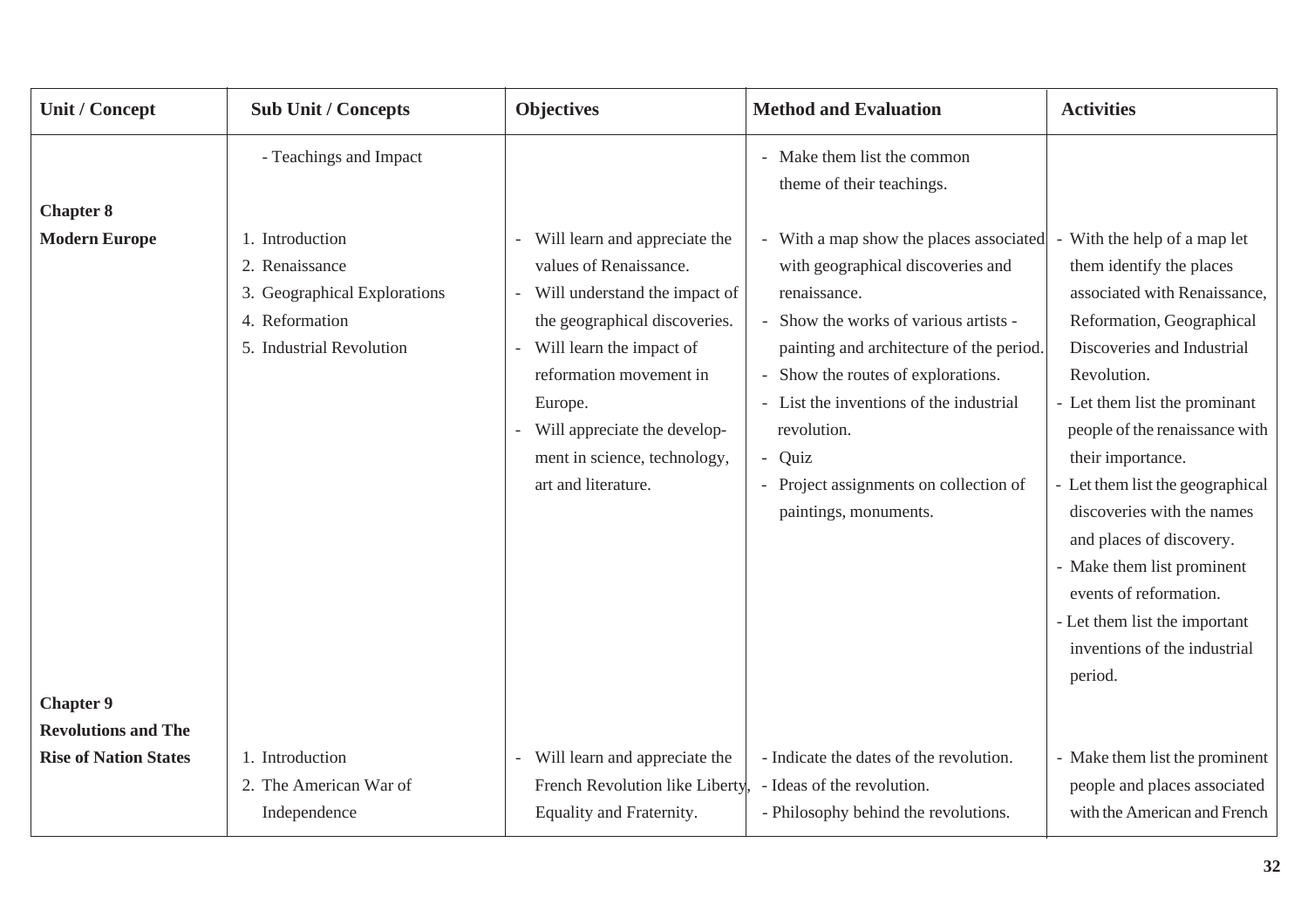| <b>Unit / Concept</b>                                      | <b>Sub Unit / Concepts</b>                                                                                      | <b>Objectives</b>                                                                                                                                                                                                                                                                                                          | <b>Method and Evaluation</b>                                                                                                                                                                                                                                                                                                                               | <b>Activities</b>                                                                                                                                                                                                                                                                                                                                                                                                                                                                            |
|------------------------------------------------------------|-----------------------------------------------------------------------------------------------------------------|----------------------------------------------------------------------------------------------------------------------------------------------------------------------------------------------------------------------------------------------------------------------------------------------------------------------------|------------------------------------------------------------------------------------------------------------------------------------------------------------------------------------------------------------------------------------------------------------------------------------------------------------------------------------------------------------|----------------------------------------------------------------------------------------------------------------------------------------------------------------------------------------------------------------------------------------------------------------------------------------------------------------------------------------------------------------------------------------------------------------------------------------------------------------------------------------------|
| <b>Chapter 8</b>                                           | - Teachings and Impact                                                                                          |                                                                                                                                                                                                                                                                                                                            | - Make them list the common<br>theme of their teachings.                                                                                                                                                                                                                                                                                                   |                                                                                                                                                                                                                                                                                                                                                                                                                                                                                              |
| <b>Modern Europe</b><br><b>Chapter 9</b>                   | 1. Introduction<br>2. Renaissance<br>3. Geographical Explorations<br>4. Reformation<br>5. Industrial Revolution | Will learn and appreciate the<br>values of Renaissance.<br>Will understand the impact of<br>$\equiv$<br>the geographical discoveries.<br>Will learn the impact of<br>$\overline{\phantom{a}}$<br>reformation movement in<br>Europe.<br>Will appreciate the develop-<br>ment in science, technology,<br>art and literature. | - With a map show the places associated<br>with geographical discoveries and<br>renaissance.<br>- Show the works of various artists -<br>painting and architecture of the period.<br>Show the routes of explorations.<br>- List the inventions of the industrial<br>revolution.<br>Quiz<br>- Project assignments on collection of<br>paintings, monuments. | - With the help of a map let<br>them identify the places<br>associated with Renaissance,<br>Reformation, Geographical<br>Discoveries and Industrial<br>Revolution.<br>- Let them list the prominant<br>people of the renaissance with<br>their importance.<br>- Let them list the geographical<br>discoveries with the names<br>and places of discovery.<br>- Make them list prominent<br>events of reformation.<br>- Let them list the important<br>inventions of the industrial<br>period. |
| <b>Revolutions and The</b><br><b>Rise of Nation States</b> | 1. Introduction<br>2. The American War of<br>Independence                                                       | Will learn and appreciate the<br>French Revolution like Liberty.<br>Equality and Fraternity.                                                                                                                                                                                                                               | - Indicate the dates of the revolution.<br>- Ideas of the revolution.<br>- Philosophy behind the revolutions.                                                                                                                                                                                                                                              | - Make them list the prominent<br>people and places associated<br>with the American and French                                                                                                                                                                                                                                                                                                                                                                                               |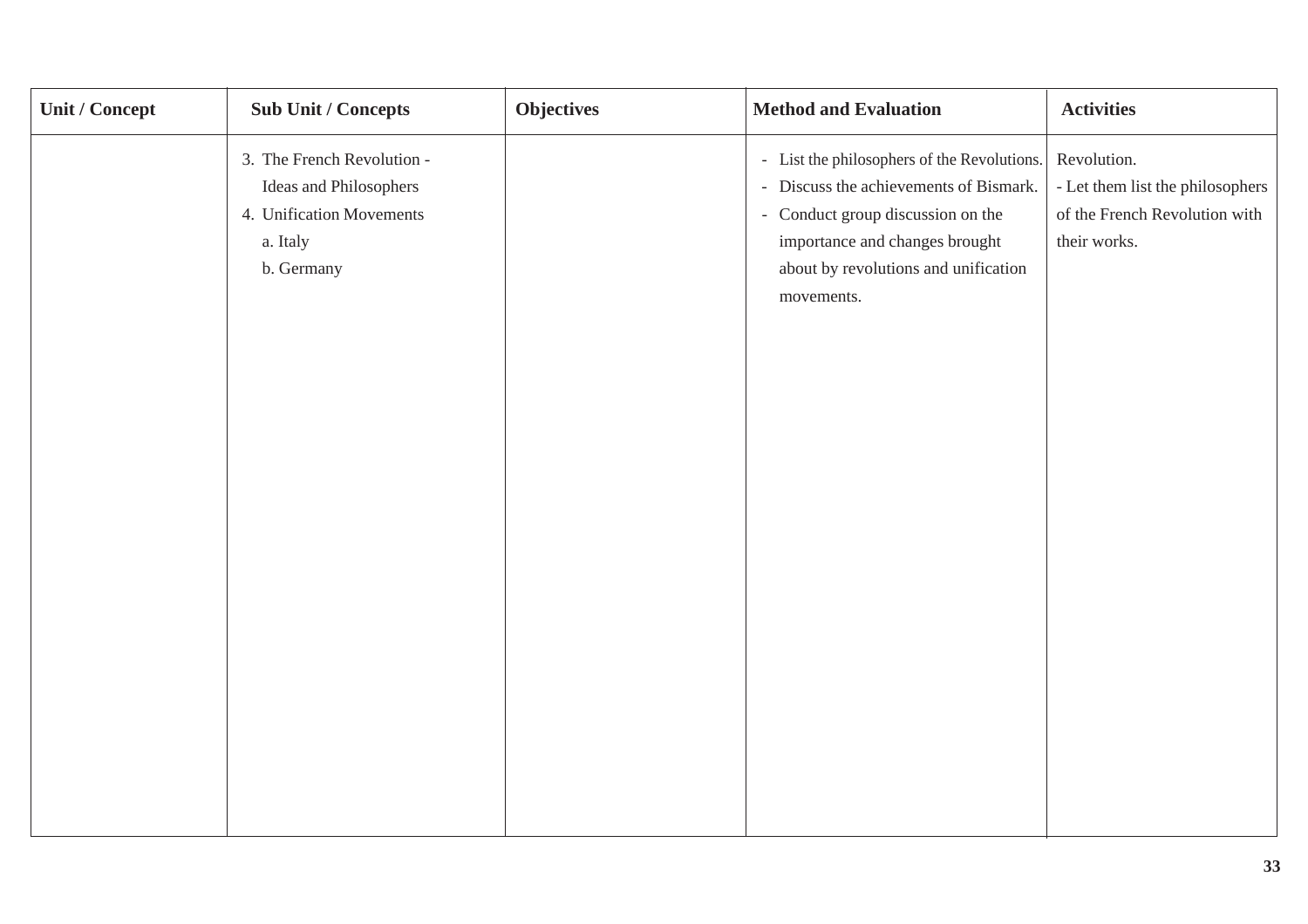| <b>Unit / Concept</b> | <b>Sub Unit / Concepts</b>                                                                                 | Objectives | <b>Method and Evaluation</b>                                                                                                                                                                                       | <b>Activities</b>                                                                                |
|-----------------------|------------------------------------------------------------------------------------------------------------|------------|--------------------------------------------------------------------------------------------------------------------------------------------------------------------------------------------------------------------|--------------------------------------------------------------------------------------------------|
|                       | 3. The French Revolution -<br>Ideas and Philosophers<br>4. Unification Movements<br>a. Italy<br>b. Germany |            | - List the philosophers of the Revolutions.<br>- Discuss the achievements of Bismark.<br>- Conduct group discussion on the<br>importance and changes brought<br>about by revolutions and unification<br>movements. | Revolution.<br>- Let them list the philosophers<br>of the French Revolution with<br>their works. |
|                       |                                                                                                            |            |                                                                                                                                                                                                                    |                                                                                                  |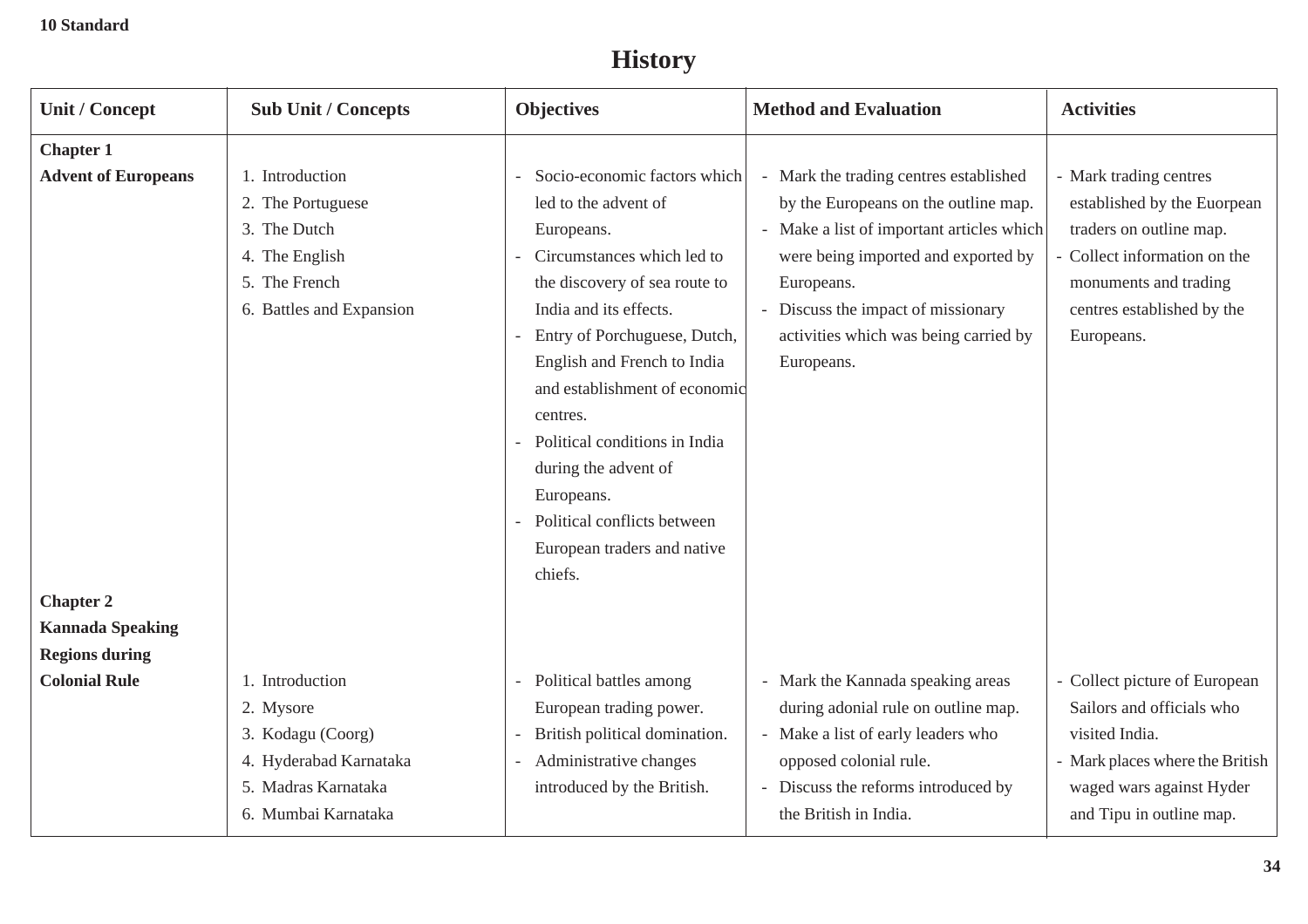**History**

| <b>Unit / Concept</b>      | <b>Sub Unit / Concepts</b> | <b>Objectives</b>                                         | <b>Method and Evaluation</b>              | <b>Activities</b>               |
|----------------------------|----------------------------|-----------------------------------------------------------|-------------------------------------------|---------------------------------|
| <b>Chapter 1</b>           |                            |                                                           |                                           |                                 |
| <b>Advent of Europeans</b> | 1. Introduction            | Socio-economic factors which                              | - Mark the trading centres established    | - Mark trading centres          |
|                            | 2. The Portuguese          | led to the advent of                                      | by the Europeans on the outline map.      | established by the Euorpean     |
|                            | 3. The Dutch               | Europeans.                                                | - Make a list of important articles which | traders on outline map.         |
|                            | 4. The English             | Circumstances which led to<br>$\overline{\phantom{0}}$    | were being imported and exported by       | Collect information on the      |
|                            | 5. The French              | the discovery of sea route to                             | Europeans.                                | monuments and trading           |
|                            | 6. Battles and Expansion   | India and its effects.                                    | - Discuss the impact of missionary        | centres established by the      |
|                            |                            | - Entry of Porchuguese, Dutch,                            | activities which was being carried by     | Europeans.                      |
|                            |                            | English and French to India                               | Europeans.                                |                                 |
|                            |                            | and establishment of economic                             |                                           |                                 |
|                            |                            | centres.                                                  |                                           |                                 |
|                            |                            | Political conditions in India                             |                                           |                                 |
|                            |                            | during the advent of                                      |                                           |                                 |
|                            |                            | Europeans.                                                |                                           |                                 |
|                            |                            | Political conflicts between                               |                                           |                                 |
|                            |                            | European traders and native                               |                                           |                                 |
|                            |                            | chiefs.                                                   |                                           |                                 |
| <b>Chapter 2</b>           |                            |                                                           |                                           |                                 |
| <b>Kannada Speaking</b>    |                            |                                                           |                                           |                                 |
| <b>Regions during</b>      |                            |                                                           |                                           |                                 |
| <b>Colonial Rule</b>       | 1. Introduction            | Political battles among<br>$\overline{\phantom{0}}$       | - Mark the Kannada speaking areas         | - Collect picture of European   |
|                            | 2. Mysore                  | European trading power.                                   | during adonial rule on outline map.       | Sailors and officials who       |
|                            | 3. Kodagu (Coorg)          | British political domination.<br>$\overline{\phantom{0}}$ | - Make a list of early leaders who        | visited India.                  |
|                            | 4. Hyderabad Karnataka     | Administrative changes<br>$\blacksquare$                  | opposed colonial rule.                    | - Mark places where the British |
|                            | 5. Madras Karnataka        | introduced by the British.                                | - Discuss the reforms introduced by       | waged wars against Hyder        |
|                            | 6. Mumbai Karnataka        |                                                           | the British in India.                     | and Tipu in outline map.        |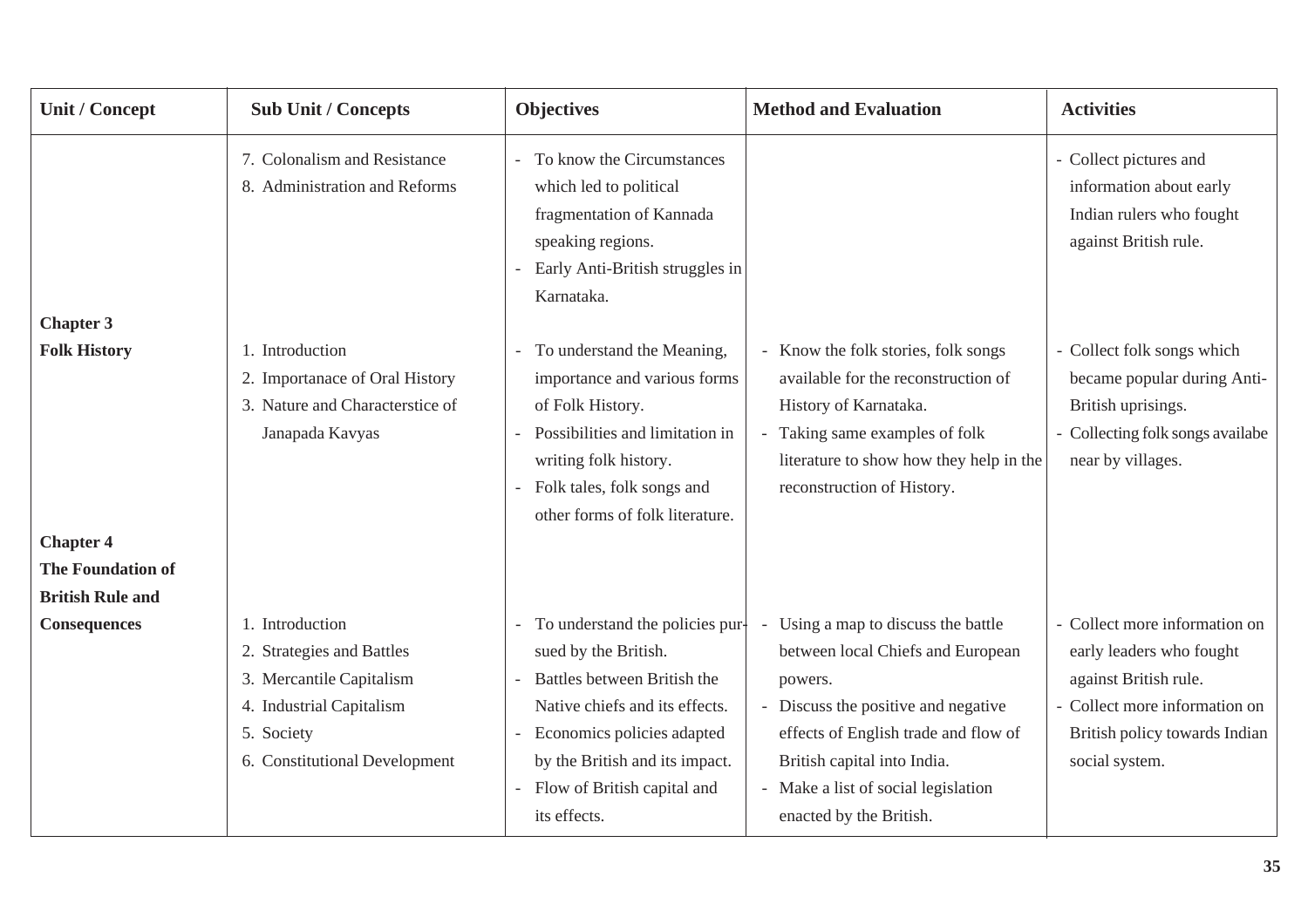| <b>Unit / Concept</b>                                                                          | <b>Sub Unit / Concepts</b>                                                                                                       | <b>Objectives</b>                                                                                                                                                                                           | <b>Method and Evaluation</b>                                                                                                                                                                                                 | <b>Activities</b>                                                                                                                     |
|------------------------------------------------------------------------------------------------|----------------------------------------------------------------------------------------------------------------------------------|-------------------------------------------------------------------------------------------------------------------------------------------------------------------------------------------------------------|------------------------------------------------------------------------------------------------------------------------------------------------------------------------------------------------------------------------------|---------------------------------------------------------------------------------------------------------------------------------------|
|                                                                                                | 7. Colonalism and Resistance<br>8. Administration and Reforms                                                                    | To know the Circumstances<br>which led to political<br>fragmentation of Kannada<br>speaking regions.<br>Early Anti-British struggles in<br>Karnataka.                                                       |                                                                                                                                                                                                                              | - Collect pictures and<br>information about early<br>Indian rulers who fought<br>against British rule.                                |
| <b>Chapter 3</b>                                                                               |                                                                                                                                  |                                                                                                                                                                                                             |                                                                                                                                                                                                                              |                                                                                                                                       |
| <b>Folk History</b><br><b>Chapter 4</b><br><b>The Foundation of</b><br><b>British Rule and</b> | 1. Introduction<br>2. Importanace of Oral History<br>3. Nature and Characterstice of<br>Janapada Kavyas                          | To understand the Meaning,<br>importance and various forms<br>of Folk History.<br>Possibilities and limitation in<br>writing folk history.<br>Folk tales, folk songs and<br>other forms of folk literature. | - Know the folk stories, folk songs<br>available for the reconstruction of<br>History of Karnataka.<br>Taking same examples of folk<br>literature to show how they help in the<br>reconstruction of History.                 | Collect folk songs which<br>became popular during Anti-<br>British uprisings.<br>Collecting folk songs availabe<br>near by villages.  |
| Consequences                                                                                   | 1. Introduction                                                                                                                  | To understand the policies pur-                                                                                                                                                                             | Using a map to discuss the battle                                                                                                                                                                                            | Collect more information on                                                                                                           |
|                                                                                                | 2. Strategies and Battles<br>3. Mercantile Capitalism<br>4. Industrial Capitalism<br>5. Society<br>6. Constitutional Development | sued by the British.<br>Battles between British the<br>Native chiefs and its effects.<br>Economics policies adapted<br>by the British and its impact.<br>Flow of British capital and<br>its effects.        | between local Chiefs and European<br>powers.<br>- Discuss the positive and negative<br>effects of English trade and flow of<br>British capital into India.<br>- Make a list of social legislation<br>enacted by the British. | early leaders who fought<br>against British rule.<br>- Collect more information on<br>British policy towards Indian<br>social system. |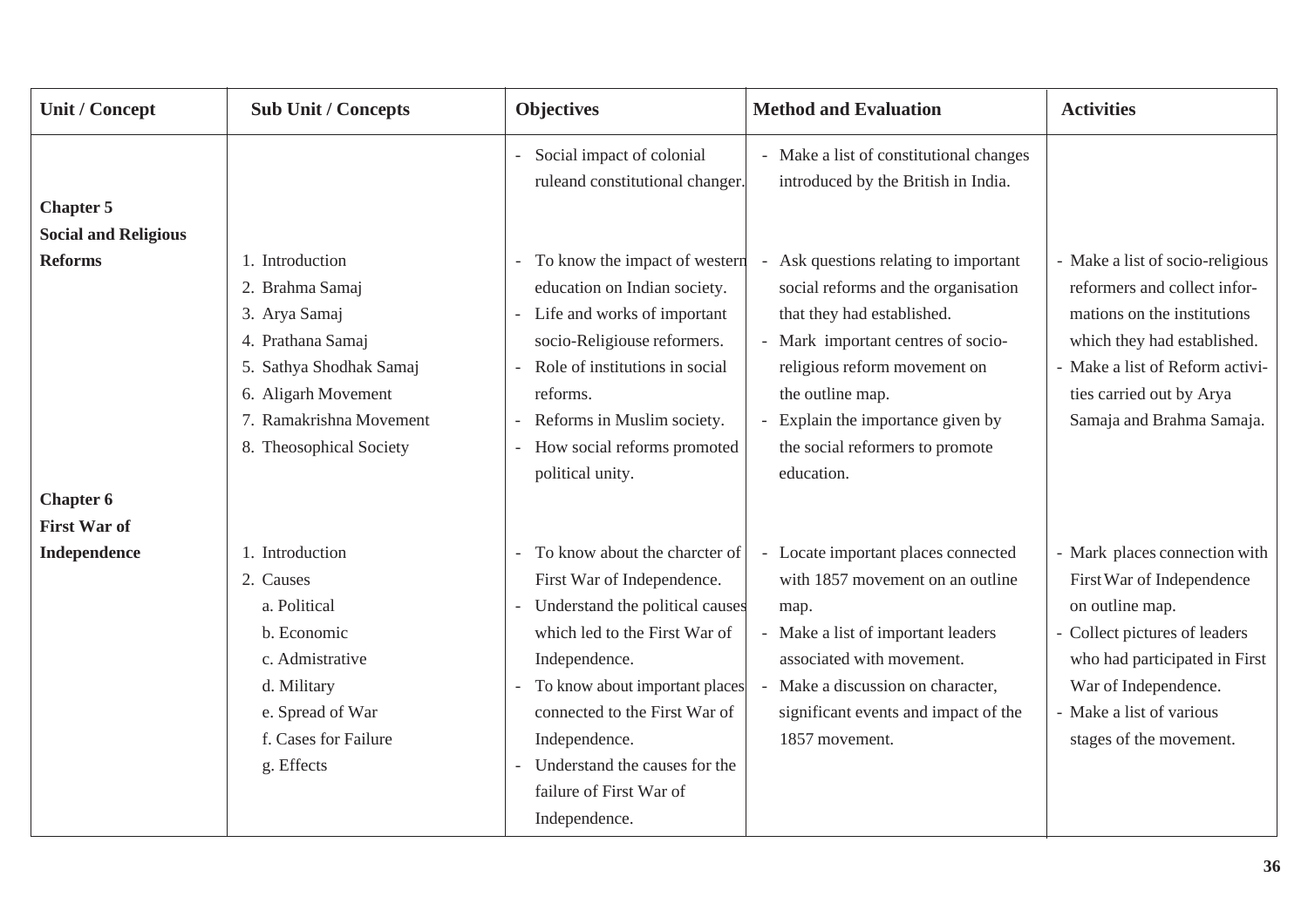| <b>Unit / Concept</b>                   | <b>Sub Unit / Concepts</b>                                                                                                                                                       | <b>Objectives</b>                                                                                                                                                                                                                                                                                                   | <b>Method and Evaluation</b>                                                                                                                                                                                                                                                             | <b>Activities</b>                                                                                                                                                                                                              |
|-----------------------------------------|----------------------------------------------------------------------------------------------------------------------------------------------------------------------------------|---------------------------------------------------------------------------------------------------------------------------------------------------------------------------------------------------------------------------------------------------------------------------------------------------------------------|------------------------------------------------------------------------------------------------------------------------------------------------------------------------------------------------------------------------------------------------------------------------------------------|--------------------------------------------------------------------------------------------------------------------------------------------------------------------------------------------------------------------------------|
| <b>Chapter 5</b>                        |                                                                                                                                                                                  | Social impact of colonial<br>ruleand constitutional changer.                                                                                                                                                                                                                                                        | - Make a list of constitutional changes<br>introduced by the British in India.                                                                                                                                                                                                           |                                                                                                                                                                                                                                |
| <b>Social and Religious</b>             |                                                                                                                                                                                  |                                                                                                                                                                                                                                                                                                                     |                                                                                                                                                                                                                                                                                          |                                                                                                                                                                                                                                |
| <b>Reforms</b>                          | 1. Introduction<br>2. Brahma Samaj<br>3. Arya Samaj<br>4. Prathana Samaj<br>5. Sathya Shodhak Samaj<br>6. Aligarh Movement<br>7. Ramakrishna Movement<br>8. Theosophical Society | To know the impact of western<br>education on Indian society.<br>- Life and works of important<br>socio-Religiouse reformers.<br>Role of institutions in social<br>reforms.<br>- Reforms in Muslim society.<br>How social reforms promoted<br>political unity.                                                      | Ask questions relating to important<br>social reforms and the organisation<br>that they had established.<br>- Mark important centres of socio-<br>religious reform movement on<br>the outline map.<br>- Explain the importance given by<br>the social reformers to promote<br>education. | - Make a list of socio-religious<br>reformers and collect infor-<br>mations on the institutions<br>which they had established.<br>- Make a list of Reform activi-<br>ties carried out by Arya<br>Samaja and Brahma Samaja.     |
| <b>Chapter 6</b><br><b>First War of</b> |                                                                                                                                                                                  |                                                                                                                                                                                                                                                                                                                     |                                                                                                                                                                                                                                                                                          |                                                                                                                                                                                                                                |
| Independence                            | 1. Introduction<br>2. Causes<br>a. Political<br>b. Economic<br>c. Admistrative<br>d. Military<br>e. Spread of War<br>f. Cases for Failure<br>g. Effects                          | To know about the charcter of<br>First War of Independence.<br>Understand the political causes<br>which led to the First War of<br>Independence.<br>- To know about important places<br>connected to the First War of<br>Independence.<br>Understand the causes for the<br>failure of First War of<br>Independence. | - Locate important places connected<br>with 1857 movement on an outline<br>map.<br>- Make a list of important leaders<br>associated with movement.<br>- Make a discussion on character,<br>significant events and impact of the<br>1857 movement.                                        | - Mark places connection with<br>First War of Independence<br>on outline map.<br>- Collect pictures of leaders<br>who had participated in First<br>War of Independence.<br>- Make a list of various<br>stages of the movement. |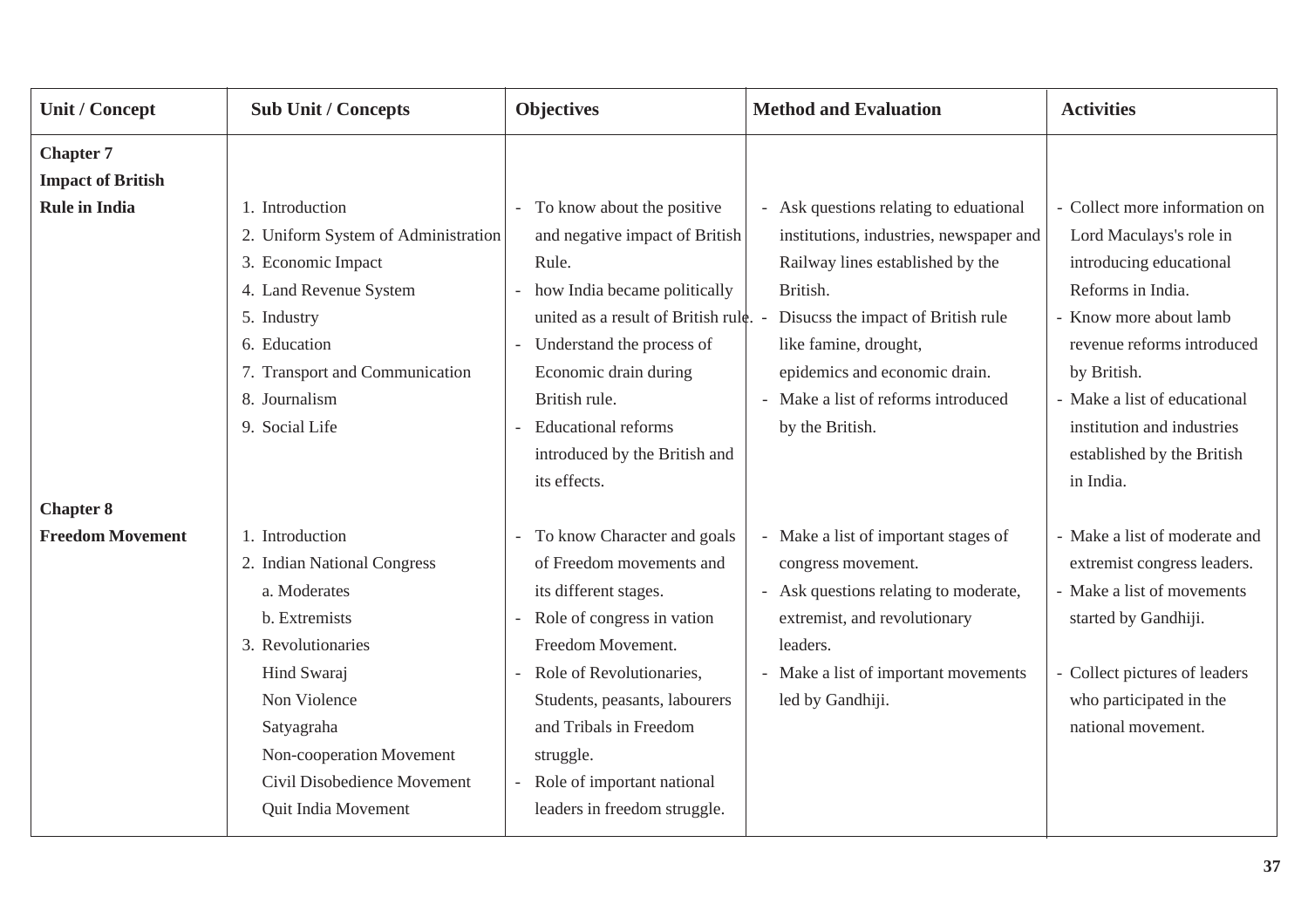| <b>Unit / Concept</b>                        | <b>Sub Unit / Concepts</b>                                                                                                                                                                                                           | <b>Objectives</b>                                                                                                                                                                                                                                                                                        | <b>Method and Evaluation</b>                                                                                                                                                                                                                                                              | <b>Activities</b>                                                                                                                                                                                                                                                                        |
|----------------------------------------------|--------------------------------------------------------------------------------------------------------------------------------------------------------------------------------------------------------------------------------------|----------------------------------------------------------------------------------------------------------------------------------------------------------------------------------------------------------------------------------------------------------------------------------------------------------|-------------------------------------------------------------------------------------------------------------------------------------------------------------------------------------------------------------------------------------------------------------------------------------------|------------------------------------------------------------------------------------------------------------------------------------------------------------------------------------------------------------------------------------------------------------------------------------------|
| <b>Chapter 7</b><br><b>Impact of British</b> |                                                                                                                                                                                                                                      |                                                                                                                                                                                                                                                                                                          |                                                                                                                                                                                                                                                                                           |                                                                                                                                                                                                                                                                                          |
| <b>Rule in India</b><br><b>Chapter 8</b>     | 1. Introduction<br>2. Uniform System of Administration<br>3. Economic Impact<br>4. Land Revenue System<br>5. Industry<br>6. Education<br>7. Transport and Communication<br>8. Journalism<br>9. Social Life                           | - To know about the positive<br>and negative impact of British<br>Rule.<br>- how India became politically<br>united as a result of British rule. -<br>Understand the process of<br>Economic drain during<br>British rule.<br><b>Educational reforms</b><br>introduced by the British and<br>its effects. | - Ask questions relating to eduational<br>institutions, industries, newspaper and<br>Railway lines established by the<br>British.<br>Disucss the impact of British rule<br>like famine, drought,<br>epidemics and economic drain.<br>Make a list of reforms introduced<br>by the British. | - Collect more information on<br>Lord Maculays's role in<br>introducing educational<br>Reforms in India.<br>- Know more about lamb<br>revenue reforms introduced<br>by British.<br>- Make a list of educational<br>institution and industries<br>established by the British<br>in India. |
| <b>Freedom Movement</b>                      | 1. Introduction<br>2. Indian National Congress<br>a. Moderates<br>b. Extremists<br>3. Revolutionaries<br>Hind Swaraj<br>Non Violence<br>Satyagraha<br>Non-cooperation Movement<br>Civil Disobedience Movement<br>Quit India Movement | To know Character and goals<br>of Freedom movements and<br>its different stages.<br>Role of congress in vation<br>Freedom Movement.<br>- Role of Revolutionaries,<br>Students, peasants, labourers<br>and Tribals in Freedom<br>struggle.<br>Role of important national<br>leaders in freedom struggle.  | - Make a list of important stages of<br>congress movement.<br>- Ask questions relating to moderate,<br>extremist, and revolutionary<br>leaders.<br>- Make a list of important movements<br>led by Gandhiji.                                                                               | - Make a list of moderate and<br>extremist congress leaders.<br>- Make a list of movements<br>started by Gandhiji.<br>- Collect pictures of leaders<br>who participated in the<br>national movement.                                                                                     |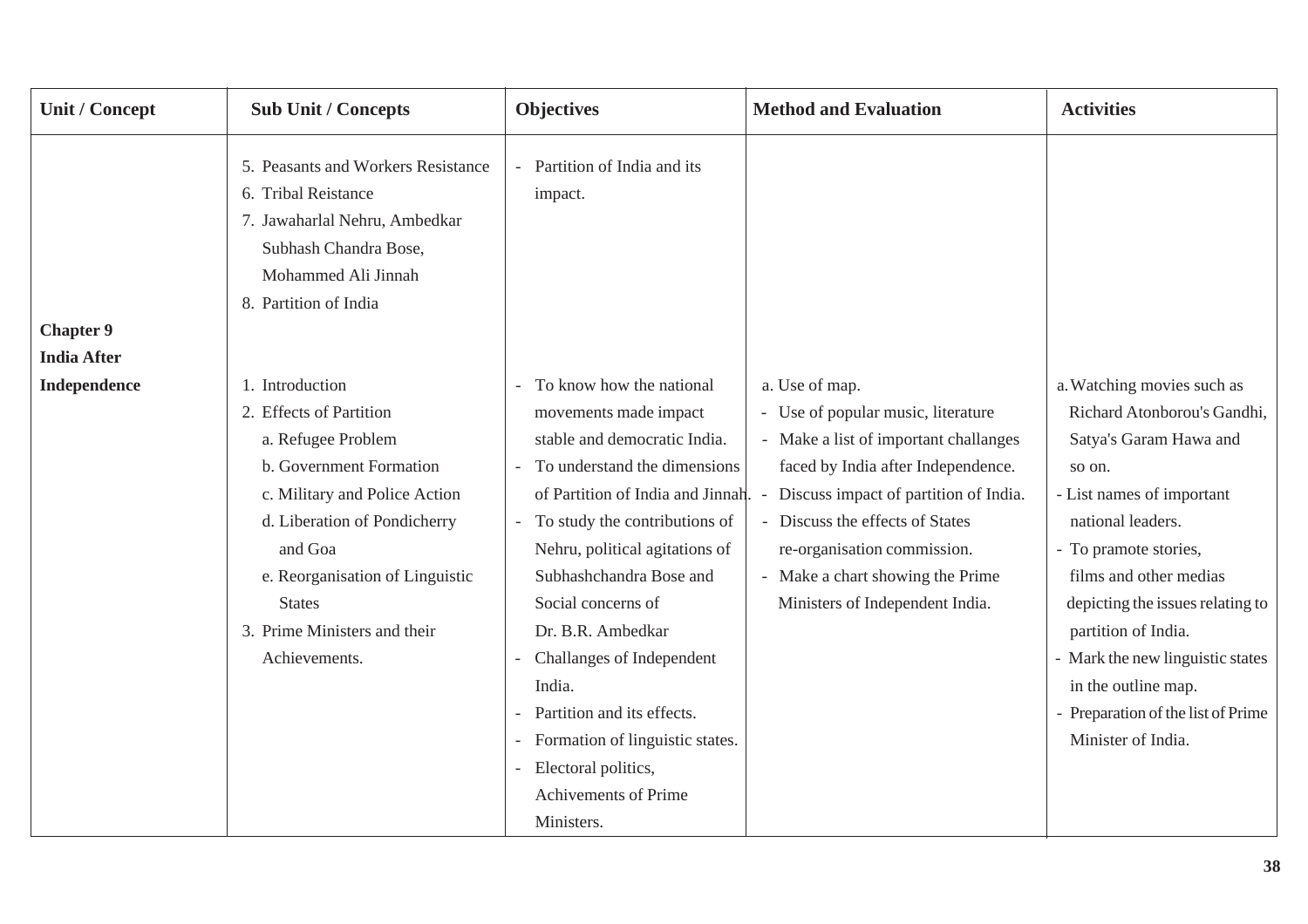| <b>Unit / Concept</b> | <b>Sub Unit / Concepts</b>                                                                                                                                                                                                                                                   | <b>Objectives</b>                                                                                                                                                                                                                                                                                                                                                                                                                                                      | <b>Method and Evaluation</b>                                                                                                                                                                                                                                                                                          | <b>Activities</b>                                                                                                                                                                                                                                                                                                                                                                    |
|-----------------------|------------------------------------------------------------------------------------------------------------------------------------------------------------------------------------------------------------------------------------------------------------------------------|------------------------------------------------------------------------------------------------------------------------------------------------------------------------------------------------------------------------------------------------------------------------------------------------------------------------------------------------------------------------------------------------------------------------------------------------------------------------|-----------------------------------------------------------------------------------------------------------------------------------------------------------------------------------------------------------------------------------------------------------------------------------------------------------------------|--------------------------------------------------------------------------------------------------------------------------------------------------------------------------------------------------------------------------------------------------------------------------------------------------------------------------------------------------------------------------------------|
| <b>Chapter 9</b>      | 5. Peasants and Workers Resistance<br>6. Tribal Reistance<br>7. Jawaharlal Nehru, Ambedkar<br>Subhash Chandra Bose,<br>Mohammed Ali Jinnah<br>8. Partition of India                                                                                                          | Partition of India and its<br>impact.                                                                                                                                                                                                                                                                                                                                                                                                                                  |                                                                                                                                                                                                                                                                                                                       |                                                                                                                                                                                                                                                                                                                                                                                      |
| <b>India After</b>    |                                                                                                                                                                                                                                                                              |                                                                                                                                                                                                                                                                                                                                                                                                                                                                        |                                                                                                                                                                                                                                                                                                                       |                                                                                                                                                                                                                                                                                                                                                                                      |
| Independence          | 1. Introduction<br>2. Effects of Partition<br>a. Refugee Problem<br>b. Government Formation<br>c. Military and Police Action<br>d. Liberation of Pondicherry<br>and Goa<br>e. Reorganisation of Linguistic<br><b>States</b><br>3. Prime Ministers and their<br>Achievements. | To know how the national<br>movements made impact<br>stable and democratic India.<br>To understand the dimensions<br>of Partition of India and Jinnah.<br>- To study the contributions of<br>Nehru, political agitations of<br>Subhashchandra Bose and<br>Social concerns of<br>Dr. B.R. Ambedkar<br>Challanges of Independent<br>India.<br>Partition and its effects.<br>Formation of linguistic states.<br>Electoral politics,<br>Achivements of Prime<br>Ministers. | a. Use of map.<br>- Use of popular music, literature<br>- Make a list of important challanges<br>faced by India after Independence.<br>Discuss impact of partition of India.<br>- Discuss the effects of States<br>re-organisation commission.<br>- Make a chart showing the Prime<br>Ministers of Independent India. | a. Watching movies such as<br>Richard Atonborou's Gandhi,<br>Satya's Garam Hawa and<br>so on.<br>- List names of important<br>national leaders.<br>- To pramote stories,<br>films and other medias<br>depicting the issues relating to<br>partition of India.<br>- Mark the new linguistic states<br>in the outline map.<br>- Preparation of the list of Prime<br>Minister of India. |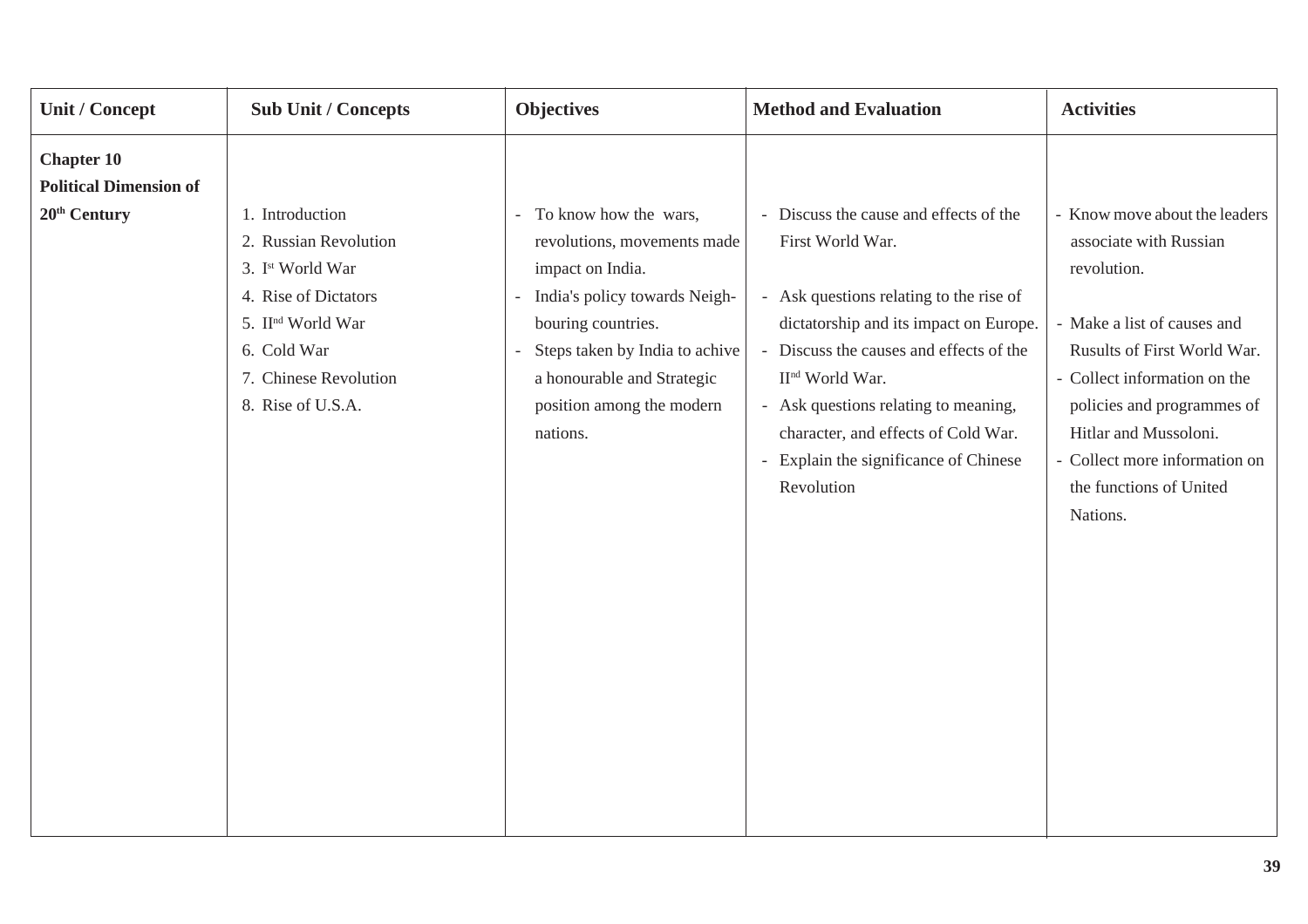| <b>Unit / Concept</b>                                                          | <b>Sub Unit / Concepts</b>                                                                                                                                                         | <b>Objectives</b>                                                                                                                                                                                                                          | <b>Method and Evaluation</b>                                                                                                                                                                                                                                                                                                                                         | <b>Activities</b>                                                                                                                                                                                                                                                                                   |
|--------------------------------------------------------------------------------|------------------------------------------------------------------------------------------------------------------------------------------------------------------------------------|--------------------------------------------------------------------------------------------------------------------------------------------------------------------------------------------------------------------------------------------|----------------------------------------------------------------------------------------------------------------------------------------------------------------------------------------------------------------------------------------------------------------------------------------------------------------------------------------------------------------------|-----------------------------------------------------------------------------------------------------------------------------------------------------------------------------------------------------------------------------------------------------------------------------------------------------|
| <b>Chapter 10</b><br><b>Political Dimension of</b><br>20 <sup>th</sup> Century | 1. Introduction<br>2. Russian Revolution<br>3. Ist World War<br>4. Rise of Dictators<br>5. II <sup>nd</sup> World War<br>6. Cold War<br>7. Chinese Revolution<br>8. Rise of U.S.A. | To know how the wars,<br>revolutions, movements made<br>impact on India.<br>- India's policy towards Neigh-<br>bouring countries.<br>Steps taken by India to achive<br>a honourable and Strategic<br>position among the modern<br>nations. | Discuss the cause and effects of the<br>$\bar{a}$<br>First World War.<br>Ask questions relating to the rise of<br>dictatorship and its impact on Europe.<br>Discuss the causes and effects of the<br>II <sup>nd</sup> World War.<br>- Ask questions relating to meaning,<br>character, and effects of Cold War.<br>Explain the significance of Chinese<br>Revolution | - Know move about the leaders<br>associate with Russian<br>revolution.<br>- Make a list of causes and<br>Rusults of First World War.<br>- Collect information on the<br>policies and programmes of<br>Hitlar and Mussoloni.<br>- Collect more information on<br>the functions of United<br>Nations. |
|                                                                                |                                                                                                                                                                                    |                                                                                                                                                                                                                                            |                                                                                                                                                                                                                                                                                                                                                                      |                                                                                                                                                                                                                                                                                                     |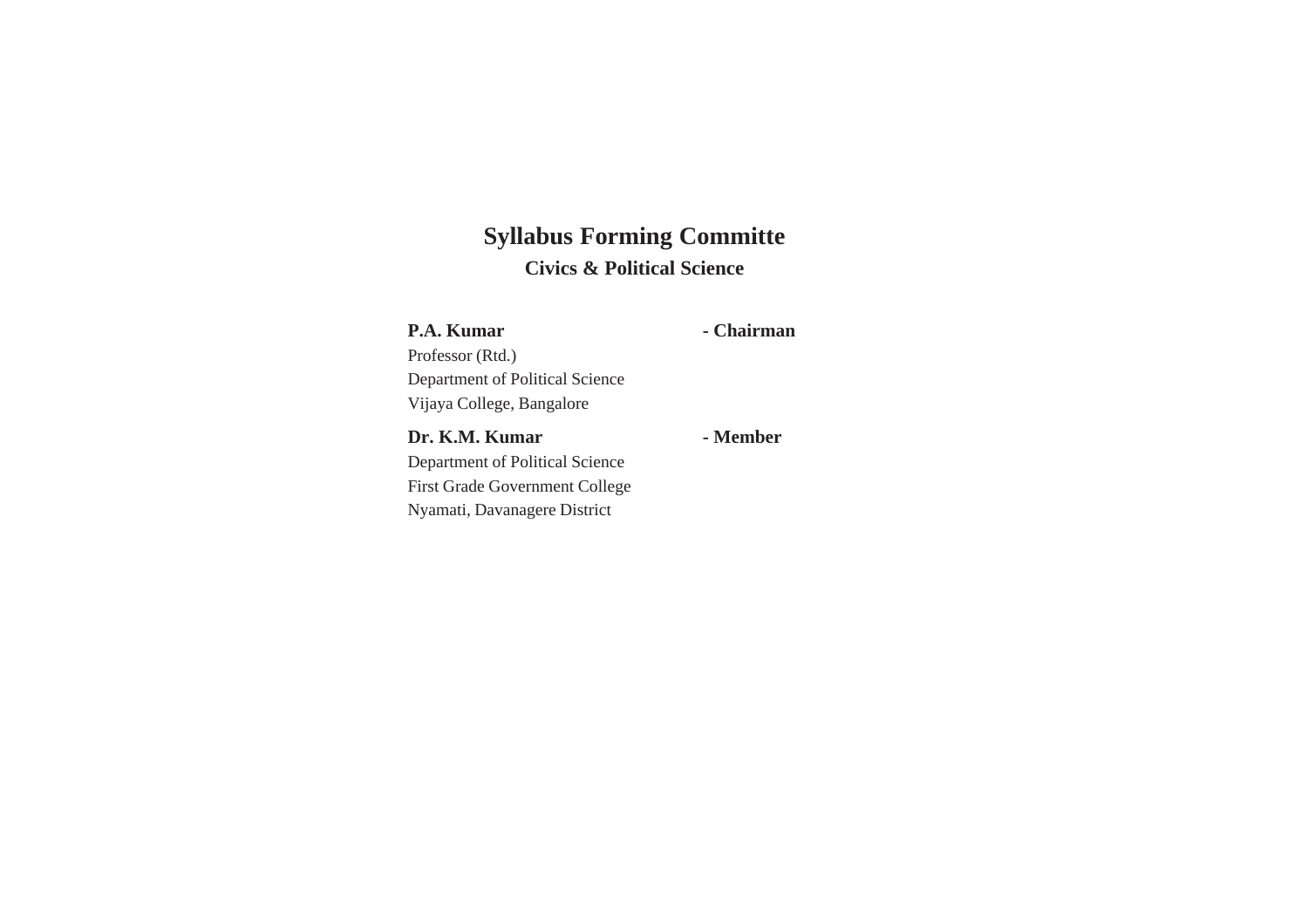#### **Syllabus Forming Committe Civics & Political Science**

P.A. Kumar **- Chairman** 

Professor (Rtd.) Department of Political Science Vijaya College, Bangalore

**Dr. K.M. Kumar** - Member Department of Political Science First Grade Government College

Nyamati, Davanagere District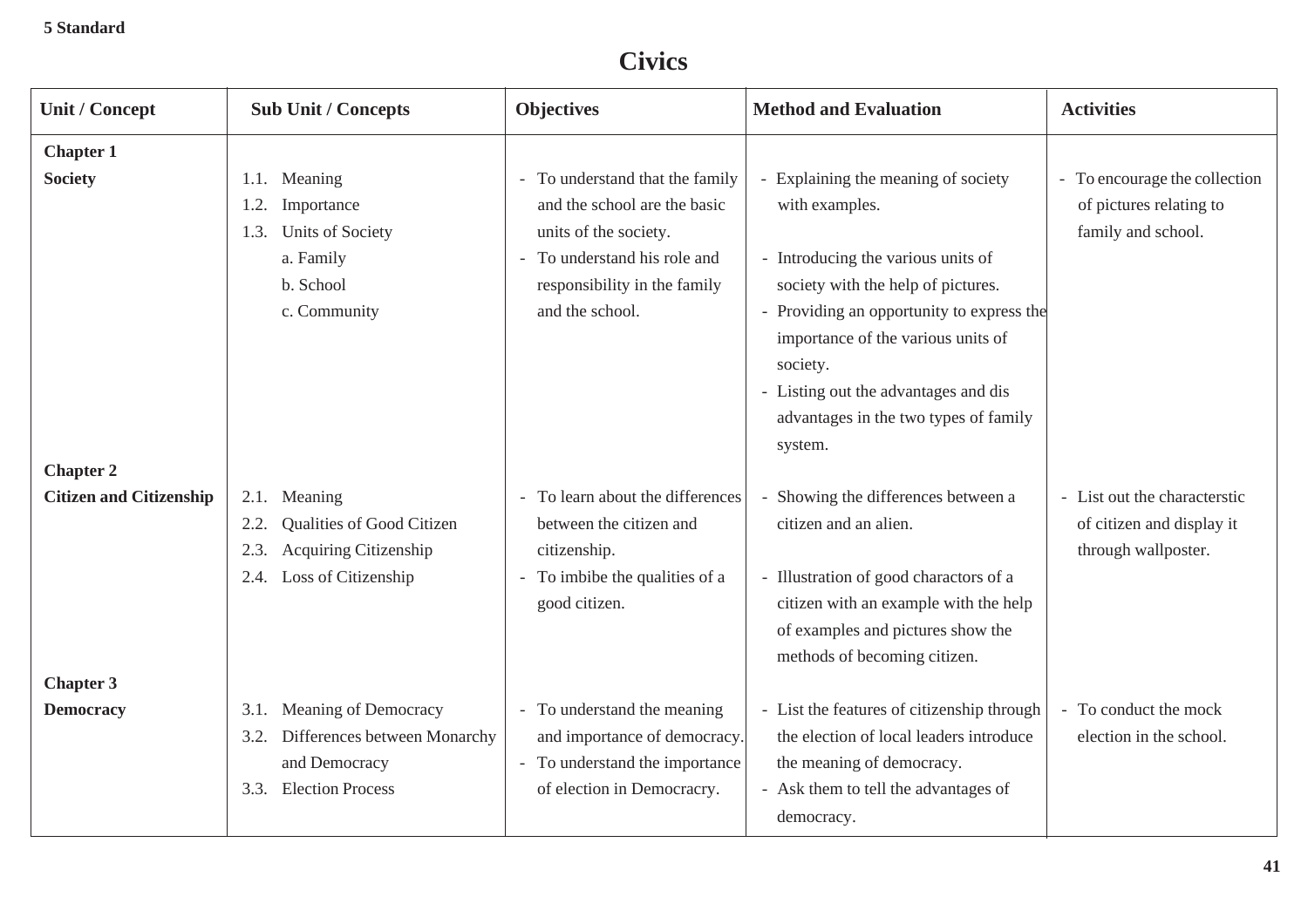**Civics**

| <b>Unit / Concept</b>                              | <b>Sub Unit / Concepts</b>                                                                                               | <b>Objectives</b>                                                                                                                                                       | <b>Method and Evaluation</b>                                                                                                                                                                                                                                                                                      | <b>Activities</b>                                                                |
|----------------------------------------------------|--------------------------------------------------------------------------------------------------------------------------|-------------------------------------------------------------------------------------------------------------------------------------------------------------------------|-------------------------------------------------------------------------------------------------------------------------------------------------------------------------------------------------------------------------------------------------------------------------------------------------------------------|----------------------------------------------------------------------------------|
| <b>Chapter 1</b>                                   |                                                                                                                          |                                                                                                                                                                         |                                                                                                                                                                                                                                                                                                                   |                                                                                  |
| <b>Society</b>                                     | Meaning<br>1.1.<br>Importance<br>1.2.<br>Units of Society<br>1.3.<br>a. Family<br>b. School<br>c. Community              | To understand that the family<br>and the school are the basic<br>units of the society.<br>To understand his role and<br>responsibility in the family<br>and the school. | - Explaining the meaning of society<br>with examples.<br>- Introducing the various units of<br>society with the help of pictures.<br>- Providing an opportunity to express the<br>importance of the various units of<br>society.<br>- Listing out the advantages and dis<br>advantages in the two types of family | - To encourage the collection<br>of pictures relating to<br>family and school.   |
| <b>Chapter 2</b>                                   |                                                                                                                          |                                                                                                                                                                         | system.                                                                                                                                                                                                                                                                                                           |                                                                                  |
| <b>Citizen and Citizenship</b><br><b>Chapter 3</b> | 2.1. Meaning<br>Qualities of Good Citizen<br>2.2.<br>Acquiring Citizenship<br>2.3.<br>Loss of Citizenship<br>2.4.        | To learn about the differences<br>between the citizen and<br>citizenship.<br>To imbibe the qualities of a<br>good citizen.                                              | Showing the differences between a<br>citizen and an alien.<br>- Illustration of good charactors of a<br>citizen with an example with the help<br>of examples and pictures show the<br>methods of becoming citizen.                                                                                                | - List out the characterstic<br>of citizen and display it<br>through wallposter. |
| <b>Democracy</b>                                   | Meaning of Democracy<br>3.1.<br>Differences between Monarchy<br>3.2.<br>and Democracy<br><b>Election Process</b><br>3.3. | To understand the meaning<br>and importance of democracy.<br>- To understand the importance<br>of election in Democracry.                                               | - List the features of citizenship through<br>the election of local leaders introduce<br>the meaning of democracy.<br>- Ask them to tell the advantages of<br>democracy.                                                                                                                                          | - To conduct the mock<br>election in the school.                                 |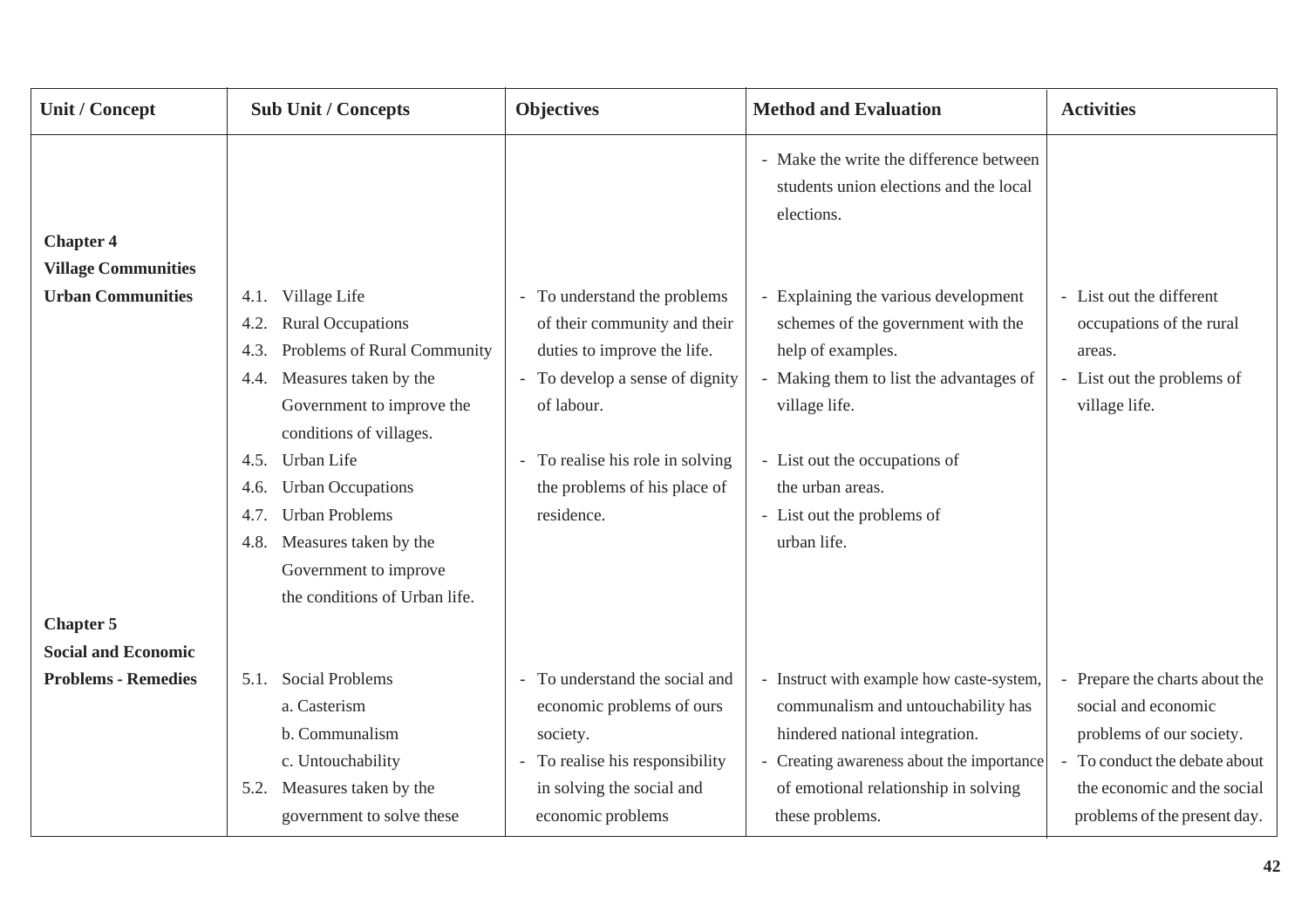| <b>Unit / Concept</b>                          | <b>Sub Unit / Concepts</b>                                                                                                                                                                                                                                                                                                                                                     | <b>Objectives</b>                                                                                                                                                                                                          | <b>Method and Evaluation</b>                                                                                                                                                                                                                                  | <b>Activities</b>                                                                                                |
|------------------------------------------------|--------------------------------------------------------------------------------------------------------------------------------------------------------------------------------------------------------------------------------------------------------------------------------------------------------------------------------------------------------------------------------|----------------------------------------------------------------------------------------------------------------------------------------------------------------------------------------------------------------------------|---------------------------------------------------------------------------------------------------------------------------------------------------------------------------------------------------------------------------------------------------------------|------------------------------------------------------------------------------------------------------------------|
|                                                |                                                                                                                                                                                                                                                                                                                                                                                |                                                                                                                                                                                                                            | - Make the write the difference between<br>students union elections and the local<br>elections.                                                                                                                                                               |                                                                                                                  |
| <b>Chapter 4</b><br><b>Village Communities</b> |                                                                                                                                                                                                                                                                                                                                                                                |                                                                                                                                                                                                                            |                                                                                                                                                                                                                                                               |                                                                                                                  |
| <b>Urban Communities</b>                       | Village Life<br>4.1.<br><b>Rural Occupations</b><br>4.2.<br>Problems of Rural Community<br>4.3.<br>Measures taken by the<br>4.4.<br>Government to improve the<br>conditions of villages.<br>Urban Life<br>4.5.<br><b>Urban Occupations</b><br>4.6.<br><b>Urban Problems</b><br>4.7.<br>Measures taken by the<br>4.8.<br>Government to improve<br>the conditions of Urban life. | To understand the problems<br>of their community and their<br>duties to improve the life.<br>- To develop a sense of dignity<br>of labour.<br>To realise his role in solving<br>the problems of his place of<br>residence. | - Explaining the various development<br>schemes of the government with the<br>help of examples.<br>- Making them to list the advantages of<br>village life.<br>- List out the occupations of<br>the urban areas.<br>- List out the problems of<br>urban life. | - List out the different<br>occupations of the rural<br>areas.<br>- List out the problems of<br>village life.    |
| <b>Chapter 5</b>                               |                                                                                                                                                                                                                                                                                                                                                                                |                                                                                                                                                                                                                            |                                                                                                                                                                                                                                                               |                                                                                                                  |
| <b>Social and Economic</b>                     |                                                                                                                                                                                                                                                                                                                                                                                |                                                                                                                                                                                                                            |                                                                                                                                                                                                                                                               |                                                                                                                  |
| <b>Problems - Remedies</b>                     | <b>Social Problems</b><br>5.1.<br>a. Casterism<br>b. Communalism<br>c. Untouchability                                                                                                                                                                                                                                                                                          | To understand the social and<br>economic problems of ours<br>society.<br>To realise his responsibility                                                                                                                     | - Instruct with example how caste-system,<br>communalism and untouchability has<br>hindered national integration.<br>- Creating awareness about the importance                                                                                                | - Prepare the charts about the<br>social and economic<br>problems of our society.<br>To conduct the debate about |
|                                                | Measures taken by the<br>5.2.<br>government to solve these                                                                                                                                                                                                                                                                                                                     | in solving the social and<br>economic problems                                                                                                                                                                             | of emotional relationship in solving<br>these problems.                                                                                                                                                                                                       | the economic and the social<br>problems of the present day.                                                      |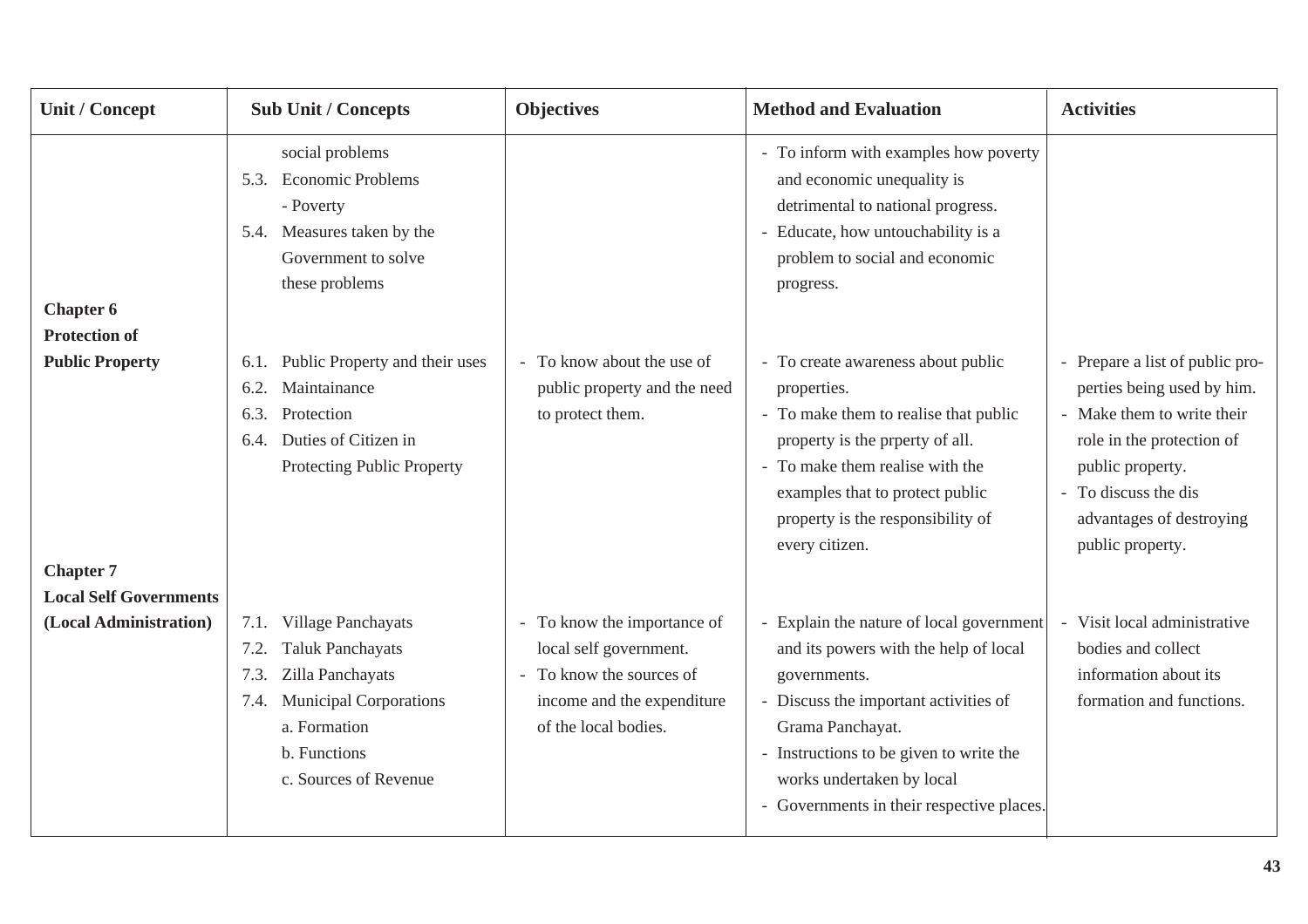| <b>Unit / Concept</b>         | <b>Sub Unit / Concepts</b>                                                                                                                                                                  | <b>Objectives</b>                                                                                                                   | <b>Method and Evaluation</b>                                                                                                                                                                                                                                                        | <b>Activities</b>                                                                                                                                                                                                    |
|-------------------------------|---------------------------------------------------------------------------------------------------------------------------------------------------------------------------------------------|-------------------------------------------------------------------------------------------------------------------------------------|-------------------------------------------------------------------------------------------------------------------------------------------------------------------------------------------------------------------------------------------------------------------------------------|----------------------------------------------------------------------------------------------------------------------------------------------------------------------------------------------------------------------|
| <b>Chapter 6</b>              | social problems<br><b>Economic Problems</b><br>5.3.<br>- Poverty<br>5.4. Measures taken by the<br>Government to solve<br>these problems                                                     |                                                                                                                                     | - To inform with examples how poverty<br>and economic unequality is<br>detrimental to national progress.<br>- Educate, how untouchability is a<br>problem to social and economic<br>progress.                                                                                       |                                                                                                                                                                                                                      |
| <b>Protection of</b>          |                                                                                                                                                                                             |                                                                                                                                     |                                                                                                                                                                                                                                                                                     |                                                                                                                                                                                                                      |
| <b>Public Property</b>        | Public Property and their uses<br>6.1.<br>Maintainance<br>6.2.<br>Protection<br>6.3.<br>Duties of Citizen in<br>6.4.<br>Protecting Public Property                                          | To know about the use of<br>public property and the need<br>to protect them.                                                        | - To create awareness about public<br>properties.<br>- To make them to realise that public<br>property is the prperty of all.<br>- To make them realise with the<br>examples that to protect public<br>property is the responsibility of<br>every citizen.                          | - Prepare a list of public pro-<br>perties being used by him.<br>- Make them to write their<br>role in the protection of<br>public property.<br>- To discuss the dis<br>advantages of destroying<br>public property. |
| <b>Chapter 7</b>              |                                                                                                                                                                                             |                                                                                                                                     |                                                                                                                                                                                                                                                                                     |                                                                                                                                                                                                                      |
| <b>Local Self Governments</b> |                                                                                                                                                                                             |                                                                                                                                     |                                                                                                                                                                                                                                                                                     |                                                                                                                                                                                                                      |
| (Local Administration)        | Village Panchayats<br>7.1.<br><b>Taluk Panchayats</b><br>7.2.<br>Zilla Panchayats<br>7.3.<br><b>Municipal Corporations</b><br>7.4.<br>a. Formation<br>b. Functions<br>c. Sources of Revenue | To know the importance of<br>local self government.<br>To know the sources of<br>income and the expenditure<br>of the local bodies. | - Explain the nature of local government<br>and its powers with the help of local<br>governments.<br>- Discuss the important activities of<br>Grama Panchayat.<br>- Instructions to be given to write the<br>works undertaken by local<br>- Governments in their respective places. | - Visit local administrative<br>bodies and collect<br>information about its<br>formation and functions.                                                                                                              |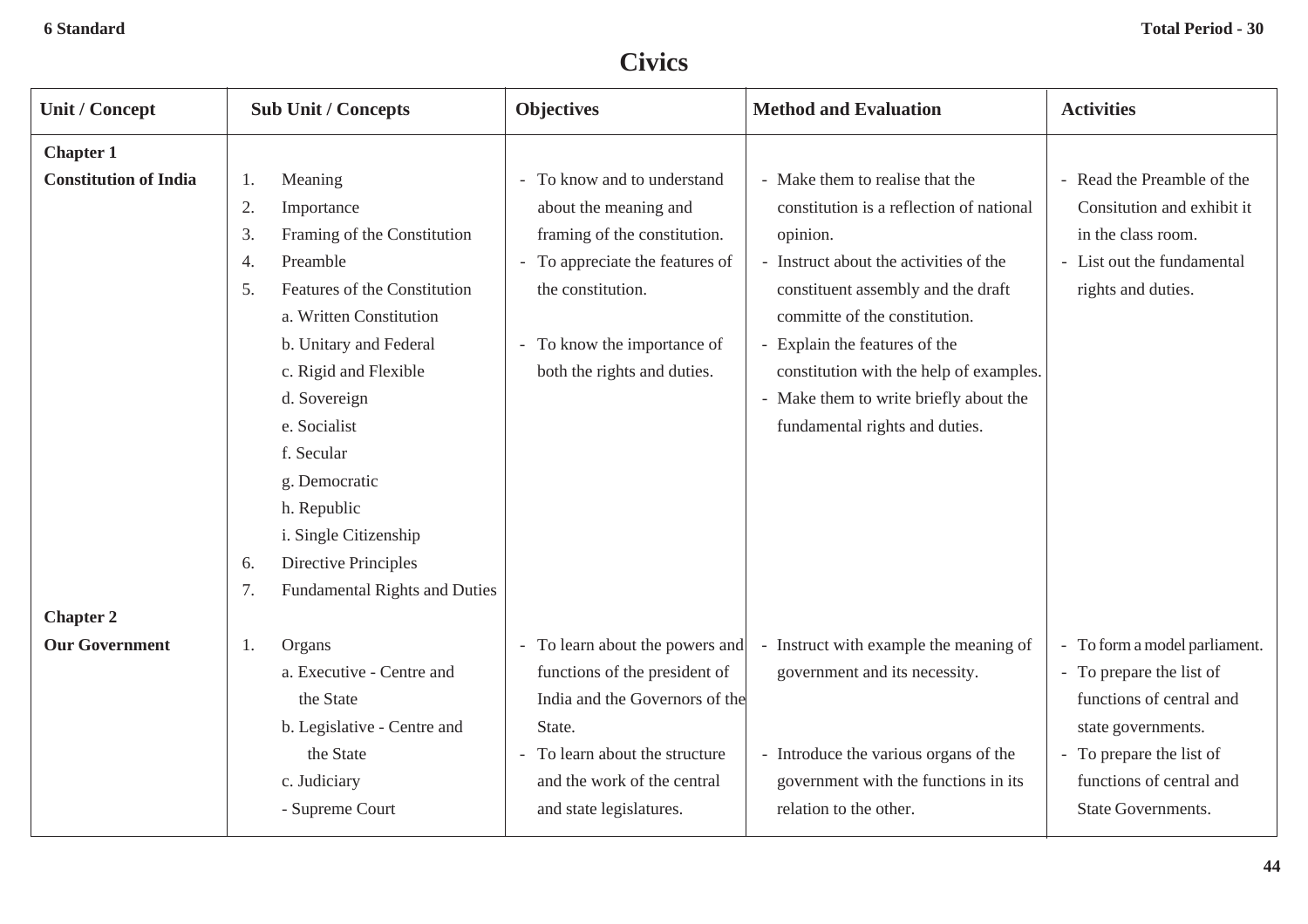# **Civics**

| <b>Unit / Concept</b>        | <b>Sub Unit / Concepts</b>                                                                                                                                                                                                                                                                 | <b>Objectives</b>                                                                                                                                                                                        | <b>Method and Evaluation</b>                                                                                                                                                                                                                                                                                                                                     | <b>Activities</b>                                                                                                                                                                         |
|------------------------------|--------------------------------------------------------------------------------------------------------------------------------------------------------------------------------------------------------------------------------------------------------------------------------------------|----------------------------------------------------------------------------------------------------------------------------------------------------------------------------------------------------------|------------------------------------------------------------------------------------------------------------------------------------------------------------------------------------------------------------------------------------------------------------------------------------------------------------------------------------------------------------------|-------------------------------------------------------------------------------------------------------------------------------------------------------------------------------------------|
| <b>Chapter 1</b>             |                                                                                                                                                                                                                                                                                            |                                                                                                                                                                                                          |                                                                                                                                                                                                                                                                                                                                                                  |                                                                                                                                                                                           |
| <b>Constitution of India</b> | Meaning<br>1.<br>2.<br>Importance<br>Framing of the Constitution<br>3.<br>Preamble<br>4.<br>Features of the Constitution<br>5.<br>a. Written Constitution<br>b. Unitary and Federal<br>c. Rigid and Flexible<br>d. Sovereign<br>e. Socialist<br>f. Secular<br>g. Democratic<br>h. Republic | - To know and to understand<br>about the meaning and<br>framing of the constitution.<br>To appreciate the features of<br>the constitution.<br>- To know the importance of<br>both the rights and duties. | - Make them to realise that the<br>constitution is a reflection of national<br>opinion.<br>- Instruct about the activities of the<br>constituent assembly and the draft<br>committe of the constitution.<br>- Explain the features of the<br>constitution with the help of examples.<br>- Make them to write briefly about the<br>fundamental rights and duties. | - Read the Preamble of the<br>Consitution and exhibit it<br>in the class room.<br>- List out the fundamental<br>rights and duties.                                                        |
|                              | i. Single Citizenship<br><b>Directive Principles</b><br>6.                                                                                                                                                                                                                                 |                                                                                                                                                                                                          |                                                                                                                                                                                                                                                                                                                                                                  |                                                                                                                                                                                           |
|                              | <b>Fundamental Rights and Duties</b><br>7.                                                                                                                                                                                                                                                 |                                                                                                                                                                                                          |                                                                                                                                                                                                                                                                                                                                                                  |                                                                                                                                                                                           |
| <b>Chapter 2</b>             |                                                                                                                                                                                                                                                                                            |                                                                                                                                                                                                          |                                                                                                                                                                                                                                                                                                                                                                  |                                                                                                                                                                                           |
| <b>Our Government</b>        | Organs<br>1.<br>a. Executive - Centre and<br>the State<br>b. Legislative - Centre and<br>the State<br>c. Judiciary<br>- Supreme Court                                                                                                                                                      | - To learn about the powers and<br>functions of the president of<br>India and the Governors of the<br>State.<br>- To learn about the structure<br>and the work of the central<br>and state legislatures. | - Instruct with example the meaning of<br>government and its necessity.<br>- Introduce the various organs of the<br>government with the functions in its<br>relation to the other.                                                                                                                                                                               | - To form a model parliament.<br>- To prepare the list of<br>functions of central and<br>state governments.<br>- To prepare the list of<br>functions of central and<br>State Governments. |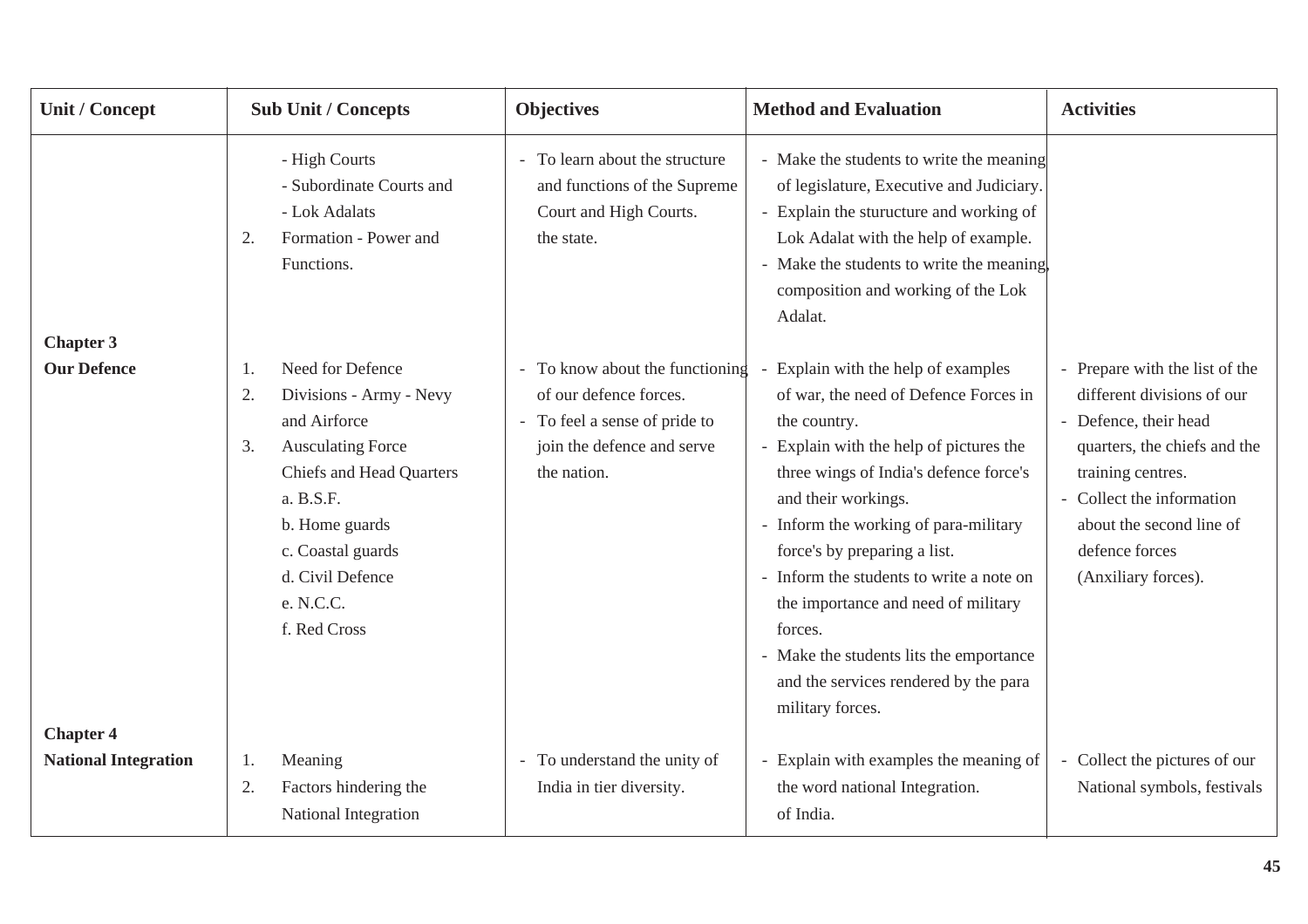| <b>Unit / Concept</b>                  |                 | <b>Sub Unit / Concepts</b>                                                                                                                                                                                  | <b>Objectives</b>                                                                                                                       | <b>Method and Evaluation</b>                                                                                                                                                                                                                                                                                                                                                                                                                                                          | <b>Activities</b>                                                                                                                                                                                                                            |
|----------------------------------------|-----------------|-------------------------------------------------------------------------------------------------------------------------------------------------------------------------------------------------------------|-----------------------------------------------------------------------------------------------------------------------------------------|---------------------------------------------------------------------------------------------------------------------------------------------------------------------------------------------------------------------------------------------------------------------------------------------------------------------------------------------------------------------------------------------------------------------------------------------------------------------------------------|----------------------------------------------------------------------------------------------------------------------------------------------------------------------------------------------------------------------------------------------|
|                                        | 2.              | - High Courts<br>- Subordinate Courts and<br>- Lok Adalats<br>Formation - Power and<br>Functions.                                                                                                           | To learn about the structure<br>and functions of the Supreme<br>Court and High Courts.<br>the state.                                    | - Make the students to write the meaning<br>of legislature, Executive and Judiciary.<br>- Explain the sturucture and working of<br>Lok Adalat with the help of example.<br>- Make the students to write the meaning.<br>composition and working of the Lok<br>Adalat.                                                                                                                                                                                                                 |                                                                                                                                                                                                                                              |
| <b>Chapter 3</b><br><b>Our Defence</b> |                 | Need for Defence                                                                                                                                                                                            |                                                                                                                                         |                                                                                                                                                                                                                                                                                                                                                                                                                                                                                       |                                                                                                                                                                                                                                              |
|                                        | -1.<br>2.<br>3. | Divisions - Army - Nevy<br>and Airforce<br><b>Ausculating Force</b><br><b>Chiefs and Head Quarters</b><br>a. B.S.F.<br>b. Home guards<br>c. Coastal guards<br>d. Civil Defence<br>e. N.C.C.<br>f. Red Cross | - To know about the functioning<br>of our defence forces.<br>- To feel a sense of pride to<br>join the defence and serve<br>the nation. | Explain with the help of examples<br>of war, the need of Defence Forces in<br>the country.<br>- Explain with the help of pictures the<br>three wings of India's defence force's<br>and their workings.<br>- Inform the working of para-military<br>force's by preparing a list.<br>- Inform the students to write a note on<br>the importance and need of military<br>forces.<br>- Make the students lits the emportance<br>and the services rendered by the para<br>military forces. | - Prepare with the list of the<br>different divisions of our<br>- Defence, their head<br>quarters, the chiefs and the<br>training centres.<br>- Collect the information<br>about the second line of<br>defence forces<br>(Anxiliary forces). |
| <b>Chapter 4</b>                       |                 |                                                                                                                                                                                                             |                                                                                                                                         |                                                                                                                                                                                                                                                                                                                                                                                                                                                                                       |                                                                                                                                                                                                                                              |
| <b>National Integration</b>            | 1.<br>2.        | Meaning<br>Factors hindering the<br>National Integration                                                                                                                                                    | - To understand the unity of<br>India in tier diversity.                                                                                | - Explain with examples the meaning of<br>the word national Integration.<br>of India.                                                                                                                                                                                                                                                                                                                                                                                                 | - Collect the pictures of our<br>National symbols, festivals                                                                                                                                                                                 |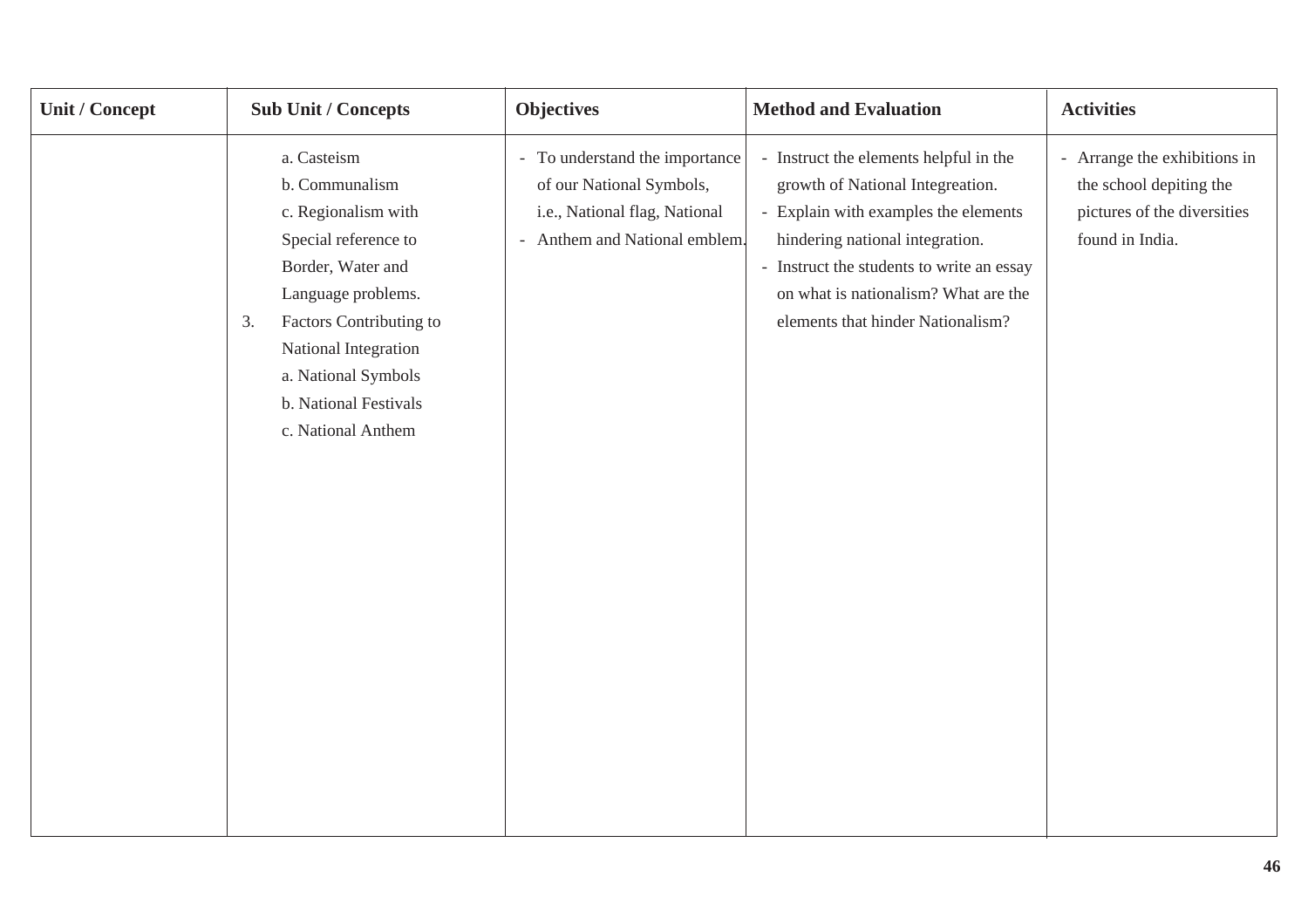| <b>Unit / Concept</b> | <b>Sub Unit / Concepts</b>                                                                                                                                                                                                                                    | <b>Objectives</b>                                                                                                                                      | <b>Method and Evaluation</b>                                                                                                                                                                                                                                                    | <b>Activities</b>                                                                                         |
|-----------------------|---------------------------------------------------------------------------------------------------------------------------------------------------------------------------------------------------------------------------------------------------------------|--------------------------------------------------------------------------------------------------------------------------------------------------------|---------------------------------------------------------------------------------------------------------------------------------------------------------------------------------------------------------------------------------------------------------------------------------|-----------------------------------------------------------------------------------------------------------|
|                       | a. Casteism<br>b. Communalism<br>c. Regionalism with<br>Special reference to<br>Border, Water and<br>Language problems.<br><b>Factors Contributing to</b><br>3.<br>National Integration<br>a. National Symbols<br>b. National Festivals<br>c. National Anthem | - To understand the importance<br>of our National Symbols,<br>i.e., National flag, National<br>Anthem and National emblem.<br>$\overline{\phantom{a}}$ | - Instruct the elements helpful in the<br>growth of National Integreation.<br>- Explain with examples the elements<br>hindering national integration.<br>- Instruct the students to write an essay<br>on what is nationalism? What are the<br>elements that hinder Nationalism? | - Arrange the exhibitions in<br>the school depiting the<br>pictures of the diversities<br>found in India. |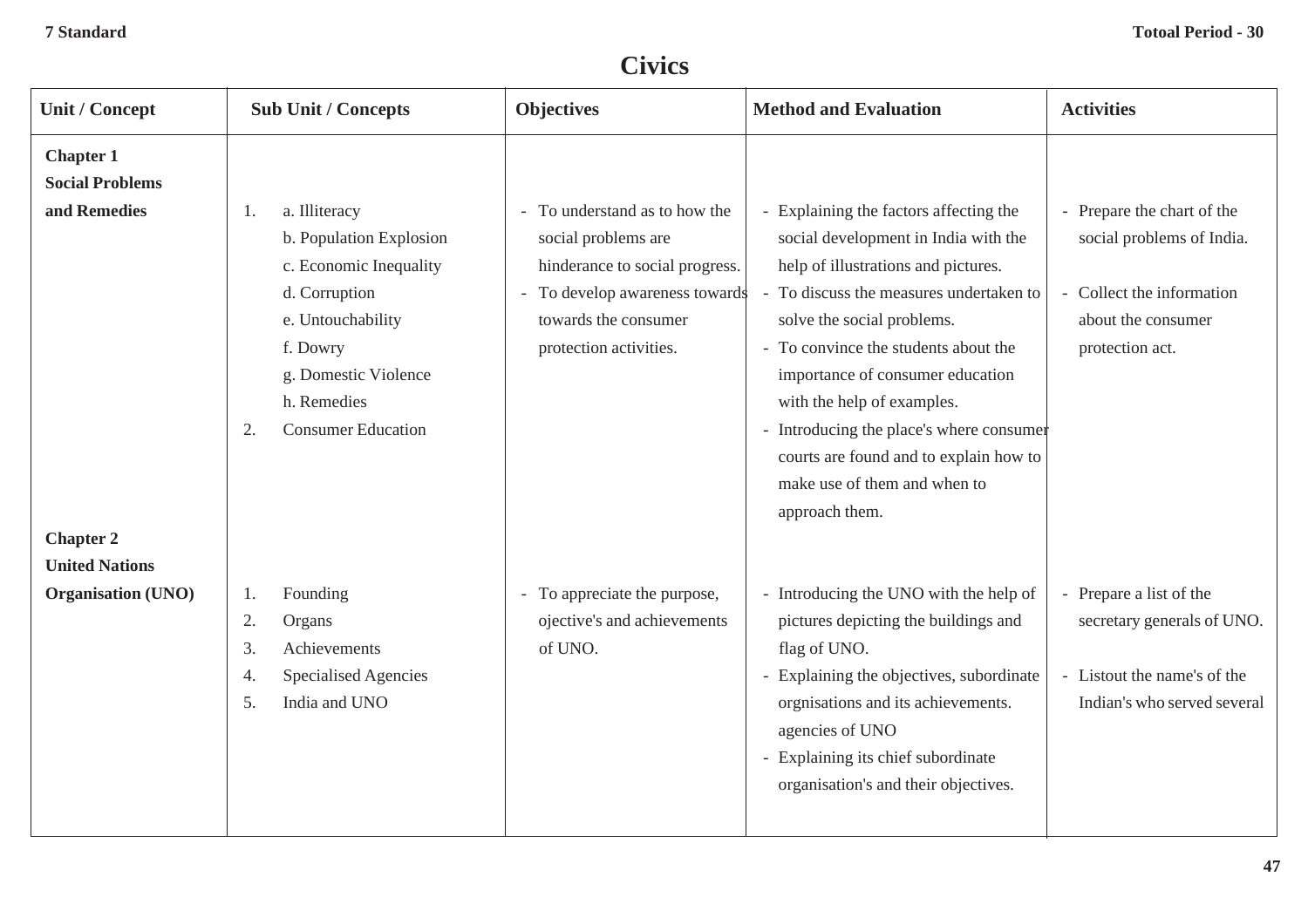## **Civics**

| <b>Unit / Concept</b>                      | <b>Sub Unit / Concepts</b>                                                                                                                                                                           | <b>Objectives</b>                                                                                                                                                      | <b>Method and Evaluation</b>                                                                                                                                                                                                                                                                                                                                                                                                                     | <b>Activities</b>                                                                                                             |
|--------------------------------------------|------------------------------------------------------------------------------------------------------------------------------------------------------------------------------------------------------|------------------------------------------------------------------------------------------------------------------------------------------------------------------------|--------------------------------------------------------------------------------------------------------------------------------------------------------------------------------------------------------------------------------------------------------------------------------------------------------------------------------------------------------------------------------------------------------------------------------------------------|-------------------------------------------------------------------------------------------------------------------------------|
| <b>Chapter 1</b><br><b>Social Problems</b> |                                                                                                                                                                                                      |                                                                                                                                                                        |                                                                                                                                                                                                                                                                                                                                                                                                                                                  |                                                                                                                               |
| and Remedies                               | a. Illiteracy<br>1.<br>b. Population Explosion<br>c. Economic Inequality<br>d. Corruption<br>e. Untouchability<br>f. Dowry<br>g. Domestic Violence<br>h. Remedies<br><b>Consumer Education</b><br>2. | To understand as to how the<br>social problems are<br>hinderance to social progress.<br>To develop awareness towards<br>towards the consumer<br>protection activities. | - Explaining the factors affecting the<br>social development in India with the<br>help of illustrations and pictures.<br>- To discuss the measures undertaken to<br>solve the social problems.<br>- To convince the students about the<br>importance of consumer education<br>with the help of examples.<br>- Introducing the place's where consumer<br>courts are found and to explain how to<br>make use of them and when to<br>approach them. | - Prepare the chart of the<br>social problems of India.<br>- Collect the information<br>about the consumer<br>protection act. |
| <b>Chapter 2</b><br><b>United Nations</b>  |                                                                                                                                                                                                      |                                                                                                                                                                        |                                                                                                                                                                                                                                                                                                                                                                                                                                                  |                                                                                                                               |
| <b>Organisation</b> (UNO)                  | Founding<br>1.<br>2.<br>Organs<br>Achievements<br>3.<br><b>Specialised Agencies</b><br>4.<br>India and UNO<br>5.                                                                                     | To appreciate the purpose,<br>ojective's and achievements<br>of UNO.                                                                                                   | - Introducing the UNO with the help of<br>pictures depicting the buildings and<br>flag of UNO.<br>- Explaining the objectives, subordinate<br>orgnisations and its achievements.<br>agencies of UNO<br>- Explaining its chief subordinate<br>organisation's and their objectives.                                                                                                                                                                | - Prepare a list of the<br>secretary generals of UNO.<br>- Listout the name's of the<br>Indian's who served several           |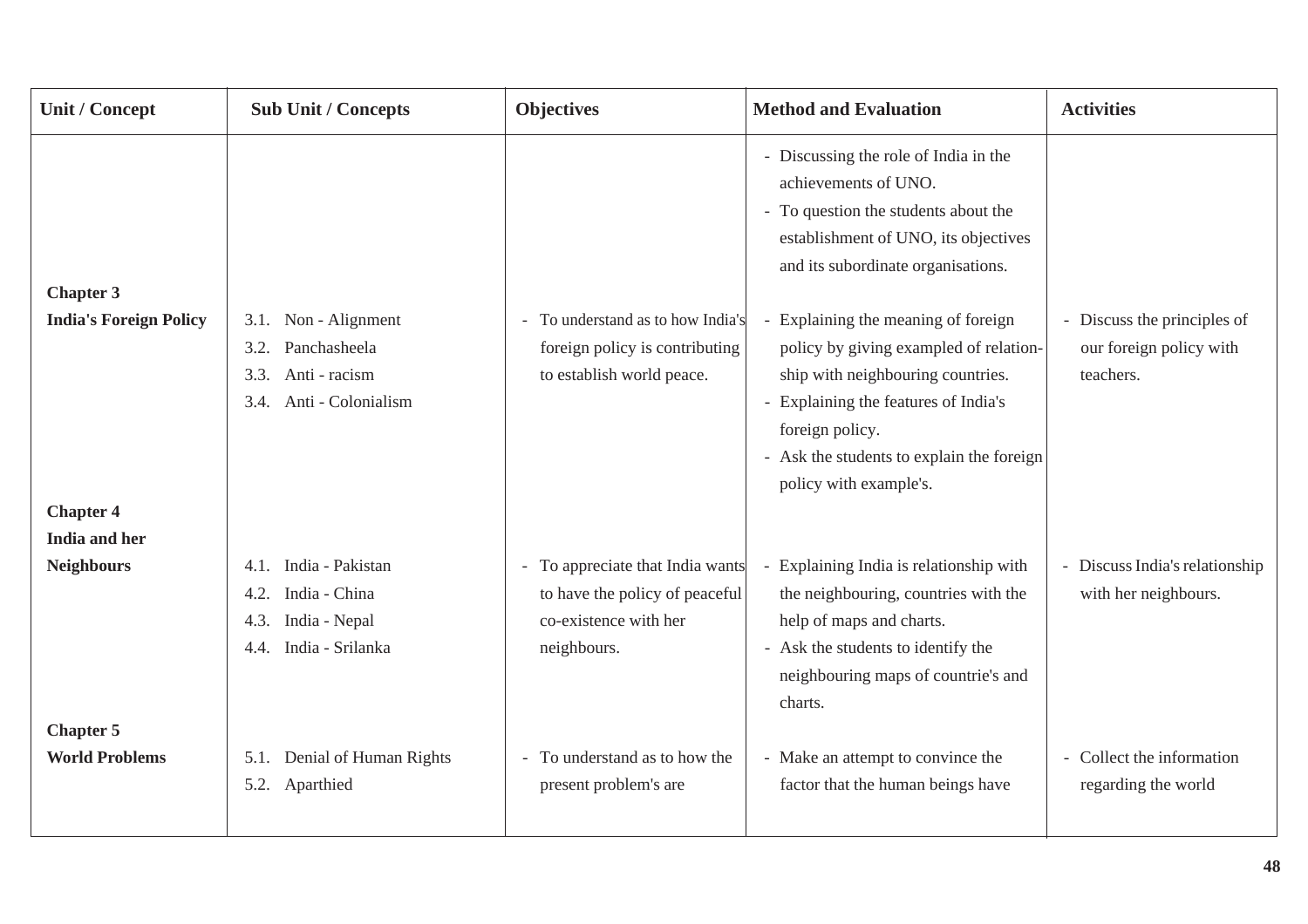| <b>Unit / Concept</b>         | <b>Sub Unit / Concepts</b>                                                                             | <b>Objectives</b>                                                                                          | <b>Method and Evaluation</b>                                                                                                                                                                                                                         | <b>Activities</b>                                                   |
|-------------------------------|--------------------------------------------------------------------------------------------------------|------------------------------------------------------------------------------------------------------------|------------------------------------------------------------------------------------------------------------------------------------------------------------------------------------------------------------------------------------------------------|---------------------------------------------------------------------|
|                               |                                                                                                        |                                                                                                            | - Discussing the role of India in the<br>achievements of UNO.<br>- To question the students about the<br>establishment of UNO, its objectives<br>and its subordinate organisations.                                                                  |                                                                     |
| <b>Chapter 3</b>              |                                                                                                        |                                                                                                            |                                                                                                                                                                                                                                                      |                                                                     |
| <b>India's Foreign Policy</b> | Non - Alignment<br>3.1.<br>Panchasheela<br>3.2.<br>Anti - racism<br>3.3.<br>Anti - Colonialism<br>3.4. | To understand as to how India's<br>foreign policy is contributing<br>to establish world peace.             | - Explaining the meaning of foreign<br>policy by giving exampled of relation-<br>ship with neighbouring countries.<br>- Explaining the features of India's<br>foreign policy.<br>- Ask the students to explain the foreign<br>policy with example's. | - Discuss the principles of<br>our foreign policy with<br>teachers. |
| <b>Chapter 4</b>              |                                                                                                        |                                                                                                            |                                                                                                                                                                                                                                                      |                                                                     |
| <b>India and her</b>          |                                                                                                        |                                                                                                            |                                                                                                                                                                                                                                                      |                                                                     |
| <b>Neighbours</b>             | India - Pakistan<br>4.1.<br>India - China<br>4.2.<br>India - Nepal<br>4.3.<br>India - Srilanka<br>4.4. | - To appreciate that India wants<br>to have the policy of peaceful<br>co-existence with her<br>neighbours. | Explaining India is relationship with<br>the neighbouring, countries with the<br>help of maps and charts.<br>- Ask the students to identify the<br>neighbouring maps of countrie's and<br>charts.                                                    | - Discuss India's relationship<br>with her neighbours.              |
| <b>Chapter 5</b>              |                                                                                                        |                                                                                                            |                                                                                                                                                                                                                                                      |                                                                     |
| <b>World Problems</b>         | Denial of Human Rights<br>5.1.<br>5.2. Aparthied                                                       | To understand as to how the<br>present problem's are                                                       | - Make an attempt to convince the<br>factor that the human beings have                                                                                                                                                                               | - Collect the information<br>regarding the world                    |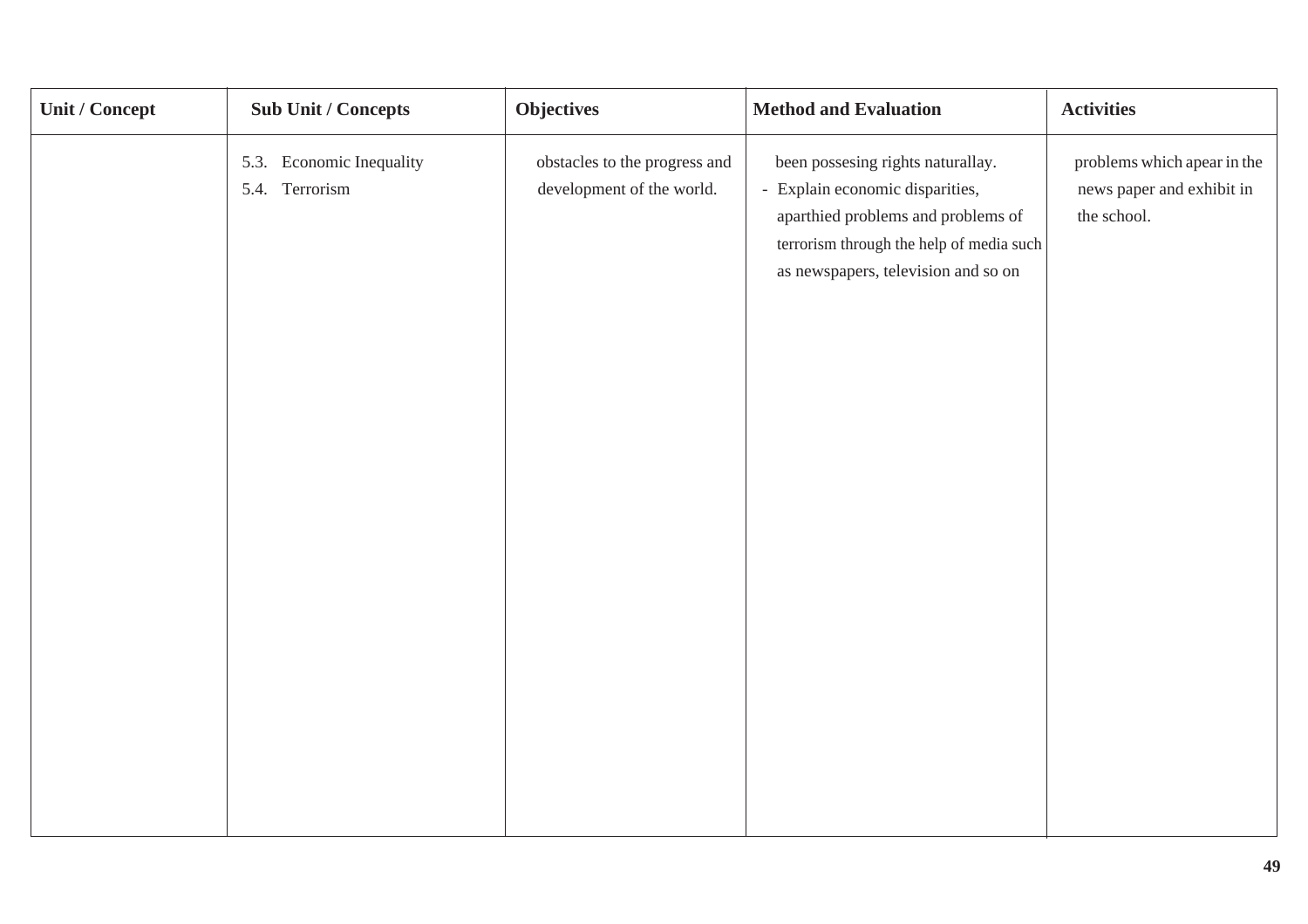| <b>Unit / Concept</b> | <b>Sub Unit / Concepts</b>                 | <b>Objectives</b>                                          | <b>Method and Evaluation</b>                                                                                                                                                                  | <b>Activities</b>                                                       |
|-----------------------|--------------------------------------------|------------------------------------------------------------|-----------------------------------------------------------------------------------------------------------------------------------------------------------------------------------------------|-------------------------------------------------------------------------|
|                       | 5.3. Economic Inequality<br>5.4. Terrorism | obstacles to the progress and<br>development of the world. | been possesing rights naturallay.<br>- Explain economic disparities,<br>aparthied problems and problems of<br>terrorism through the help of media such<br>as newspapers, television and so on | problems which apear in the<br>news paper and exhibit in<br>the school. |
|                       |                                            |                                                            |                                                                                                                                                                                               |                                                                         |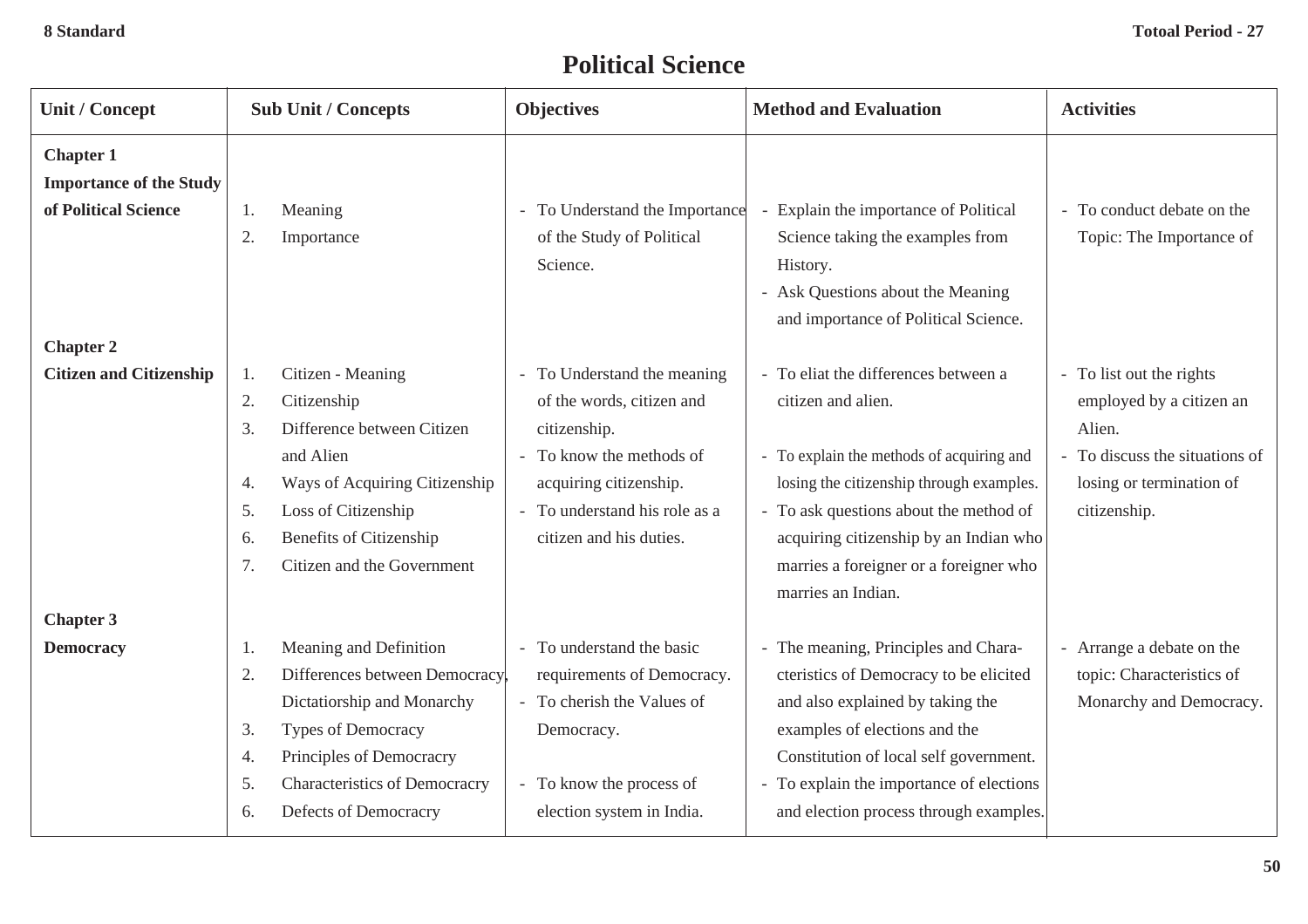## **Political Science**

| <b>Unit / Concept</b>                                                      |                                        | <b>Sub Unit / Concepts</b>                                                                                                                                                                          |                          | <b>Objectives</b>                                                                                                                                                                    | <b>Method and Evaluation</b>                                                                                                                                                                                                                                                                            |        | <b>Activities</b>                                                                                                                  |
|----------------------------------------------------------------------------|----------------------------------------|-----------------------------------------------------------------------------------------------------------------------------------------------------------------------------------------------------|--------------------------|--------------------------------------------------------------------------------------------------------------------------------------------------------------------------------------|---------------------------------------------------------------------------------------------------------------------------------------------------------------------------------------------------------------------------------------------------------------------------------------------------------|--------|------------------------------------------------------------------------------------------------------------------------------------|
| <b>Chapter 1</b><br><b>Importance of the Study</b><br>of Political Science | 1.<br>2.                               | Meaning<br>Importance                                                                                                                                                                               |                          | To Understand the Importance<br>of the Study of Political<br>Science.                                                                                                                | Explain the importance of Political<br>Science taking the examples from<br>History.<br>- Ask Questions about the Meaning<br>and importance of Political Science.                                                                                                                                        |        | - To conduct debate on the<br>Topic: The Importance of                                                                             |
| <b>Chapter 2</b>                                                           |                                        |                                                                                                                                                                                                     |                          |                                                                                                                                                                                      |                                                                                                                                                                                                                                                                                                         |        |                                                                                                                                    |
| <b>Citizen and Citizenship</b>                                             | 1.<br>2.<br>3.<br>4.<br>5.<br>6.<br>7. | Citizen - Meaning<br>Citizenship<br>Difference between Citizen<br>and Alien<br>Ways of Acquiring Citizenship<br>Loss of Citizenship<br><b>Benefits of Citizenship</b><br>Citizen and the Government | $\overline{\phantom{a}}$ | To Understand the meaning<br>of the words, citizen and<br>citizenship.<br>To know the methods of<br>acquiring citizenship.<br>To understand his role as a<br>citizen and his duties. | - To eliat the differences between a<br>citizen and alien.<br>- To explain the methods of acquiring and<br>losing the citizenship through examples.<br>- To ask questions about the method of<br>acquiring citizenship by an Indian who<br>marries a foreigner or a foreigner who<br>marries an Indian. | Alien. | - To list out the rights<br>employed by a citizen an<br>- To discuss the situations of<br>losing or termination of<br>citizenship. |
| <b>Chapter 3</b>                                                           |                                        |                                                                                                                                                                                                     |                          |                                                                                                                                                                                      |                                                                                                                                                                                                                                                                                                         |        |                                                                                                                                    |
| <b>Democracy</b>                                                           | 1.<br>2.<br>3.<br>4.<br>5.             | Meaning and Definition<br>Differences between Democracy,<br>Dictatiorship and Monarchy<br>Types of Democracy<br>Principles of Democracry<br><b>Characteristics of Democracry</b>                    |                          | To understand the basic<br>requirements of Democracy.<br>To cherish the Values of<br>Democracy.<br>- To know the process of                                                          | - The meaning, Principles and Chara-<br>cteristics of Democracy to be elicited<br>and also explained by taking the<br>examples of elections and the<br>Constitution of local self government.<br>- To explain the importance of elections                                                               |        | - Arrange a debate on the<br>topic: Characteristics of<br>Monarchy and Democracy.                                                  |
|                                                                            | 6.                                     | Defects of Democracry                                                                                                                                                                               |                          | election system in India.                                                                                                                                                            | and election process through examples.                                                                                                                                                                                                                                                                  |        |                                                                                                                                    |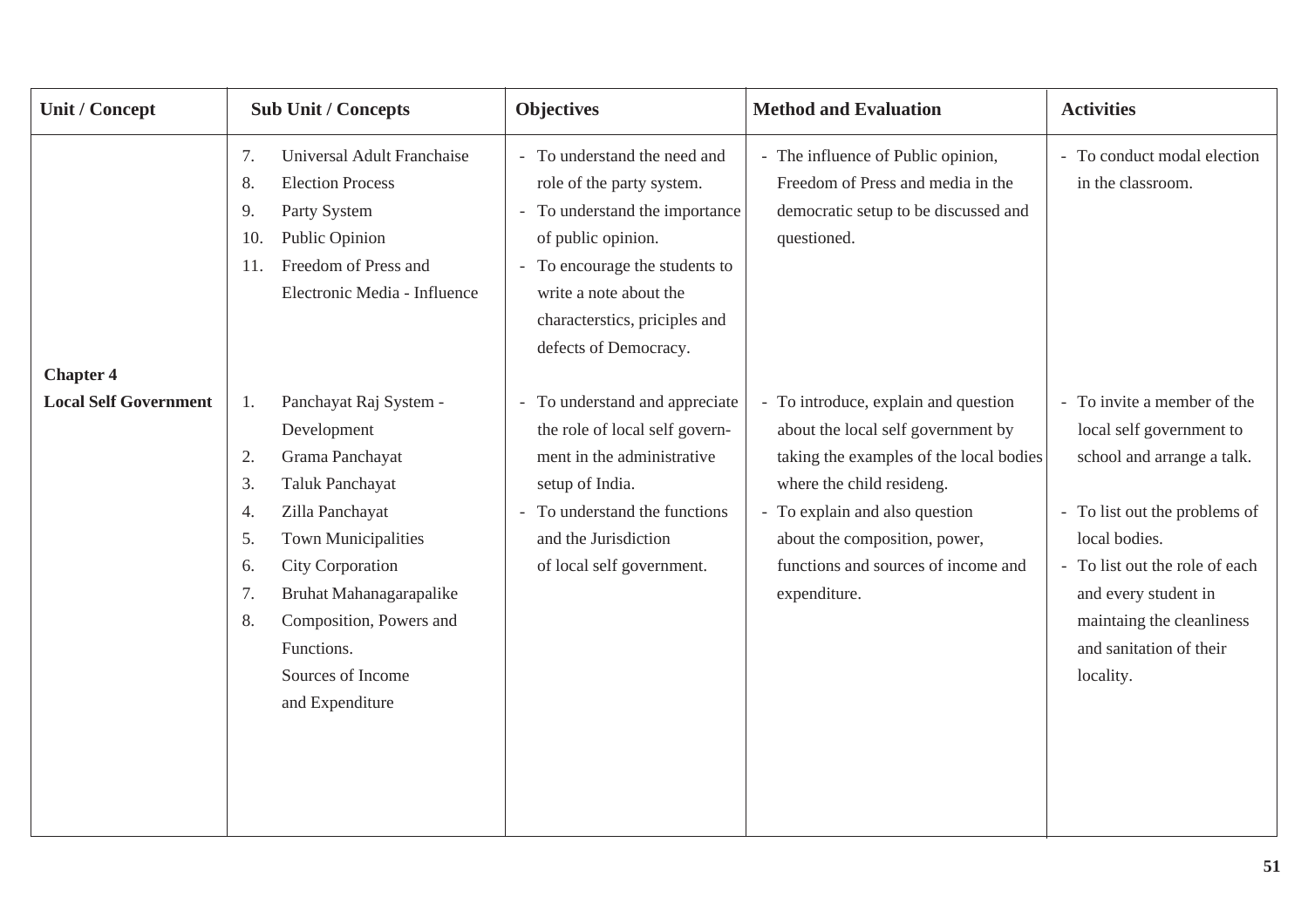| <b>Unit / Concept</b>        | <b>Sub Unit / Concepts</b>                                                                                                                                                                                                                                                                                          | <b>Objectives</b>                                                                                                                                                                                                                                           | <b>Method and Evaluation</b>                                                                                                                                                                                                                                                 | <b>Activities</b>                                                                                                                                                                                                                                                      |
|------------------------------|---------------------------------------------------------------------------------------------------------------------------------------------------------------------------------------------------------------------------------------------------------------------------------------------------------------------|-------------------------------------------------------------------------------------------------------------------------------------------------------------------------------------------------------------------------------------------------------------|------------------------------------------------------------------------------------------------------------------------------------------------------------------------------------------------------------------------------------------------------------------------------|------------------------------------------------------------------------------------------------------------------------------------------------------------------------------------------------------------------------------------------------------------------------|
| <b>Chapter 4</b>             | Universal Adult Franchaise<br>7.<br><b>Election Process</b><br>8.<br>Party System<br>9.<br>Public Opinion<br>10.<br>Freedom of Press and<br>11.<br>Electronic Media - Influence                                                                                                                                     | - To understand the need and<br>role of the party system.<br>To understand the importance<br>of public opinion.<br>- To encourage the students to<br>write a note about the<br>characterstics, priciples and<br>defects of Democracy.                       | - The influence of Public opinion,<br>Freedom of Press and media in the<br>democratic setup to be discussed and<br>questioned.                                                                                                                                               | - To conduct modal election<br>in the classroom.                                                                                                                                                                                                                       |
| <b>Local Self Government</b> | Panchayat Raj System -<br>1.<br>Development<br>Grama Panchayat<br>2.<br>Taluk Panchayat<br>3.<br>Zilla Panchayat<br>4.<br><b>Town Municipalities</b><br>5.<br><b>City Corporation</b><br>6.<br>Bruhat Mahanagarapalike<br>7.<br>Composition, Powers and<br>8.<br>Functions.<br>Sources of Income<br>and Expenditure | To understand and appreciate<br>$\overline{\phantom{a}}$<br>the role of local self govern-<br>ment in the administrative<br>setup of India.<br>To understand the functions<br>$\overline{\phantom{a}}$<br>and the Jurisdiction<br>of local self government. | - To introduce, explain and question<br>about the local self government by<br>taking the examples of the local bodies<br>where the child resideng.<br>- To explain and also question<br>about the composition, power,<br>functions and sources of income and<br>expenditure. | - To invite a member of the<br>local self government to<br>school and arrange a talk.<br>- To list out the problems of<br>local bodies.<br>- To list out the role of each<br>and every student in<br>maintaing the cleanliness<br>and sanitation of their<br>locality. |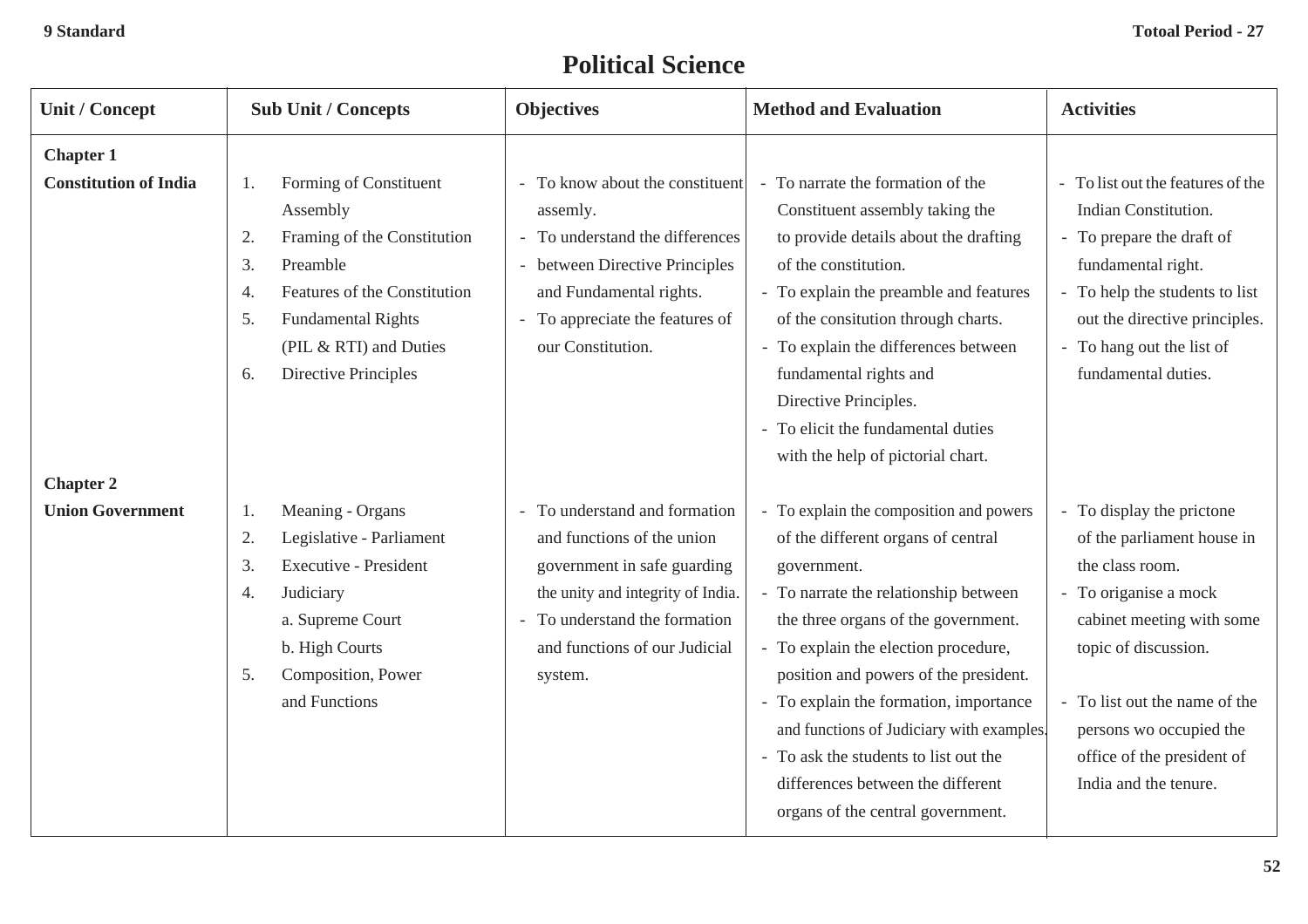## **Political Science**

| <b>Unit / Concept</b>                            | <b>Sub Unit / Concepts</b>                                                                                                                                                                           | <b>Objectives</b>                                                                                                                                                                                        | <b>Method and Evaluation</b>                                                                                                                                                                                                                                                                                                                                                                                                                                            | <b>Activities</b>                                                                                                                                                                                                                                                           |
|--------------------------------------------------|------------------------------------------------------------------------------------------------------------------------------------------------------------------------------------------------------|----------------------------------------------------------------------------------------------------------------------------------------------------------------------------------------------------------|-------------------------------------------------------------------------------------------------------------------------------------------------------------------------------------------------------------------------------------------------------------------------------------------------------------------------------------------------------------------------------------------------------------------------------------------------------------------------|-----------------------------------------------------------------------------------------------------------------------------------------------------------------------------------------------------------------------------------------------------------------------------|
| <b>Chapter 1</b><br><b>Constitution of India</b> | Forming of Constituent<br>1.<br>Assembly<br>2.<br>Framing of the Constitution                                                                                                                        | - To know about the constituent<br>assemly.<br>To understand the differences                                                                                                                             | - To narrate the formation of the<br>Constituent assembly taking the<br>to provide details about the drafting                                                                                                                                                                                                                                                                                                                                                           | - To list out the features of the<br>Indian Constitution.<br>- To prepare the draft of                                                                                                                                                                                      |
|                                                  | Preamble<br>3.<br>Features of the Constitution<br>4.<br><b>Fundamental Rights</b><br>5.<br>(PIL & RTI) and Duties<br><b>Directive Principles</b><br>6.                                               | between Directive Principles<br>and Fundamental rights.<br>- To appreciate the features of<br>our Constitution.                                                                                          | of the constitution.<br>- To explain the preamble and features<br>of the consitution through charts.<br>- To explain the differences between<br>fundamental rights and<br>Directive Principles.<br>- To elicit the fundamental duties<br>with the help of pictorial chart.                                                                                                                                                                                              | fundamental right.<br>- To help the students to list<br>out the directive principles.<br>- To hang out the list of<br>fundamental duties.                                                                                                                                   |
| <b>Chapter 2</b><br><b>Union Government</b>      | Meaning - Organs<br>1.<br>2.<br>Legislative - Parliament<br><b>Executive - President</b><br>3.<br>Judiciary<br>4.<br>a. Supreme Court<br>b. High Courts<br>Composition, Power<br>5.<br>and Functions | To understand and formation<br>and functions of the union<br>government in safe guarding<br>the unity and integrity of India.<br>To understand the formation<br>and functions of our Judicial<br>system. | - To explain the composition and powers<br>of the different organs of central<br>government.<br>- To narrate the relationship between<br>the three organs of the government.<br>- To explain the election procedure,<br>position and powers of the president.<br>- To explain the formation, importance<br>and functions of Judiciary with examples.<br>- To ask the students to list out the<br>differences between the different<br>organs of the central government. | - To display the prictone<br>of the parliament house in<br>the class room.<br>- To origanise a mock<br>cabinet meeting with some<br>topic of discussion.<br>- To list out the name of the<br>persons wo occupied the<br>office of the president of<br>India and the tenure. |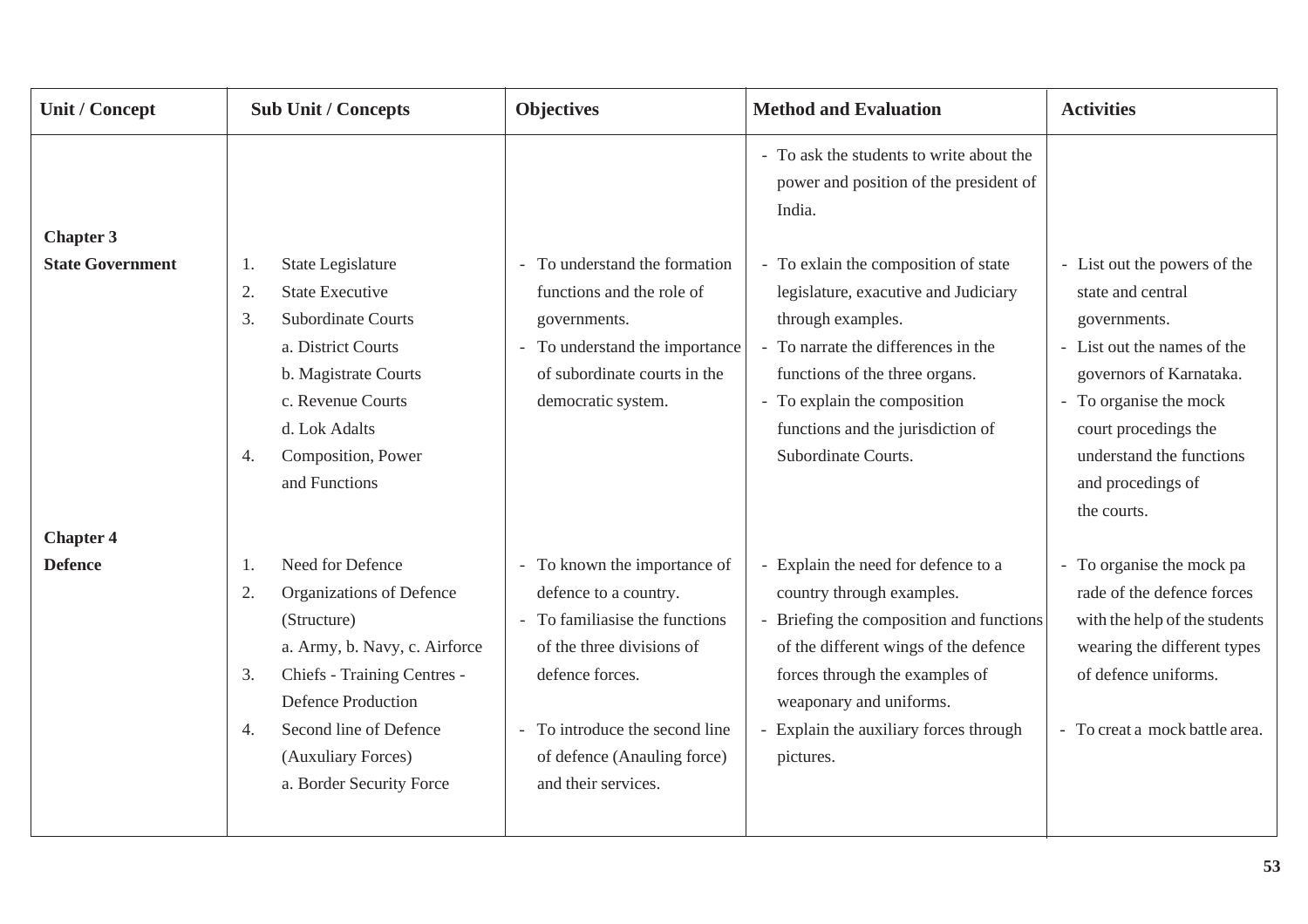| <b>Unit / Concept</b>   |                      | <b>Sub Unit / Concepts</b>                                                                                                                                                                                                           | <b>Objectives</b>                                                                                                                                                                                                         | <b>Method and Evaluation</b>                                                                                                                                                                                                                                              | <b>Activities</b>                                                                                                                                                                                             |
|-------------------------|----------------------|--------------------------------------------------------------------------------------------------------------------------------------------------------------------------------------------------------------------------------------|---------------------------------------------------------------------------------------------------------------------------------------------------------------------------------------------------------------------------|---------------------------------------------------------------------------------------------------------------------------------------------------------------------------------------------------------------------------------------------------------------------------|---------------------------------------------------------------------------------------------------------------------------------------------------------------------------------------------------------------|
| <b>Chapter 3</b>        |                      |                                                                                                                                                                                                                                      |                                                                                                                                                                                                                           | - To ask the students to write about the<br>power and position of the president of<br>India.                                                                                                                                                                              |                                                                                                                                                                                                               |
| <b>State Government</b> | -1.                  | State Legislature                                                                                                                                                                                                                    | To understand the formation                                                                                                                                                                                               | - To exlain the composition of state                                                                                                                                                                                                                                      | - List out the powers of the                                                                                                                                                                                  |
|                         | 2.<br>3.<br>4.       | <b>State Executive</b><br><b>Subordinate Courts</b><br>a. District Courts<br>b. Magistrate Courts<br>c. Revenue Courts<br>d. Lok Adalts<br>Composition, Power<br>and Functions                                                       | functions and the role of<br>governments.<br>- To understand the importance<br>of subordinate courts in the<br>democratic system.                                                                                         | legislature, exacutive and Judiciary<br>through examples.<br>- To narrate the differences in the<br>functions of the three organs.<br>- To explain the composition<br>functions and the jurisdiction of<br>Subordinate Courts.                                            | state and central<br>governments.<br>- List out the names of the<br>governors of Karnataka.<br>- To organise the mock<br>court procedings the<br>understand the functions<br>and procedings of<br>the courts. |
| <b>Chapter 4</b>        |                      |                                                                                                                                                                                                                                      |                                                                                                                                                                                                                           |                                                                                                                                                                                                                                                                           |                                                                                                                                                                                                               |
| <b>Defence</b>          | 1.<br>2.<br>3.<br>4. | Need for Defence<br>Organizations of Defence<br>(Structure)<br>a. Army, b. Navy, c. Airforce<br>Chiefs - Training Centres -<br><b>Defence Production</b><br>Second line of Defence<br>(Auxuliary Forces)<br>a. Border Security Force | To known the importance of<br>defence to a country.<br>To familiasise the functions<br>of the three divisions of<br>defence forces.<br>To introduce the second line<br>of defence (Anauling force)<br>and their services. | - Explain the need for defence to a<br>country through examples.<br>- Briefing the composition and functions<br>of the different wings of the defence<br>forces through the examples of<br>weaponary and uniforms.<br>- Explain the auxiliary forces through<br>pictures. | - To organise the mock pa<br>rade of the defence forces<br>with the help of the students<br>wearing the different types<br>of defence uniforms.<br>- To creat a mock battle area.                             |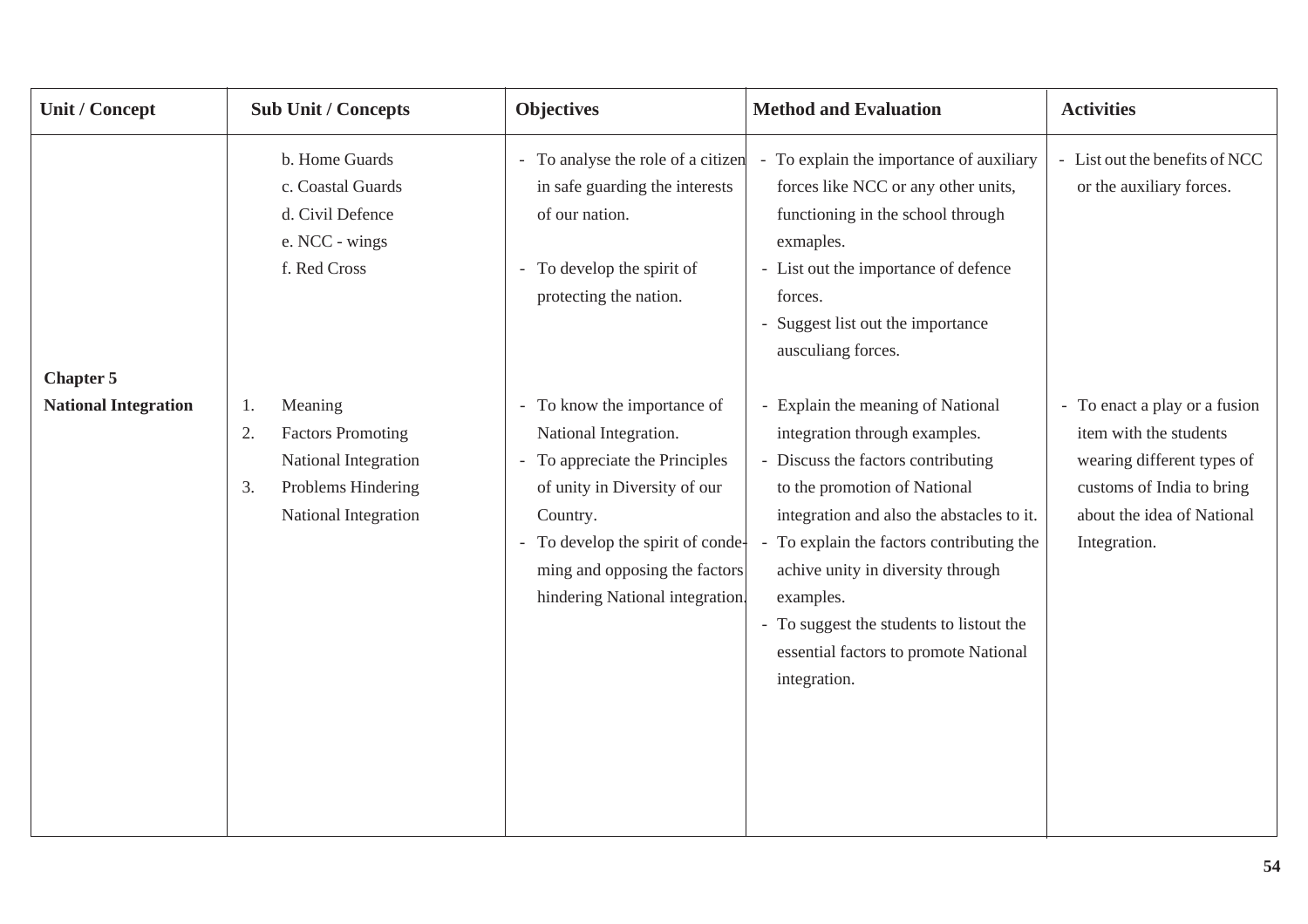| <b>Unit / Concept</b>       | <b>Sub Unit / Concepts</b>                                                                                                  | <b>Objectives</b>                                                                                                                                                                                                                                                     | <b>Method and Evaluation</b>                                                                                                                                                                                                                                                                                                                                                          | <b>Activities</b>                                                                                                                                                |
|-----------------------------|-----------------------------------------------------------------------------------------------------------------------------|-----------------------------------------------------------------------------------------------------------------------------------------------------------------------------------------------------------------------------------------------------------------------|---------------------------------------------------------------------------------------------------------------------------------------------------------------------------------------------------------------------------------------------------------------------------------------------------------------------------------------------------------------------------------------|------------------------------------------------------------------------------------------------------------------------------------------------------------------|
|                             | b. Home Guards<br>c. Coastal Guards<br>d. Civil Defence<br>e. NCC - wings<br>f. Red Cross                                   | To analyse the role of a citizen<br>$ \,$<br>in safe guarding the interests<br>of our nation.<br>- To develop the spirit of<br>protecting the nation.                                                                                                                 | To explain the importance of auxiliary<br>forces like NCC or any other units,<br>functioning in the school through<br>exmaples.<br>- List out the importance of defence<br>forces.<br>Suggest list out the importance<br>ausculiang forces.                                                                                                                                           | List out the benefits of NCC<br>or the auxiliary forces.                                                                                                         |
| <b>Chapter 5</b>            |                                                                                                                             |                                                                                                                                                                                                                                                                       |                                                                                                                                                                                                                                                                                                                                                                                       |                                                                                                                                                                  |
| <b>National Integration</b> | Meaning<br>1.<br><b>Factors Promoting</b><br>2.<br>National Integration<br>Problems Hindering<br>3.<br>National Integration | To know the importance of<br>$\overline{\phantom{a}}$<br>National Integration.<br>- To appreciate the Principles<br>of unity in Diversity of our<br>Country.<br>- To develop the spirit of conde-<br>ming and opposing the factors<br>hindering National integration. | Explain the meaning of National<br>integration through examples.<br>- Discuss the factors contributing<br>to the promotion of National<br>integration and also the abstacles to it.<br>To explain the factors contributing the<br>achive unity in diversity through<br>examples.<br>- To suggest the students to listout the<br>essential factors to promote National<br>integration. | - To enact a play or a fusion<br>item with the students<br>wearing different types of<br>customs of India to bring<br>about the idea of National<br>Integration. |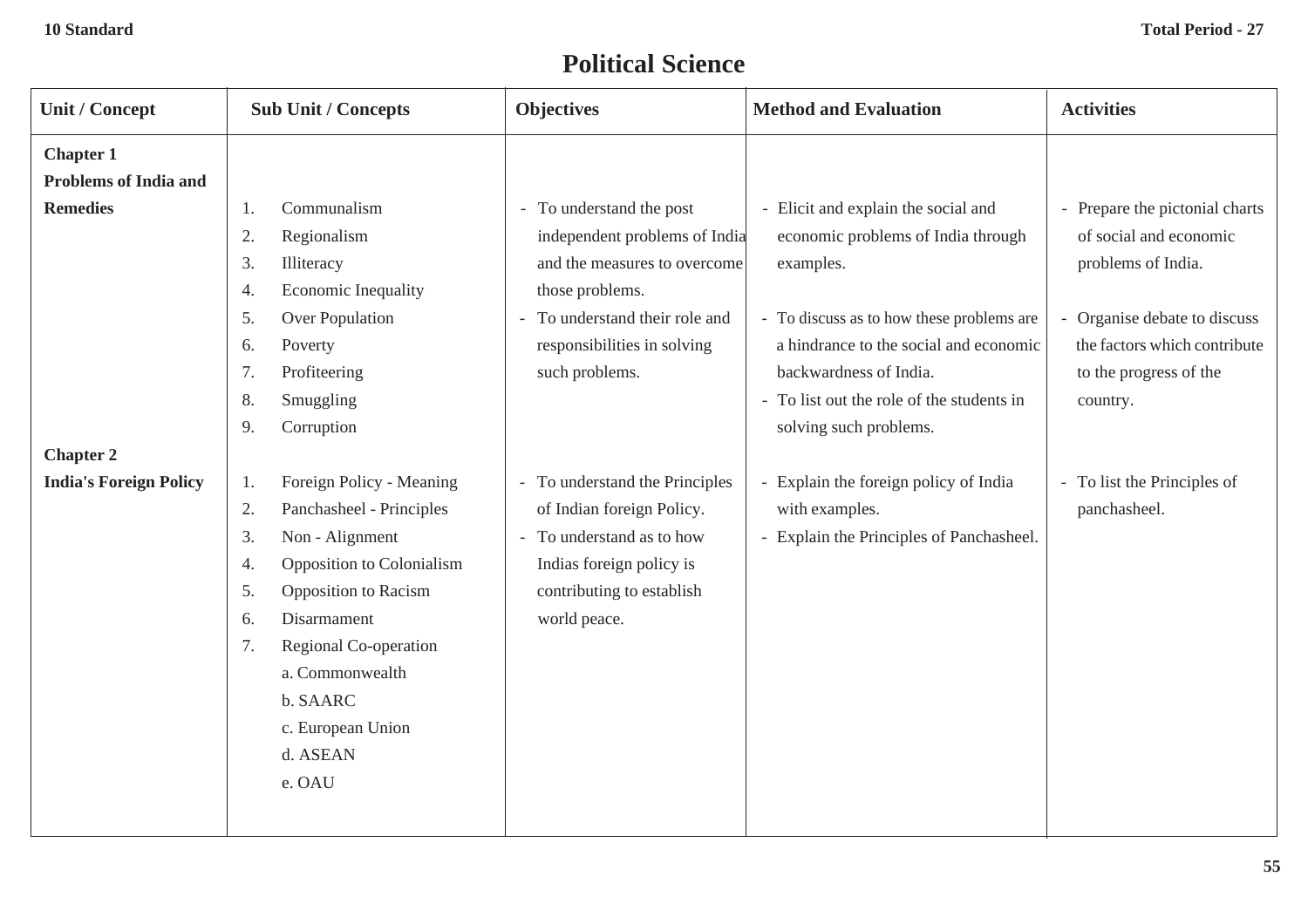## **Political Science**

| <b>Unit / Concept</b>                            | <b>Sub Unit / Concepts</b>                                                                                                                                                                                                                                                                      | <b>Objectives</b>                                                                                                                                                                             | <b>Method and Evaluation</b>                                                                                                                                                                                                                                                   | <b>Activities</b>                                                                                                                                                                  |
|--------------------------------------------------|-------------------------------------------------------------------------------------------------------------------------------------------------------------------------------------------------------------------------------------------------------------------------------------------------|-----------------------------------------------------------------------------------------------------------------------------------------------------------------------------------------------|--------------------------------------------------------------------------------------------------------------------------------------------------------------------------------------------------------------------------------------------------------------------------------|------------------------------------------------------------------------------------------------------------------------------------------------------------------------------------|
| <b>Chapter 1</b><br><b>Problems of India and</b> |                                                                                                                                                                                                                                                                                                 |                                                                                                                                                                                               |                                                                                                                                                                                                                                                                                |                                                                                                                                                                                    |
| <b>Remedies</b>                                  | Communalism<br>1.<br>Regionalism<br>2.<br>Illiteracy<br>3.<br>Economic Inequality<br>4.<br>Over Population<br>5.<br>Poverty<br>6.<br>7.<br>Profiteering<br>Smuggling<br>8.<br>9.<br>Corruption                                                                                                  | - To understand the post<br>independent problems of India<br>and the measures to overcome<br>those problems.<br>To understand their role and<br>responsibilities in solving<br>such problems. | - Elicit and explain the social and<br>economic problems of India through<br>examples.<br>- To discuss as to how these problems are<br>a hindrance to the social and economic<br>backwardness of India.<br>- To list out the role of the students in<br>solving such problems. | - Prepare the pictonial charts<br>of social and economic<br>problems of India.<br>Organise debate to discuss<br>the factors which contribute<br>to the progress of the<br>country. |
| <b>Chapter 2</b>                                 |                                                                                                                                                                                                                                                                                                 |                                                                                                                                                                                               |                                                                                                                                                                                                                                                                                |                                                                                                                                                                                    |
| <b>India's Foreign Policy</b>                    | Foreign Policy - Meaning<br>1.<br>Panchasheel - Principles<br>2.<br>Non - Alignment<br>3.<br>Opposition to Colonialism<br>4.<br><b>Opposition</b> to Racism<br>5.<br>Disarmament<br>6.<br>Regional Co-operation<br>7.<br>a. Commonwealth<br>b. SAARC<br>c. European Union<br>d. ASEAN<br>e. OAU | - To understand the Principles<br>of Indian foreign Policy.<br>- To understand as to how<br>Indias foreign policy is<br>contributing to establish<br>world peace.                             | - Explain the foreign policy of India<br>with examples.<br>- Explain the Principles of Panchasheel.                                                                                                                                                                            | - To list the Principles of<br>panchasheel.                                                                                                                                        |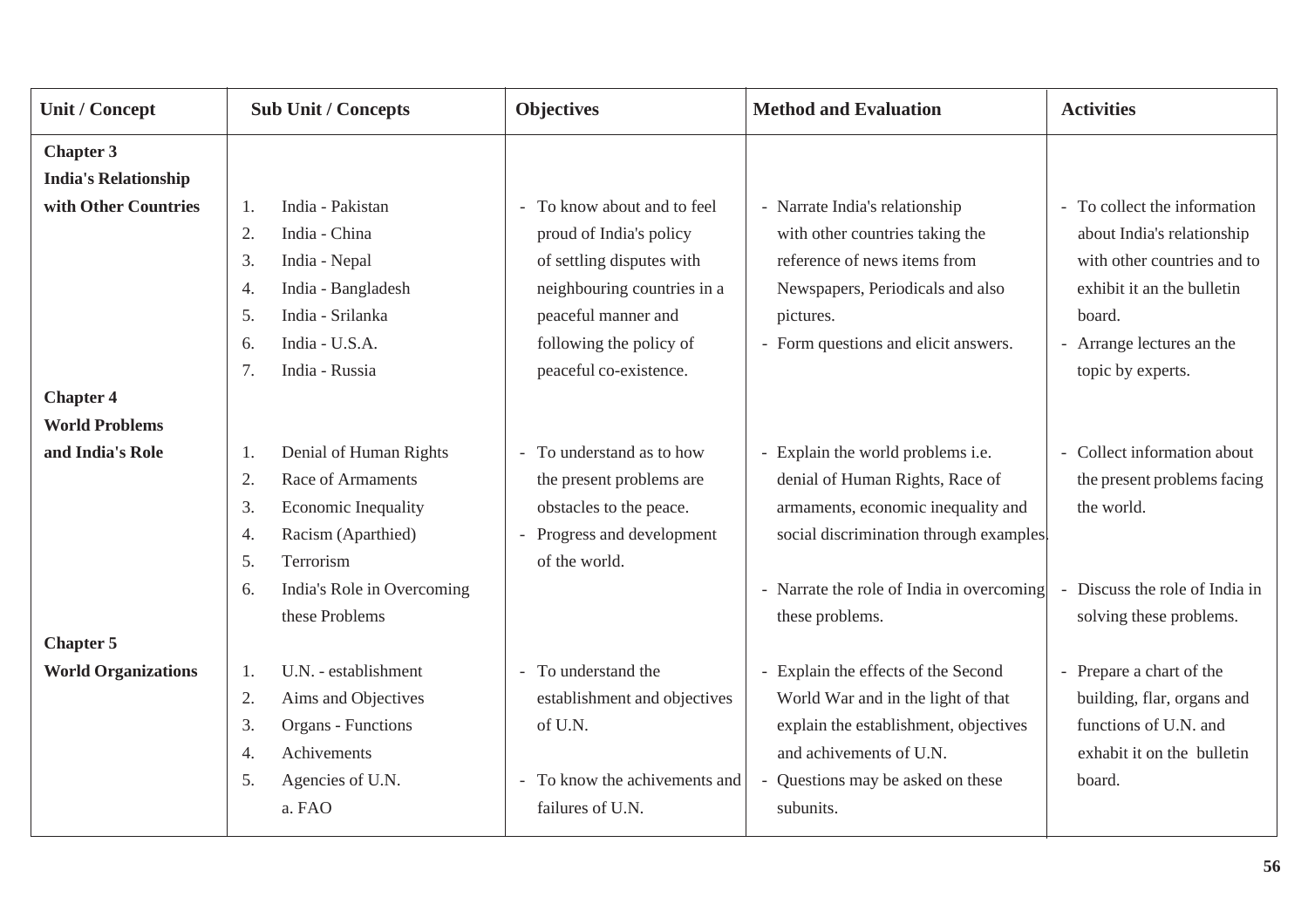| <b>Unit / Concept</b>       |    | <b>Sub Unit / Concepts</b> | <b>Objectives</b>            | <b>Method and Evaluation</b>              | <b>Activities</b>              |
|-----------------------------|----|----------------------------|------------------------------|-------------------------------------------|--------------------------------|
| <b>Chapter 3</b>            |    |                            |                              |                                           |                                |
| <b>India's Relationship</b> |    |                            |                              |                                           |                                |
| with Other Countries        | 1. | India - Pakistan           | To know about and to feel    | - Narrate India's relationship            | - To collect the information   |
|                             | 2. | India - China              | proud of India's policy      | with other countries taking the           | about India's relationship     |
|                             | 3. | India - Nepal              | of settling disputes with    | reference of news items from              | with other countries and to    |
|                             | 4. | India - Bangladesh         | neighbouring countries in a  | Newspapers, Periodicals and also          | exhibit it an the bulletin     |
|                             | 5. | India - Srilanka           | peaceful manner and          | pictures.                                 | board.                         |
|                             | 6. | India - U.S.A.             | following the policy of      | - Form questions and elicit answers.      | - Arrange lectures an the      |
|                             | 7. | India - Russia             | peaceful co-existence.       |                                           | topic by experts.              |
| <b>Chapter 4</b>            |    |                            |                              |                                           |                                |
| <b>World Problems</b>       |    |                            |                              |                                           |                                |
| and India's Role            | 1. | Denial of Human Rights     | To understand as to how      | - Explain the world problems i.e.         | - Collect information about    |
|                             | 2. | Race of Armaments          | the present problems are     | denial of Human Rights, Race of           | the present problems facing    |
|                             | 3. | Economic Inequality        | obstacles to the peace.      | armaments, economic inequality and        | the world.                     |
|                             | 4. | Racism (Aparthied)         | Progress and development     | social discrimination through examples.   |                                |
|                             | 5. | Terrorism                  | of the world.                |                                           |                                |
|                             | 6. | India's Role in Overcoming |                              | - Narrate the role of India in overcoming | - Discuss the role of India in |
|                             |    | these Problems             |                              | these problems.                           | solving these problems.        |
| <b>Chapter 5</b>            |    |                            |                              |                                           |                                |
| <b>World Organizations</b>  | 1. | U.N. - establishment       | To understand the<br>$\sim$  | - Explain the effects of the Second       | - Prepare a chart of the       |
|                             | 2. | Aims and Objectives        | establishment and objectives | World War and in the light of that        | building, flar, organs and     |
|                             | 3. | Organs - Functions         | of U.N.                      | explain the establishment, objectives     | functions of U.N. and          |
|                             | 4. | Achivements                |                              | and achivements of U.N.                   | exhabit it on the bulletin     |
|                             | 5. | Agencies of U.N.           | To know the achivements and  | Questions may be asked on these           | board.                         |
|                             |    | a. FAO                     | failures of U.N.             | subunits.                                 |                                |
|                             |    |                            |                              |                                           |                                |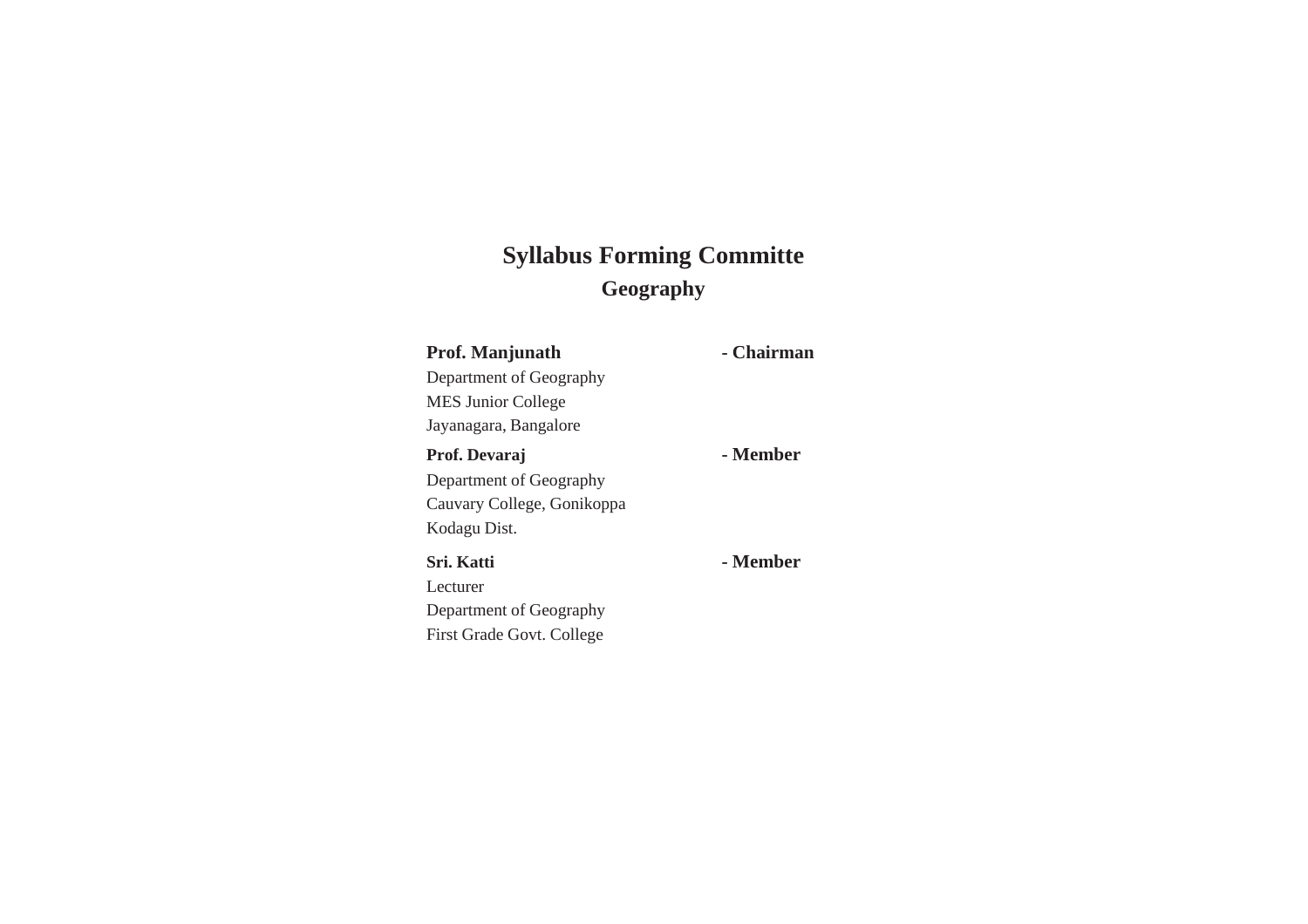## **Syllabus Forming Committe Geography**

| <b>Prof. Manjunath</b>     | - Chairman |
|----------------------------|------------|
| Department of Geography    |            |
| <b>MES Junior College</b>  |            |
| Jayanagara, Bangalore      |            |
| Prof. Devaraj              | - Member   |
| Department of Geography    |            |
| Cauvary College, Gonikoppa |            |
| Kodagu Dist.               |            |
| Sri. Katti                 | - Member   |
| Lecturer                   |            |
| Department of Geography    |            |
| First Grade Govt. College  |            |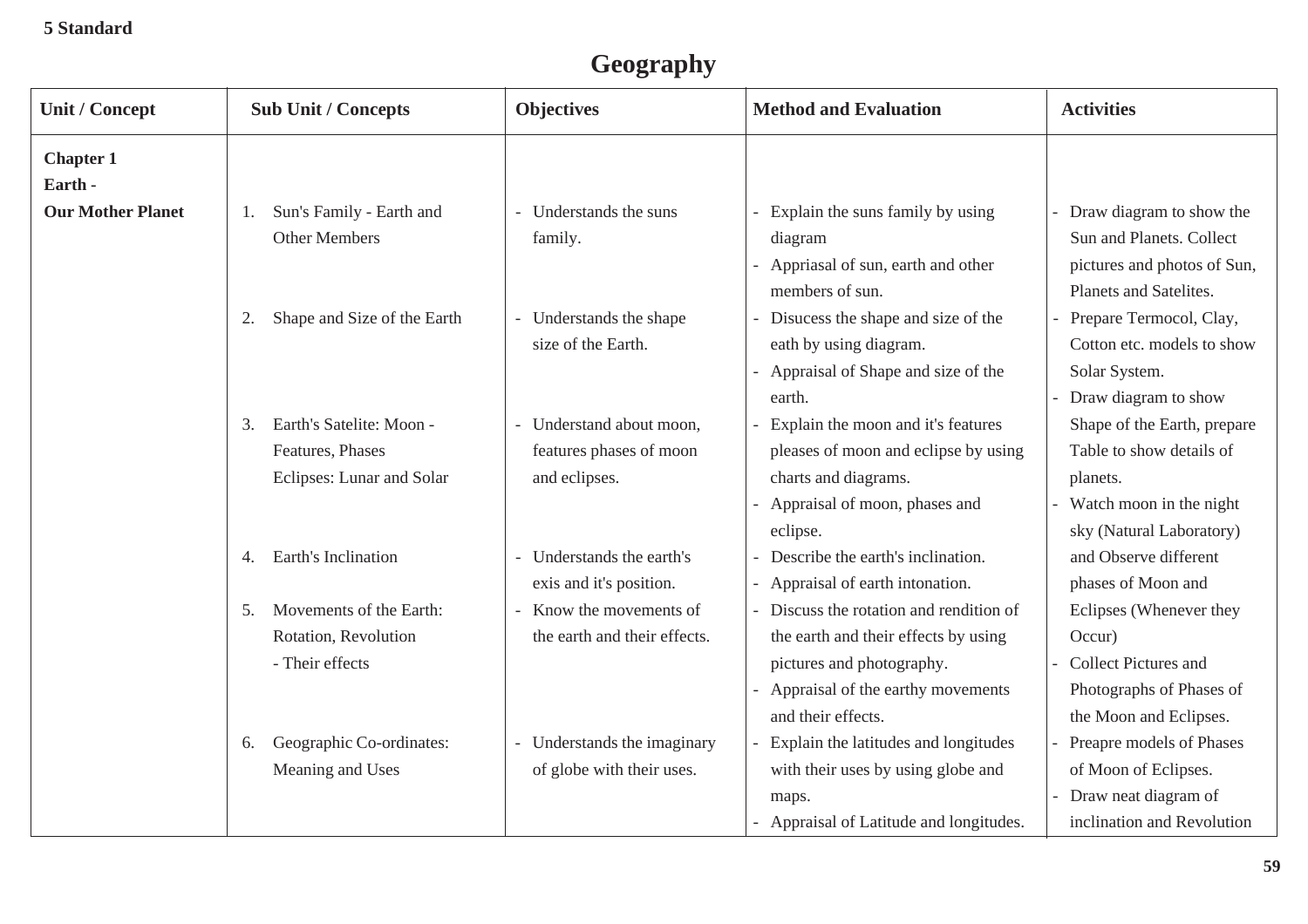#### **5 Standard**

# **Geography**

| <b>Unit / Concept</b>       | <b>Sub Unit / Concepts</b>                                                      |  | <b>Objectives</b>                                                                 | <b>Method and Evaluation</b>                                                                                                                                          | <b>Activities</b>                                                                                                          |
|-----------------------------|---------------------------------------------------------------------------------|--|-----------------------------------------------------------------------------------|-----------------------------------------------------------------------------------------------------------------------------------------------------------------------|----------------------------------------------------------------------------------------------------------------------------|
| <b>Chapter 1</b><br>Earth - |                                                                                 |  |                                                                                   |                                                                                                                                                                       |                                                                                                                            |
| <b>Our Mother Planet</b>    | Sun's Family - Earth and<br>1.<br><b>Other Members</b>                          |  | Understands the suns<br>family.                                                   | Explain the suns family by using<br>diagram<br>Appriasal of sun, earth and other<br>members of sun.                                                                   | Draw diagram to show the<br>Sun and Planets. Collect<br>pictures and photos of Sun,<br>Planets and Satelites.              |
|                             | Shape and Size of the Earth<br>2.                                               |  | - Understands the shape<br>size of the Earth.                                     | Disucess the shape and size of the<br>eath by using diagram.<br>Appraisal of Shape and size of the<br>earth.                                                          | Prepare Termocol, Clay,<br>Cotton etc. models to show<br>Solar System.<br>Draw diagram to show                             |
|                             | Earth's Satelite: Moon -<br>3.<br>Features, Phases<br>Eclipses: Lunar and Solar |  | Understand about moon,<br>features phases of moon<br>and eclipses.                | Explain the moon and it's features<br>pleases of moon and eclipse by using<br>charts and diagrams.<br>Appraisal of moon, phases and<br>eclipse.                       | Shape of the Earth, prepare<br>Table to show details of<br>planets.<br>Watch moon in the night<br>sky (Natural Laboratory) |
|                             | Earth's Inclination<br>4.                                                       |  | Understands the earth's<br>exis and it's position.                                | Describe the earth's inclination.<br>Appraisal of earth intonation.                                                                                                   | and Observe different<br>phases of Moon and                                                                                |
|                             | Movements of the Earth:<br>5.<br>Rotation, Revolution<br>- Their effects        |  | Know the movements of<br>$\overline{\phantom{a}}$<br>the earth and their effects. | Discuss the rotation and rendition of<br>the earth and their effects by using<br>pictures and photography.<br>Appraisal of the earthy movements<br>and their effects. | Eclipses (Whenever they<br>Occur)<br><b>Collect Pictures and</b><br>Photographs of Phases of<br>the Moon and Eclipses.     |
|                             | Geographic Co-ordinates:<br>6.<br>Meaning and Uses                              |  | Understands the imaginary<br>of globe with their uses.                            | Explain the latitudes and longitudes<br>with their uses by using globe and<br>maps.<br>Appraisal of Latitude and longitudes.                                          | Preapre models of Phases<br>of Moon of Eclipses.<br>- Draw neat diagram of<br>inclination and Revolution                   |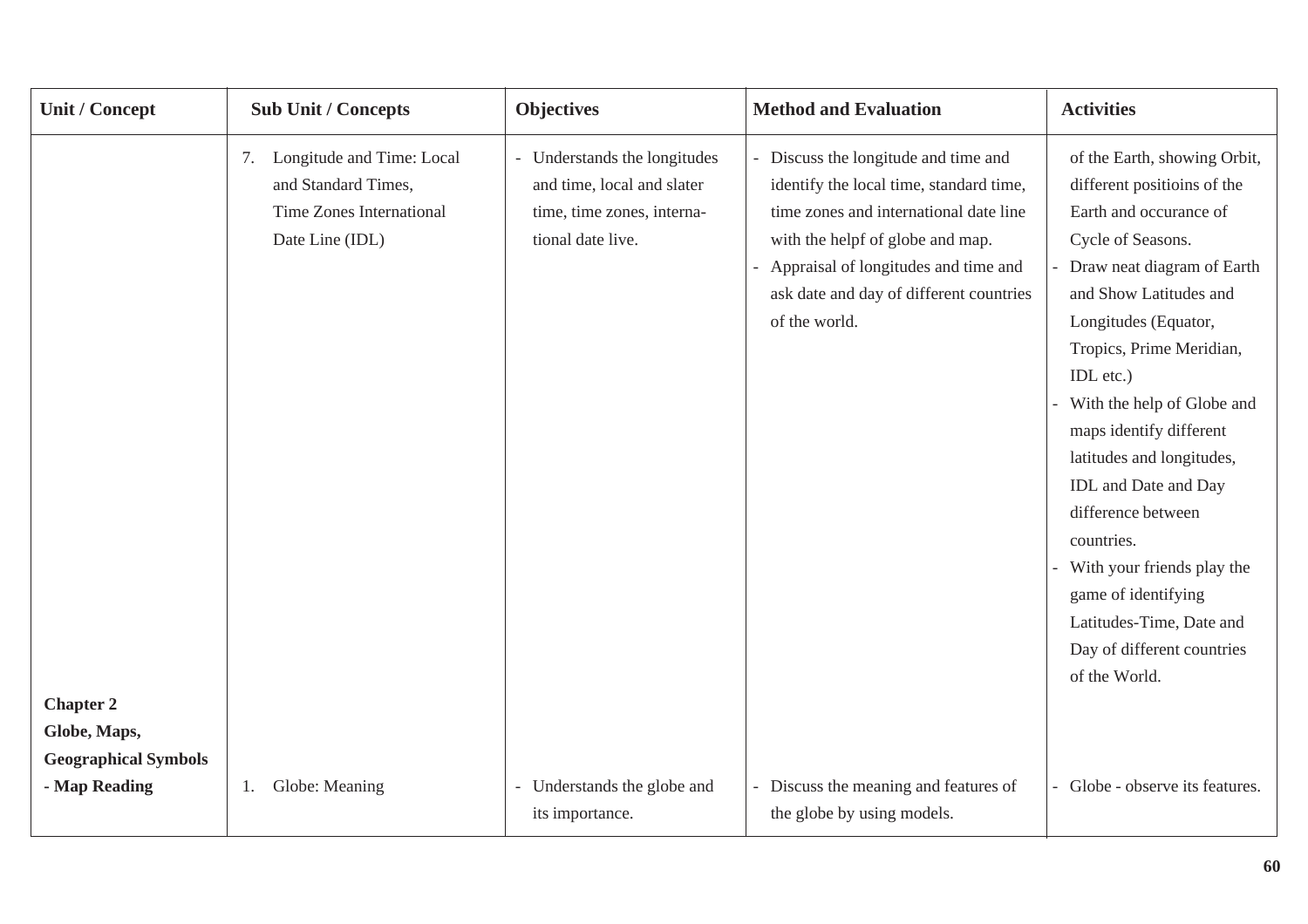| <b>Unit / Concept</b>                                           | <b>Sub Unit / Concepts</b>                                                                                   | <b>Objectives</b>                                                                                             | <b>Method and Evaluation</b>                                                                                                                                                                                                                                      | <b>Activities</b>                                                                                                                                                                                                                                                                                                                                                                                                                                                                                                                  |
|-----------------------------------------------------------------|--------------------------------------------------------------------------------------------------------------|---------------------------------------------------------------------------------------------------------------|-------------------------------------------------------------------------------------------------------------------------------------------------------------------------------------------------------------------------------------------------------------------|------------------------------------------------------------------------------------------------------------------------------------------------------------------------------------------------------------------------------------------------------------------------------------------------------------------------------------------------------------------------------------------------------------------------------------------------------------------------------------------------------------------------------------|
| <b>Chapter 2</b><br>Globe, Maps,<br><b>Geographical Symbols</b> | Longitude and Time: Local<br>7.<br>and Standard Times,<br><b>Time Zones International</b><br>Date Line (IDL) | - Understands the longitudes<br>and time, local and slater<br>time, time zones, interna-<br>tional date live. | - Discuss the longitude and time and<br>identify the local time, standard time,<br>time zones and international date line<br>with the helpf of globe and map.<br>Appraisal of longitudes and time and<br>ask date and day of different countries<br>of the world. | of the Earth, showing Orbit,<br>different positioins of the<br>Earth and occurance of<br>Cycle of Seasons.<br>- Draw neat diagram of Earth<br>and Show Latitudes and<br>Longitudes (Equator,<br>Tropics, Prime Meridian,<br>IDL etc.)<br>- With the help of Globe and<br>maps identify different<br>latitudes and longitudes,<br><b>IDL</b> and Date and Day<br>difference between<br>countries.<br>- With your friends play the<br>game of identifying<br>Latitudes-Time, Date and<br>Day of different countries<br>of the World. |
| - Map Reading                                                   | Globe: Meaning<br>1.                                                                                         | - Understands the globe and<br>its importance.                                                                | Discuss the meaning and features of<br>the globe by using models.                                                                                                                                                                                                 | - Globe - observe its features.                                                                                                                                                                                                                                                                                                                                                                                                                                                                                                    |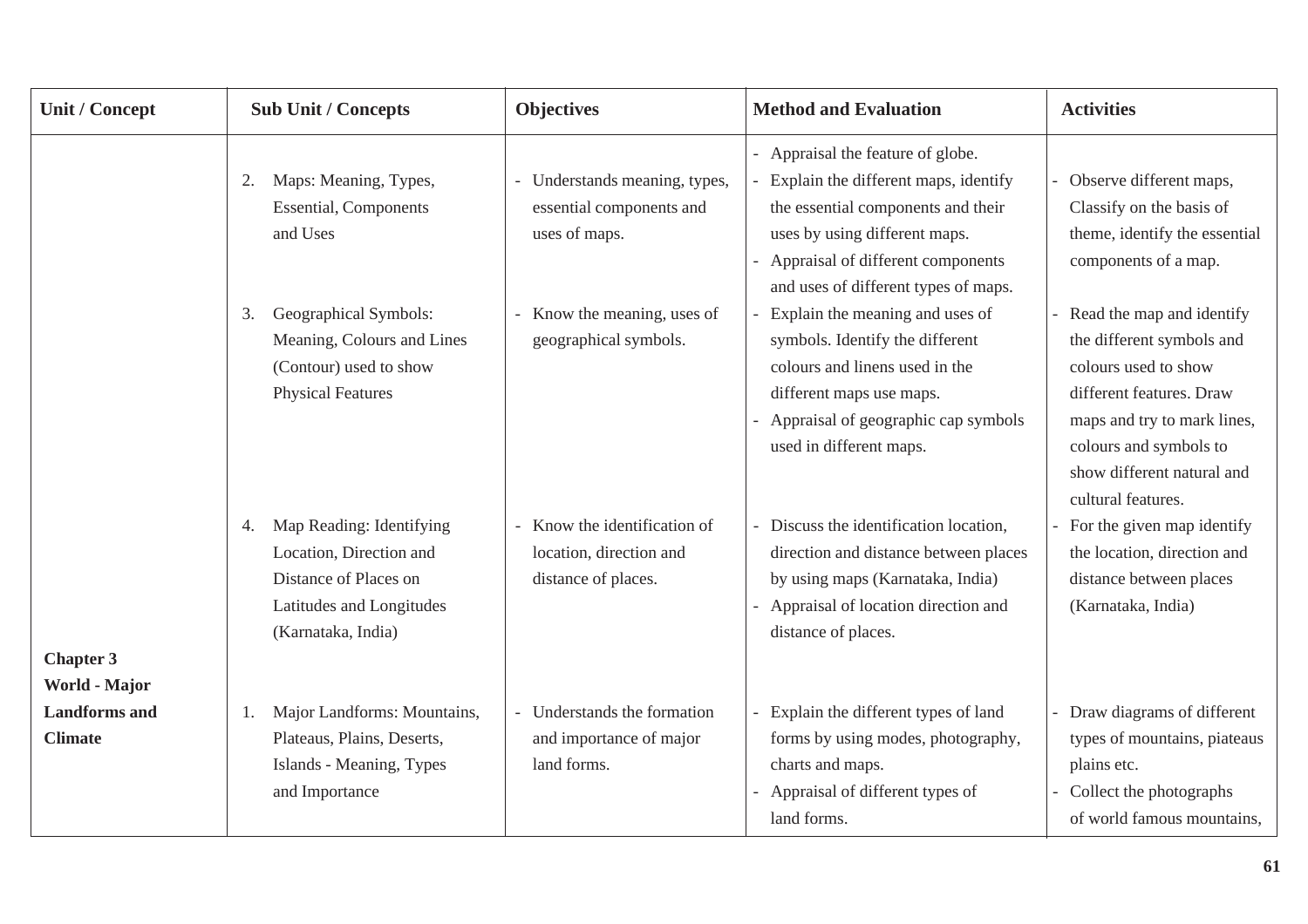| <b>Unit / Concept</b>                  | <b>Sub Unit / Concepts</b>                                                                                                           | <b>Objectives</b>                                                              | <b>Method and Evaluation</b>                                                                                                                                                                                                  | <b>Activities</b>                                                                                                                                                                                                       |
|----------------------------------------|--------------------------------------------------------------------------------------------------------------------------------------|--------------------------------------------------------------------------------|-------------------------------------------------------------------------------------------------------------------------------------------------------------------------------------------------------------------------------|-------------------------------------------------------------------------------------------------------------------------------------------------------------------------------------------------------------------------|
|                                        | Maps: Meaning, Types,<br>2.<br><b>Essential, Components</b><br>and Uses                                                              | - Understands meaning, types,<br>essential components and<br>uses of maps.     | - Appraisal the feature of globe.<br>Explain the different maps, identify<br>the essential components and their<br>uses by using different maps.<br>Appraisal of different components<br>and uses of different types of maps. | Observe different maps,<br>Classify on the basis of<br>theme, identify the essential<br>components of a map.                                                                                                            |
|                                        | Geographical Symbols:<br>3.<br>Meaning, Colours and Lines<br>(Contour) used to show<br><b>Physical Features</b>                      | - Know the meaning, uses of<br>geographical symbols.                           | Explain the meaning and uses of<br>symbols. Identify the different<br>colours and linens used in the<br>different maps use maps.<br>Appraisal of geographic cap symbols<br>used in different maps.                            | Read the map and identify<br>the different symbols and<br>colours used to show<br>different features. Draw<br>maps and try to mark lines,<br>colours and symbols to<br>show different natural and<br>cultural features. |
| <b>Chapter 3</b><br>World - Major      | Map Reading: Identifying<br>4.<br>Location, Direction and<br>Distance of Places on<br>Latitudes and Longitudes<br>(Karnataka, India) | - Know the identification of<br>location, direction and<br>distance of places. | Discuss the identification location,<br>direction and distance between places<br>by using maps (Karnataka, India)<br>Appraisal of location direction and<br>distance of places.                                               | For the given map identify<br>the location, direction and<br>distance between places<br>(Karnataka, India)                                                                                                              |
| <b>Landforms</b> and<br><b>Climate</b> | Major Landforms: Mountains,<br>1.<br>Plateaus, Plains, Deserts,<br>Islands - Meaning, Types<br>and Importance                        | - Understands the formation<br>and importance of major<br>land forms.          | Explain the different types of land<br>forms by using modes, photography,<br>charts and maps.<br>Appraisal of different types of<br>land forms.                                                                               | Draw diagrams of different<br>types of mountains, piateaus<br>plains etc.<br>Collect the photographs<br>of world famous mountains,                                                                                      |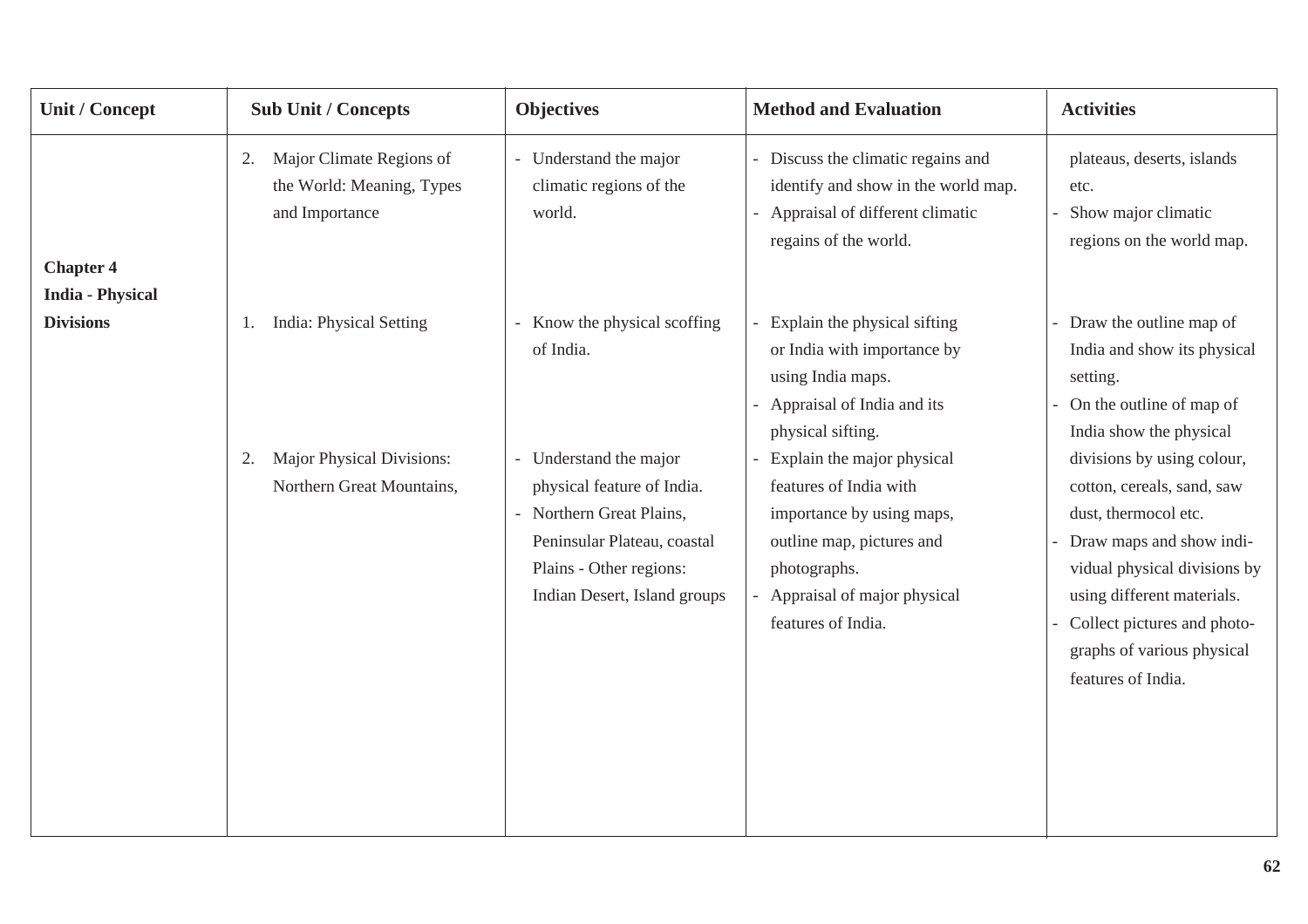| <b>Unit / Concept</b>                       | <b>Sub Unit / Concepts</b>                                                                    | <b>Objectives</b>                                                                                                                                                                                                       | <b>Method and Evaluation</b>                                                                                                                                                                                                                                                                                               | <b>Activities</b>                                                                                                                                                                                                                                                                                                                                                                            |
|---------------------------------------------|-----------------------------------------------------------------------------------------------|-------------------------------------------------------------------------------------------------------------------------------------------------------------------------------------------------------------------------|----------------------------------------------------------------------------------------------------------------------------------------------------------------------------------------------------------------------------------------------------------------------------------------------------------------------------|----------------------------------------------------------------------------------------------------------------------------------------------------------------------------------------------------------------------------------------------------------------------------------------------------------------------------------------------------------------------------------------------|
| <b>Chapter 4</b>                            | Major Climate Regions of<br>2.<br>the World: Meaning, Types<br>and Importance                 | - Understand the major<br>climatic regions of the<br>world.                                                                                                                                                             | - Discuss the climatic regains and<br>identify and show in the world map.<br>Appraisal of different climatic<br>regains of the world.                                                                                                                                                                                      | plateaus, deserts, islands<br>etc.<br>Show major climatic<br>regions on the world map.                                                                                                                                                                                                                                                                                                       |
| <b>India - Physical</b><br><b>Divisions</b> | India: Physical Setting<br>1.<br>Major Physical Divisions:<br>2.<br>Northern Great Mountains, | - Know the physical scoffing<br>of India.<br>- Understand the major<br>physical feature of India.<br>- Northern Great Plains,<br>Peninsular Plateau, coastal<br>Plains - Other regions:<br>Indian Desert, Island groups | Explain the physical sifting<br>or India with importance by<br>using India maps.<br>Appraisal of India and its<br>physical sifting.<br>Explain the major physical<br>features of India with<br>importance by using maps,<br>outline map, pictures and<br>photographs.<br>Appraisal of major physical<br>features of India. | - Draw the outline map of<br>India and show its physical<br>setting.<br>On the outline of map of<br>India show the physical<br>divisions by using colour,<br>cotton, cereals, sand, saw<br>dust, thermocol etc.<br>Draw maps and show indi-<br>vidual physical divisions by<br>using different materials.<br>Collect pictures and photo-<br>graphs of various physical<br>features of India. |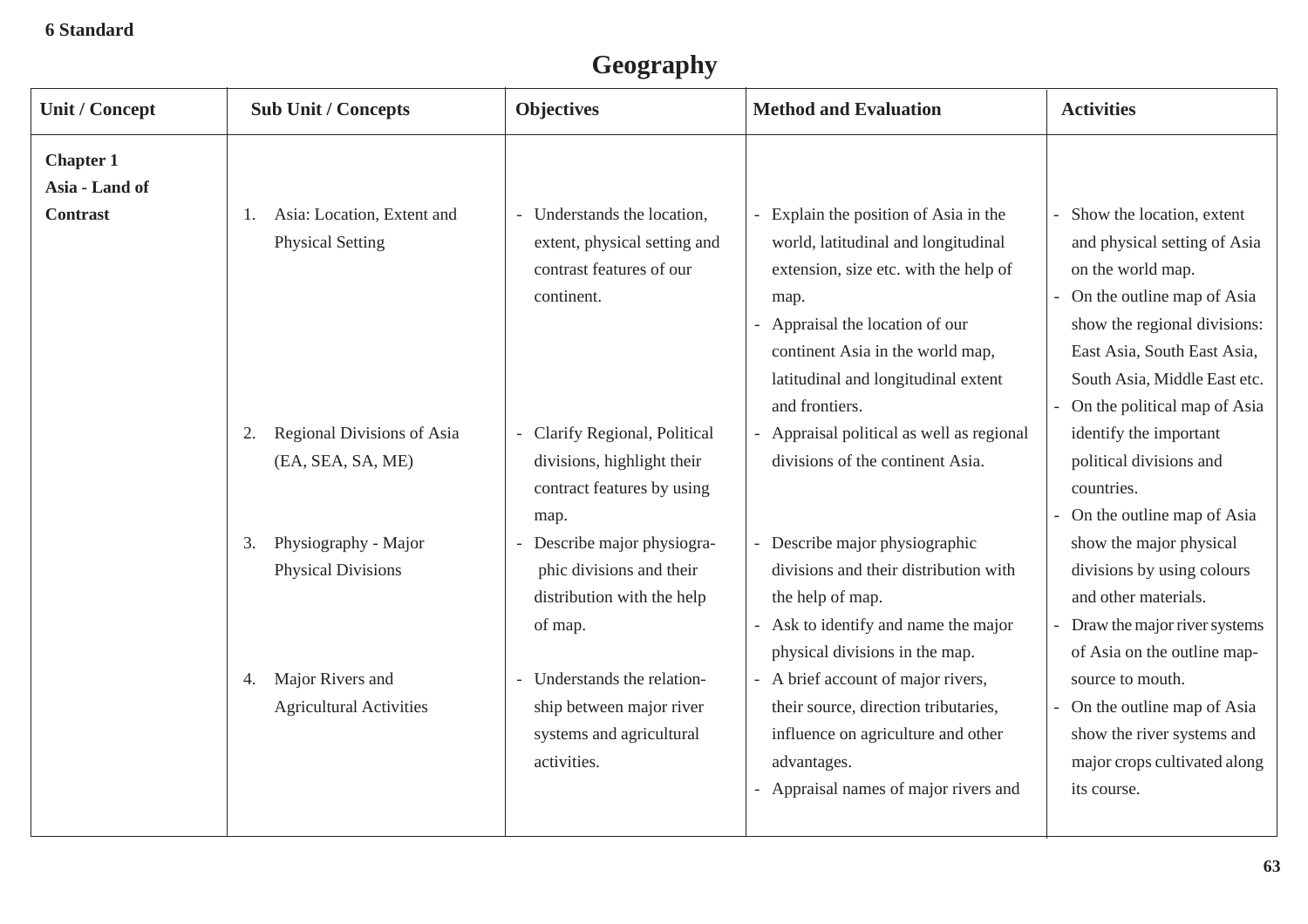#### **6 Standard**

# **Geography**

| <b>Unit / Concept</b>                                 | <b>Sub Unit / Concepts</b>                                                                                                                                                      | <b>Objectives</b>                                                                                                                                                                                                                                                                                                                     | <b>Method and Evaluation</b>                                                                                                                                                                                                                                                                                                                                                                                                              | <b>Activities</b>                                                                                                                                                                                                                                                                                                                                                                                                             |
|-------------------------------------------------------|---------------------------------------------------------------------------------------------------------------------------------------------------------------------------------|---------------------------------------------------------------------------------------------------------------------------------------------------------------------------------------------------------------------------------------------------------------------------------------------------------------------------------------|-------------------------------------------------------------------------------------------------------------------------------------------------------------------------------------------------------------------------------------------------------------------------------------------------------------------------------------------------------------------------------------------------------------------------------------------|-------------------------------------------------------------------------------------------------------------------------------------------------------------------------------------------------------------------------------------------------------------------------------------------------------------------------------------------------------------------------------------------------------------------------------|
| <b>Chapter 1</b><br>Asia - Land of<br><b>Contrast</b> | Asia: Location, Extent and<br>1.<br><b>Physical Setting</b><br>Regional Divisions of Asia<br>2.<br>(EA, SEA, SA, ME)<br>Physiography - Major<br>3.<br><b>Physical Divisions</b> | Understands the location,<br>$\sim$<br>extent, physical setting and<br>contrast features of our<br>continent.<br>Clarify Regional, Political<br>$\overline{\phantom{a}}$<br>divisions, highlight their<br>contract features by using<br>map.<br>- Describe major physiogra-<br>phic divisions and their<br>distribution with the help | Explain the position of Asia in the<br>world, latitudinal and longitudinal<br>extension, size etc. with the help of<br>map.<br>Appraisal the location of our<br>continent Asia in the world map,<br>latitudinal and longitudinal extent<br>and frontiers.<br>- Appraisal political as well as regional<br>divisions of the continent Asia.<br>- Describe major physiographic<br>divisions and their distribution with<br>the help of map. | Show the location, extent<br>and physical setting of Asia<br>on the world map.<br>On the outline map of Asia<br>show the regional divisions:<br>East Asia, South East Asia,<br>South Asia, Middle East etc.<br>On the political map of Asia<br>identify the important<br>political divisions and<br>countries.<br>On the outline map of Asia<br>show the major physical<br>divisions by using colours<br>and other materials. |
|                                                       | Major Rivers and<br>4.<br><b>Agricultural Activities</b>                                                                                                                        | of map.<br>Understands the relation-<br>ship between major river<br>systems and agricultural<br>activities.                                                                                                                                                                                                                           | - Ask to identify and name the major<br>physical divisions in the map.<br>- A brief account of major rivers,<br>their source, direction tributaries,<br>influence on agriculture and other<br>advantages.<br>Appraisal names of major rivers and                                                                                                                                                                                          | Draw the major river systems<br>of Asia on the outline map-<br>source to mouth.<br>On the outline map of Asia<br>show the river systems and<br>major crops cultivated along<br>its course.                                                                                                                                                                                                                                    |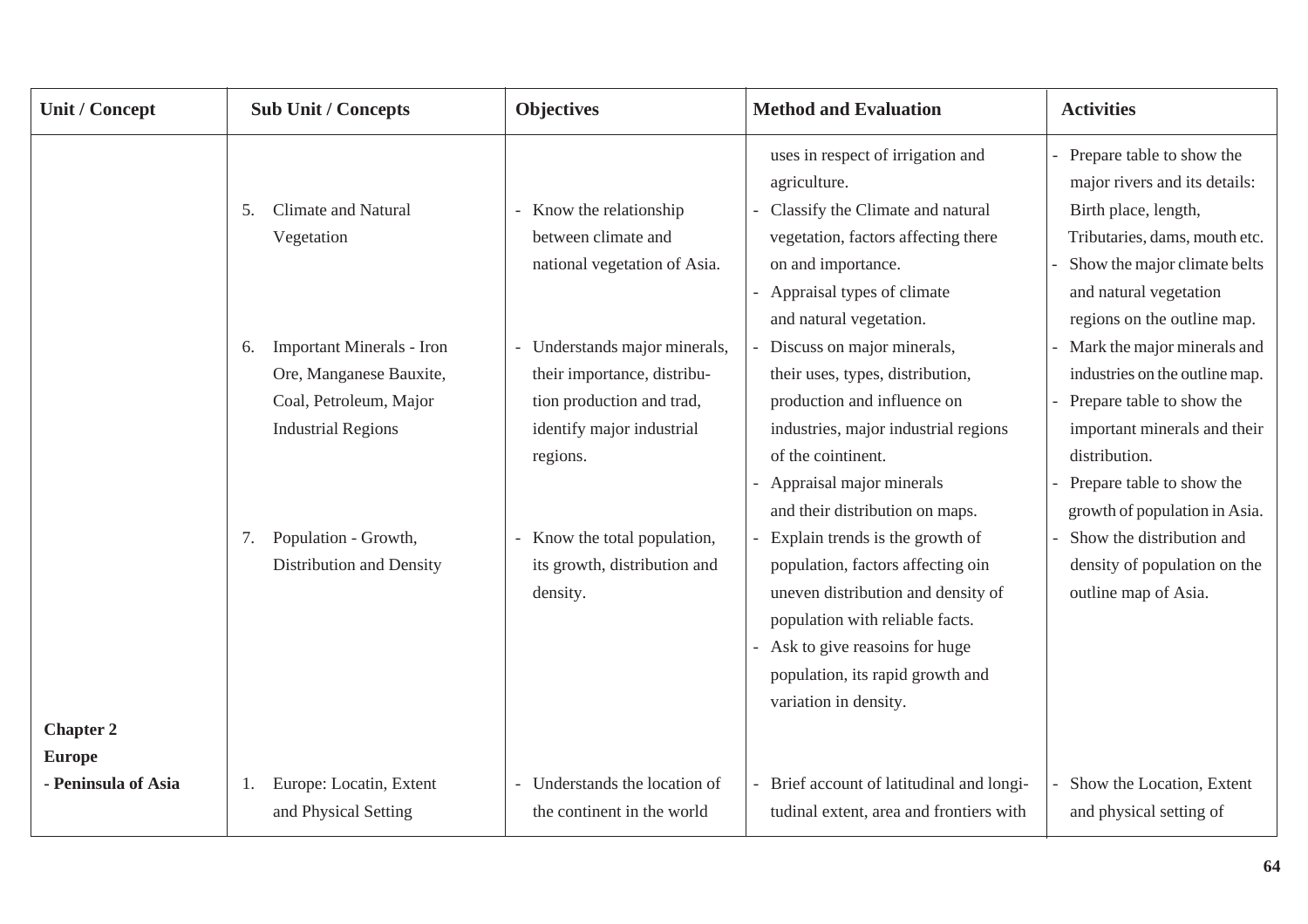| <b>Unit / Concept</b>             | <b>Sub Unit / Concepts</b>                                                                                               | <b>Objectives</b>                                                                                                                  | <b>Method and Evaluation</b>                                                                                                                                                                                                                  | <b>Activities</b>                                                                                                                                                                                              |
|-----------------------------------|--------------------------------------------------------------------------------------------------------------------------|------------------------------------------------------------------------------------------------------------------------------------|-----------------------------------------------------------------------------------------------------------------------------------------------------------------------------------------------------------------------------------------------|----------------------------------------------------------------------------------------------------------------------------------------------------------------------------------------------------------------|
|                                   | <b>Climate and Natural</b><br>5.<br>Vegetation                                                                           | - Know the relationship<br>between climate and<br>national vegetation of Asia.                                                     | uses in respect of irrigation and<br>agriculture.<br>Classify the Climate and natural<br>vegetation, factors affecting there<br>on and importance.<br>Appraisal types of climate<br>and natural vegetation.                                   | - Prepare table to show the<br>major rivers and its details:<br>Birth place, length,<br>Tributaries, dams, mouth etc.<br>Show the major climate belts<br>and natural vegetation<br>regions on the outline map. |
|                                   | <b>Important Minerals - Iron</b><br>6.<br>Ore, Manganese Bauxite,<br>Coal, Petroleum, Major<br><b>Industrial Regions</b> | - Understands major minerals,<br>their importance, distribu-<br>tion production and trad,<br>identify major industrial<br>regions. | - Discuss on major minerals,<br>their uses, types, distribution,<br>production and influence on<br>industries, major industrial regions<br>of the cointinent.<br>Appraisal major minerals<br>and their distribution on maps.                  | - Mark the major minerals and<br>industries on the outline map.<br>Prepare table to show the<br>important minerals and their<br>distribution.<br>Prepare table to show the<br>growth of population in Asia.    |
|                                   | Population - Growth,<br>7.<br>Distribution and Density                                                                   | Know the total population,<br>its growth, distribution and<br>density.                                                             | Explain trends is the growth of<br>population, factors affecting oin<br>uneven distribution and density of<br>population with reliable facts.<br>- Ask to give reasoins for huge<br>population, its rapid growth and<br>variation in density. | Show the distribution and<br>density of population on the<br>outline map of Asia.                                                                                                                              |
| <b>Chapter 2</b><br><b>Europe</b> |                                                                                                                          |                                                                                                                                    |                                                                                                                                                                                                                                               |                                                                                                                                                                                                                |
| - Peninsula of Asia               | Europe: Locatin, Extent<br>and Physical Setting                                                                          | Understands the location of<br>the continent in the world                                                                          | Brief account of latitudinal and longi-<br>tudinal extent, area and frontiers with                                                                                                                                                            | Show the Location, Extent<br>and physical setting of                                                                                                                                                           |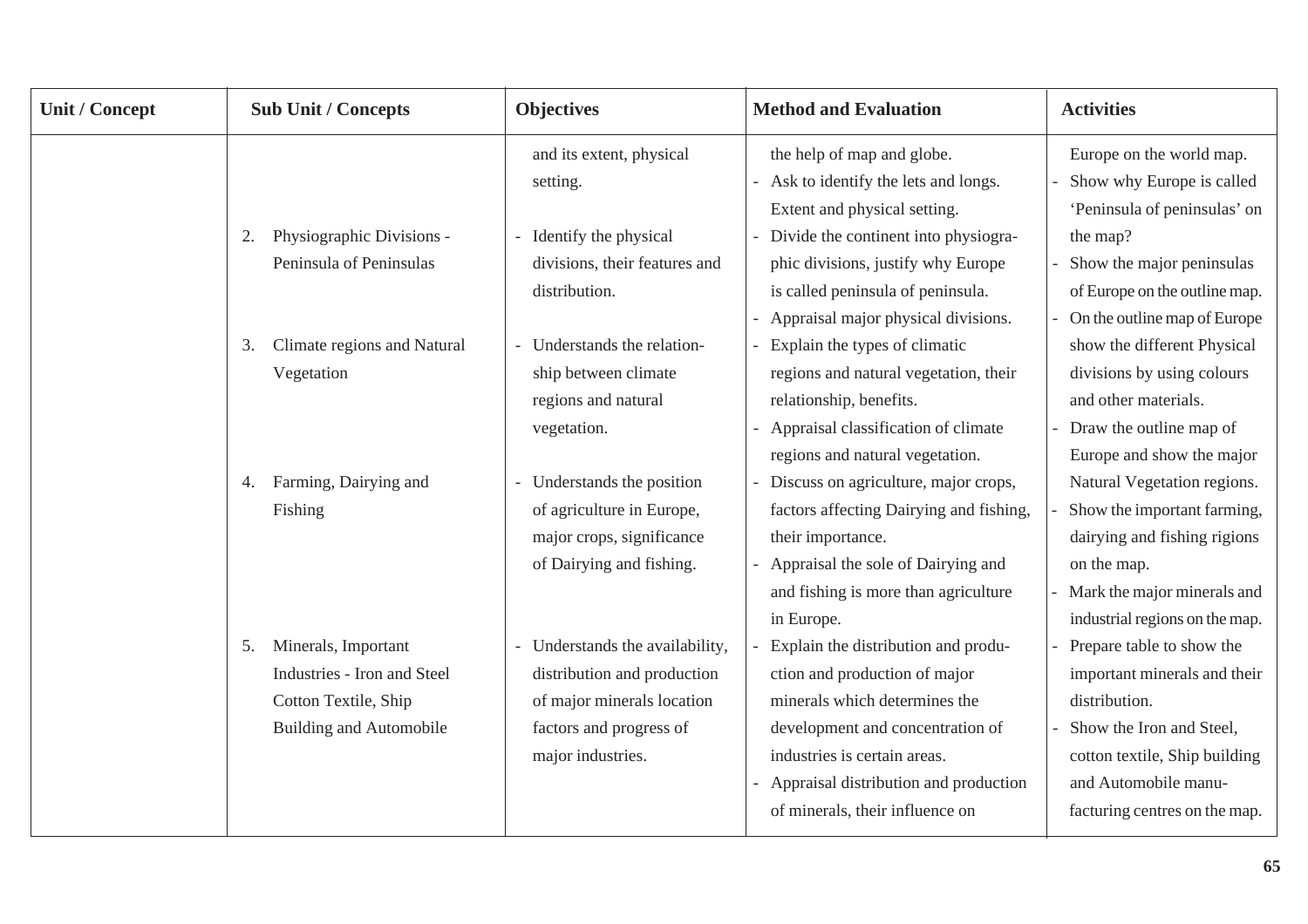| <b>Unit / Concept</b> | <b>Sub Unit / Concepts</b>                                                                                         | <b>Objectives</b>                                                                                                                            | <b>Method and Evaluation</b>                                                                                                                                                                                                                          | <b>Activities</b>                                                                                                                                                                                |
|-----------------------|--------------------------------------------------------------------------------------------------------------------|----------------------------------------------------------------------------------------------------------------------------------------------|-------------------------------------------------------------------------------------------------------------------------------------------------------------------------------------------------------------------------------------------------------|--------------------------------------------------------------------------------------------------------------------------------------------------------------------------------------------------|
|                       |                                                                                                                    | and its extent, physical<br>setting.                                                                                                         | the help of map and globe.<br>Ask to identify the lets and longs.<br>Extent and physical setting.                                                                                                                                                     | Europe on the world map.<br>Show why Europe is called<br>'Peninsula of peninsulas' on                                                                                                            |
|                       | Physiographic Divisions -<br>2.<br>Peninsula of Peninsulas                                                         | - Identify the physical<br>divisions, their features and<br>distribution.                                                                    | Divide the continent into physiogra-<br>phic divisions, justify why Europe<br>is called peninsula of peninsula.<br>Appraisal major physical divisions.                                                                                                | the map?<br>Show the major peninsulas<br>of Europe on the outline map.<br>On the outline map of Europe                                                                                           |
|                       | Climate regions and Natural<br>3.<br>Vegetation                                                                    | Understands the relation-<br>ship between climate<br>regions and natural<br>vegetation.                                                      | Explain the types of climatic<br>regions and natural vegetation, their<br>relationship, benefits.<br>Appraisal classification of climate<br>regions and natural vegetation.                                                                           | show the different Physical<br>divisions by using colours<br>and other materials.<br>Draw the outline map of<br>Europe and show the major                                                        |
|                       | Farming, Dairying and<br>4.<br>Fishing                                                                             | - Understands the position<br>of agriculture in Europe,<br>major crops, significance<br>of Dairying and fishing.                             | Discuss on agriculture, major crops,<br>factors affecting Dairying and fishing,<br>their importance.<br>Appraisal the sole of Dairying and<br>and fishing is more than agriculture<br>in Europe.                                                      | Natural Vegetation regions.<br>Show the important farming,<br>dairying and fishing rigions<br>on the map.<br>Mark the major minerals and<br>industrial regions on the map.                       |
|                       | Minerals, Important<br>5.<br>Industries - Iron and Steel<br>Cotton Textile, Ship<br><b>Building and Automobile</b> | - Understands the availability,<br>distribution and production<br>of major minerals location<br>factors and progress of<br>major industries. | Explain the distribution and produ-<br>ction and production of major<br>minerals which determines the<br>development and concentration of<br>industries is certain areas.<br>Appraisal distribution and production<br>of minerals, their influence on | Prepare table to show the<br>important minerals and their<br>distribution.<br>Show the Iron and Steel,<br>cotton textile, Ship building<br>and Automobile manu-<br>facturing centres on the map. |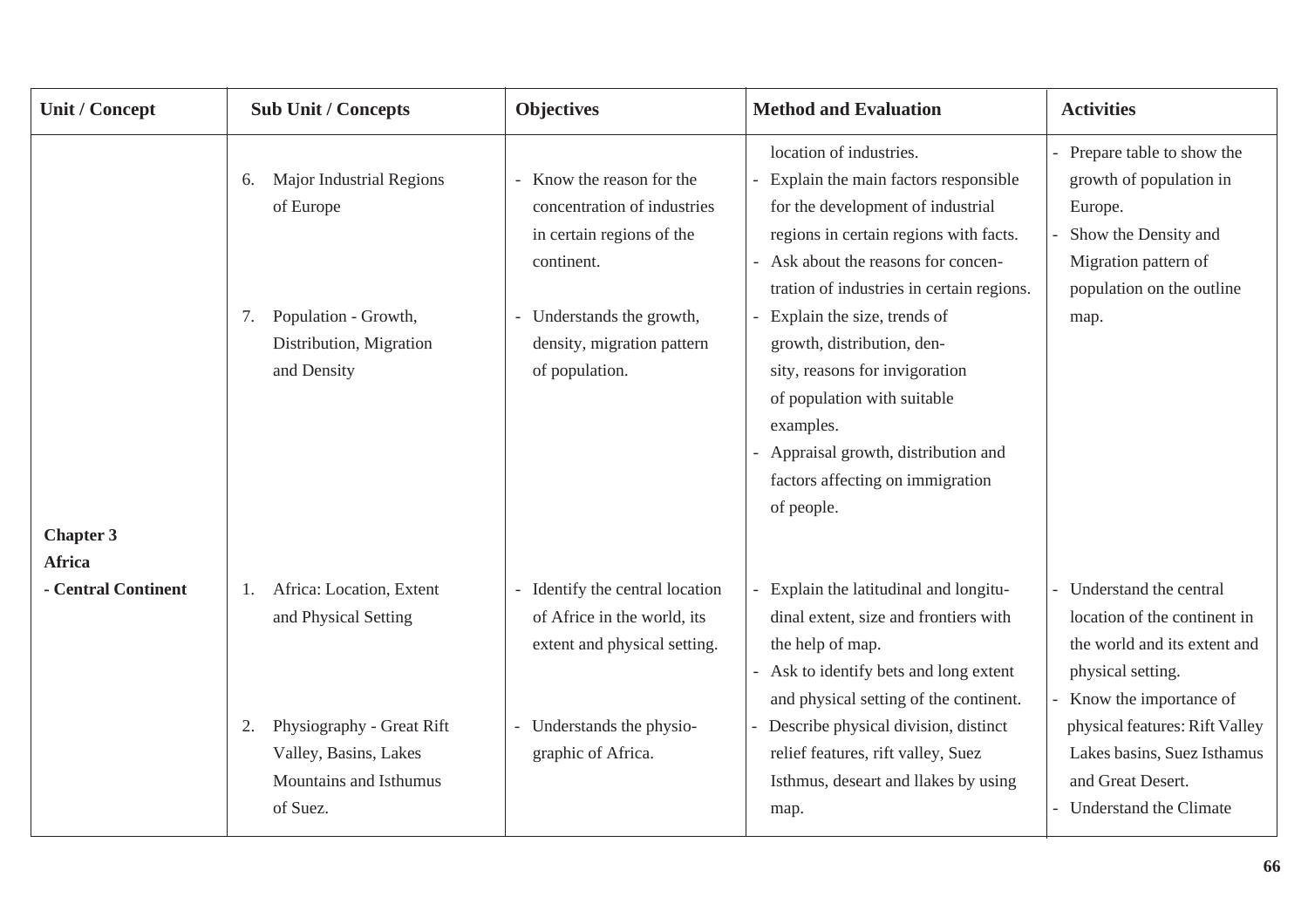| <b>Unit / Concept</b>                | <b>Sub Unit / Concepts</b>                                                                                                                         | <b>Objectives</b>                                                                                                                                 | <b>Method and Evaluation</b>                                                                                                                                                                                                                                                                                            | <b>Activities</b>                                                                                                                                                                                                                                              |
|--------------------------------------|----------------------------------------------------------------------------------------------------------------------------------------------------|---------------------------------------------------------------------------------------------------------------------------------------------------|-------------------------------------------------------------------------------------------------------------------------------------------------------------------------------------------------------------------------------------------------------------------------------------------------------------------------|----------------------------------------------------------------------------------------------------------------------------------------------------------------------------------------------------------------------------------------------------------------|
|                                      | Major Industrial Regions<br>6.<br>of Europe                                                                                                        | - Know the reason for the<br>concentration of industries<br>in certain regions of the<br>continent.                                               | location of industries.<br>- Explain the main factors responsible<br>for the development of industrial<br>regions in certain regions with facts.<br>- Ask about the reasons for concen-<br>tration of industries in certain regions.                                                                                    | - Prepare table to show the<br>growth of population in<br>Europe.<br>Show the Density and<br>Migration pattern of<br>population on the outline                                                                                                                 |
| <b>Chapter 3</b>                     | Population - Growth,<br>7.<br>Distribution, Migration<br>and Density                                                                               | Understands the growth,<br>density, migration pattern<br>of population.                                                                           | Explain the size, trends of<br>growth, distribution, den-<br>sity, reasons for invigoration<br>of population with suitable<br>examples.<br>Appraisal growth, distribution and<br>factors affecting on immigration<br>of people.                                                                                         | map.                                                                                                                                                                                                                                                           |
| <b>Africa</b><br>- Central Continent | Africa: Location, Extent<br>and Physical Setting<br>Physiography - Great Rift<br>2.<br>Valley, Basins, Lakes<br>Mountains and Isthumus<br>of Suez. | - Identify the central location<br>of Africe in the world, its<br>extent and physical setting.<br>- Understands the physio-<br>graphic of Africa. | - Explain the latitudinal and longitu-<br>dinal extent, size and frontiers with<br>the help of map.<br>- Ask to identify bets and long extent<br>and physical setting of the continent.<br>- Describe physical division, distinct<br>relief features, rift valley, Suez<br>Isthmus, deseart and llakes by using<br>map. | Understand the central<br>location of the continent in<br>the world and its extent and<br>physical setting.<br>- Know the importance of<br>physical features: Rift Valley<br>Lakes basins, Suez Isthamus<br>and Great Desert.<br><b>Understand the Climate</b> |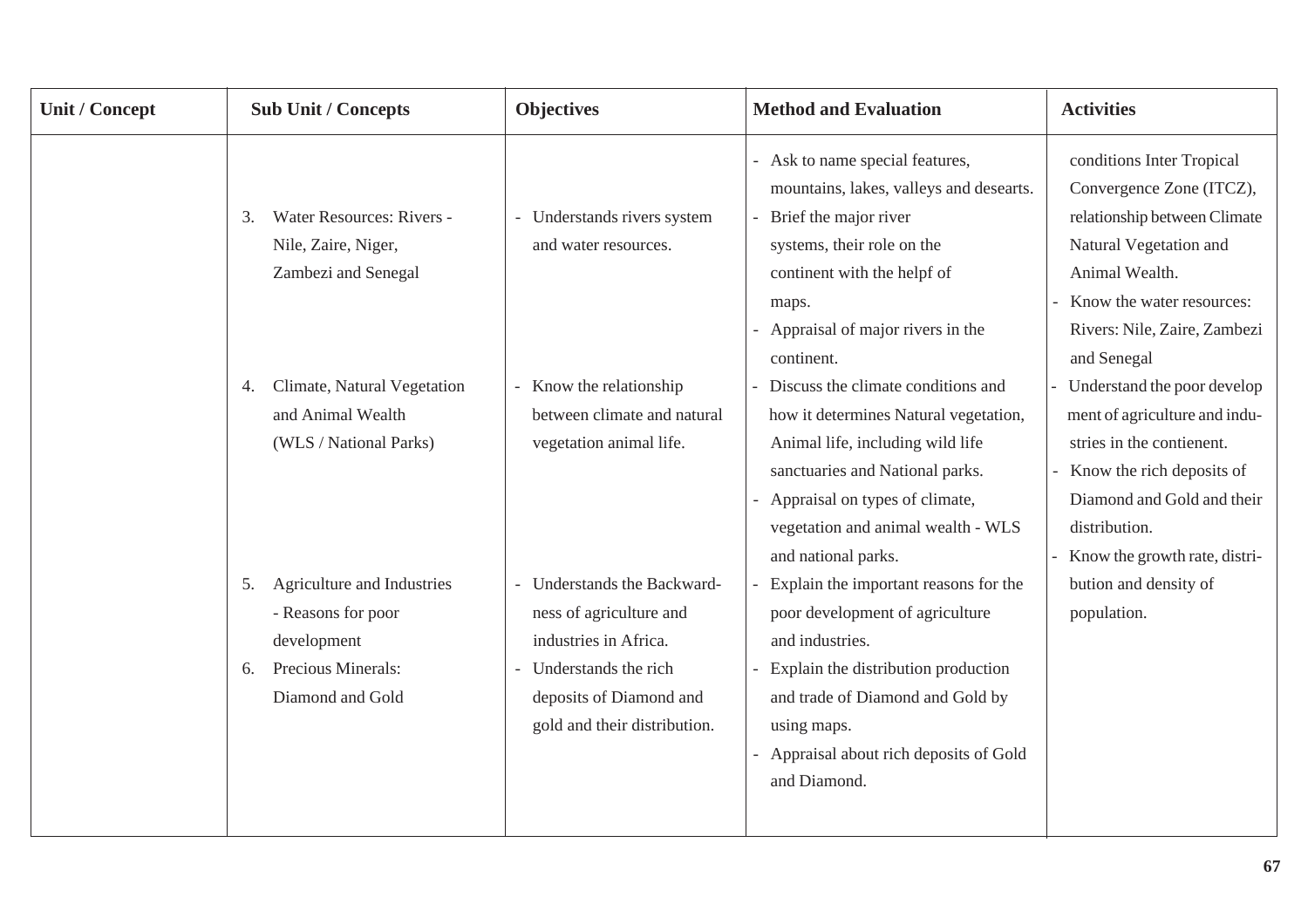| <b>Unit / Concept</b> | <b>Sub Unit / Concepts</b>                                                                                            | <b>Objectives</b>                                                                                                                                                    | <b>Method and Evaluation</b>                                                                                                                                                                                                                      | <b>Activities</b>                                                                                                                                                                                             |
|-----------------------|-----------------------------------------------------------------------------------------------------------------------|----------------------------------------------------------------------------------------------------------------------------------------------------------------------|---------------------------------------------------------------------------------------------------------------------------------------------------------------------------------------------------------------------------------------------------|---------------------------------------------------------------------------------------------------------------------------------------------------------------------------------------------------------------|
|                       | Water Resources: Rivers -<br>3.<br>Nile, Zaire, Niger,<br>Zambezi and Senegal                                         | - Understands rivers system<br>and water resources.                                                                                                                  | - Ask to name special features,<br>mountains, lakes, valleys and desearts.<br>Brief the major river<br>systems, their role on the<br>continent with the helpf of<br>maps.<br>Appraisal of major rivers in the<br>continent.                       | conditions Inter Tropical<br>Convergence Zone (ITCZ),<br>relationship between Climate<br>Natural Vegetation and<br>Animal Wealth.<br>Know the water resources:<br>Rivers: Nile, Zaire, Zambezi<br>and Senegal |
|                       | Climate, Natural Vegetation<br>4.<br>and Animal Wealth<br>(WLS / National Parks)                                      | - Know the relationship<br>between climate and natural<br>vegetation animal life.                                                                                    | Discuss the climate conditions and<br>how it determines Natural vegetation,<br>Animal life, including wild life<br>sanctuaries and National parks.<br>Appraisal on types of climate,<br>vegetation and animal wealth - WLS<br>and national parks. | - Understand the poor develop<br>ment of agriculture and indu-<br>stries in the contienent.<br>Know the rich deposits of<br>Diamond and Gold and their<br>distribution.<br>Know the growth rate, distri-      |
|                       | Agriculture and Industries<br>5.<br>- Reasons for poor<br>development<br>Precious Minerals:<br>6.<br>Diamond and Gold | - Understands the Backward-<br>ness of agriculture and<br>industries in Africa.<br>- Understands the rich<br>deposits of Diamond and<br>gold and their distribution. | Explain the important reasons for the<br>poor development of agriculture<br>and industries.<br>Explain the distribution production<br>and trade of Diamond and Gold by<br>using maps.<br>Appraisal about rich deposits of Gold<br>and Diamond.    | bution and density of<br>population.                                                                                                                                                                          |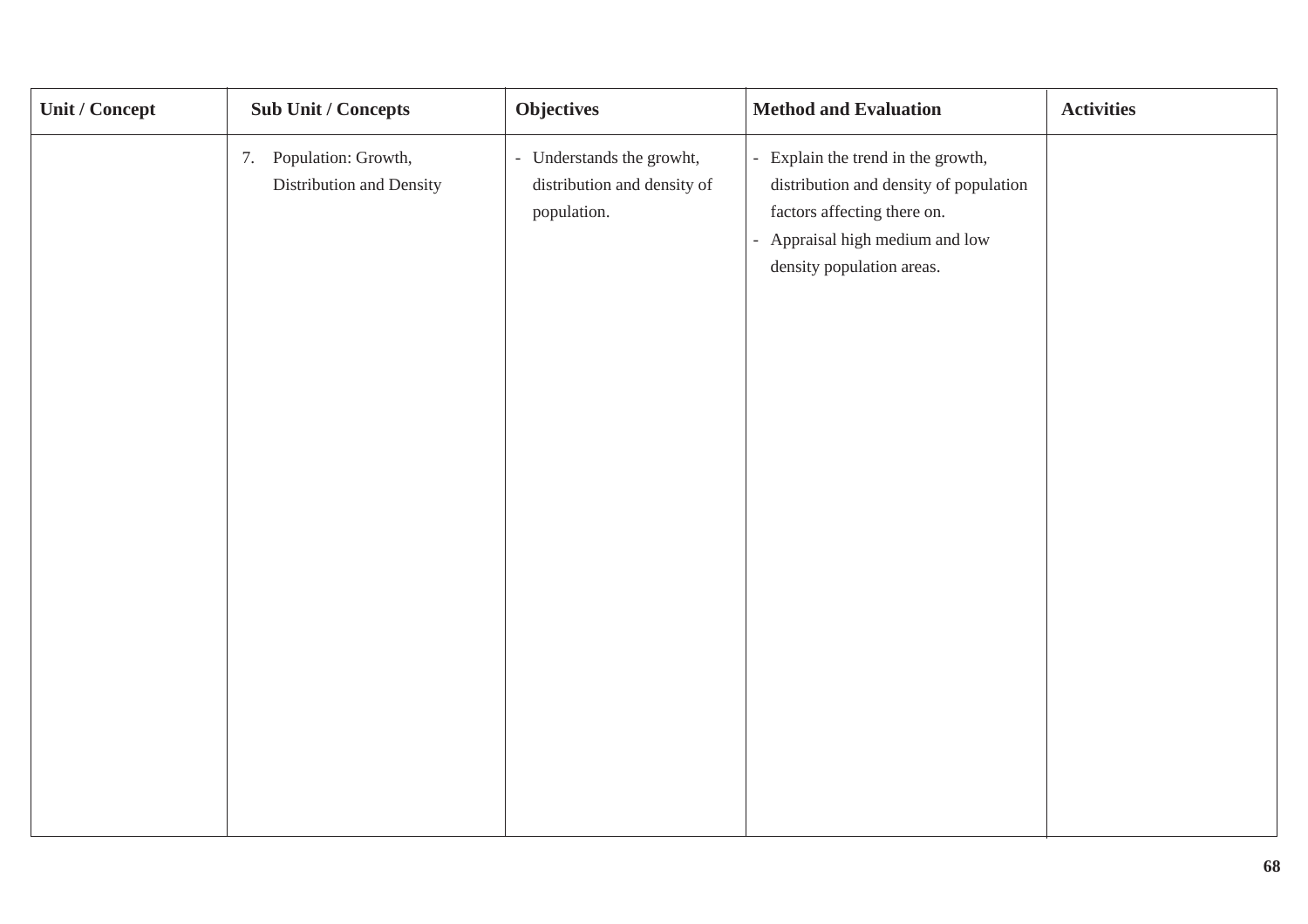| <b>Unit / Concept</b> | <b>Sub Unit / Concepts</b>                            | Objectives                                                              | <b>Method and Evaluation</b>                                                                                                                                                | <b>Activities</b> |
|-----------------------|-------------------------------------------------------|-------------------------------------------------------------------------|-----------------------------------------------------------------------------------------------------------------------------------------------------------------------------|-------------------|
|                       | Population: Growth,<br>7.<br>Distribution and Density | - Understands the growht,<br>distribution and density of<br>population. | - Explain the trend in the growth,<br>distribution and density of population<br>factors affecting there on.<br>- Appraisal high medium and low<br>density population areas. |                   |
|                       |                                                       |                                                                         |                                                                                                                                                                             |                   |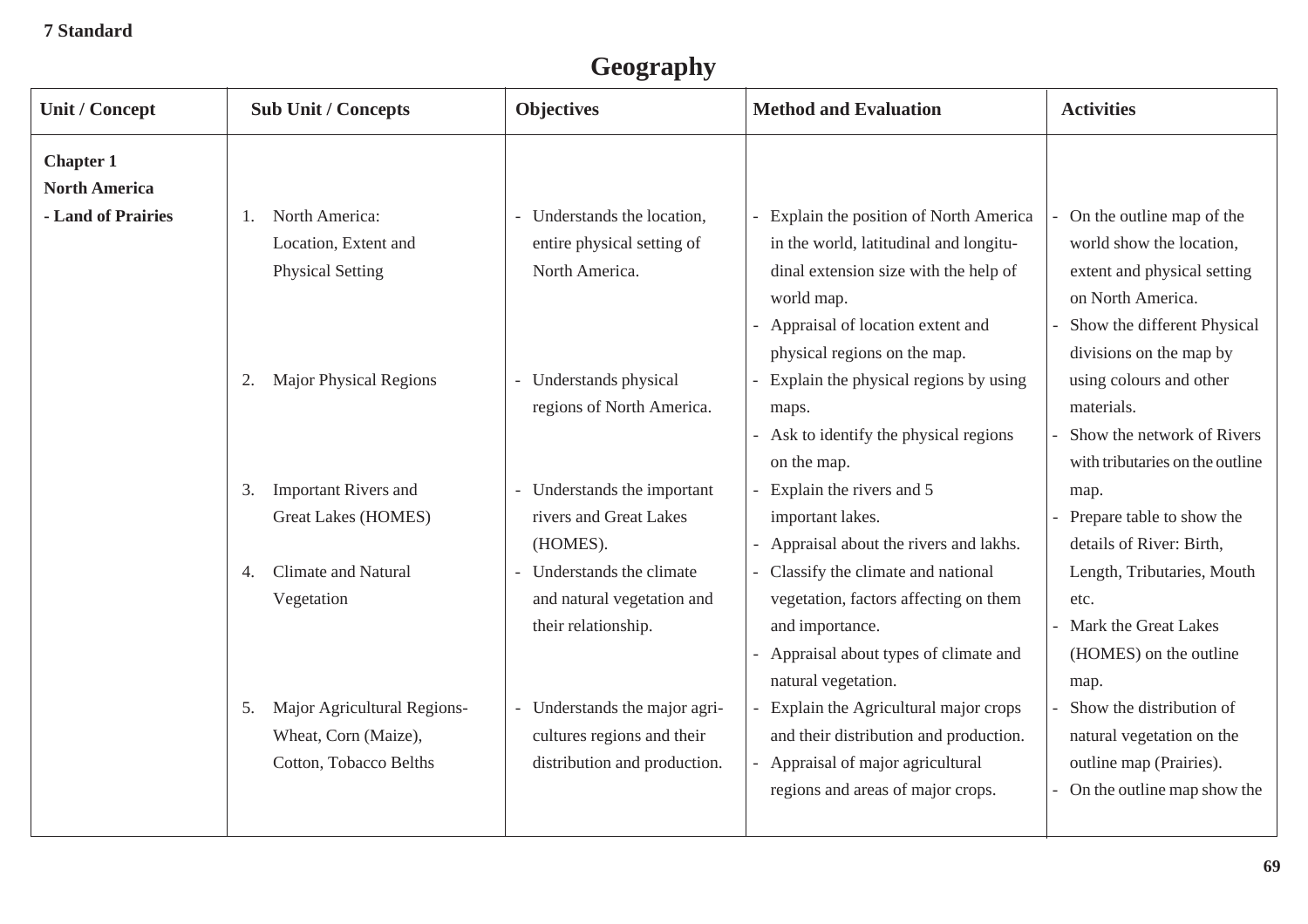#### **7 Standard**

# **Geography**

| <b>Unit / Concept</b>                    | <b>Sub Unit / Concepts</b>                                                          | <b>Objectives</b>                                                                         | <b>Method and Evaluation</b>                                                                                                                                                                               | <b>Activities</b>                                                                                                                                                   |
|------------------------------------------|-------------------------------------------------------------------------------------|-------------------------------------------------------------------------------------------|------------------------------------------------------------------------------------------------------------------------------------------------------------------------------------------------------------|---------------------------------------------------------------------------------------------------------------------------------------------------------------------|
| <b>Chapter 1</b><br><b>North America</b> |                                                                                     |                                                                                           |                                                                                                                                                                                                            |                                                                                                                                                                     |
| - Land of Prairies                       | North America:<br>1.<br>Location, Extent and<br><b>Physical Setting</b>             | Understands the location,<br>entire physical setting of<br>North America.                 | Explain the position of North America<br>in the world, latitudinal and longitu-<br>dinal extension size with the help of<br>world map.<br>Appraisal of location extent and<br>physical regions on the map. | On the outline map of the<br>world show the location,<br>extent and physical setting<br>on North America.<br>Show the different Physical<br>divisions on the map by |
|                                          | <b>Major Physical Regions</b><br>2.                                                 | Understands physical<br>regions of North America.                                         | Explain the physical regions by using<br>maps.<br>- Ask to identify the physical regions<br>on the map.                                                                                                    | using colours and other<br>materials.<br>Show the network of Rivers<br>with tributaries on the outline                                                              |
|                                          | Important Rivers and<br>3.<br><b>Great Lakes (HOMES)</b>                            | - Understands the important<br>rivers and Great Lakes<br>(HOMES).                         | Explain the rivers and 5<br>important lakes.<br>Appraisal about the rivers and lakhs.                                                                                                                      | map.<br>Prepare table to show the<br>details of River: Birth,                                                                                                       |
|                                          | Climate and Natural<br>4.<br>Vegetation                                             | - Understands the climate<br>and natural vegetation and<br>their relationship.            | Classify the climate and national<br>vegetation, factors affecting on them<br>and importance.<br>Appraisal about types of climate and<br>natural vegetation.                                               | Length, Tributaries, Mouth<br>etc.<br>Mark the Great Lakes<br>(HOMES) on the outline<br>map.                                                                        |
|                                          | Major Agricultural Regions-<br>5.<br>Wheat, Corn (Maize),<br>Cotton, Tobacco Belths | Understands the major agri-<br>cultures regions and their<br>distribution and production. | Explain the Agricultural major crops<br>and their distribution and production.<br>Appraisal of major agricultural<br>regions and areas of major crops.                                                     | Show the distribution of<br>natural vegetation on the<br>outline map (Prairies).<br>On the outline map show the                                                     |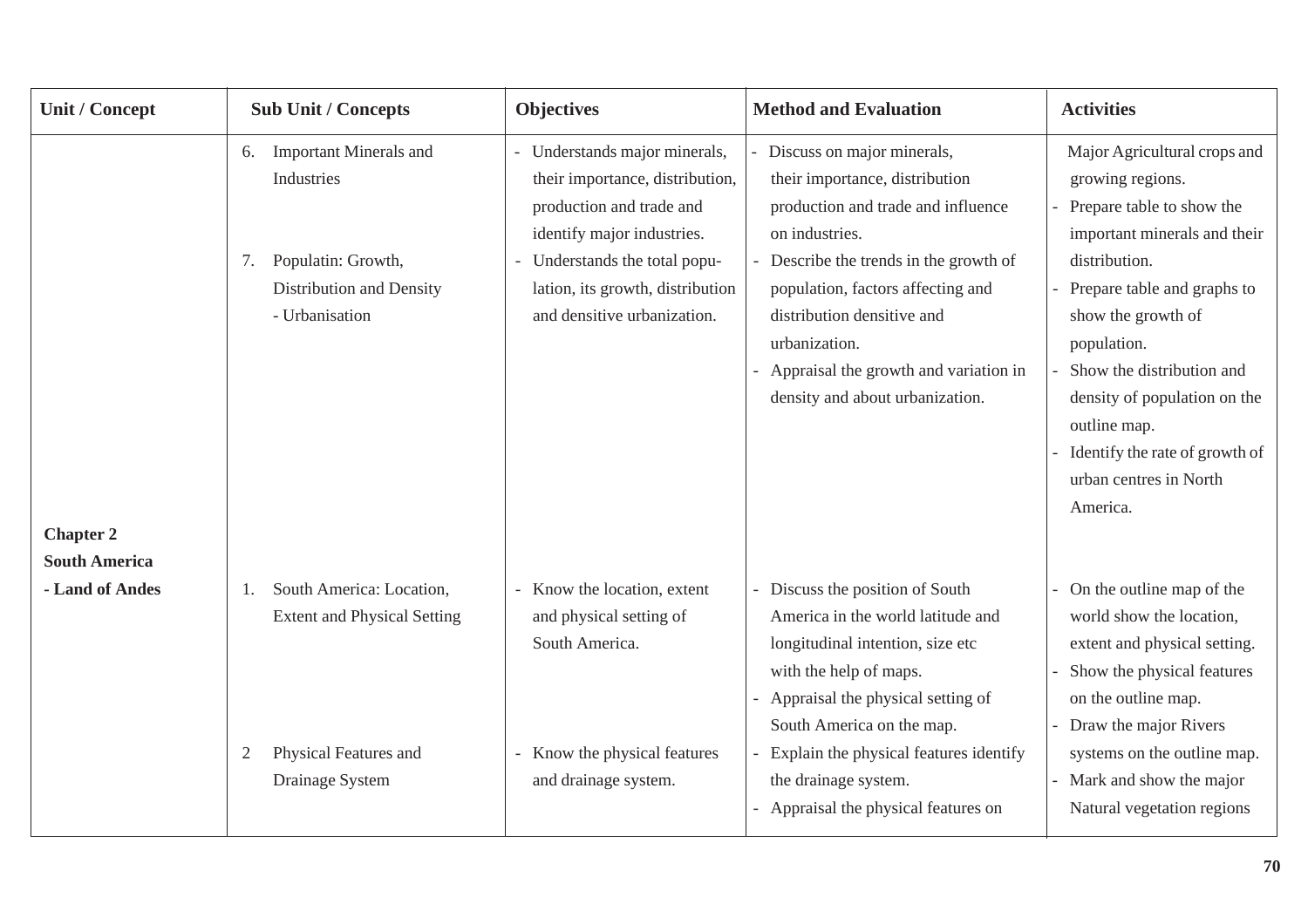| <b>Unit / Concept</b>                                       | <b>Sub Unit / Concepts</b>                                                                                                  | <b>Objectives</b>                                                                                                                                                                                                              | <b>Method and Evaluation</b>                                                                                                                                                                                                                                                                                                   | <b>Activities</b>                                                                                                                                                                                                                                                                                                                           |
|-------------------------------------------------------------|-----------------------------------------------------------------------------------------------------------------------------|--------------------------------------------------------------------------------------------------------------------------------------------------------------------------------------------------------------------------------|--------------------------------------------------------------------------------------------------------------------------------------------------------------------------------------------------------------------------------------------------------------------------------------------------------------------------------|---------------------------------------------------------------------------------------------------------------------------------------------------------------------------------------------------------------------------------------------------------------------------------------------------------------------------------------------|
|                                                             | <b>Important Minerals and</b><br>6.<br>Industries<br>Populatin: Growth,<br>7.<br>Distribution and Density<br>- Urbanisation | - Understands major minerals,<br>their importance, distribution,<br>production and trade and<br>identify major industries.<br>- Understands the total popu-<br>lation, its growth, distribution<br>and densitive urbanization. | Discuss on major minerals,<br>their importance, distribution<br>production and trade and influence<br>on industries.<br>- Describe the trends in the growth of<br>population, factors affecting and<br>distribution densitive and<br>urbanization.<br>Appraisal the growth and variation in<br>density and about urbanization. | Major Agricultural crops and<br>growing regions.<br>Prepare table to show the<br>important minerals and their<br>distribution.<br>Prepare table and graphs to<br>show the growth of<br>population.<br>Show the distribution and<br>density of population on the<br>outline map.<br>Identify the rate of growth of<br>urban centres in North |
| <b>Chapter 2</b><br><b>South America</b><br>- Land of Andes | South America: Location,<br><b>Extent and Physical Setting</b><br>Physical Features and<br>2<br>Drainage System             | Know the location, extent<br>and physical setting of<br>South America.<br>- Know the physical features<br>and drainage system.                                                                                                 | Discuss the position of South<br>America in the world latitude and<br>longitudinal intention, size etc<br>with the help of maps.<br>- Appraisal the physical setting of<br>South America on the map.<br>- Explain the physical features identify<br>the drainage system.<br>Appraisal the physical features on                 | America.<br>On the outline map of the<br>world show the location,<br>extent and physical setting.<br>Show the physical features<br>on the outline map.<br>Draw the major Rivers<br>systems on the outline map.<br>Mark and show the major<br>Natural vegetation regions                                                                     |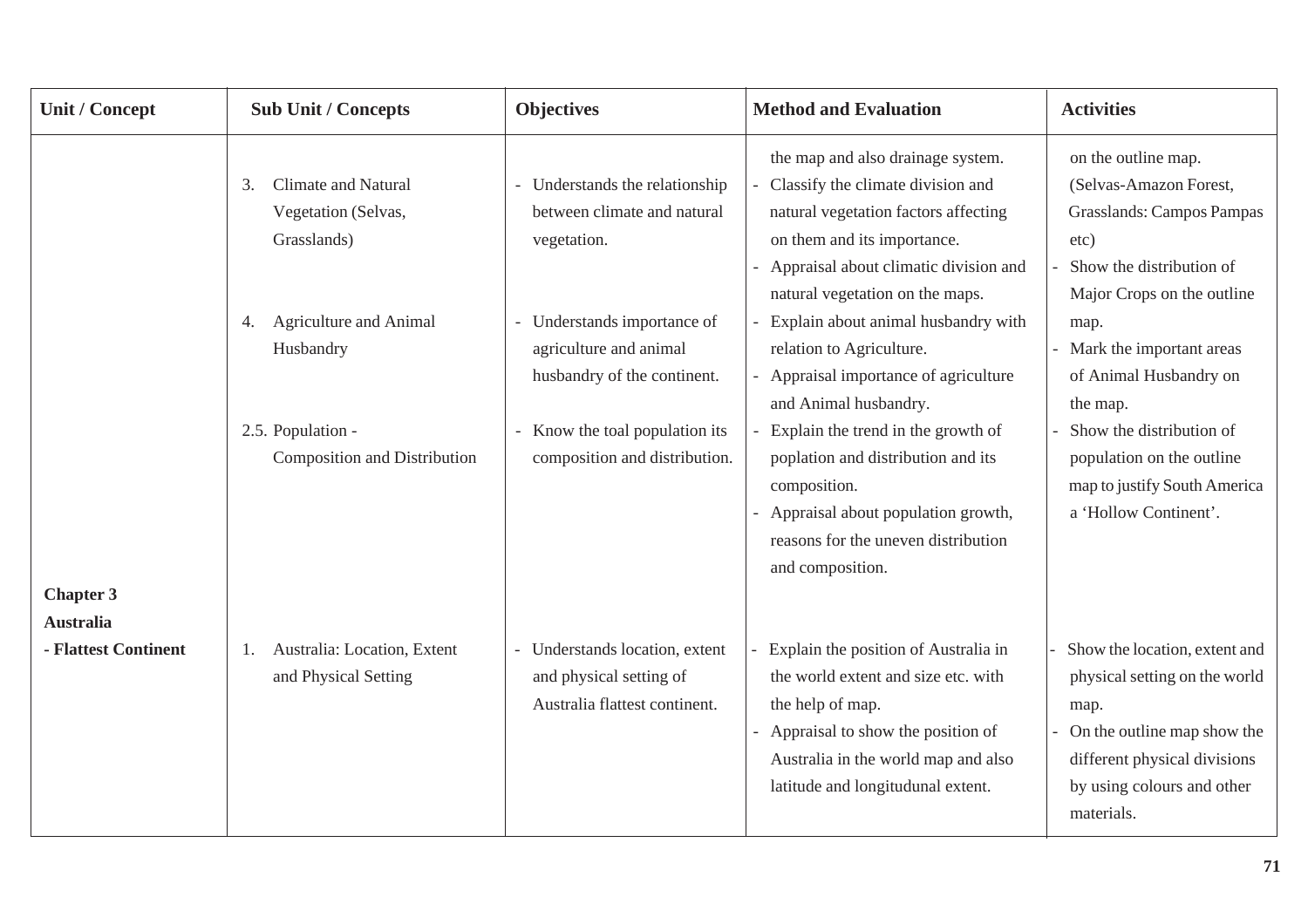| <b>Unit / Concept</b>                | <b>Sub Unit / Concepts</b>                                             | <b>Objectives</b>                                                                          | <b>Method and Evaluation</b>                                                                                                                                                                                                  | <b>Activities</b>                                                                                                                                                                   |
|--------------------------------------|------------------------------------------------------------------------|--------------------------------------------------------------------------------------------|-------------------------------------------------------------------------------------------------------------------------------------------------------------------------------------------------------------------------------|-------------------------------------------------------------------------------------------------------------------------------------------------------------------------------------|
|                                      | <b>Climate and Natural</b><br>3.<br>Vegetation (Selvas,<br>Grasslands) | - Understands the relationship<br>between climate and natural<br>vegetation.               | the map and also drainage system.<br>- Classify the climate division and<br>natural vegetation factors affecting<br>on them and its importance.<br>- Appraisal about climatic division and<br>natural vegetation on the maps. | on the outline map.<br>(Selvas-Amazon Forest,<br><b>Grasslands: Campos Pampas</b><br>etc)<br>Show the distribution of<br>Major Crops on the outline                                 |
|                                      | <b>Agriculture and Animal</b><br>4.<br>Husbandry                       | - Understands importance of<br>agriculture and animal<br>husbandry of the continent.       | - Explain about animal husbandry with<br>relation to Agriculture.<br>- Appraisal importance of agriculture<br>and Animal husbandry.                                                                                           | map.<br>- Mark the important areas<br>of Animal Husbandry on<br>the map.                                                                                                            |
| <b>Chapter 3</b><br><b>Australia</b> | 2.5. Population -<br>Composition and Distribution                      | - Know the toal population its<br>composition and distribution.                            | - Explain the trend in the growth of<br>poplation and distribution and its<br>composition.<br>- Appraisal about population growth,<br>reasons for the uneven distribution<br>and composition.                                 | Show the distribution of<br>population on the outline<br>map to justify South America<br>a 'Hollow Continent'.                                                                      |
| - Flattest Continent                 | Australia: Location, Extent<br>and Physical Setting                    | - Understands location, extent<br>and physical setting of<br>Australia flattest continent. | Explain the position of Australia in<br>the world extent and size etc. with<br>the help of map.<br>Appraisal to show the position of<br>Australia in the world map and also<br>latitude and longitudunal extent.              | Show the location, extent and<br>physical setting on the world<br>map.<br>- On the outline map show the<br>different physical divisions<br>by using colours and other<br>materials. |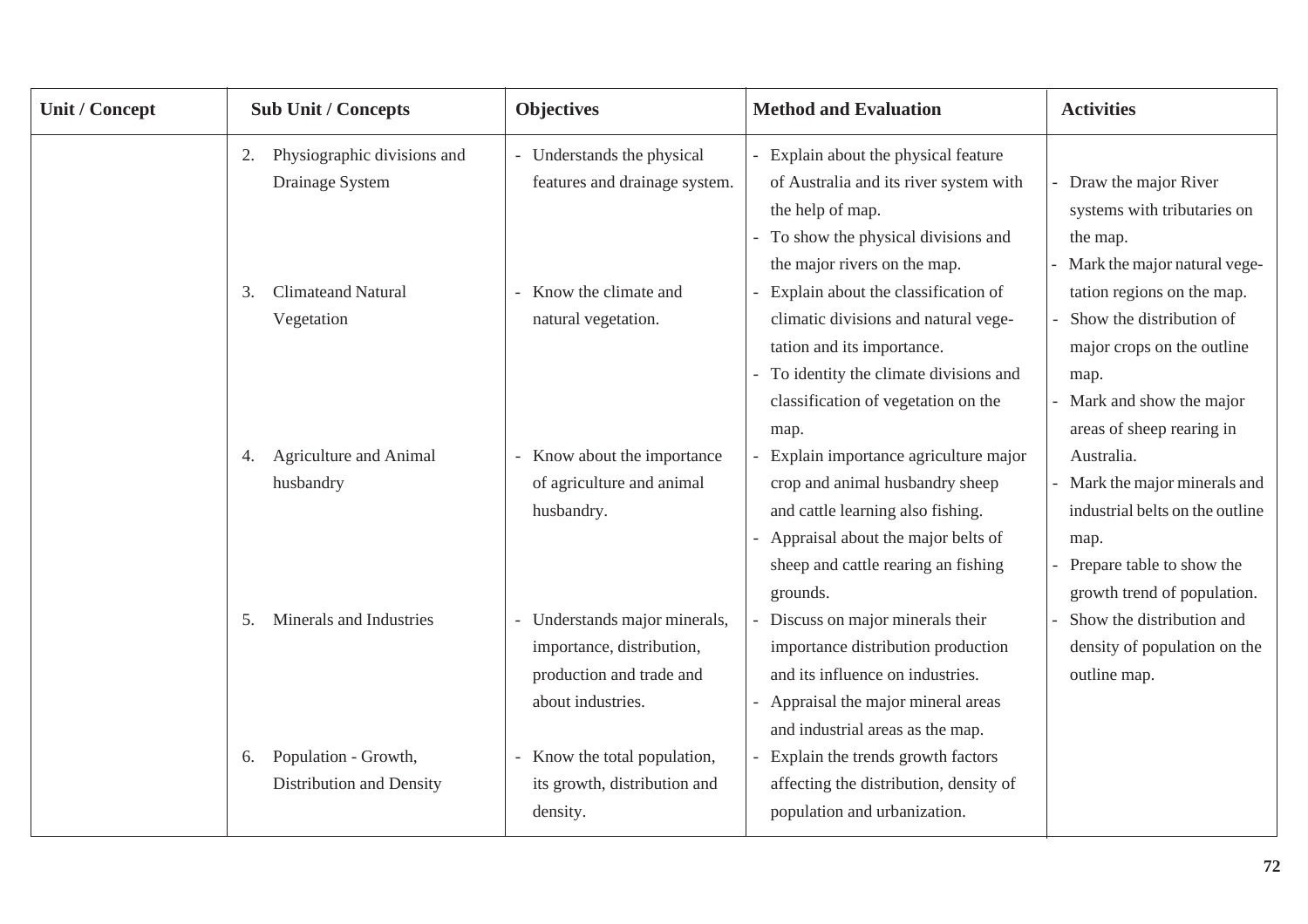| <b>Unit / Concept</b> | <b>Sub Unit / Concepts</b>                             | <b>Objectives</b>                                                                                           | <b>Method and Evaluation</b>                                                                                                                                                                                                  | <b>Activities</b>                                                                                                                                      |
|-----------------------|--------------------------------------------------------|-------------------------------------------------------------------------------------------------------------|-------------------------------------------------------------------------------------------------------------------------------------------------------------------------------------------------------------------------------|--------------------------------------------------------------------------------------------------------------------------------------------------------|
|                       | Physiographic divisions and<br>2.<br>Drainage System   | - Understands the physical<br>features and drainage system.                                                 | Explain about the physical feature<br>of Australia and its river system with<br>the help of map.<br>To show the physical divisions and<br>the major rivers on the map.                                                        | Draw the major River<br>systems with tributaries on<br>the map.<br>Mark the major natural vege-                                                        |
|                       | <b>Climateand Natural</b><br>3.<br>Vegetation          | - Know the climate and<br>natural vegetation.                                                               | Explain about the classification of<br>$\overline{\phantom{0}}$<br>climatic divisions and natural vege-<br>tation and its importance.<br>To identity the climate divisions and<br>classification of vegetation on the<br>map. | tation regions on the map.<br>Show the distribution of<br>major crops on the outline<br>map.<br>- Mark and show the major<br>areas of sheep rearing in |
|                       | Agriculture and Animal<br>4.<br>husbandry              | Know about the importance<br>of agriculture and animal<br>husbandry.                                        | Explain importance agriculture major<br>crop and animal husbandry sheep<br>and cattle learning also fishing.<br>Appraisal about the major belts of<br>sheep and cattle rearing an fishing<br>grounds.                         | Australia.<br>- Mark the major minerals and<br>industrial belts on the outline<br>map.<br>Prepare table to show the<br>growth trend of population.     |
|                       | Minerals and Industries<br>5.                          | - Understands major minerals,<br>importance, distribution,<br>production and trade and<br>about industries. | Discuss on major minerals their<br>importance distribution production<br>and its influence on industries.<br>Appraisal the major mineral areas<br>and industrial areas as the map.                                            | Show the distribution and<br>density of population on the<br>outline map.                                                                              |
|                       | Population - Growth,<br>6.<br>Distribution and Density | - Know the total population,<br>its growth, distribution and<br>density.                                    | Explain the trends growth factors<br>affecting the distribution, density of<br>population and urbanization.                                                                                                                   |                                                                                                                                                        |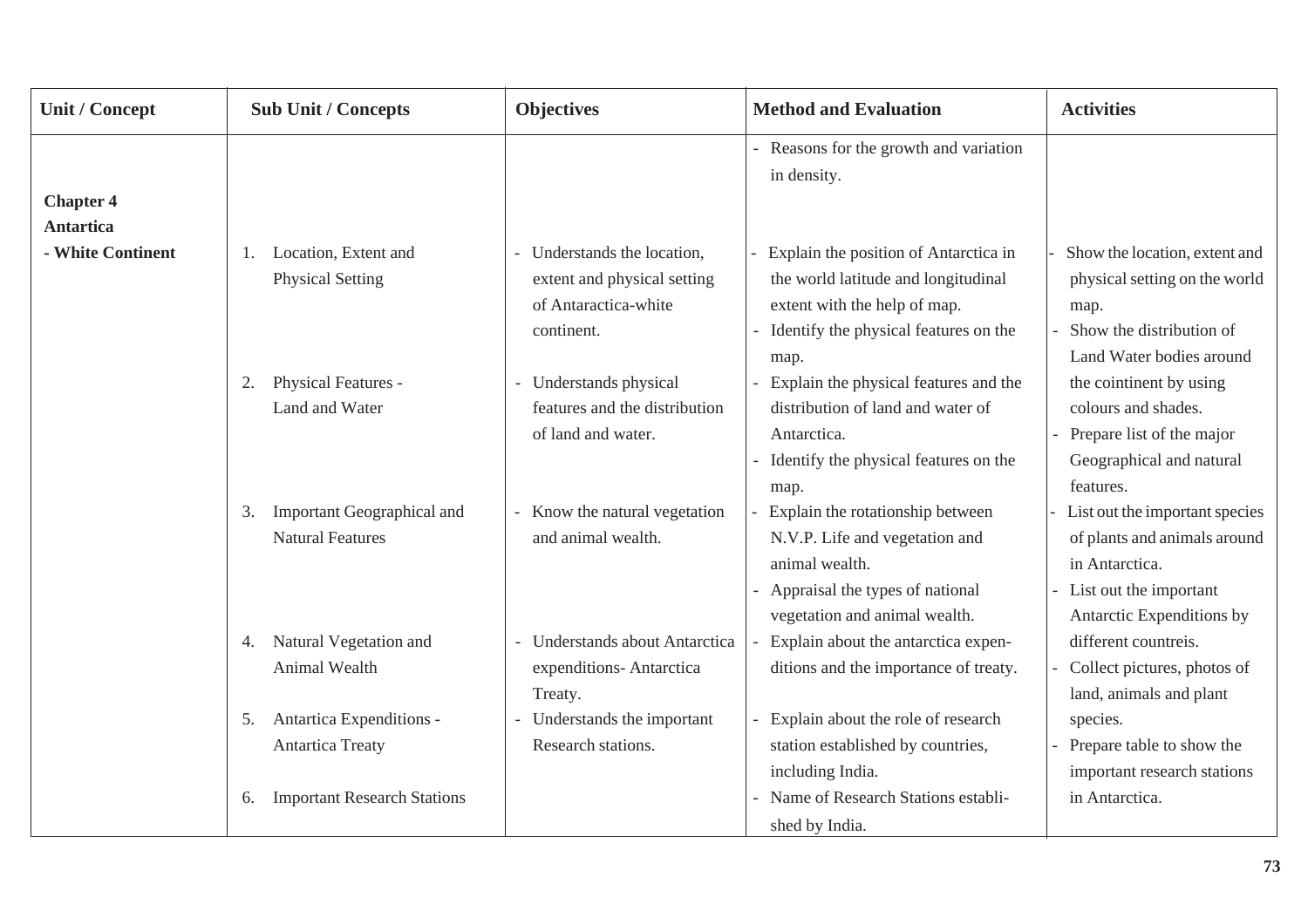| <b>Unit / Concept</b>                | <b>Sub Unit / Concepts</b>                                  | <b>Objectives</b>                                                             | <b>Method and Evaluation</b>                                                                                                                             | <b>Activities</b>                                                                                                                       |
|--------------------------------------|-------------------------------------------------------------|-------------------------------------------------------------------------------|----------------------------------------------------------------------------------------------------------------------------------------------------------|-----------------------------------------------------------------------------------------------------------------------------------------|
|                                      |                                                             |                                                                               | Reasons for the growth and variation<br>in density.                                                                                                      |                                                                                                                                         |
| <b>Chapter 4</b><br><b>Antartica</b> |                                                             |                                                                               |                                                                                                                                                          |                                                                                                                                         |
| - White Continent                    | Location, Extent and<br>1.                                  | - Understands the location,                                                   | Explain the position of Antarctica in                                                                                                                    | Show the location, extent and                                                                                                           |
|                                      | <b>Physical Setting</b>                                     | extent and physical setting<br>of Antaractica-white<br>continent.             | the world latitude and longitudinal<br>extent with the help of map.<br>Identify the physical features on the<br>map.                                     | physical setting on the world<br>map.<br>Show the distribution of<br>Land Water bodies around                                           |
|                                      | Physical Features -<br>2.<br>Land and Water                 | - Understands physical<br>features and the distribution<br>of land and water. | Explain the physical features and the<br>distribution of land and water of<br>Antarctica.<br>Identify the physical features on the<br>map.               | the cointinent by using<br>colours and shades.<br>Prepare list of the major<br>Geographical and natural<br>features.                    |
|                                      | Important Geographical and<br>3.<br><b>Natural Features</b> | - Know the natural vegetation<br>and animal wealth.                           | Explain the rotationship between<br>N.V.P. Life and vegetation and<br>animal wealth.<br>Appraisal the types of national<br>vegetation and animal wealth. | List out the important species<br>of plants and animals around<br>in Antarctica.<br>List out the important<br>Antarctic Expenditions by |
|                                      | Natural Vegetation and<br>4.<br>Animal Wealth               | <b>Understands about Antarctica</b><br>expenditions-Antarctica<br>Treaty.     | Explain about the antarctica expen-<br>ditions and the importance of treaty.                                                                             | different countreis.<br>Collect pictures, photos of<br>land, animals and plant                                                          |
|                                      | Antartica Expenditions -<br>5.<br><b>Antartica Treaty</b>   | - Understands the important<br>Research stations.                             | Explain about the role of research<br>station established by countries,<br>including India.                                                              | species.<br>Prepare table to show the<br>important research stations                                                                    |
|                                      | <b>Important Research Stations</b><br>6.                    |                                                                               | Name of Research Stations establi-<br>shed by India.                                                                                                     | in Antarctica.                                                                                                                          |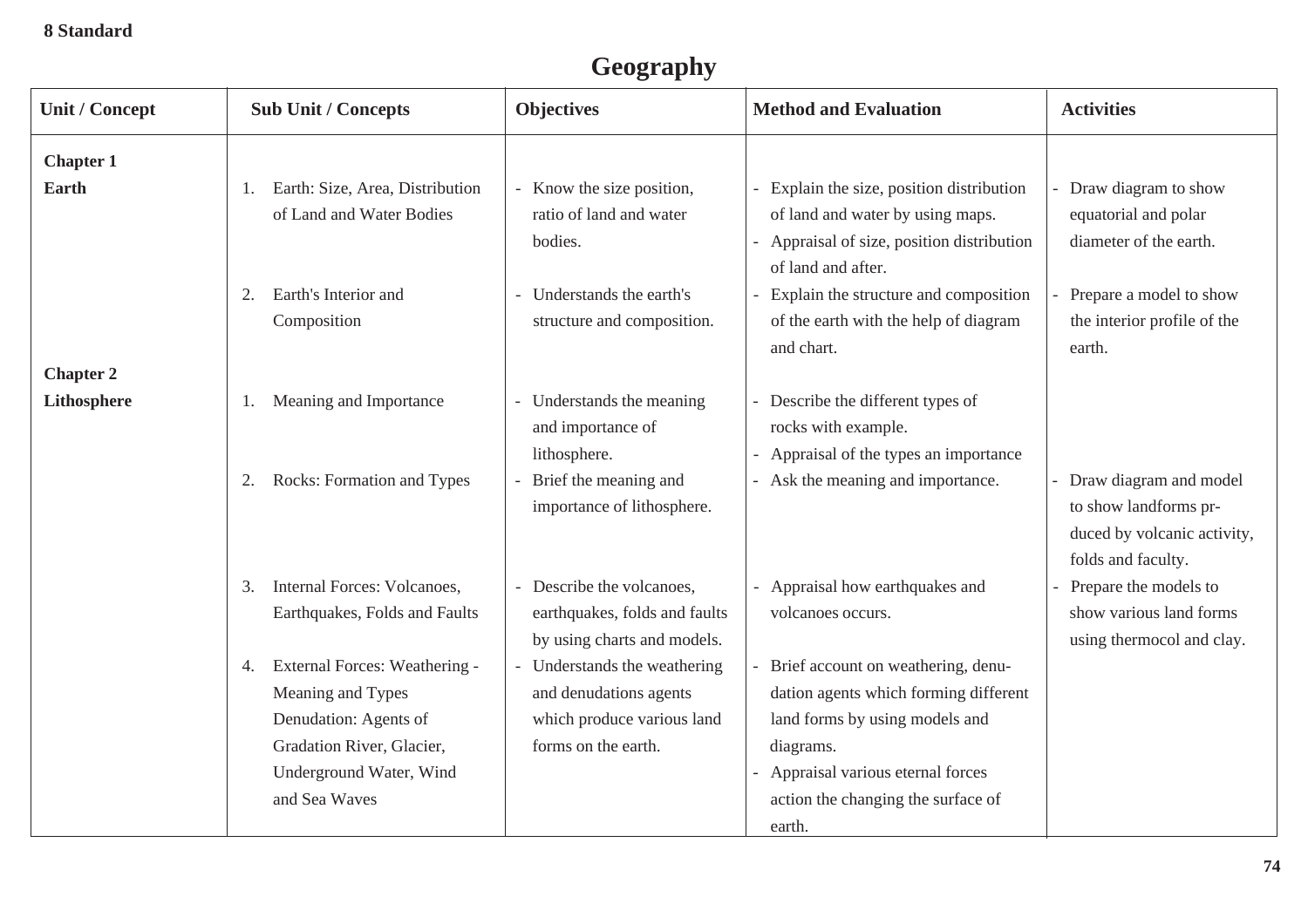#### **8 Standard**

#### Unit / Concept Sub Unit / Concepts | Objectives | Method and Evaluation | Activities **Chapter 1 Earth** 1. Earth: Size, Area, Distribution - Know the size position, - Explain the size, position distribution - Draw diagram to show of Land and Water Bodies ratio of land and water of land and water by using maps. equatorial and polar bodies.  $\vert$  - Appraisal of size, position distribution  $\vert$  diameter of the earth. of land and after. 2. Earth's Interior and  $\blacksquare$  - Understands the earth's  $\blacksquare$  - Explain the structure and composition  $\blacksquare$ - Prepare a model to show Composition structure and composition. <br>
of the earth with the help of diagram the interior profile of the and chart.  $\qquad$  earth. **Chapter 2 Lithosphere** 1. Meaning and Importance  $\vert$  - Understands the meaning  $\vert$  - Describe the different types of and importance of rocks with example. lithosphere.  $\vert$  - Appraisal of the types an importance 2. Rocks: Formation and Types |- Brief the meaning and |- Ask the meaning and importance. |- Draw diagram and model importance of lithosphere. to show landforms prduced by volcanic activity, folds and faculty. 3. Internal Forces: Volcanoes,  $\vert$  - Describe the volcanoes,  $\vert$  - Appraisal how earthquakes and  $\vert$  - Prepare the models to Earthquakes, Folds and Faults earthquakes, folds and faults volcanoes occurs. Show various land forms by using charts and models. <br> using thermocol and clay. 4. External Forces: Weathering  $\sim$  - Understands the weathering  $\sim$  Brief account on weathering, denu-Meaning and Types and denudations agents dation agents which forming different Denudation: Agents of which produce various land and forms by using models and Gradation River, Glacier, forms on the earth. diagrams. Underground Water, Wind  $\vert$  Appraisal various eternal forces and Sea Waves and Sea Waves action the changing the surface of earth.

#### **Geography**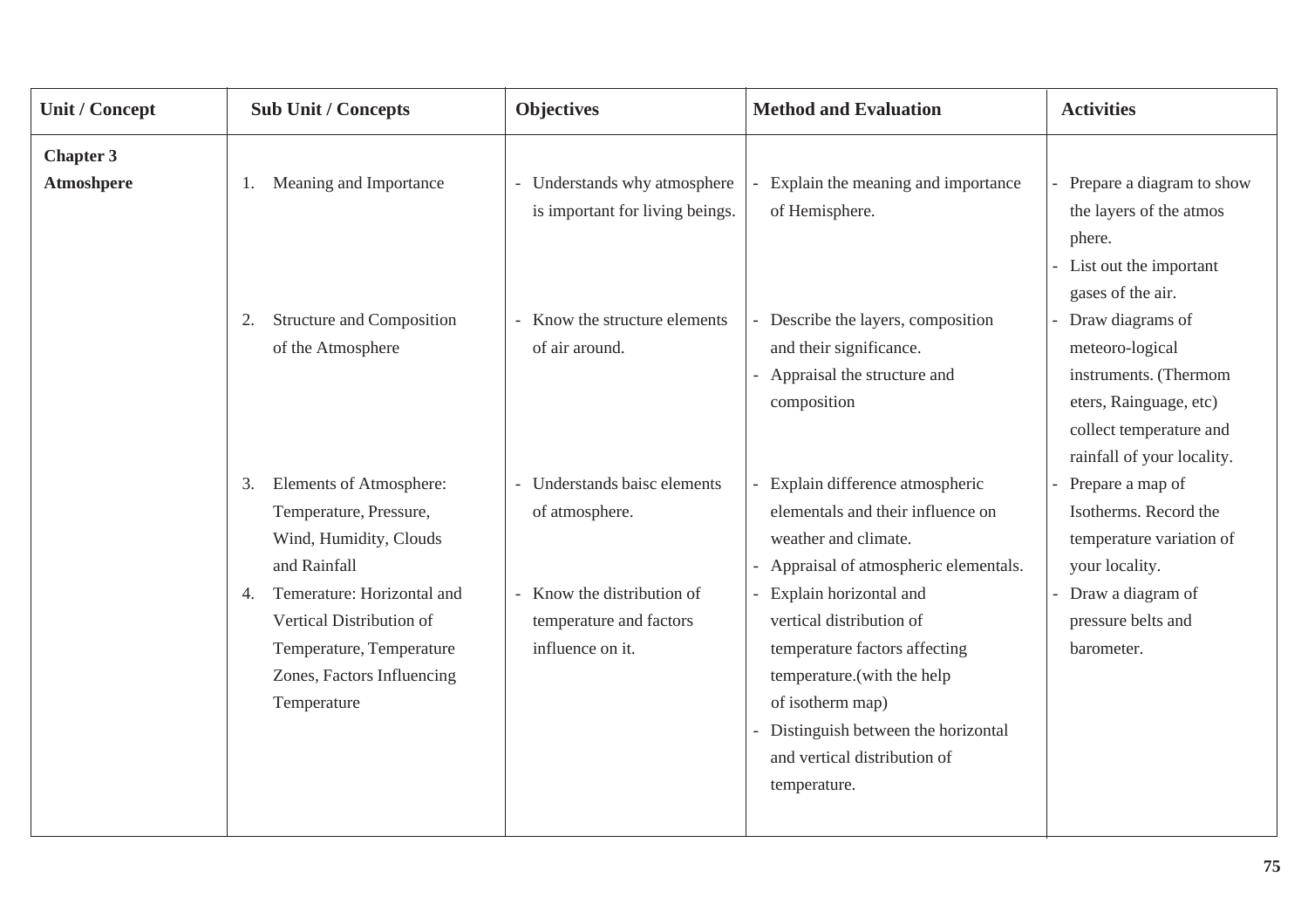| <b>Unit / Concept</b>          | <b>Sub Unit / Concepts</b>                                                                                                                                                                                                                 | <b>Objectives</b>                                                                                                           | <b>Method and Evaluation</b>                                                                                                                                                                                                                                                                                                                                             | <b>Activities</b>                                                                                                                                 |  |  |
|--------------------------------|--------------------------------------------------------------------------------------------------------------------------------------------------------------------------------------------------------------------------------------------|-----------------------------------------------------------------------------------------------------------------------------|--------------------------------------------------------------------------------------------------------------------------------------------------------------------------------------------------------------------------------------------------------------------------------------------------------------------------------------------------------------------------|---------------------------------------------------------------------------------------------------------------------------------------------------|--|--|
| <b>Chapter 3</b><br>Atmoshpere | Meaning and Importance<br>1.                                                                                                                                                                                                               | - Understands why atmosphere<br>is important for living beings.                                                             | Explain the meaning and importance<br>of Hemisphere.                                                                                                                                                                                                                                                                                                                     | Prepare a diagram to show<br>the layers of the atmos<br>phere.<br>- List out the important<br>gases of the air.                                   |  |  |
|                                | Structure and Composition<br>2.<br>of the Atmosphere                                                                                                                                                                                       | - Know the structure elements<br>of air around.                                                                             | - Describe the layers, composition<br>and their significance.<br>- Appraisal the structure and<br>composition                                                                                                                                                                                                                                                            | - Draw diagrams of<br>meteoro-logical<br>instruments. (Thermom<br>eters, Rainguage, etc)<br>collect temperature and<br>rainfall of your locality. |  |  |
|                                | Elements of Atmosphere:<br>3.<br>Temperature, Pressure,<br>Wind, Humidity, Clouds<br>and Rainfall<br>Temerature: Horizontal and<br>4.<br>Vertical Distribution of<br>Temperature, Temperature<br>Zones, Factors Influencing<br>Temperature | - Understands baisc elements<br>of atmosphere.<br>- Know the distribution of<br>temperature and factors<br>influence on it. | - Explain difference atmospheric<br>elementals and their influence on<br>weather and climate.<br>Appraisal of atmospheric elementals.<br>- Explain horizontal and<br>vertical distribution of<br>temperature factors affecting<br>temperature.(with the help<br>of isotherm map)<br>- Distinguish between the horizontal<br>and vertical distribution of<br>temperature. | Prepare a map of<br>Isotherms. Record the<br>temperature variation of<br>your locality.<br>Draw a diagram of<br>pressure belts and<br>barometer.  |  |  |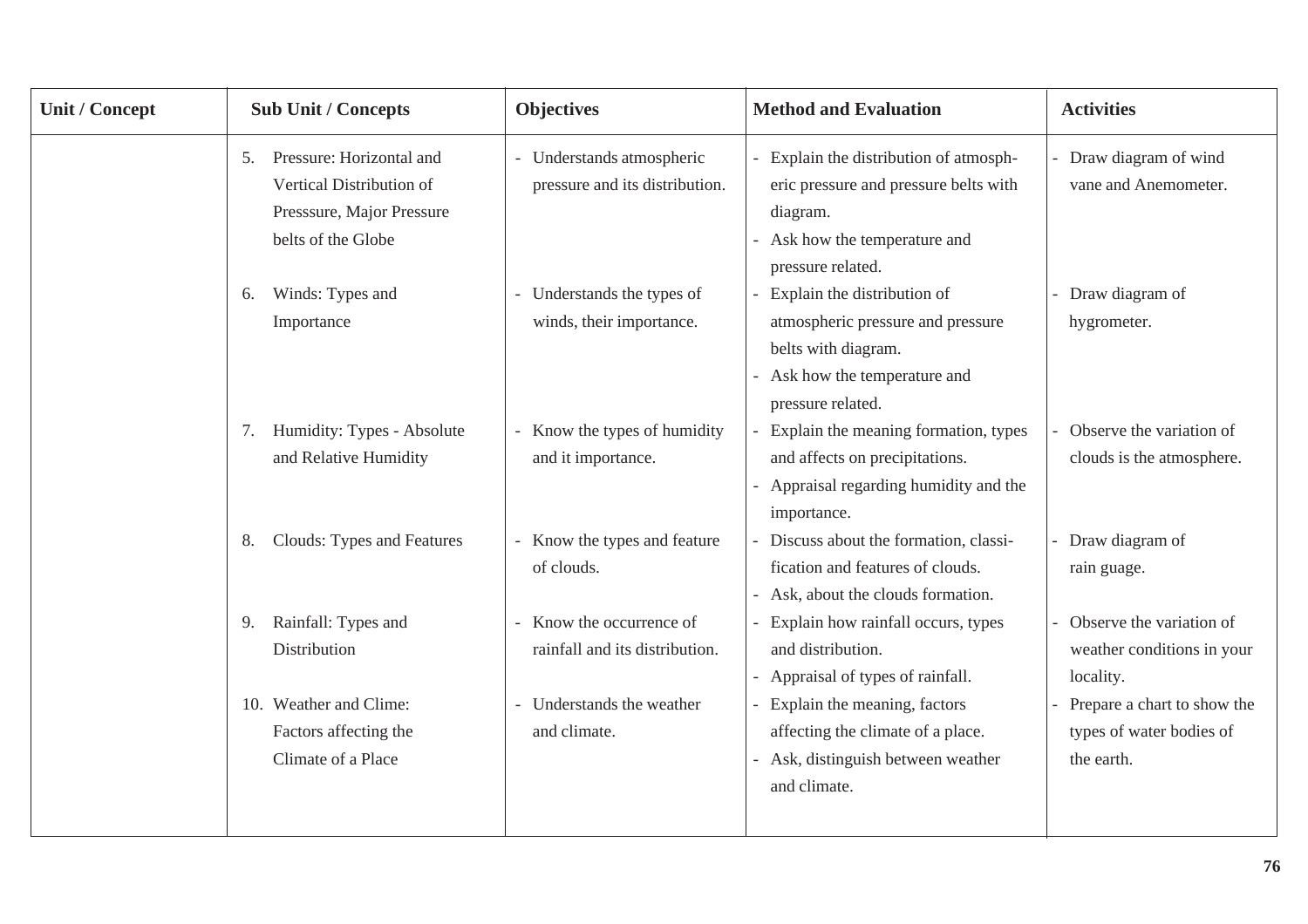| <b>Unit / Concept</b> | <b>Sub Unit / Concepts</b>                                                                                                | <b>Objectives</b>                                           | <b>Method and Evaluation</b>                                                                                                                    | <b>Activities</b>                                                     |
|-----------------------|---------------------------------------------------------------------------------------------------------------------------|-------------------------------------------------------------|-------------------------------------------------------------------------------------------------------------------------------------------------|-----------------------------------------------------------------------|
|                       | Pressure: Horizontal and<br>5 <sub>1</sub><br>Vertical Distribution of<br>Presssure, Major Pressure<br>belts of the Globe | - Understands atmospheric<br>pressure and its distribution. | - Explain the distribution of atmosph-<br>eric pressure and pressure belts with<br>diagram.<br>Ask how the temperature and<br>pressure related. | - Draw diagram of wind<br>vane and Anemometer.                        |
|                       | Winds: Types and<br>6.<br>Importance                                                                                      | Understands the types of<br>winds, their importance.        | - Explain the distribution of<br>atmospheric pressure and pressure<br>belts with diagram.<br>Ask how the temperature and<br>pressure related.   | - Draw diagram of<br>hygrometer.                                      |
|                       | Humidity: Types - Absolute<br>and Relative Humidity                                                                       | - Know the types of humidity<br>and it importance.          | - Explain the meaning formation, types<br>and affects on precipitations.<br>- Appraisal regarding humidity and the<br>importance.               | - Observe the variation of<br>clouds is the atmosphere.               |
|                       | Clouds: Types and Features<br>8.                                                                                          | - Know the types and feature<br>of clouds.                  | - Discuss about the formation, classi-<br>fication and features of clouds.<br>- Ask, about the clouds formation.                                | - Draw diagram of<br>rain guage.                                      |
|                       | Rainfall: Types and<br>9.<br>Distribution                                                                                 | - Know the occurrence of<br>rainfall and its distribution.  | - Explain how rainfall occurs, types<br>and distribution.<br>- Appraisal of types of rainfall.                                                  | - Observe the variation of<br>weather conditions in your<br>locality. |
|                       | 10. Weather and Clime:<br>Factors affecting the<br>Climate of a Place                                                     | - Understands the weather<br>and climate.                   | - Explain the meaning, factors<br>affecting the climate of a place.<br>- Ask, distinguish between weather<br>and climate.                       | Prepare a chart to show the<br>types of water bodies of<br>the earth. |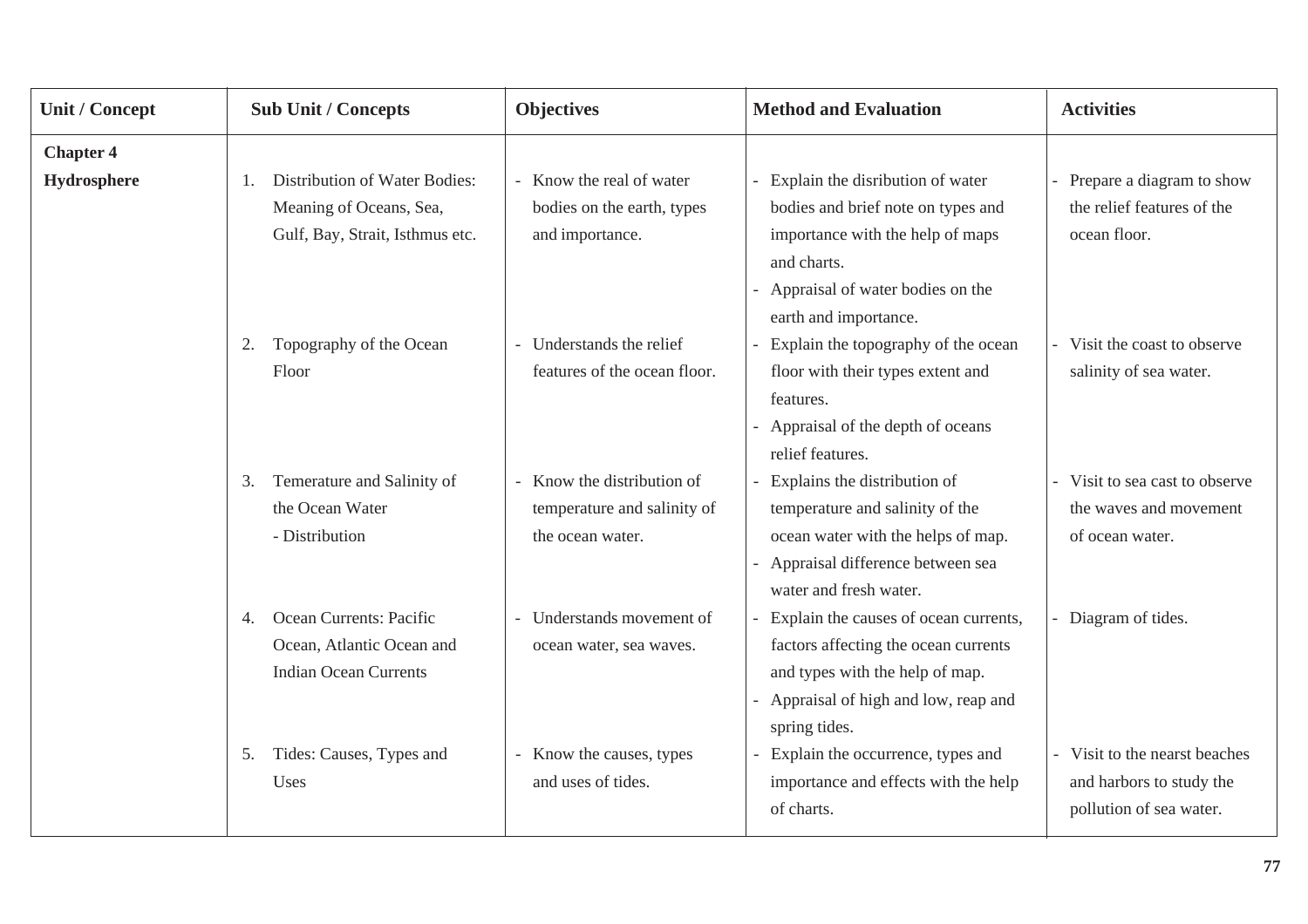| <b>Unit / Concept</b> | <b>Sub Unit / Concepts</b>                                                                        | <b>Objectives</b>                                                             | <b>Method and Evaluation</b>                                                                                                                                                           | <b>Activities</b>                                                                  |
|-----------------------|---------------------------------------------------------------------------------------------------|-------------------------------------------------------------------------------|----------------------------------------------------------------------------------------------------------------------------------------------------------------------------------------|------------------------------------------------------------------------------------|
| <b>Chapter 4</b>      |                                                                                                   |                                                                               |                                                                                                                                                                                        |                                                                                    |
| Hydrosphere           | Distribution of Water Bodies:<br>1.<br>Meaning of Oceans, Sea,<br>Gulf, Bay, Strait, Isthmus etc. | - Know the real of water<br>bodies on the earth, types<br>and importance.     | Explain the disribution of water<br>bodies and brief note on types and<br>importance with the help of maps<br>and charts.<br>Appraisal of water bodies on the<br>earth and importance. | Prepare a diagram to show<br>the relief features of the<br>ocean floor.            |
|                       | Topography of the Ocean<br>2.<br>Floor                                                            | - Understands the relief<br>features of the ocean floor.                      | Explain the topography of the ocean<br>floor with their types extent and<br>features.<br>Appraisal of the depth of oceans<br>relief features.                                          | Visit the coast to observe<br>salinity of sea water.                               |
|                       | Temerature and Salinity of<br>3.<br>the Ocean Water<br>- Distribution                             | - Know the distribution of<br>temperature and salinity of<br>the ocean water. | Explains the distribution of<br>temperature and salinity of the<br>ocean water with the helps of map.<br>Appraisal difference between sea<br>water and fresh water.                    | Visit to sea cast to observe<br>the waves and movement<br>of ocean water.          |
|                       | Ocean Currents: Pacific<br>4.<br>Ocean, Atlantic Ocean and<br><b>Indian Ocean Currents</b>        | Understands movement of<br>ocean water, sea waves.                            | Explain the causes of ocean currents,<br>factors affecting the ocean currents<br>and types with the help of map.<br>Appraisal of high and low, reap and<br>spring tides.               | Diagram of tides.                                                                  |
|                       | Tides: Causes, Types and<br>5.<br>Uses                                                            | - Know the causes, types<br>and uses of tides.                                | Explain the occurrence, types and<br>importance and effects with the help<br>of charts.                                                                                                | Visit to the nearst beaches<br>and harbors to study the<br>pollution of sea water. |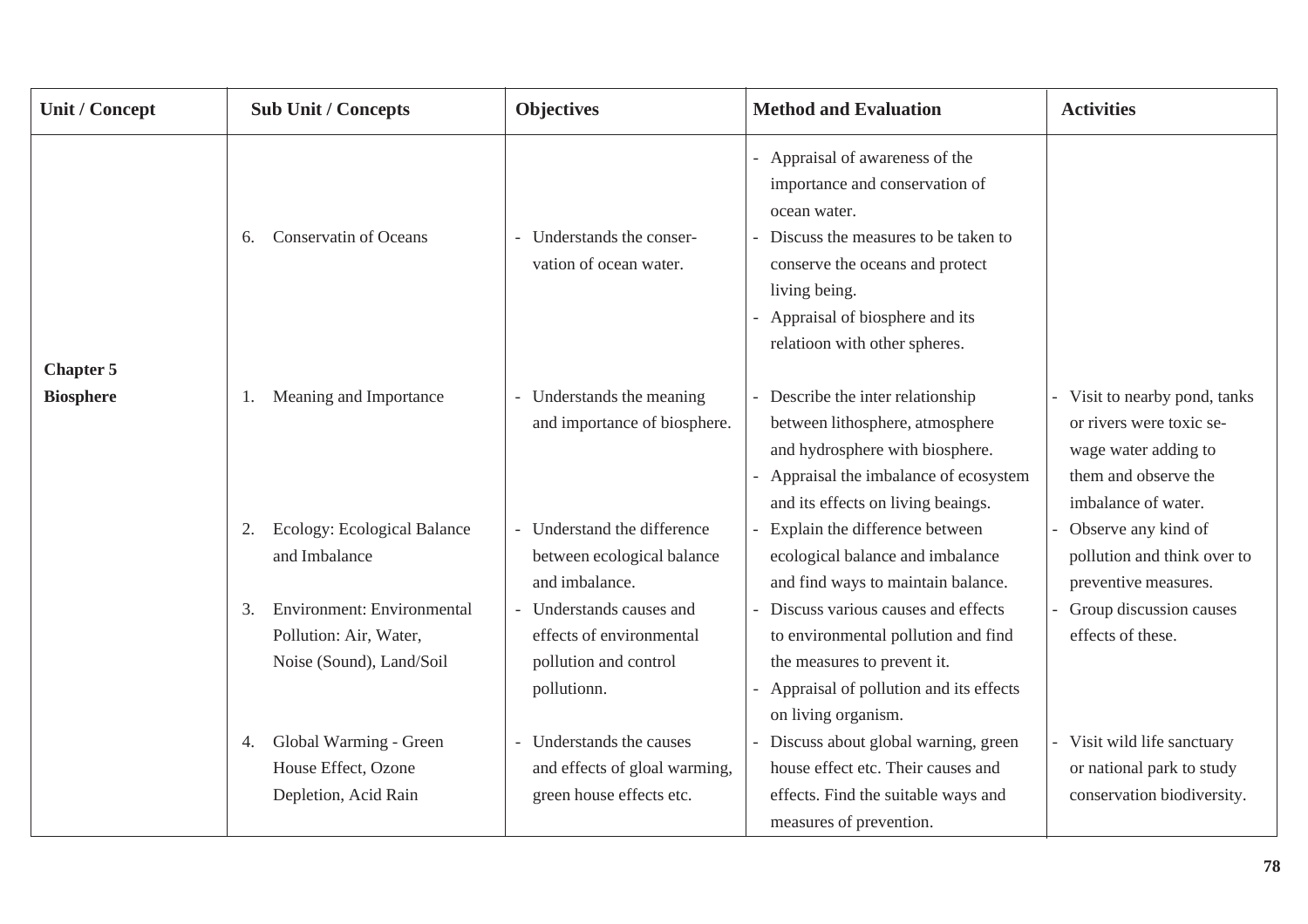| <b>Unit / Concept</b> | <b>Sub Unit / Concepts</b>                                                                    | <b>Objectives</b>                                                                            | <b>Method and Evaluation</b>                                                                                                                                                                                                                  | <b>Activities</b>                                                                                                              |
|-----------------------|-----------------------------------------------------------------------------------------------|----------------------------------------------------------------------------------------------|-----------------------------------------------------------------------------------------------------------------------------------------------------------------------------------------------------------------------------------------------|--------------------------------------------------------------------------------------------------------------------------------|
|                       | <b>Conservatin of Oceans</b><br>6.                                                            | - Understands the conser-<br>vation of ocean water.                                          | Appraisal of awareness of the<br>importance and conservation of<br>ocean water.<br>Discuss the measures to be taken to<br>conserve the oceans and protect<br>living being.<br>Appraisal of biosphere and its<br>relatioon with other spheres. |                                                                                                                                |
| <b>Chapter 5</b>      |                                                                                               |                                                                                              |                                                                                                                                                                                                                                               |                                                                                                                                |
| <b>Biosphere</b>      | Meaning and Importance<br>1.                                                                  | - Understands the meaning<br>and importance of biosphere.                                    | Describe the inter relationship<br>between lithosphere, atmosphere<br>and hydrosphere with biosphere.<br>Appraisal the imbalance of ecosystem<br>and its effects on living beaings.                                                           | Visit to nearby pond, tanks<br>or rivers were toxic se-<br>wage water adding to<br>them and observe the<br>imbalance of water. |
|                       | Ecology: Ecological Balance<br>2.<br>and Imbalance                                            | - Understand the difference<br>between ecological balance<br>and imbalance.                  | Explain the difference between<br>ecological balance and imbalance<br>and find ways to maintain balance.                                                                                                                                      | Observe any kind of<br>pollution and think over to<br>preventive measures.                                                     |
|                       | <b>Environment: Environmental</b><br>3.<br>Pollution: Air, Water,<br>Noise (Sound), Land/Soil | - Understands causes and<br>effects of environmental<br>pollution and control<br>pollutionn. | Discuss various causes and effects<br>to environmental pollution and find<br>the measures to prevent it.<br>Appraisal of pollution and its effects<br>on living organism.                                                                     | Group discussion causes<br>effects of these.                                                                                   |
|                       | Global Warming - Green<br>4.<br>House Effect, Ozone<br>Depletion, Acid Rain                   | - Understands the causes<br>and effects of gloal warming,<br>green house effects etc.        | Discuss about global warning, green<br>house effect etc. Their causes and<br>effects. Find the suitable ways and<br>measures of prevention.                                                                                                   | Visit wild life sanctuary<br>or national park to study<br>conservation biodiversity.                                           |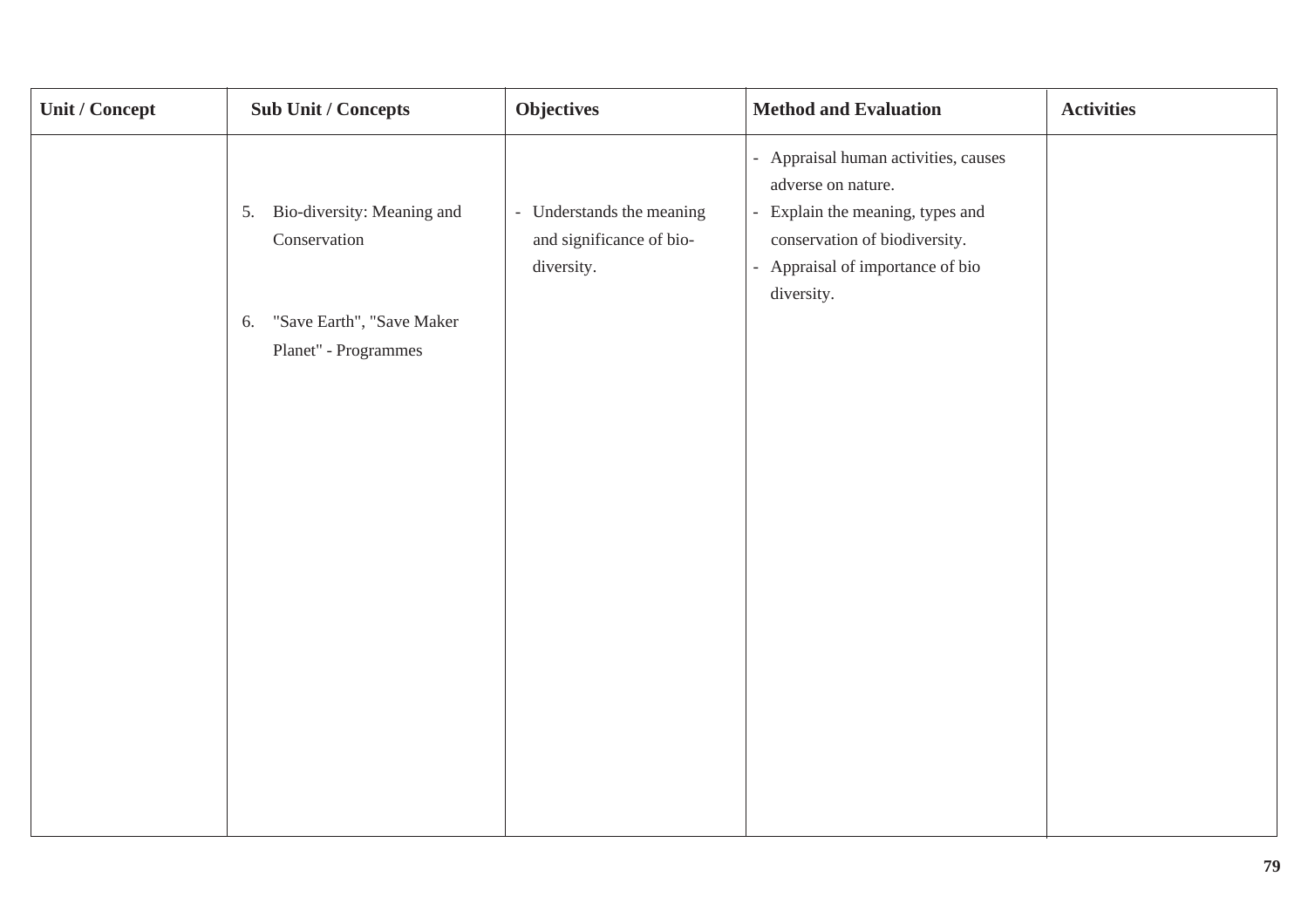| <b>Unit / Concept</b> | <b>Sub Unit / Concepts</b>                                                                                  | Objectives                                                          | <b>Method and Evaluation</b>                                                                                                                                                                      | <b>Activities</b> |
|-----------------------|-------------------------------------------------------------------------------------------------------------|---------------------------------------------------------------------|---------------------------------------------------------------------------------------------------------------------------------------------------------------------------------------------------|-------------------|
|                       | Bio-diversity: Meaning and<br>5.<br>Conservation<br>"Save Earth", "Save Maker<br>6.<br>Planet" - Programmes | - Understands the meaning<br>and significance of bio-<br>diversity. | - Appraisal human activities, causes<br>adverse on nature.<br>Explain the meaning, types and<br>$\overline{a}$<br>conservation of biodiversity.<br>- Appraisal of importance of bio<br>diversity. |                   |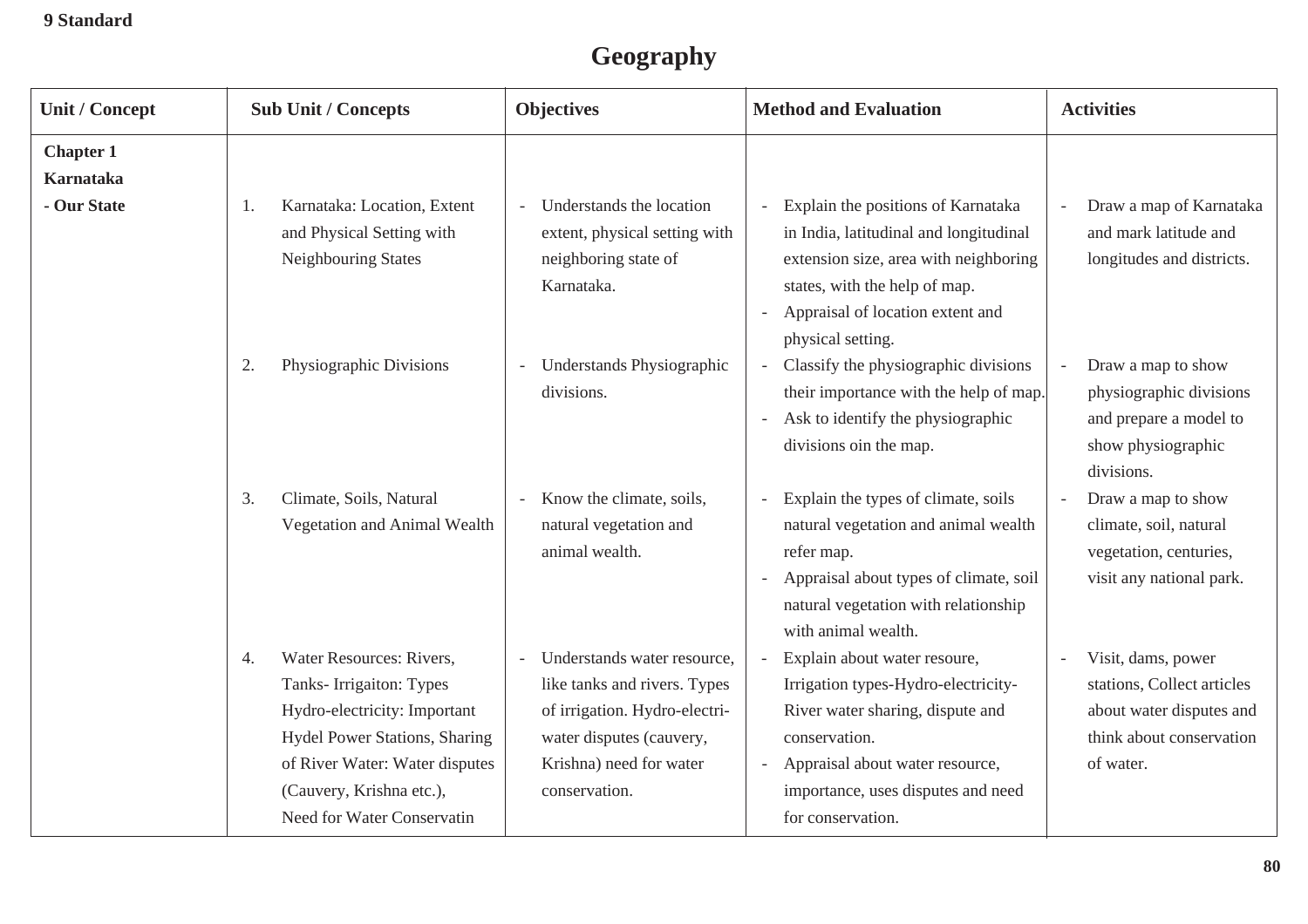## **Geography**

| <b>Unit / Concept</b>                               | <b>Sub Unit / Concepts</b>                                                                                                                                                                                             | <b>Objectives</b>                                                                                                                                                    | <b>Method and Evaluation</b>                                                                                                                                                                                             | <b>Activities</b>                                                                                                     |  |  |
|-----------------------------------------------------|------------------------------------------------------------------------------------------------------------------------------------------------------------------------------------------------------------------------|----------------------------------------------------------------------------------------------------------------------------------------------------------------------|--------------------------------------------------------------------------------------------------------------------------------------------------------------------------------------------------------------------------|-----------------------------------------------------------------------------------------------------------------------|--|--|
| <b>Chapter 1</b><br><b>Karnataka</b><br>- Our State | Karnataka: Location, Extent<br>1.<br>and Physical Setting with<br>Neighbouring States                                                                                                                                  | Understands the location<br>extent, physical setting with<br>neighboring state of<br>Karnataka.                                                                      | Explain the positions of Karnataka<br>in India, latitudinal and longitudinal<br>extension size, area with neighboring<br>states, with the help of map.<br>Appraisal of location extent and<br>physical setting.          | Draw a map of Karnataka<br>and mark latitude and<br>longitudes and districts.                                         |  |  |
| Physiographic Divisions<br>2.                       | Understands Physiographic<br>$\overline{a}$<br>divisions.                                                                                                                                                              | Classify the physiographic divisions<br>$\sim$<br>their importance with the help of map.<br>- Ask to identify the physiographic<br>divisions oin the map.            | Draw a map to show<br>physiographic divisions<br>and prepare a model to<br>show physiographic<br>divisions.                                                                                                              |                                                                                                                       |  |  |
|                                                     | Climate, Soils, Natural<br>3.<br>Vegetation and Animal Wealth                                                                                                                                                          | Know the climate, soils,<br>natural vegetation and<br>animal wealth.                                                                                                 | - Explain the types of climate, soils<br>natural vegetation and animal wealth<br>refer map.<br>- Appraisal about types of climate, soil<br>natural vegetation with relationship<br>with animal wealth.                   | Draw a map to show<br>climate, soil, natural<br>vegetation, centuries,<br>visit any national park.                    |  |  |
|                                                     | Water Resources: Rivers,<br>4.<br>Tanks-Irrigaiton: Types<br>Hydro-electricity: Important<br>Hydel Power Stations, Sharing<br>of River Water: Water disputes<br>(Cauvery, Krishna etc.),<br>Need for Water Conservatin | Understands water resource,<br>like tanks and rivers. Types<br>of irrigation. Hydro-electri-<br>water disputes (cauvery,<br>Krishna) need for water<br>conservation. | - Explain about water resoure,<br>Irrigation types-Hydro-electricity-<br>River water sharing, dispute and<br>conservation.<br>Appraisal about water resource,<br>importance, uses disputes and need<br>for conservation. | Visit, dams, power<br>stations, Collect articles<br>about water disputes and<br>think about conservation<br>of water. |  |  |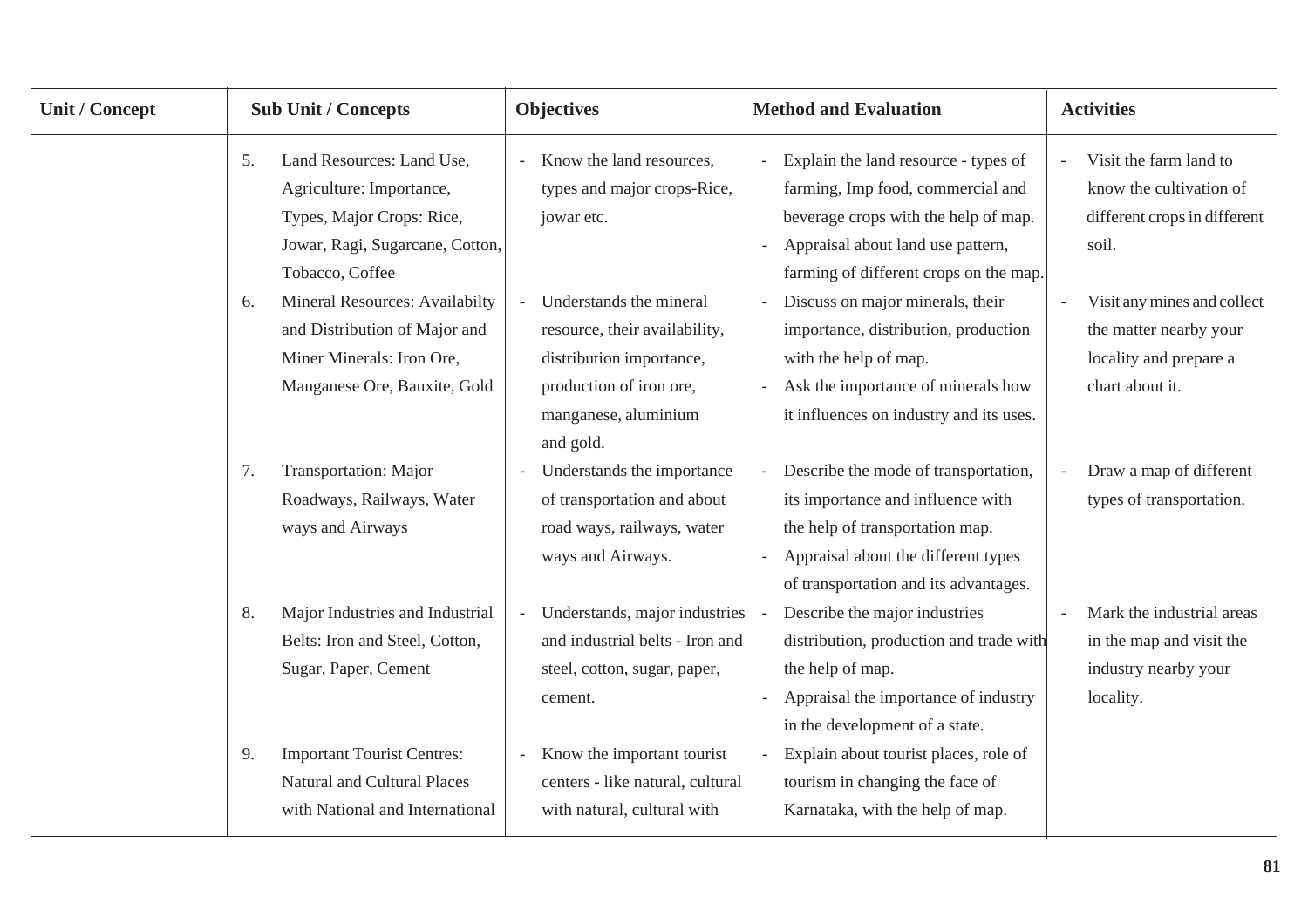| <b>Unit / Concept</b> | <b>Sub Unit / Concepts</b>                                                                                                                     | <b>Objectives</b>                                                                                                                                    | <b>Method and Evaluation</b>                                                                                                                                                                       | <b>Activities</b>                                                                                  |  |
|-----------------------|------------------------------------------------------------------------------------------------------------------------------------------------|------------------------------------------------------------------------------------------------------------------------------------------------------|----------------------------------------------------------------------------------------------------------------------------------------------------------------------------------------------------|----------------------------------------------------------------------------------------------------|--|
|                       | Land Resources: Land Use,<br>5.<br>Agriculture: Importance,<br>Types, Major Crops: Rice,<br>Jowar, Ragi, Sugarcane, Cotton,<br>Tobacco, Coffee | Know the land resources,<br>types and major crops-Rice,<br>jowar etc.                                                                                | - Explain the land resource - types of<br>farming, Imp food, commercial and<br>beverage crops with the help of map.<br>Appraisal about land use pattern,<br>farming of different crops on the map. | Visit the farm land to<br>know the cultivation of<br>different crops in different<br>soil.         |  |
|                       | Mineral Resources: Availabilty<br>6.<br>and Distribution of Major and<br>Miner Minerals: Iron Ore,<br>Manganese Ore, Bauxite, Gold             | Understands the mineral<br>resource, their availability,<br>distribution importance,<br>production of iron ore,<br>manganese, aluminium<br>and gold. | - Discuss on major minerals, their<br>importance, distribution, production<br>with the help of map.<br>Ask the importance of minerals how<br>it influences on industry and its uses.               | Visit any mines and collect<br>the matter nearby your<br>locality and prepare a<br>chart about it. |  |
|                       | <b>Transportation: Major</b><br>7.<br>Roadways, Railways, Water<br>ways and Airways                                                            | Understands the importance<br>of transportation and about<br>road ways, railways, water<br>ways and Airways.                                         | - Describe the mode of transportation,<br>its importance and influence with<br>the help of transportation map.<br>Appraisal about the different types<br>of transportation and its advantages.     | Draw a map of different<br>types of transportation.                                                |  |
|                       | Major Industries and Industrial<br>8.<br>Belts: Iron and Steel, Cotton,<br>Sugar, Paper, Cement                                                | Understands, major industries<br>and industrial belts - Iron and<br>steel, cotton, sugar, paper,<br>cement.                                          | Describe the major industries<br>distribution, production and trade with<br>the help of map.<br>Appraisal the importance of industry<br>in the development of a state.                             | Mark the industrial areas<br>in the map and visit the<br>industry nearby your<br>locality.         |  |
|                       | <b>Important Tourist Centres:</b><br>9.<br><b>Natural and Cultural Places</b><br>with National and International                               | Know the important tourist<br>centers - like natural, cultural<br>with natural, cultural with                                                        | - Explain about tourist places, role of<br>tourism in changing the face of<br>Karnataka, with the help of map.                                                                                     |                                                                                                    |  |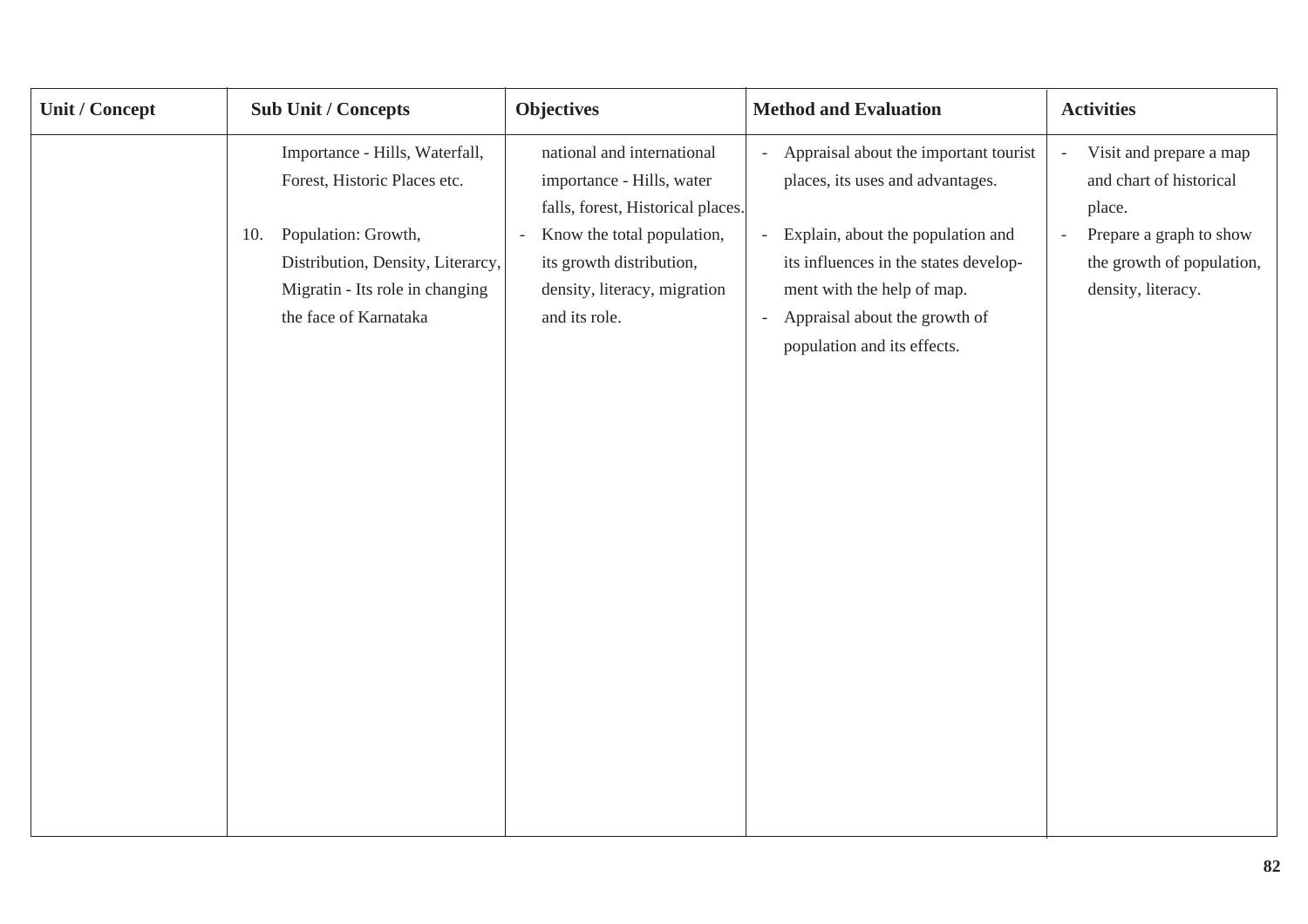| <b>Unit / Concept</b> | <b>Sub Unit / Concepts</b>                                                                                                                                                                    | <b>Objectives</b>                                                                                                                                                                                                                   | <b>Method and Evaluation</b>                                                                                                                                                                                                                                                            | <b>Activities</b>                                                                                                                                                      |  |
|-----------------------|-----------------------------------------------------------------------------------------------------------------------------------------------------------------------------------------------|-------------------------------------------------------------------------------------------------------------------------------------------------------------------------------------------------------------------------------------|-----------------------------------------------------------------------------------------------------------------------------------------------------------------------------------------------------------------------------------------------------------------------------------------|------------------------------------------------------------------------------------------------------------------------------------------------------------------------|--|
|                       | Importance - Hills, Waterfall,<br>Forest, Historic Places etc.<br>Population: Growth,<br>10.<br>Distribution, Density, Literarcy,<br>Migratin - Its role in changing<br>the face of Karnataka | national and international<br>importance - Hills, water<br>falls, forest, Historical places.<br>Know the total population,<br>$\overline{\phantom{a}}$<br>its growth distribution,<br>density, literacy, migration<br>and its role. | Appraisal about the important tourist<br>$\overline{\phantom{m}}$<br>places, its uses and advantages.<br>Explain, about the population and<br>its influences in the states develop-<br>ment with the help of map.<br>Appraisal about the growth of<br>÷,<br>population and its effects. | Visit and prepare a map<br>and chart of historical<br>place.<br>Prepare a graph to show<br>$\overline{\phantom{a}}$<br>the growth of population,<br>density, literacy. |  |
|                       |                                                                                                                                                                                               |                                                                                                                                                                                                                                     |                                                                                                                                                                                                                                                                                         |                                                                                                                                                                        |  |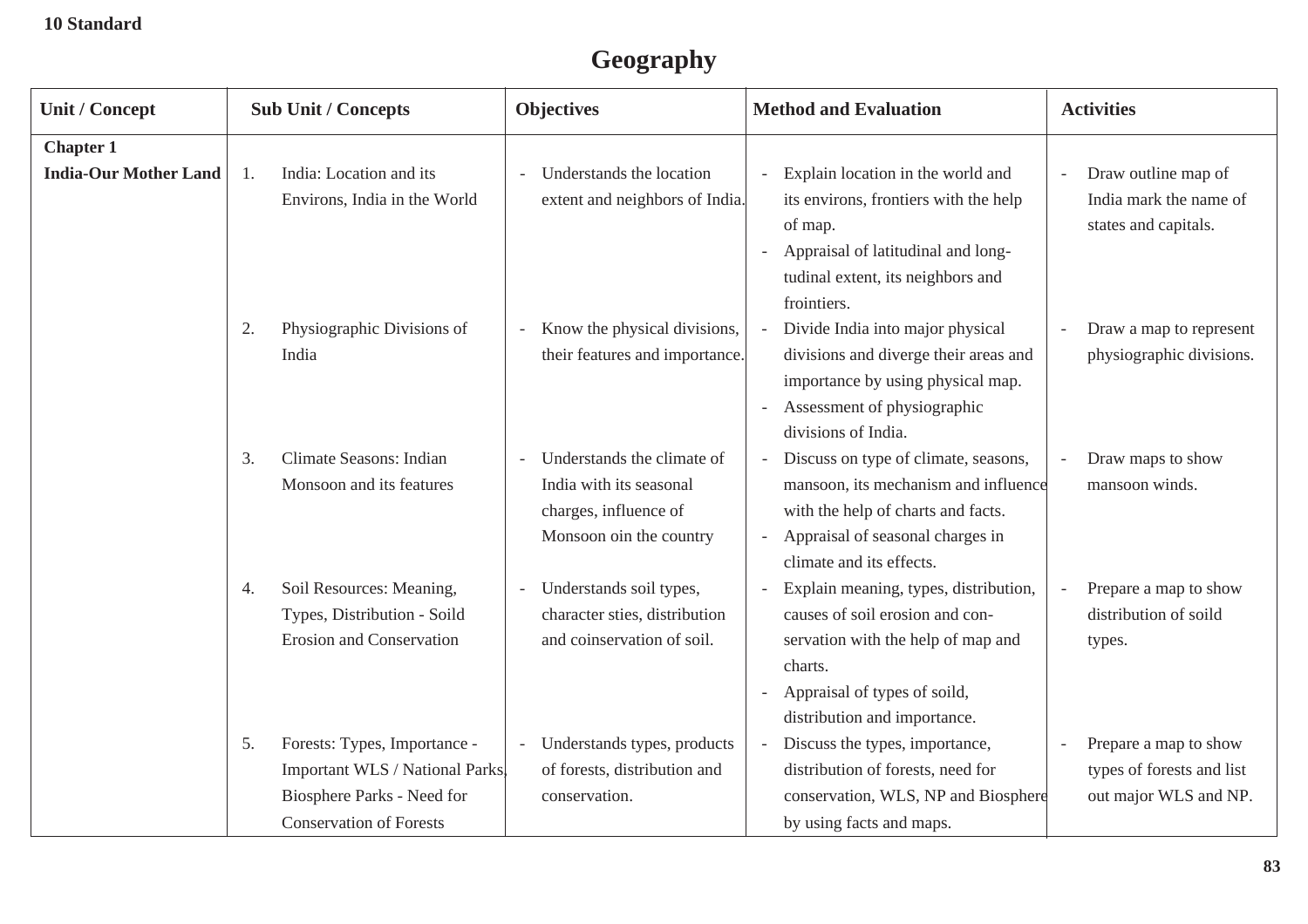# **Geography**

| <b>Unit / Concept</b>        |    | <b>Sub Unit / Concepts</b>                                                                                                      | <b>Objectives</b>                                                                                         | <b>Method and Evaluation</b>                         |                                                                                                                                                                                           |                          | <b>Activities</b>                                                           |  |  |
|------------------------------|----|---------------------------------------------------------------------------------------------------------------------------------|-----------------------------------------------------------------------------------------------------------|------------------------------------------------------|-------------------------------------------------------------------------------------------------------------------------------------------------------------------------------------------|--------------------------|-----------------------------------------------------------------------------|--|--|
| <b>Chapter 1</b>             |    |                                                                                                                                 |                                                                                                           |                                                      |                                                                                                                                                                                           |                          |                                                                             |  |  |
| <b>India-Our Mother Land</b> | 1. | India: Location and its<br>Environs, India in the World                                                                         | Understands the location<br>extent and neighbors of India.                                                | $\overline{\phantom{a}}$<br>$\overline{\phantom{a}}$ | Explain location in the world and<br>its environs, frontiers with the help<br>of map.<br>Appraisal of latitudinal and long-<br>tudinal extent, its neighbors and<br>frointiers.           | $\overline{\phantom{a}}$ | Draw outline map of<br>India mark the name of<br>states and capitals.       |  |  |
|                              | 2. | Physiographic Divisions of<br>India                                                                                             | Know the physical divisions,<br>their features and importance.                                            | $\sim$                                               | Divide India into major physical<br>divisions and diverge their areas and<br>importance by using physical map.<br>Assessment of physiographic<br>divisions of India.                      |                          | Draw a map to represent<br>physiographic divisions.                         |  |  |
|                              | 3. | Climate Seasons: Indian<br>Monsoon and its features                                                                             | Understands the climate of<br>India with its seasonal<br>charges, influence of<br>Monsoon oin the country | $ \,$<br>$\overline{\phantom{a}}$                    | Discuss on type of climate, seasons,<br>mansoon, its mechanism and influence<br>with the help of charts and facts.<br>Appraisal of seasonal charges in<br>climate and its effects.        |                          | Draw maps to show<br>mansoon winds.                                         |  |  |
|                              | 4. | Soil Resources: Meaning,<br>Types, Distribution - Soild<br><b>Erosion and Conservation</b>                                      | Understands soil types,<br>character sties, distribution<br>and coinservation of soil.                    |                                                      | Explain meaning, types, distribution,<br>causes of soil erosion and con-<br>servation with the help of map and<br>charts.<br>Appraisal of types of soild,<br>distribution and importance. |                          | Prepare a map to show<br>distribution of soild<br>types.                    |  |  |
|                              | 5. | Forests: Types, Importance -<br>Important WLS / National Parks,<br>Biosphere Parks - Need for<br><b>Conservation of Forests</b> | Understands types, products<br>of forests, distribution and<br>conservation.                              | $\sim$                                               | Discuss the types, importance,<br>distribution of forests, need for<br>conservation, WLS, NP and Biosphere<br>by using facts and maps.                                                    |                          | Prepare a map to show<br>types of forests and list<br>out major WLS and NP. |  |  |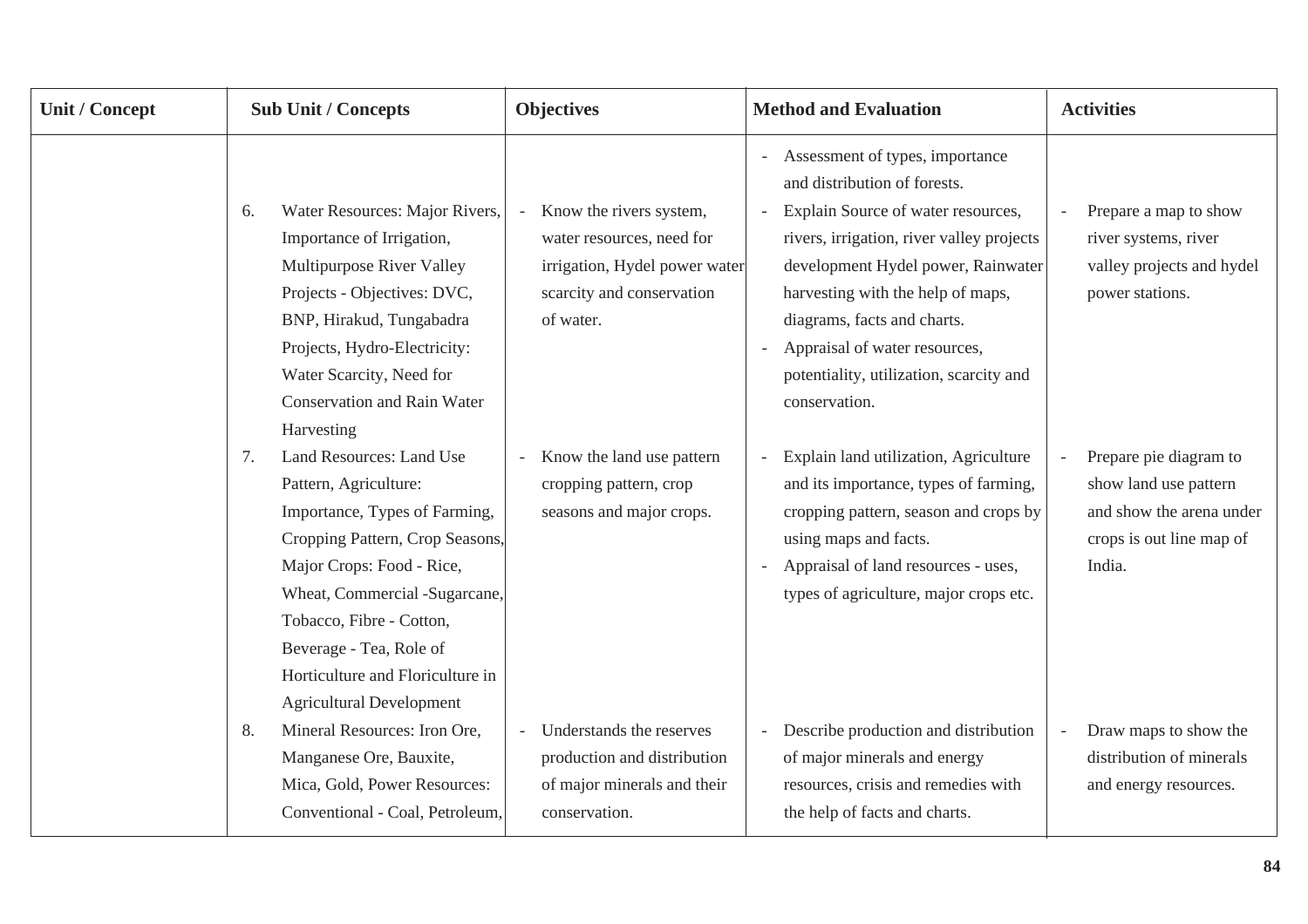| <b>Unit / Concept</b> | <b>Sub Unit / Concepts</b> |                                                                                                                                                                                                                                                                                                                   | <b>Objectives</b>                                                                                                               | <b>Method and Evaluation</b> |                                                                                                                                                                                                                                                                                                                                                               | <b>Activities</b> |                                                                                                                   |
|-----------------------|----------------------------|-------------------------------------------------------------------------------------------------------------------------------------------------------------------------------------------------------------------------------------------------------------------------------------------------------------------|---------------------------------------------------------------------------------------------------------------------------------|------------------------------|---------------------------------------------------------------------------------------------------------------------------------------------------------------------------------------------------------------------------------------------------------------------------------------------------------------------------------------------------------------|-------------------|-------------------------------------------------------------------------------------------------------------------|
|                       | 6.                         | Water Resources: Major Rivers,<br>Importance of Irrigation,<br>Multipurpose River Valley<br>Projects - Objectives: DVC,<br>BNP, Hirakud, Tungabadra<br>Projects, Hydro-Electricity:<br>Water Scarcity, Need for<br><b>Conservation and Rain Water</b><br>Harvesting                                               | Know the rivers system,<br>water resources, need for<br>irrigation, Hydel power water<br>scarcity and conservation<br>of water. | $\overline{\phantom{a}}$     | - Assessment of types, importance<br>and distribution of forests.<br>- Explain Source of water resources,<br>rivers, irrigation, river valley projects<br>development Hydel power, Rainwater<br>harvesting with the help of maps,<br>diagrams, facts and charts.<br>Appraisal of water resources,<br>potentiality, utilization, scarcity and<br>conservation. |                   | Prepare a map to show<br>river systems, river<br>valley projects and hydel<br>power stations.                     |
|                       | 7.                         | Land Resources: Land Use<br>Pattern, Agriculture:<br>Importance, Types of Farming,<br>Cropping Pattern, Crop Seasons,<br>Major Crops: Food - Rice,<br>Wheat, Commercial -Sugarcane,<br>Tobacco, Fibre - Cotton,<br>Beverage - Tea, Role of<br>Horticulture and Floriculture in<br><b>Agricultural Development</b> | Know the land use pattern<br>cropping pattern, crop<br>seasons and major crops.                                                 |                              | Explain land utilization, Agriculture<br>and its importance, types of farming,<br>cropping pattern, season and crops by<br>using maps and facts.<br>Appraisal of land resources - uses,<br>types of agriculture, major crops etc.                                                                                                                             |                   | Prepare pie diagram to<br>show land use pattern<br>and show the arena under<br>crops is out line map of<br>India. |
|                       | 8.                         | Mineral Resources: Iron Ore,<br>Manganese Ore, Bauxite,<br>Mica, Gold, Power Resources:<br>Conventional - Coal, Petroleum,                                                                                                                                                                                        | Understands the reserves<br>production and distribution<br>of major minerals and their<br>conservation.                         |                              | Describe production and distribution<br>of major minerals and energy<br>resources, crisis and remedies with<br>the help of facts and charts.                                                                                                                                                                                                                  |                   | Draw maps to show the<br>distribution of minerals<br>and energy resources.                                        |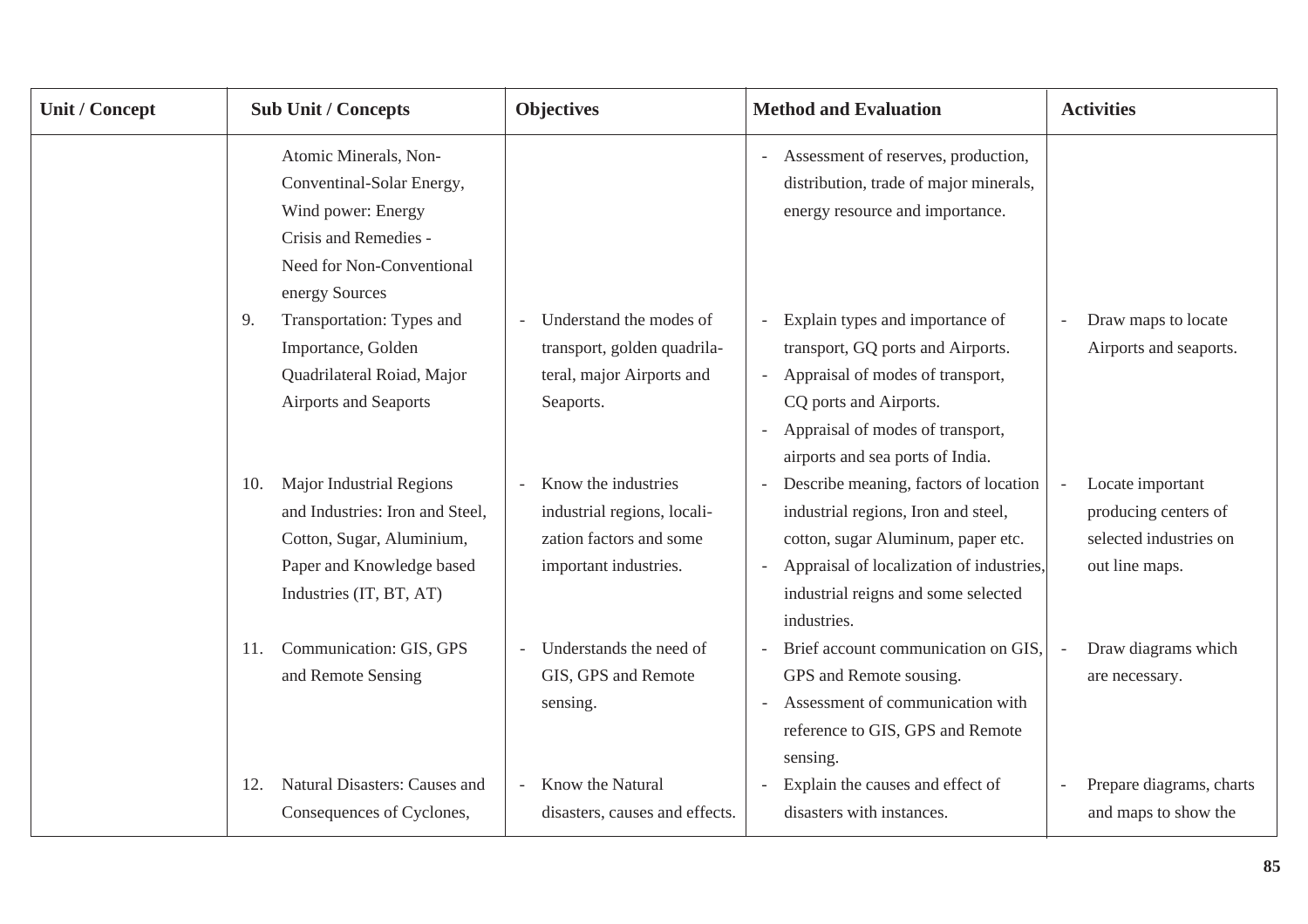| <b>Unit / Concept</b> |     | <b>Sub Unit / Concepts</b>                                                                                                                       | <b>Objectives</b>                                                                                      |                                    | <b>Method and Evaluation</b>                                                                                                                                                                                         | <b>Activities</b> |                                                                                      |
|-----------------------|-----|--------------------------------------------------------------------------------------------------------------------------------------------------|--------------------------------------------------------------------------------------------------------|------------------------------------|----------------------------------------------------------------------------------------------------------------------------------------------------------------------------------------------------------------------|-------------------|--------------------------------------------------------------------------------------|
|                       |     | Atomic Minerals, Non-<br>Conventinal-Solar Energy,<br>Wind power: Energy<br>Crisis and Remedies -<br>Need for Non-Conventional<br>energy Sources |                                                                                                        | $\overline{\phantom{a}}$           | Assessment of reserves, production,<br>distribution, trade of major minerals,<br>energy resource and importance.                                                                                                     |                   |                                                                                      |
|                       | 9.  | Transportation: Types and<br>Importance, Golden<br>Quadrilateral Roiad, Major<br>Airports and Seaports                                           | Understand the modes of<br>transport, golden quadrila-<br>teral, major Airports and<br>Seaports.       | $\sim$<br>$\overline{\phantom{a}}$ | Explain types and importance of<br>transport, GQ ports and Airports.<br>Appraisal of modes of transport,<br>CQ ports and Airports.<br>Appraisal of modes of transport,<br>airports and sea ports of India.           |                   | Draw maps to locate<br>Airports and seaports.                                        |
|                       | 10. | Major Industrial Regions<br>and Industries: Iron and Steel,<br>Cotton, Sugar, Aluminium,<br>Paper and Knowledge based<br>Industries (IT, BT, AT) | Know the industries<br>industrial regions, locali-<br>zation factors and some<br>important industries. | $\overline{\phantom{a}}$           | Describe meaning, factors of location<br>industrial regions, Iron and steel,<br>cotton, sugar Aluminum, paper etc.<br>Appraisal of localization of industries,<br>industrial reigns and some selected<br>industries. |                   | Locate important<br>producing centers of<br>selected industries on<br>out line maps. |
|                       | 11. | Communication: GIS, GPS<br>and Remote Sensing                                                                                                    | Understands the need of<br>GIS, GPS and Remote<br>sensing.                                             | $\overline{\phantom{a}}$           | Brief account communication on GIS.<br>GPS and Remote sousing.<br>Assessment of communication with<br>reference to GIS, GPS and Remote<br>sensing.                                                                   |                   | Draw diagrams which<br>are necessary.                                                |
|                       | 12. | Natural Disasters: Causes and<br>Consequences of Cyclones,                                                                                       | Know the Natural<br>disasters, causes and effects.                                                     |                                    | Explain the causes and effect of<br>disasters with instances.                                                                                                                                                        |                   | Prepare diagrams, charts<br>and maps to show the                                     |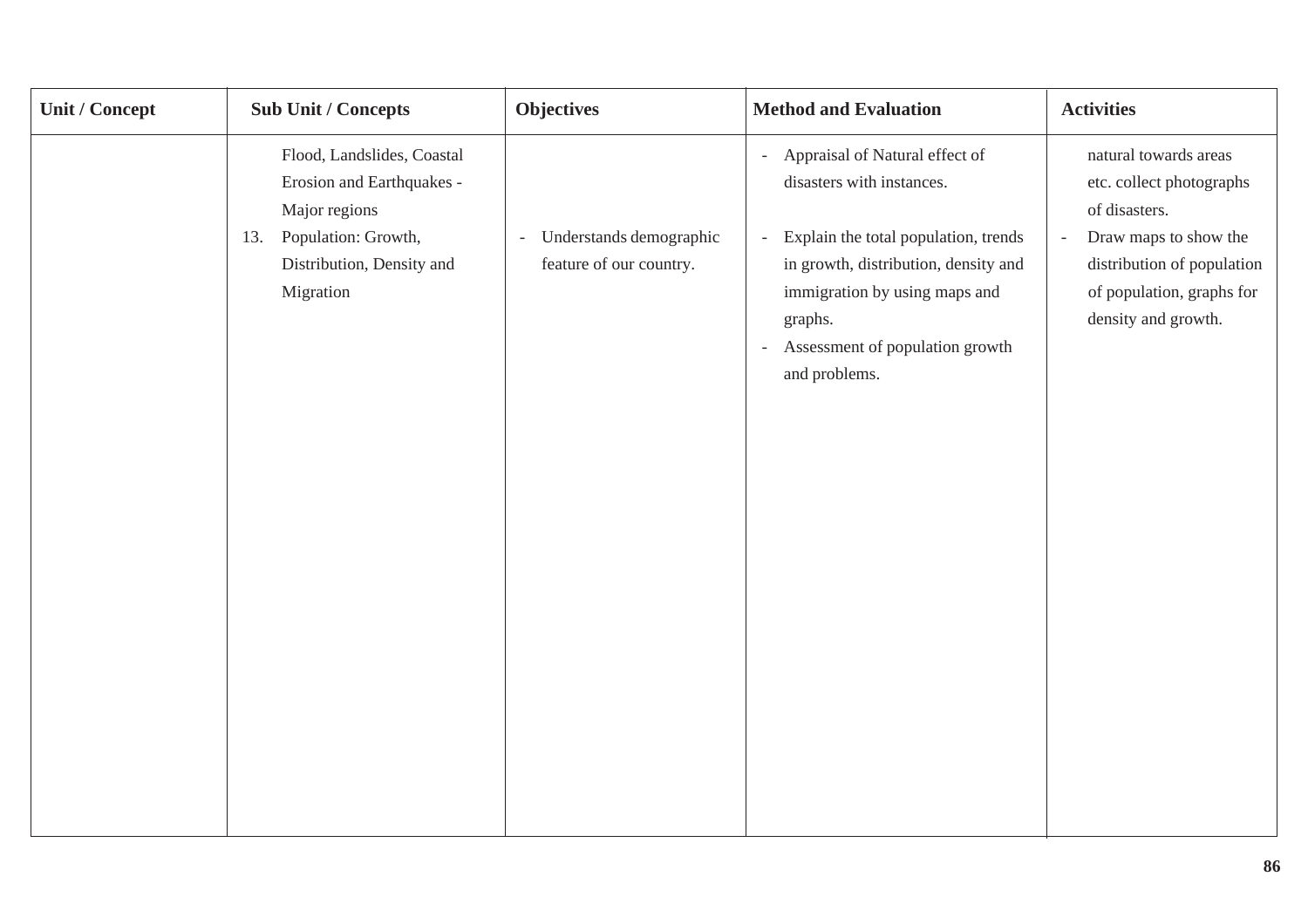| <b>Unit / Concept</b><br><b>Sub Unit / Concepts</b><br><b>Objectives</b><br><b>Method and Evaluation</b><br><b>Activities</b>                                                                                                                                                                                                                                                                                                                                                                                                                                                                                                       |                                                                                                              |
|-------------------------------------------------------------------------------------------------------------------------------------------------------------------------------------------------------------------------------------------------------------------------------------------------------------------------------------------------------------------------------------------------------------------------------------------------------------------------------------------------------------------------------------------------------------------------------------------------------------------------------------|--------------------------------------------------------------------------------------------------------------|
| Flood, Landslides, Coastal<br>Appraisal of Natural effect of<br>natural towards areas<br>$\overline{a}$<br>disasters with instances.<br>Erosion and Earthquakes -<br>Major regions<br>of disasters.<br>Population: Growth,<br>Explain the total population, trends<br>Understands demographic<br>13.<br>$\frac{1}{2}$<br>$\overline{a}$<br>$\overline{\phantom{a}}$<br>Distribution, Density and<br>feature of our country.<br>in growth, distribution, density and<br>immigration by using maps and<br>Migration<br>density and growth.<br>graphs.<br>Assessment of population growth<br>$\overline{\phantom{a}}$<br>and problems. | etc. collect photographs<br>Draw maps to show the<br>distribution of population<br>of population, graphs for |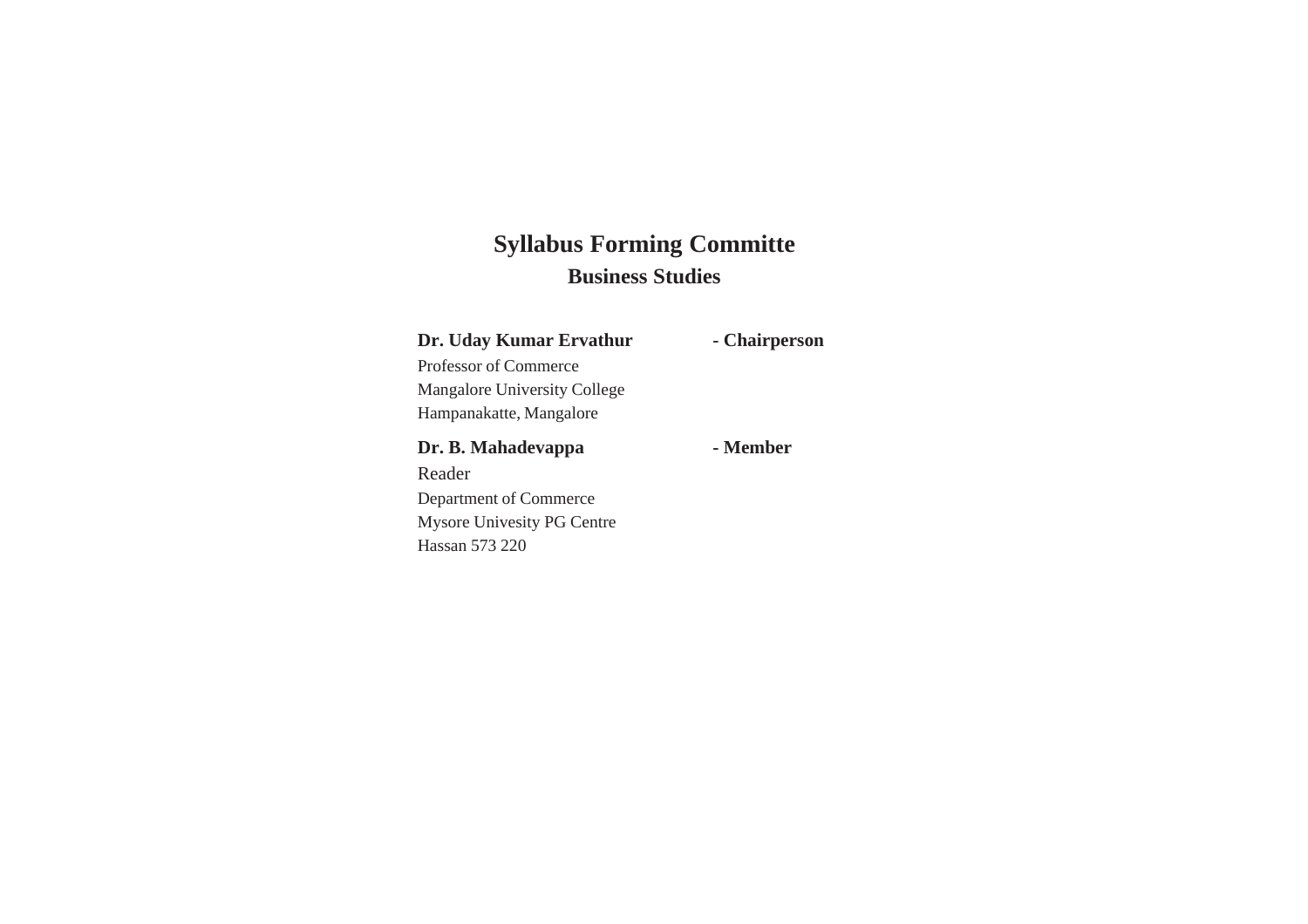#### **Syllabus Forming Committe Business Studies**

| Dr. Uday Kumar Ervathur             | - Chairperson |
|-------------------------------------|---------------|
| Professor of Commerce               |               |
| <b>Mangalore University College</b> |               |
| Hampanakatte, Mangalore             |               |
| Dr. B. Mahadevappa                  | - Member      |
| Reader                              |               |
| Department of Commerce              |               |
|                                     |               |
| <b>Mysore Univesity PG Centre</b>   |               |
|                                     |               |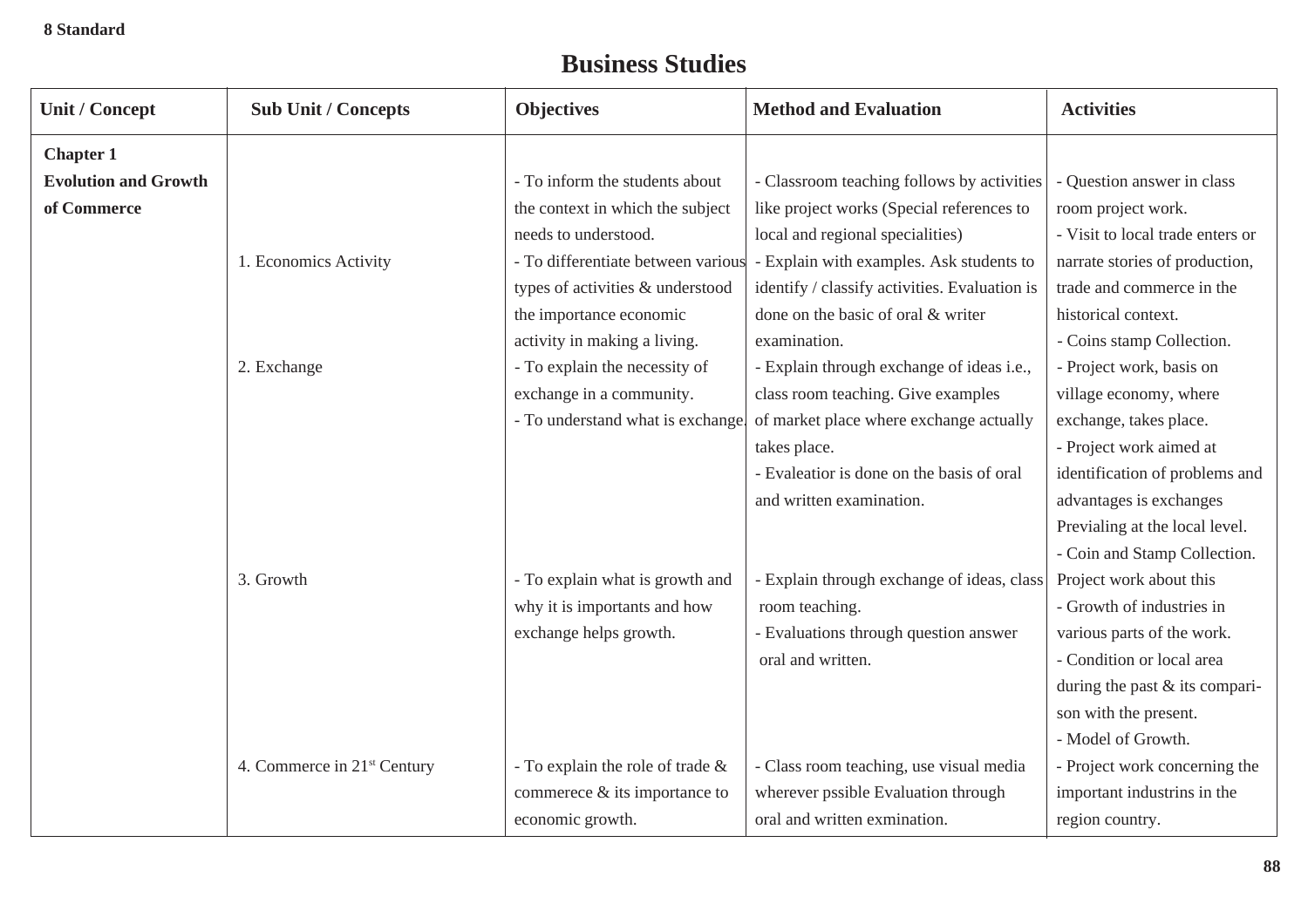### **Business Studies**

| <b>Unit / Concept</b>       | <b>Sub Unit / Concepts</b>              | <b>Objectives</b>                  | <b>Method and Evaluation</b>                  | <b>Activities</b>                |
|-----------------------------|-----------------------------------------|------------------------------------|-----------------------------------------------|----------------------------------|
| <b>Chapter 1</b>            |                                         |                                    |                                               |                                  |
| <b>Evolution and Growth</b> |                                         | - To inform the students about     | - Classroom teaching follows by activities    | - Question answer in class       |
| of Commerce                 |                                         | the context in which the subject   | like project works (Special references to     | room project work.               |
|                             |                                         | needs to understood.               | local and regional specialities)              | - Visit to local trade enters or |
|                             | 1. Economics Activity                   | - To differentiate between various | - Explain with examples. Ask students to      | narrate stories of production,   |
|                             |                                         | types of activities & understood   | identify / classify activities. Evaluation is | trade and commerce in the        |
|                             |                                         | the importance economic            | done on the basic of oral & writer            | historical context.              |
|                             |                                         | activity in making a living.       | examination.                                  | - Coins stamp Collection.        |
|                             | 2. Exchange                             | - To explain the necessity of      | - Explain through exchange of ideas i.e.,     | - Project work, basis on         |
|                             |                                         | exchange in a community.           | class room teaching. Give examples            | village economy, where           |
|                             |                                         | - To understand what is exchange.  | of market place where exchange actually       | exchange, takes place.           |
|                             |                                         |                                    | takes place.                                  | - Project work aimed at          |
|                             |                                         |                                    | - Evaleatior is done on the basis of oral     | identification of problems and   |
|                             |                                         |                                    | and written examination.                      | advantages is exchanges          |
|                             |                                         |                                    |                                               | Previaling at the local level.   |
|                             |                                         |                                    |                                               | - Coin and Stamp Collection.     |
|                             | 3. Growth                               | - To explain what is growth and    | - Explain through exchange of ideas, class    | Project work about this          |
|                             |                                         | why it is importants and how       | room teaching.                                | - Growth of industries in        |
|                             |                                         | exchange helps growth.             | - Evaluations through question answer         | various parts of the work.       |
|                             |                                         |                                    | oral and written.                             | - Condition or local area        |
|                             |                                         |                                    |                                               | during the past $&$ its compari- |
|                             |                                         |                                    |                                               | son with the present.            |
|                             |                                         |                                    |                                               | - Model of Growth.               |
|                             | 4. Commerce in 21 <sup>st</sup> Century | - To explain the role of trade &   | - Class room teaching, use visual media       | - Project work concerning the    |
|                             |                                         | commerece $\&$ its importance to   | wherever pssible Evaluation through           | important industrins in the      |
|                             |                                         | economic growth.                   | oral and written exmination.                  | region country.                  |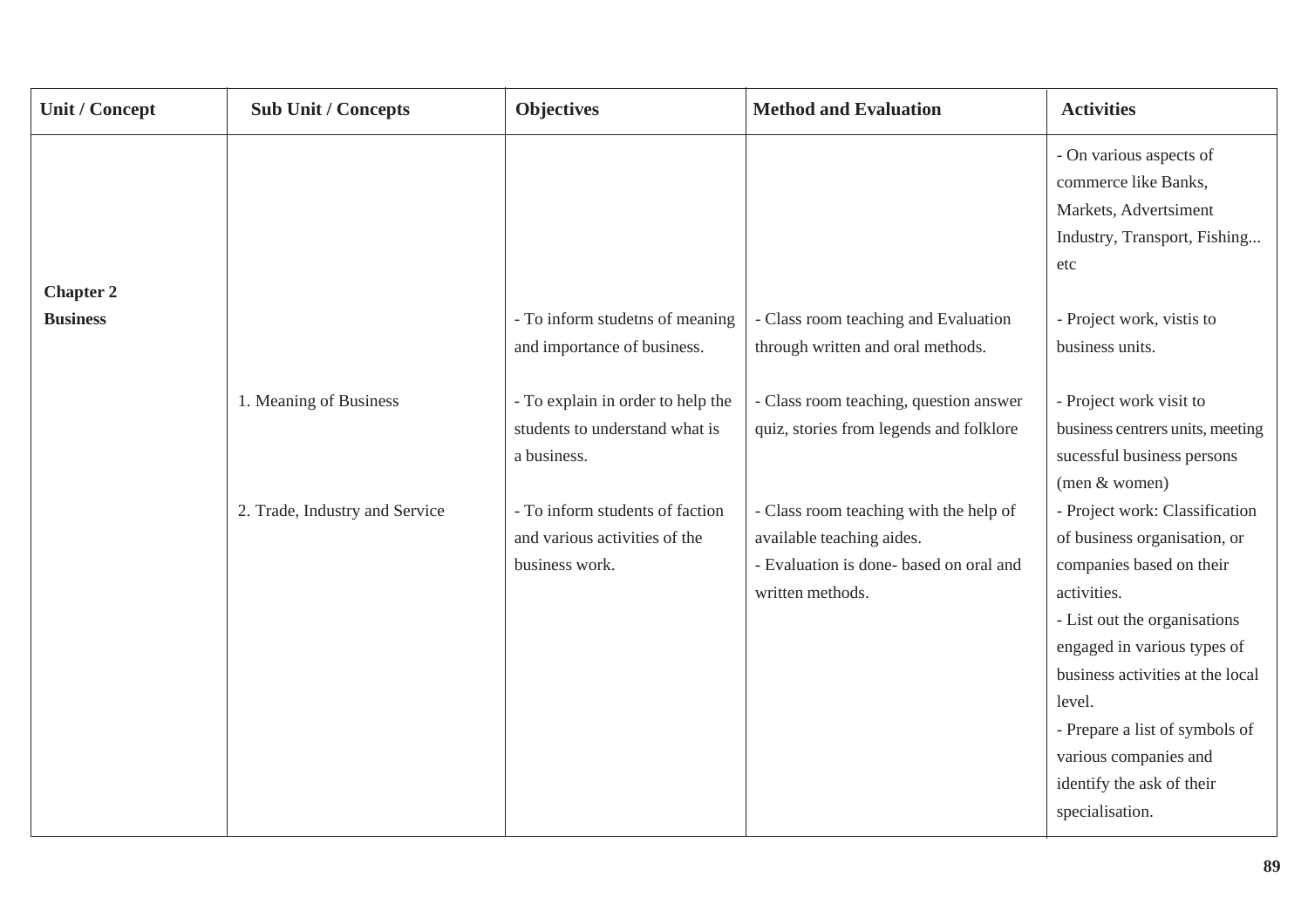| <b>Unit / Concept</b>               | <b>Sub Unit / Concepts</b>     | <b>Objectives</b>                                                                  | <b>Method and Evaluation</b>                                                                                                       | <b>Activities</b>                                                                                                                                                                                                                                                                                                                 |
|-------------------------------------|--------------------------------|------------------------------------------------------------------------------------|------------------------------------------------------------------------------------------------------------------------------------|-----------------------------------------------------------------------------------------------------------------------------------------------------------------------------------------------------------------------------------------------------------------------------------------------------------------------------------|
|                                     |                                |                                                                                    |                                                                                                                                    | - On various aspects of<br>commerce like Banks,<br>Markets, Advertsiment<br>Industry, Transport, Fishing<br>etc                                                                                                                                                                                                                   |
| <b>Chapter 2</b><br><b>Business</b> |                                | - To inform studetns of meaning<br>and importance of business.                     | - Class room teaching and Evaluation<br>through written and oral methods.                                                          | - Project work, vistis to<br>business units.                                                                                                                                                                                                                                                                                      |
|                                     | 1. Meaning of Business         | - To explain in order to help the<br>students to understand what is<br>a business. | - Class room teaching, question answer<br>quiz, stories from legends and folklore                                                  | - Project work visit to<br>business centrers units, meeting<br>sucessful business persons<br>(men & women)                                                                                                                                                                                                                        |
|                                     | 2. Trade, Industry and Service | - To inform students of faction<br>and various activities of the<br>business work. | - Class room teaching with the help of<br>available teaching aides.<br>- Evaluation is done- based on oral and<br>written methods. | - Project work: Classification<br>of business organisation, or<br>companies based on their<br>activities.<br>- List out the organisations<br>engaged in various types of<br>business activities at the local<br>level.<br>- Prepare a list of symbols of<br>various companies and<br>identify the ask of their<br>specialisation. |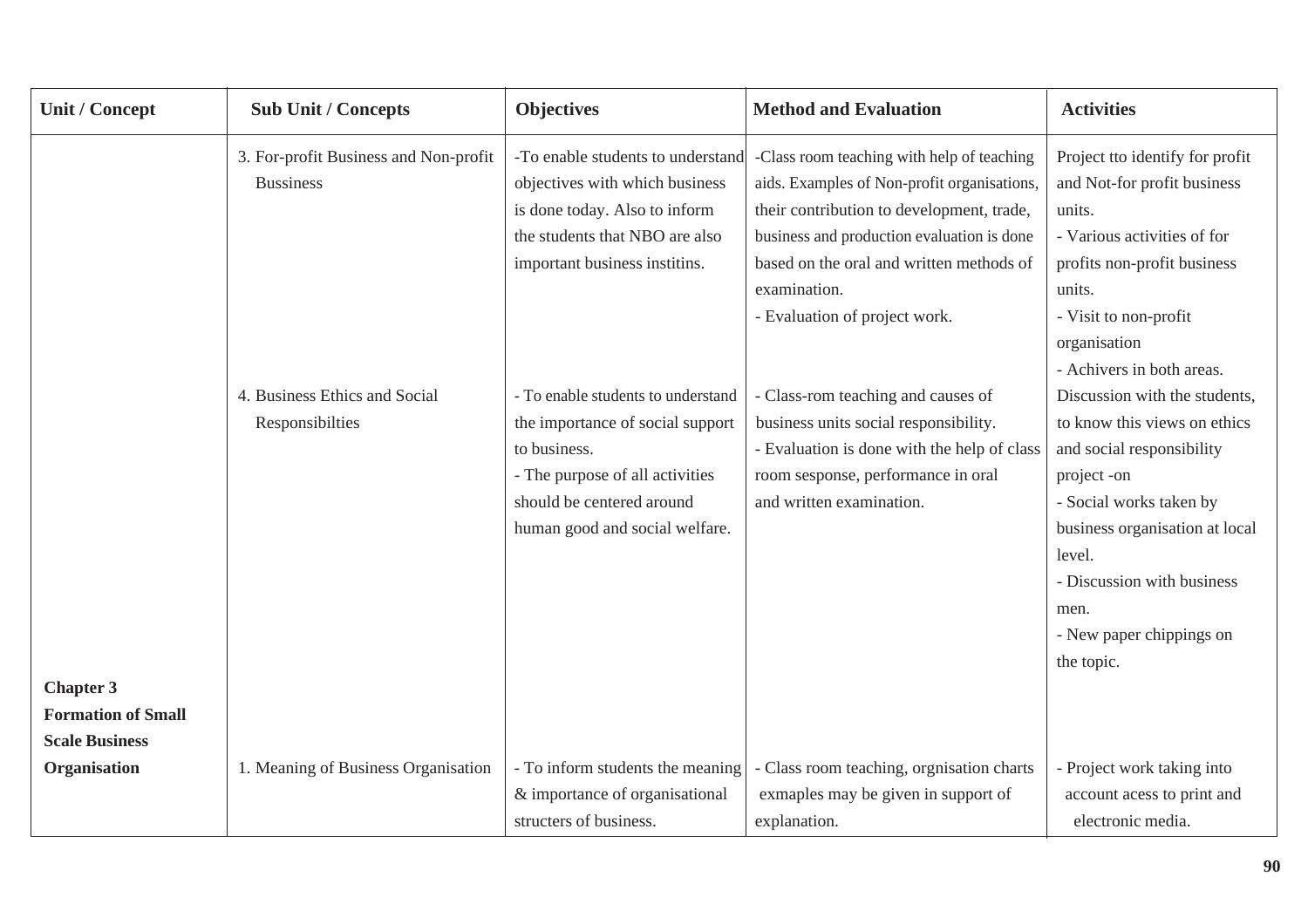| <b>Unit / Concept</b>                                                                  | <b>Sub Unit / Concepts</b>                                | <b>Objectives</b>                                                                                                                                                                        | <b>Method and Evaluation</b>                                                                                                                                                                                                                                                      | <b>Activities</b>                                                                                                                                                                                                                                               |
|----------------------------------------------------------------------------------------|-----------------------------------------------------------|------------------------------------------------------------------------------------------------------------------------------------------------------------------------------------------|-----------------------------------------------------------------------------------------------------------------------------------------------------------------------------------------------------------------------------------------------------------------------------------|-----------------------------------------------------------------------------------------------------------------------------------------------------------------------------------------------------------------------------------------------------------------|
|                                                                                        | 3. For-profit Business and Non-profit<br><b>Bussiness</b> | -To enable students to understand<br>objectives with which business<br>is done today. Also to inform<br>the students that NBO are also<br>important business institins.                  | -Class room teaching with help of teaching<br>aids. Examples of Non-profit organisations,<br>their contribution to development, trade,<br>business and production evaluation is done<br>based on the oral and written methods of<br>examination.<br>- Evaluation of project work. | Project tto identify for profit<br>and Not-for profit business<br>units.<br>- Various activities of for<br>profits non-profit business<br>units.<br>- Visit to non-profit<br>organisation<br>- Achivers in both areas.                                          |
|                                                                                        | 4. Business Ethics and Social<br>Responsibilties          | - To enable students to understand<br>the importance of social support<br>to business.<br>- The purpose of all activities<br>should be centered around<br>human good and social welfare. | - Class-rom teaching and causes of<br>business units social responsibility.<br>- Evaluation is done with the help of class<br>room sesponse, performance in oral<br>and written examination.                                                                                      | Discussion with the students,<br>to know this views on ethics<br>and social responsibility<br>project-on<br>- Social works taken by<br>business organisation at local<br>level.<br>- Discussion with business<br>men.<br>- New paper chippings on<br>the topic. |
| <b>Chapter 3</b><br><b>Formation of Small</b><br><b>Scale Business</b><br>Organisation | 1. Meaning of Business Organisation                       | - To inform students the meaning<br>& importance of organisational<br>structers of business.                                                                                             | - Class room teaching, orgnisation charts<br>exmaples may be given in support of<br>explanation.                                                                                                                                                                                  | - Project work taking into<br>account acess to print and<br>electronic media.                                                                                                                                                                                   |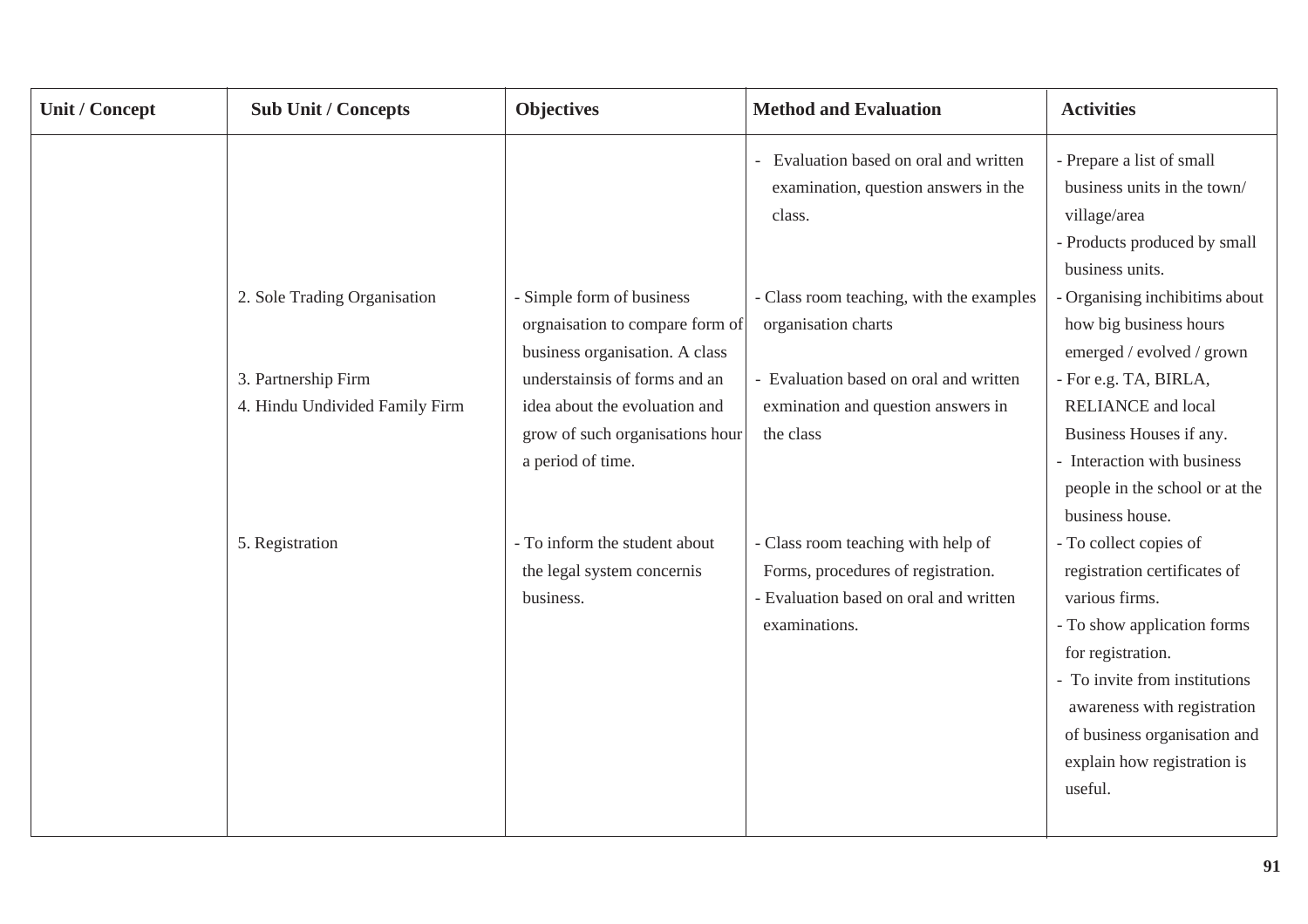| <b>Unit / Concept</b> | <b>Sub Unit / Concepts</b>                                                            | <b>Objectives</b>                                                                                                                                                                                                        | <b>Method and Evaluation</b>                                                                                                                                                                                                                             | <b>Activities</b>                                                                                                                                                                                                                                                                                                                                                      |
|-----------------------|---------------------------------------------------------------------------------------|--------------------------------------------------------------------------------------------------------------------------------------------------------------------------------------------------------------------------|----------------------------------------------------------------------------------------------------------------------------------------------------------------------------------------------------------------------------------------------------------|------------------------------------------------------------------------------------------------------------------------------------------------------------------------------------------------------------------------------------------------------------------------------------------------------------------------------------------------------------------------|
|                       | 2. Sole Trading Organisation<br>3. Partnership Firm<br>4. Hindu Undivided Family Firm | - Simple form of business<br>orgnaisation to compare form of<br>business organisation. A class<br>understainsis of forms and an<br>idea about the evoluation and<br>grow of such organisations hour<br>a period of time. | - Evaluation based on oral and written<br>examination, question answers in the<br>class.<br>- Class room teaching, with the examples<br>organisation charts<br>- Evaluation based on oral and written<br>exmination and question answers in<br>the class | - Prepare a list of small<br>business units in the town/<br>village/area<br>- Products produced by small<br>business units.<br>- Organising inchibitims about<br>how big business hours<br>emerged / evolved / grown<br>- For e.g. TA, BIRLA,<br><b>RELIANCE</b> and local<br>Business Houses if any.<br>- Interaction with business<br>people in the school or at the |
|                       | 5. Registration                                                                       | - To inform the student about<br>the legal system concernis<br>business.                                                                                                                                                 | - Class room teaching with help of<br>Forms, procedures of registration.<br>- Evaluation based on oral and written<br>examinations.                                                                                                                      | business house.<br>- To collect copies of<br>registration certificates of<br>various firms.<br>- To show application forms<br>for registration.<br>- To invite from institutions<br>awareness with registration<br>of business organisation and<br>explain how registration is<br>useful.                                                                              |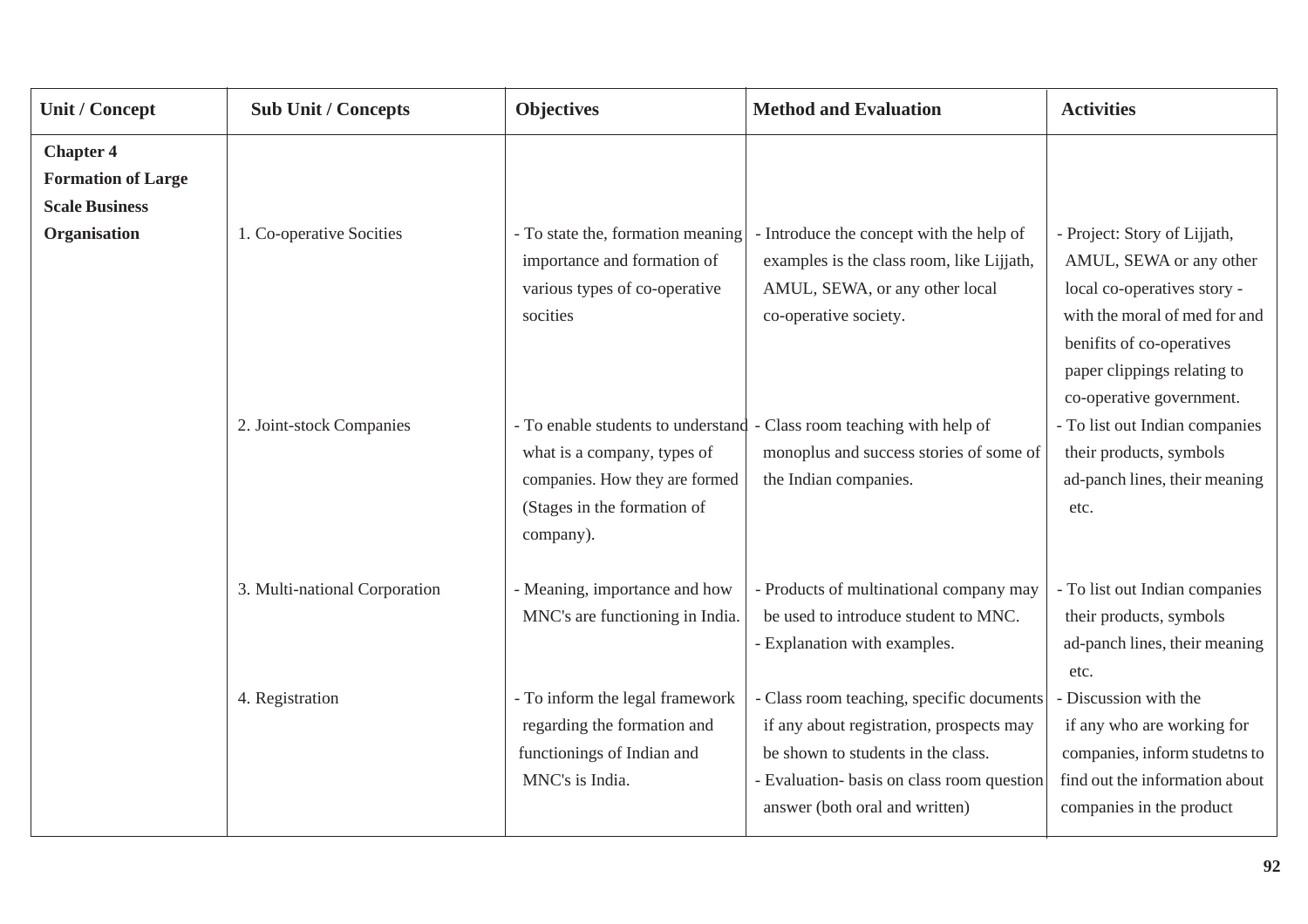| <b>Unit / Concept</b>                                                  | <b>Sub Unit / Concepts</b>    | <b>Objectives</b>                                                                                                                               | <b>Method and Evaluation</b>                                                                                                                                                                                | <b>Activities</b>                                                                                                                                                                                               |
|------------------------------------------------------------------------|-------------------------------|-------------------------------------------------------------------------------------------------------------------------------------------------|-------------------------------------------------------------------------------------------------------------------------------------------------------------------------------------------------------------|-----------------------------------------------------------------------------------------------------------------------------------------------------------------------------------------------------------------|
| <b>Chapter 4</b><br><b>Formation of Large</b><br><b>Scale Business</b> |                               |                                                                                                                                                 |                                                                                                                                                                                                             |                                                                                                                                                                                                                 |
| Organisation                                                           | 1. Co-operative Socities      | - To state the, formation meaning<br>importance and formation of<br>various types of co-operative<br>socities                                   | - Introduce the concept with the help of<br>examples is the class room, like Lijjath,<br>AMUL, SEWA, or any other local<br>co-operative society.                                                            | - Project: Story of Lijjath,<br>AMUL, SEWA or any other<br>local co-operatives story -<br>with the moral of med for and<br>benifits of co-operatives<br>paper clippings relating to<br>co-operative government. |
|                                                                        | 2. Joint-stock Companies      | - To enable students to understand<br>what is a company, types of<br>companies. How they are formed<br>(Stages in the formation of<br>company). | - Class room teaching with help of<br>monoplus and success stories of some of<br>the Indian companies.                                                                                                      | - To list out Indian companies<br>their products, symbols<br>ad-panch lines, their meaning<br>etc.                                                                                                              |
|                                                                        | 3. Multi-national Corporation | - Meaning, importance and how<br>MNC's are functioning in India.                                                                                | - Products of multinational company may<br>be used to introduce student to MNC.<br>- Explanation with examples.                                                                                             | - To list out Indian companies<br>their products, symbols<br>ad-panch lines, their meaning<br>etc.                                                                                                              |
|                                                                        | 4. Registration               | - To inform the legal framework<br>regarding the formation and<br>functionings of Indian and<br>MNC's is India.                                 | - Class room teaching, specific documents<br>if any about registration, prospects may<br>be shown to students in the class.<br>- Evaluation- basis on class room question<br>answer (both oral and written) | - Discussion with the<br>if any who are working for<br>companies, inform studetns to<br>find out the information about<br>companies in the product                                                              |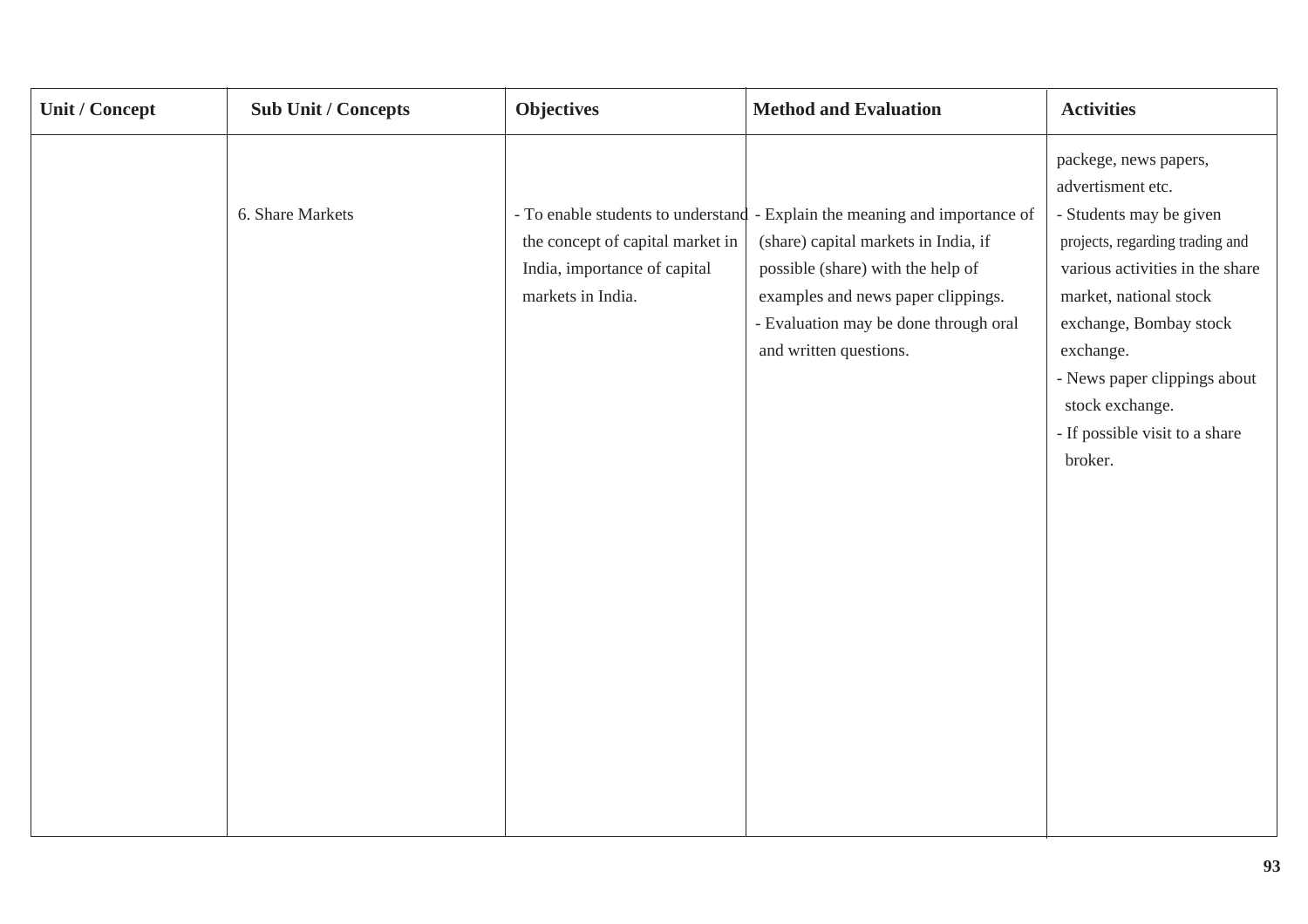| <b>Unit / Concept</b> | <b>Sub Unit / Concepts</b> | <b>Objectives</b>                                                                     | <b>Method and Evaluation</b>                                                                                                                                                                                                                                     | <b>Activities</b>                                                                                                                                                                                                                                                                                            |
|-----------------------|----------------------------|---------------------------------------------------------------------------------------|------------------------------------------------------------------------------------------------------------------------------------------------------------------------------------------------------------------------------------------------------------------|--------------------------------------------------------------------------------------------------------------------------------------------------------------------------------------------------------------------------------------------------------------------------------------------------------------|
|                       | 6. Share Markets           | the concept of capital market in<br>India, importance of capital<br>markets in India. | - To enable students to understand - Explain the meaning and importance of<br>(share) capital markets in India, if<br>possible (share) with the help of<br>examples and news paper clippings.<br>- Evaluation may be done through oral<br>and written questions. | packege, news papers,<br>advertisment etc.<br>- Students may be given<br>projects, regarding trading and<br>various activities in the share<br>market, national stock<br>exchange, Bombay stock<br>exchange.<br>- News paper clippings about<br>stock exchange.<br>- If possible visit to a share<br>broker. |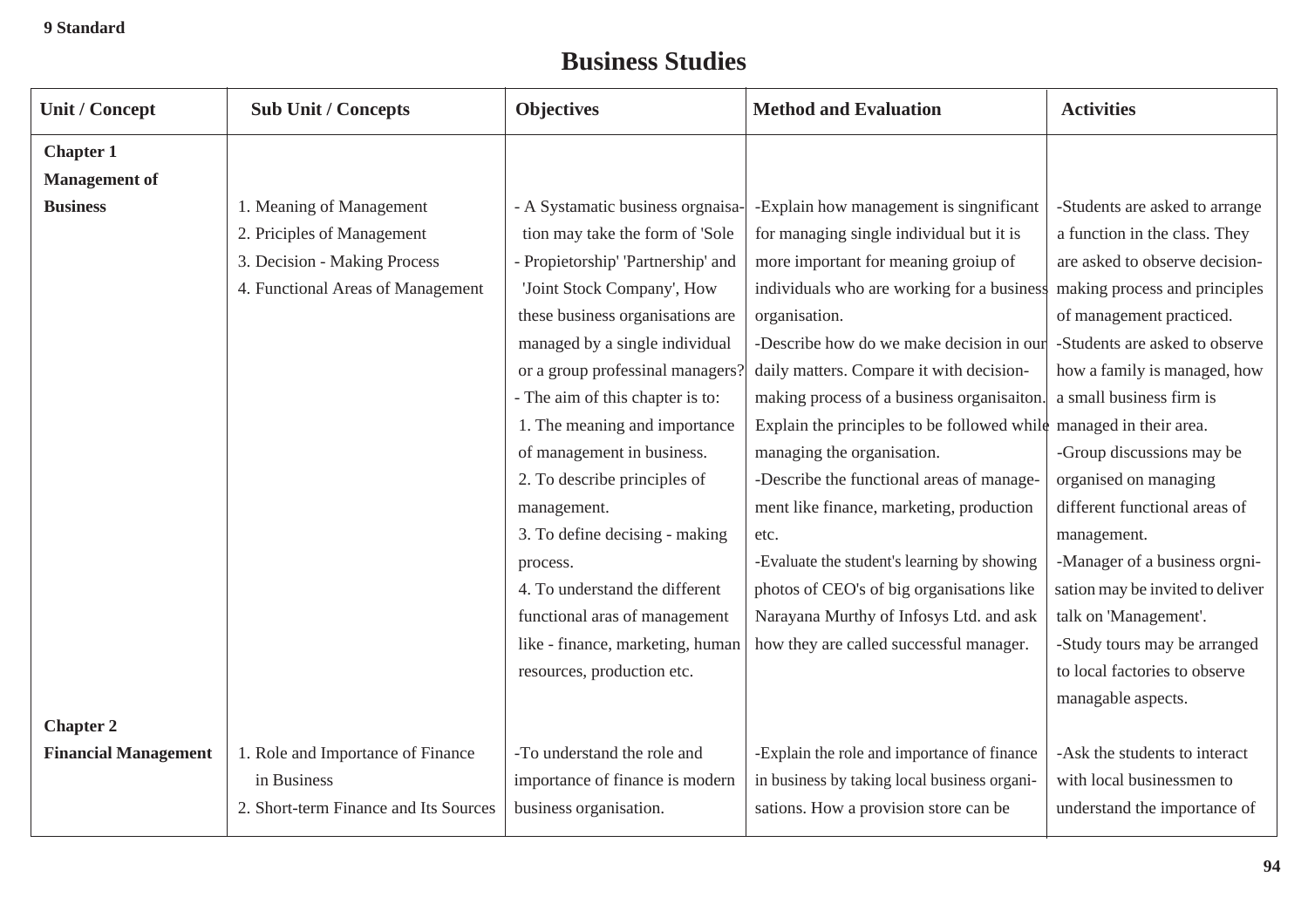### **Business Studies**

| <b>Unit / Concept</b>                           | <b>Sub Unit / Concepts</b>                                                                                                  | <b>Objectives</b>                                                                                                                                                                                                                                                                                                                                                                                                                                                                                                                                                                       | <b>Method and Evaluation</b>                                                                                                                                                                                                                                                                                                                                                                                                                                                                                                                                                                                                                                                                                           | <b>Activities</b>                                                                                                                                                                                                                                                                                                                                                                                                                                                                                                                                       |
|-------------------------------------------------|-----------------------------------------------------------------------------------------------------------------------------|-----------------------------------------------------------------------------------------------------------------------------------------------------------------------------------------------------------------------------------------------------------------------------------------------------------------------------------------------------------------------------------------------------------------------------------------------------------------------------------------------------------------------------------------------------------------------------------------|------------------------------------------------------------------------------------------------------------------------------------------------------------------------------------------------------------------------------------------------------------------------------------------------------------------------------------------------------------------------------------------------------------------------------------------------------------------------------------------------------------------------------------------------------------------------------------------------------------------------------------------------------------------------------------------------------------------------|---------------------------------------------------------------------------------------------------------------------------------------------------------------------------------------------------------------------------------------------------------------------------------------------------------------------------------------------------------------------------------------------------------------------------------------------------------------------------------------------------------------------------------------------------------|
| <b>Chapter 1</b><br><b>Management</b> of        |                                                                                                                             |                                                                                                                                                                                                                                                                                                                                                                                                                                                                                                                                                                                         |                                                                                                                                                                                                                                                                                                                                                                                                                                                                                                                                                                                                                                                                                                                        |                                                                                                                                                                                                                                                                                                                                                                                                                                                                                                                                                         |
| <b>Business</b>                                 | 1. Meaning of Management<br>2. Priciples of Management<br>3. Decision - Making Process<br>4. Functional Areas of Management | - A Systamatic business orgnaisa-<br>tion may take the form of 'Sole<br>- Propietorship' 'Partnership' and<br>'Joint Stock Company', How<br>these business organisations are<br>managed by a single individual<br>or a group professinal managers?<br>- The aim of this chapter is to:<br>1. The meaning and importance<br>of management in business.<br>2. To describe principles of<br>management.<br>3. To define decising - making<br>process.<br>4. To understand the different<br>functional aras of management<br>like - finance, marketing, human<br>resources, production etc. | -Explain how management is singnificant<br>for managing single individual but it is<br>more important for meaning group of<br>individuals who are working for a business<br>organisation.<br>-Describe how do we make decision in our<br>daily matters. Compare it with decision-<br>making process of a business organisaiton.<br>Explain the principles to be followed while managed in their area.<br>managing the organisation.<br>-Describe the functional areas of manage-<br>ment like finance, marketing, production<br>etc.<br>-Evaluate the student's learning by showing<br>photos of CEO's of big organisations like<br>Narayana Murthy of Infosys Ltd. and ask<br>how they are called successful manager. | -Students are asked to arrange<br>a function in the class. They<br>are asked to observe decision-<br>making process and principles<br>of management practiced.<br>-Students are asked to observe<br>how a family is managed, how<br>a small business firm is<br>-Group discussions may be<br>organised on managing<br>different functional areas of<br>management.<br>-Manager of a business orgni-<br>sation may be invited to deliver<br>talk on 'Management'.<br>-Study tours may be arranged<br>to local factories to observe<br>managable aspects. |
| <b>Chapter 2</b><br><b>Financial Management</b> | 1. Role and Importance of Finance                                                                                           | -To understand the role and                                                                                                                                                                                                                                                                                                                                                                                                                                                                                                                                                             | -Explain the role and importance of finance                                                                                                                                                                                                                                                                                                                                                                                                                                                                                                                                                                                                                                                                            | -Ask the students to interact                                                                                                                                                                                                                                                                                                                                                                                                                                                                                                                           |
|                                                 | in Business<br>2. Short-term Finance and Its Sources                                                                        | importance of finance is modern<br>business organisation.                                                                                                                                                                                                                                                                                                                                                                                                                                                                                                                               | in business by taking local business organi-<br>sations. How a provision store can be                                                                                                                                                                                                                                                                                                                                                                                                                                                                                                                                                                                                                                  | with local businessmen to<br>understand the importance of                                                                                                                                                                                                                                                                                                                                                                                                                                                                                               |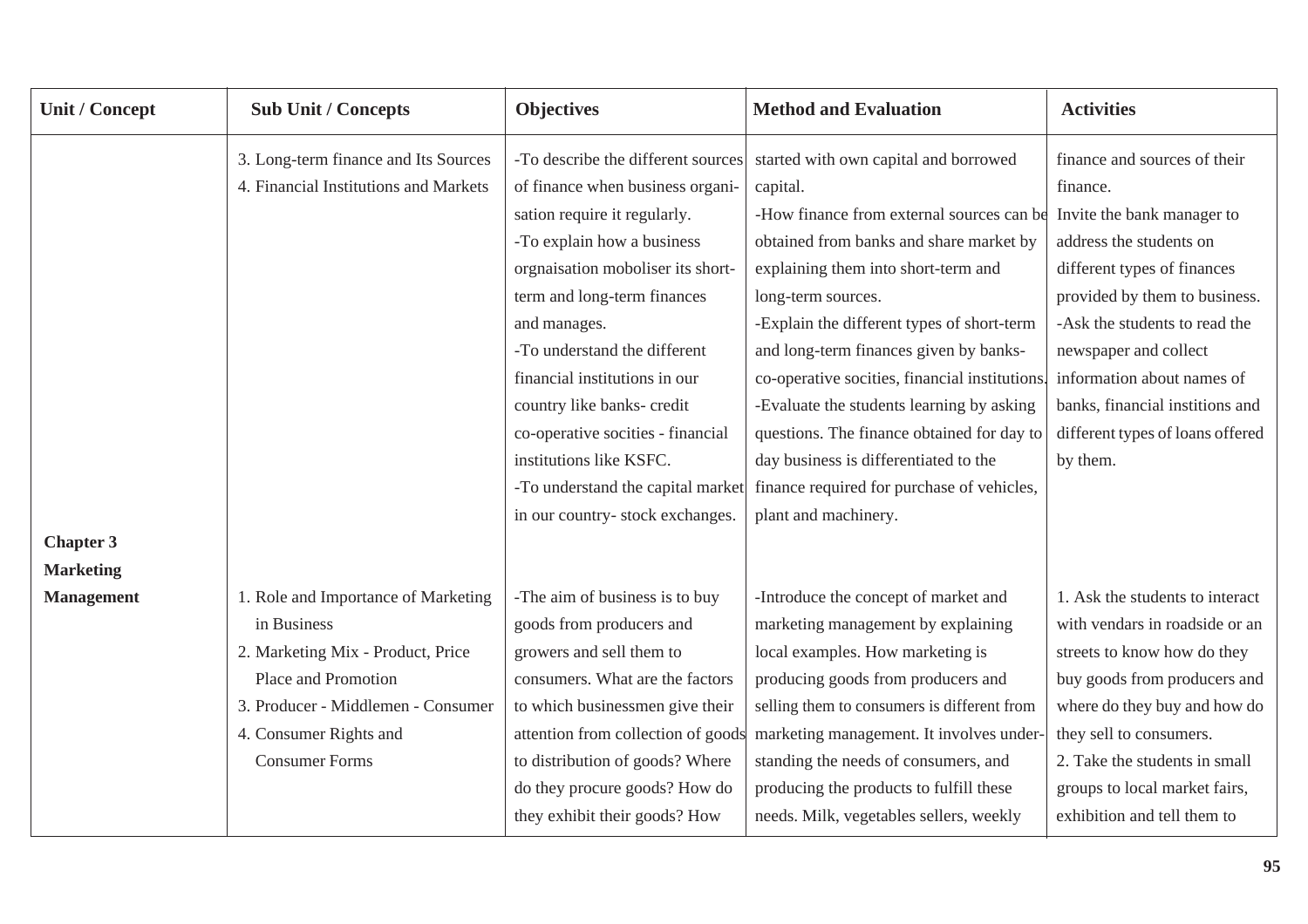| <b>Unit / Concept</b> | <b>Sub Unit / Concepts</b>            | <b>Objectives</b>                  | <b>Method and Evaluation</b>                                                | <b>Activities</b>                |
|-----------------------|---------------------------------------|------------------------------------|-----------------------------------------------------------------------------|----------------------------------|
|                       | 3. Long-term finance and Its Sources  | -To describe the different sources | started with own capital and borrowed                                       | finance and sources of their     |
|                       | 4. Financial Institutions and Markets | of finance when business organi-   | capital.                                                                    | finance.                         |
|                       |                                       | sation require it regularly.       | -How finance from external sources can be                                   | Invite the bank manager to       |
|                       |                                       | -To explain how a business         | obtained from banks and share market by                                     | address the students on          |
|                       |                                       | orgnaisation moboliser its short-  | explaining them into short-term and                                         | different types of finances      |
|                       |                                       | term and long-term finances        | long-term sources.                                                          | provided by them to business.    |
|                       |                                       | and manages.                       | -Explain the different types of short-term                                  | -Ask the students to read the    |
|                       |                                       | -To understand the different       | and long-term finances given by banks-                                      | newspaper and collect            |
|                       |                                       | financial institutions in our      | co-operative socities, financial institutions.                              | information about names of       |
|                       |                                       | country like banks- credit         | -Evaluate the students learning by asking                                   | banks, financial institions and  |
|                       |                                       | co-operative socities - financial  | questions. The finance obtained for day to                                  | different types of loans offered |
|                       |                                       | institutions like KSFC.            | day business is differentiated to the                                       | by them.                         |
|                       |                                       | -To understand the capital market  | finance required for purchase of vehicles,                                  |                                  |
|                       |                                       | in our country- stock exchanges.   | plant and machinery.                                                        |                                  |
| <b>Chapter 3</b>      |                                       |                                    |                                                                             |                                  |
| <b>Marketing</b>      |                                       |                                    |                                                                             |                                  |
| <b>Management</b>     | 1. Role and Importance of Marketing   | -The aim of business is to buy     | -Introduce the concept of market and                                        | 1. Ask the students to interact  |
|                       | in Business                           | goods from producers and           | marketing management by explaining                                          | with vendars in roadside or an   |
|                       | 2. Marketing Mix - Product, Price     | growers and sell them to           | local examples. How marketing is                                            | streets to know how do they      |
|                       | Place and Promotion                   | consumers. What are the factors    | producing goods from producers and                                          | buy goods from producers and     |
|                       | 3. Producer - Middlemen - Consumer    | to which businessmen give their    | selling them to consumers is different from                                 | where do they buy and how do     |
|                       | 4. Consumer Rights and                |                                    | attention from collection of goods marketing management. It involves under- | they sell to consumers.          |
|                       | <b>Consumer Forms</b>                 | to distribution of goods? Where    | standing the needs of consumers, and                                        | 2. Take the students in small    |
|                       |                                       | do they procure goods? How do      | producing the products to fulfill these                                     | groups to local market fairs,    |
|                       |                                       | they exhibit their goods? How      | needs. Milk, vegetables sellers, weekly                                     | exhibition and tell them to      |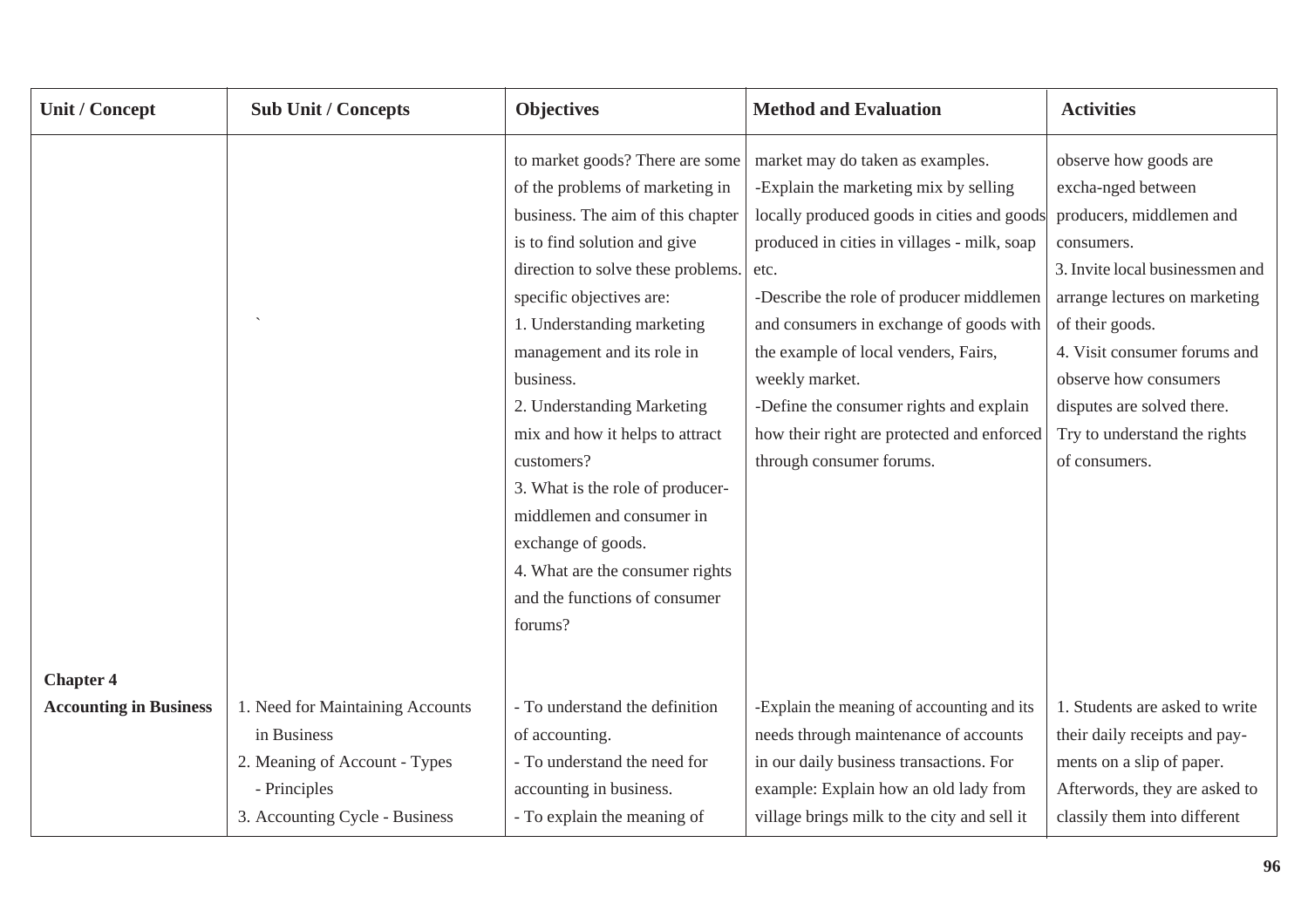| <b>Unit / Concept</b>         | <b>Sub Unit / Concepts</b>       | <b>Objectives</b>                                                                                                                                                                                                                                                                                                                                                                                                                                                                           | <b>Method and Evaluation</b>                                                                                                                                                                                                                                                                                                                                                                                                                         | <b>Activities</b>                                                                                                                                                                                                                                                                                                    |
|-------------------------------|----------------------------------|---------------------------------------------------------------------------------------------------------------------------------------------------------------------------------------------------------------------------------------------------------------------------------------------------------------------------------------------------------------------------------------------------------------------------------------------------------------------------------------------|------------------------------------------------------------------------------------------------------------------------------------------------------------------------------------------------------------------------------------------------------------------------------------------------------------------------------------------------------------------------------------------------------------------------------------------------------|----------------------------------------------------------------------------------------------------------------------------------------------------------------------------------------------------------------------------------------------------------------------------------------------------------------------|
|                               |                                  | to market goods? There are some<br>of the problems of marketing in<br>business. The aim of this chapter<br>is to find solution and give<br>direction to solve these problems.<br>specific objectives are:<br>1. Understanding marketing<br>management and its role in<br>business.<br>2. Understanding Marketing<br>mix and how it helps to attract<br>customers?<br>3. What is the role of producer-<br>middlemen and consumer in<br>exchange of goods.<br>4. What are the consumer rights | market may do taken as examples.<br>-Explain the marketing mix by selling<br>locally produced goods in cities and goods<br>produced in cities in villages - milk, soap<br>etc.<br>-Describe the role of producer middlemen<br>and consumers in exchange of goods with<br>the example of local venders, Fairs,<br>weekly market.<br>-Define the consumer rights and explain<br>how their right are protected and enforced<br>through consumer forums. | observe how goods are<br>excha-nged between<br>producers, middlemen and<br>consumers.<br>3. Invite local businessmen and<br>arrange lectures on marketing<br>of their goods.<br>4. Visit consumer forums and<br>observe how consumers<br>disputes are solved there.<br>Try to understand the rights<br>of consumers. |
|                               |                                  | and the functions of consumer<br>forums?                                                                                                                                                                                                                                                                                                                                                                                                                                                    |                                                                                                                                                                                                                                                                                                                                                                                                                                                      |                                                                                                                                                                                                                                                                                                                      |
| <b>Chapter 4</b>              |                                  |                                                                                                                                                                                                                                                                                                                                                                                                                                                                                             |                                                                                                                                                                                                                                                                                                                                                                                                                                                      |                                                                                                                                                                                                                                                                                                                      |
| <b>Accounting in Business</b> | 1. Need for Maintaining Accounts | - To understand the definition                                                                                                                                                                                                                                                                                                                                                                                                                                                              | -Explain the meaning of accounting and its                                                                                                                                                                                                                                                                                                                                                                                                           | 1. Students are asked to write                                                                                                                                                                                                                                                                                       |
|                               | in Business                      | of accounting.                                                                                                                                                                                                                                                                                                                                                                                                                                                                              | needs through maintenance of accounts                                                                                                                                                                                                                                                                                                                                                                                                                | their daily receipts and pay-                                                                                                                                                                                                                                                                                        |
|                               | 2. Meaning of Account - Types    | - To understand the need for                                                                                                                                                                                                                                                                                                                                                                                                                                                                | in our daily business transactions. For                                                                                                                                                                                                                                                                                                                                                                                                              | ments on a slip of paper.                                                                                                                                                                                                                                                                                            |
|                               | - Principles                     | accounting in business.                                                                                                                                                                                                                                                                                                                                                                                                                                                                     | example: Explain how an old lady from                                                                                                                                                                                                                                                                                                                                                                                                                | Afterwords, they are asked to                                                                                                                                                                                                                                                                                        |
|                               | 3. Accounting Cycle - Business   | - To explain the meaning of                                                                                                                                                                                                                                                                                                                                                                                                                                                                 | village brings milk to the city and sell it                                                                                                                                                                                                                                                                                                                                                                                                          | classily them into different                                                                                                                                                                                                                                                                                         |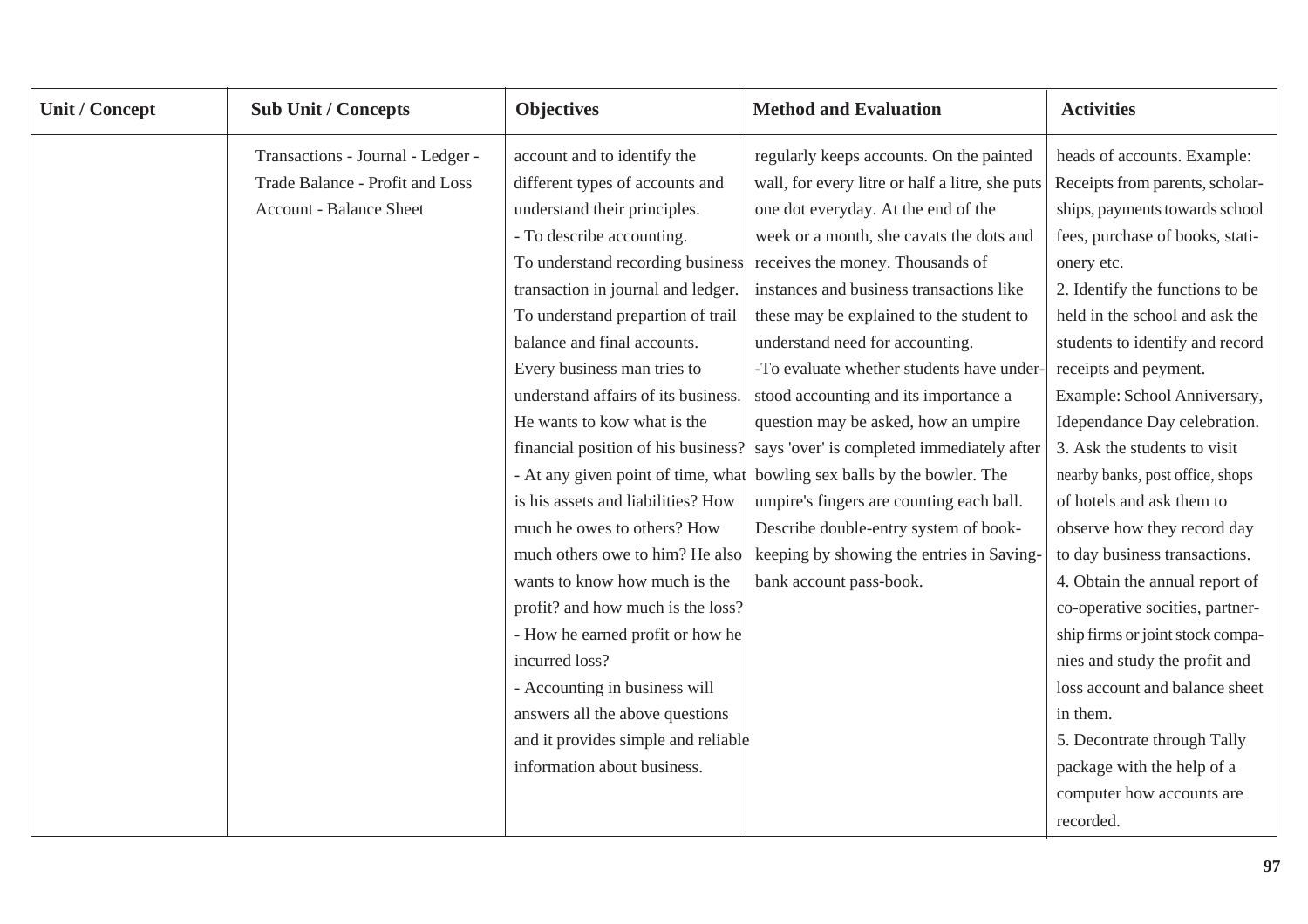| <b>Unit / Concept</b> | <b>Sub Unit / Concepts</b>        | <b>Objectives</b>                   | <b>Method and Evaluation</b>                                            | <b>Activities</b>                |
|-----------------------|-----------------------------------|-------------------------------------|-------------------------------------------------------------------------|----------------------------------|
|                       | Transactions - Journal - Ledger - | account and to identify the         | regularly keeps accounts. On the painted                                | heads of accounts. Example:      |
|                       | Trade Balance - Profit and Loss   | different types of accounts and     | wall, for every litre or half a litre, she puts                         | Receipts from parents, scholar-  |
|                       | <b>Account - Balance Sheet</b>    | understand their principles.        | one dot everyday. At the end of the                                     | ships, payments towards school   |
|                       |                                   | - To describe accounting.           | week or a month, she cavats the dots and                                | fees, purchase of books, stati-  |
|                       |                                   | To understand recording business    | receives the money. Thousands of                                        | onery etc.                       |
|                       |                                   | transaction in journal and ledger.  | instances and business transactions like                                | 2. Identify the functions to be  |
|                       |                                   | To understand prepartion of trail   | these may be explained to the student to                                | held in the school and ask the   |
|                       |                                   | balance and final accounts.         | understand need for accounting.                                         | students to identify and record  |
|                       |                                   | Every business man tries to         | -To evaluate whether students have under-                               | receipts and peyment.            |
|                       |                                   | understand affairs of its business. | stood accounting and its importance a                                   | Example: School Anniversary,     |
|                       |                                   | He wants to kow what is the         | question may be asked, how an umpire                                    | Idependance Day celebration.     |
|                       |                                   | financial position of his business? | says 'over' is completed immediately after                              | 3. Ask the students to visit     |
|                       |                                   |                                     | - At any given point of time, what bowling sex balls by the bowler. The | nearby banks, post office, shops |
|                       |                                   | is his assets and liabilities? How  | umpire's fingers are counting each ball.                                | of hotels and ask them to        |
|                       |                                   | much he owes to others? How         | Describe double-entry system of book-                                   | observe how they record day      |
|                       |                                   | much others owe to him? He also     | keeping by showing the entries in Saving-                               | to day business transactions.    |
|                       |                                   | wants to know how much is the       | bank account pass-book.                                                 | 4. Obtain the annual report of   |
|                       |                                   | profit? and how much is the loss?   |                                                                         | co-operative socities, partner-  |
|                       |                                   | - How he earned profit or how he    |                                                                         | ship firms or joint stock compa- |
|                       |                                   | incurred loss?                      |                                                                         | nies and study the profit and    |
|                       |                                   | - Accounting in business will       |                                                                         | loss account and balance sheet   |
|                       |                                   | answers all the above questions     |                                                                         | in them.                         |
|                       |                                   | and it provides simple and reliable |                                                                         | 5. Decontrate through Tally      |
|                       |                                   | information about business.         |                                                                         | package with the help of a       |
|                       |                                   |                                     |                                                                         | computer how accounts are        |
|                       |                                   |                                     |                                                                         | recorded.                        |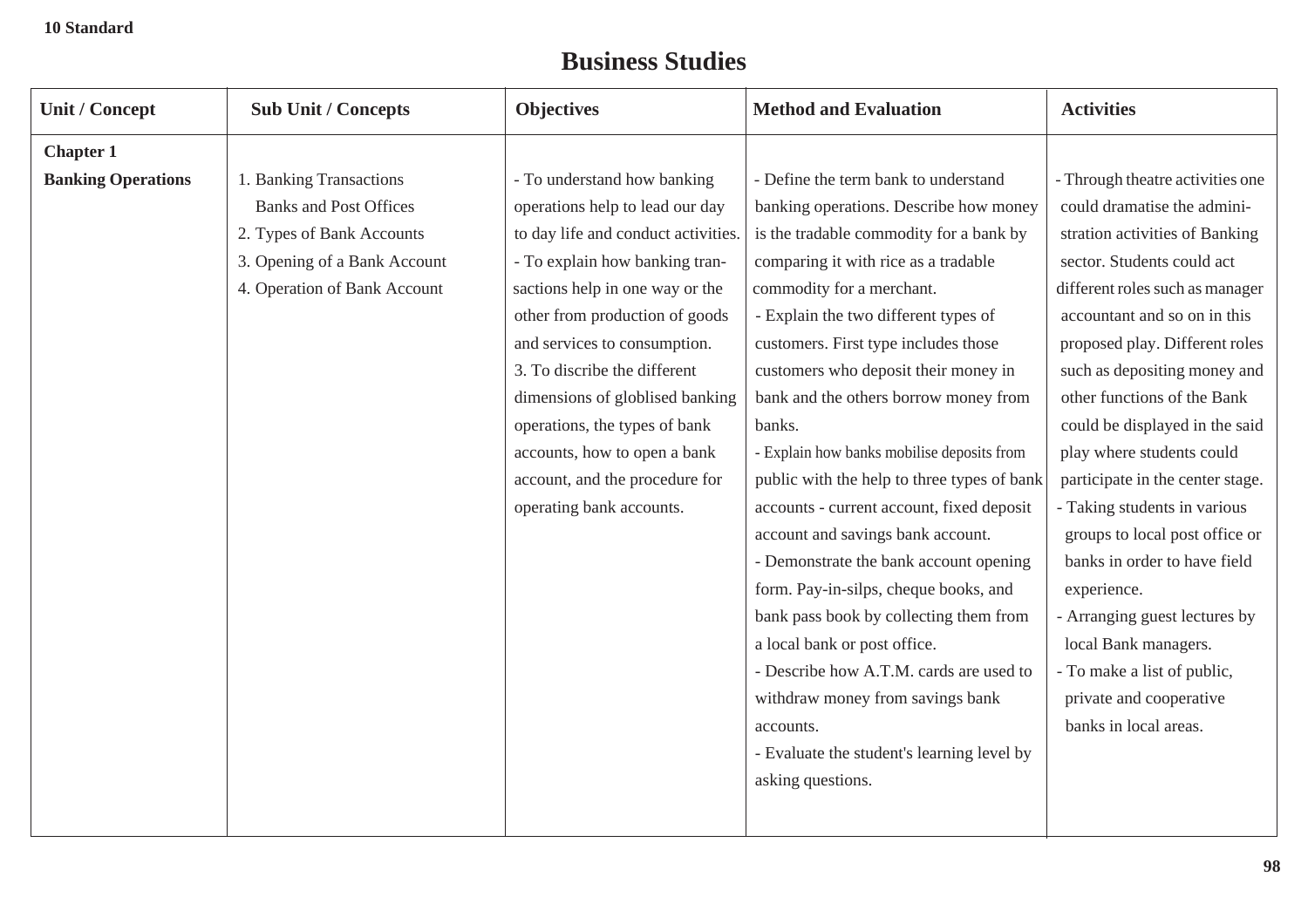### **Business Studies**

| <b>Unit / Concept</b>     | <b>Sub Unit / Concepts</b>    | <b>Objectives</b>                   | <b>Method and Evaluation</b>                | <b>Activities</b>                |
|---------------------------|-------------------------------|-------------------------------------|---------------------------------------------|----------------------------------|
| <b>Chapter 1</b>          |                               |                                     |                                             |                                  |
| <b>Banking Operations</b> | 1. Banking Transactions       | - To understand how banking         | - Define the term bank to understand        | - Through theatre activities one |
|                           | <b>Banks and Post Offices</b> | operations help to lead our day     | banking operations. Describe how money      | could dramatise the admini-      |
|                           | 2. Types of Bank Accounts     | to day life and conduct activities. | is the tradable commodity for a bank by     | stration activities of Banking   |
|                           | 3. Opening of a Bank Account  | - To explain how banking tran-      | comparing it with rice as a tradable        | sector. Students could act       |
|                           | 4. Operation of Bank Account  | sactions help in one way or the     | commodity for a merchant.                   | different roles such as manager  |
|                           |                               | other from production of goods      | - Explain the two different types of        | accountant and so on in this     |
|                           |                               | and services to consumption.        | customers. First type includes those        | proposed play. Different roles   |
|                           |                               | 3. To discribe the different        | customers who deposit their money in        | such as depositing money and     |
|                           |                               | dimensions of globlised banking     | bank and the others borrow money from       | other functions of the Bank      |
|                           |                               | operations, the types of bank       | banks.                                      | could be displayed in the said   |
|                           |                               | accounts, how to open a bank        | - Explain how banks mobilise deposits from  | play where students could        |
|                           |                               | account, and the procedure for      | public with the help to three types of bank | participate in the center stage. |
|                           |                               | operating bank accounts.            | accounts - current account, fixed deposit   | - Taking students in various     |
|                           |                               |                                     | account and savings bank account.           | groups to local post office or   |
|                           |                               |                                     | - Demonstrate the bank account opening      | banks in order to have field     |
|                           |                               |                                     | form. Pay-in-silps, cheque books, and       | experience.                      |
|                           |                               |                                     | bank pass book by collecting them from      | - Arranging guest lectures by    |
|                           |                               |                                     | a local bank or post office.                | local Bank managers.             |
|                           |                               |                                     | - Describe how A.T.M. cards are used to     | - To make a list of public,      |
|                           |                               |                                     | withdraw money from savings bank            | private and cooperative          |
|                           |                               |                                     | accounts.                                   | banks in local areas.            |
|                           |                               |                                     | - Evaluate the student's learning level by  |                                  |
|                           |                               |                                     | asking questions.                           |                                  |
|                           |                               |                                     |                                             |                                  |
|                           |                               |                                     |                                             |                                  |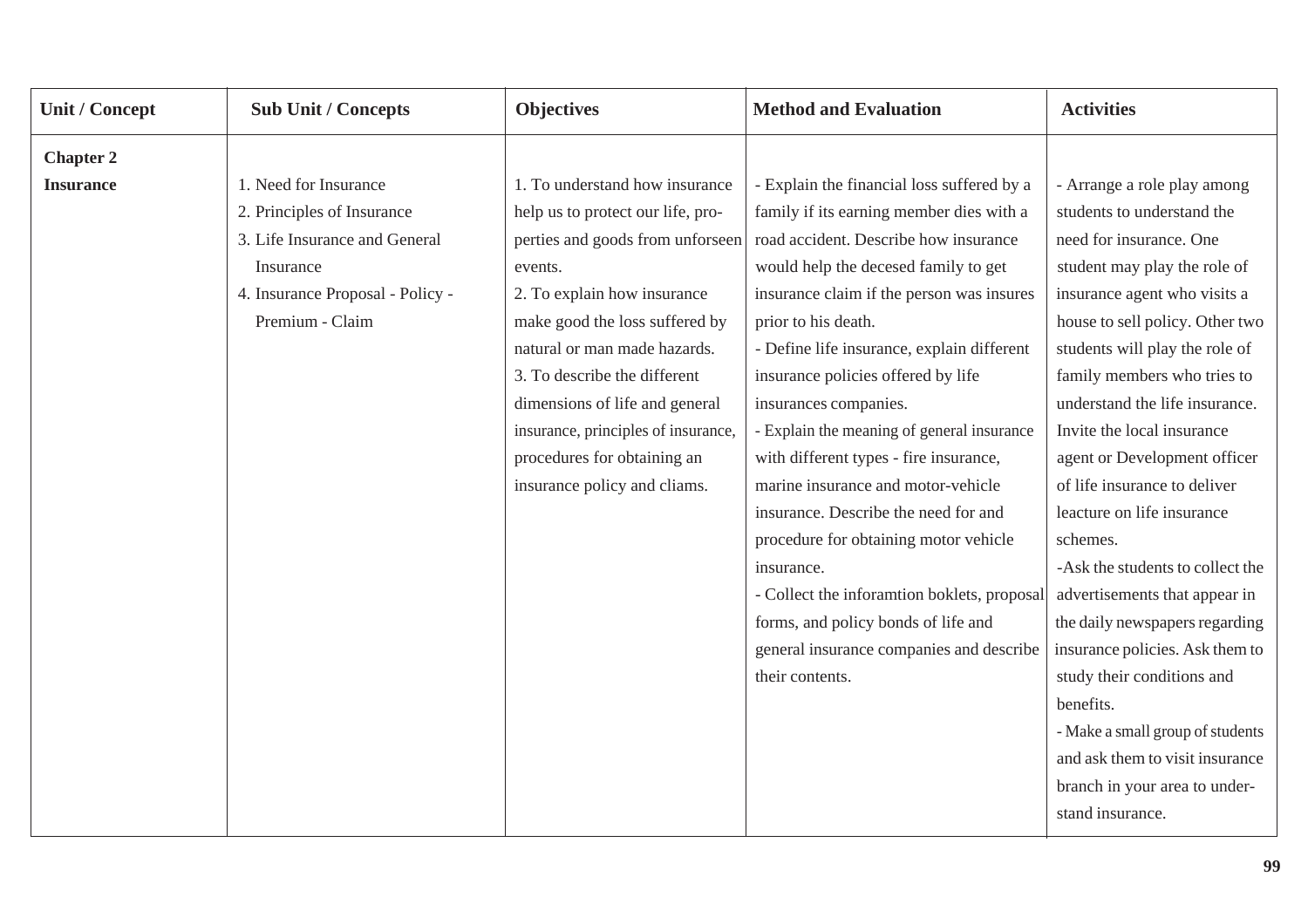| <b>Unit / Concept</b> | <b>Sub Unit / Concepts</b>       | <b>Objectives</b>                   | <b>Method and Evaluation</b>                | <b>Activities</b>                |
|-----------------------|----------------------------------|-------------------------------------|---------------------------------------------|----------------------------------|
| <b>Chapter 2</b>      |                                  |                                     |                                             |                                  |
| <b>Insurance</b>      | 1. Need for Insurance            | 1. To understand how insurance      | - Explain the financial loss suffered by a  | - Arrange a role play among      |
|                       | 2. Principles of Insurance       | help us to protect our life, pro-   | family if its earning member dies with a    | students to understand the       |
|                       | 3. Life Insurance and General    | perties and goods from unforseen    | road accident. Describe how insurance       | need for insurance. One          |
|                       | Insurance                        | events.                             | would help the decesed family to get        | student may play the role of     |
|                       | 4. Insurance Proposal - Policy - | 2. To explain how insurance         | insurance claim if the person was insures   | insurance agent who visits a     |
|                       | Premium - Claim                  | make good the loss suffered by      | prior to his death.                         | house to sell policy. Other two  |
|                       |                                  | natural or man made hazards.        | - Define life insurance, explain different  | students will play the role of   |
|                       |                                  | 3. To describe the different        | insurance policies offered by life          | family members who tries to      |
|                       |                                  | dimensions of life and general      | insurances companies.                       | understand the life insurance.   |
|                       |                                  | insurance, principles of insurance, | - Explain the meaning of general insurance  | Invite the local insurance       |
|                       |                                  | procedures for obtaining an         | with different types - fire insurance,      | agent or Development officer     |
|                       |                                  | insurance policy and cliams.        | marine insurance and motor-vehicle          | of life insurance to deliver     |
|                       |                                  |                                     | insurance. Describe the need for and        | leacture on life insurance       |
|                       |                                  |                                     | procedure for obtaining motor vehicle       | schemes.                         |
|                       |                                  |                                     | insurance.                                  | -Ask the students to collect the |
|                       |                                  |                                     | - Collect the inforamtion boklets, proposal | advertisements that appear in    |
|                       |                                  |                                     | forms, and policy bonds of life and         | the daily newspapers regarding   |
|                       |                                  |                                     | general insurance companies and describe    | insurance policies. Ask them to  |
|                       |                                  |                                     | their contents.                             | study their conditions and       |
|                       |                                  |                                     |                                             | benefits.                        |
|                       |                                  |                                     |                                             | - Make a small group of students |
|                       |                                  |                                     |                                             | and ask them to visit insurance  |
|                       |                                  |                                     |                                             | branch in your area to under-    |
|                       |                                  |                                     |                                             | stand insurance.                 |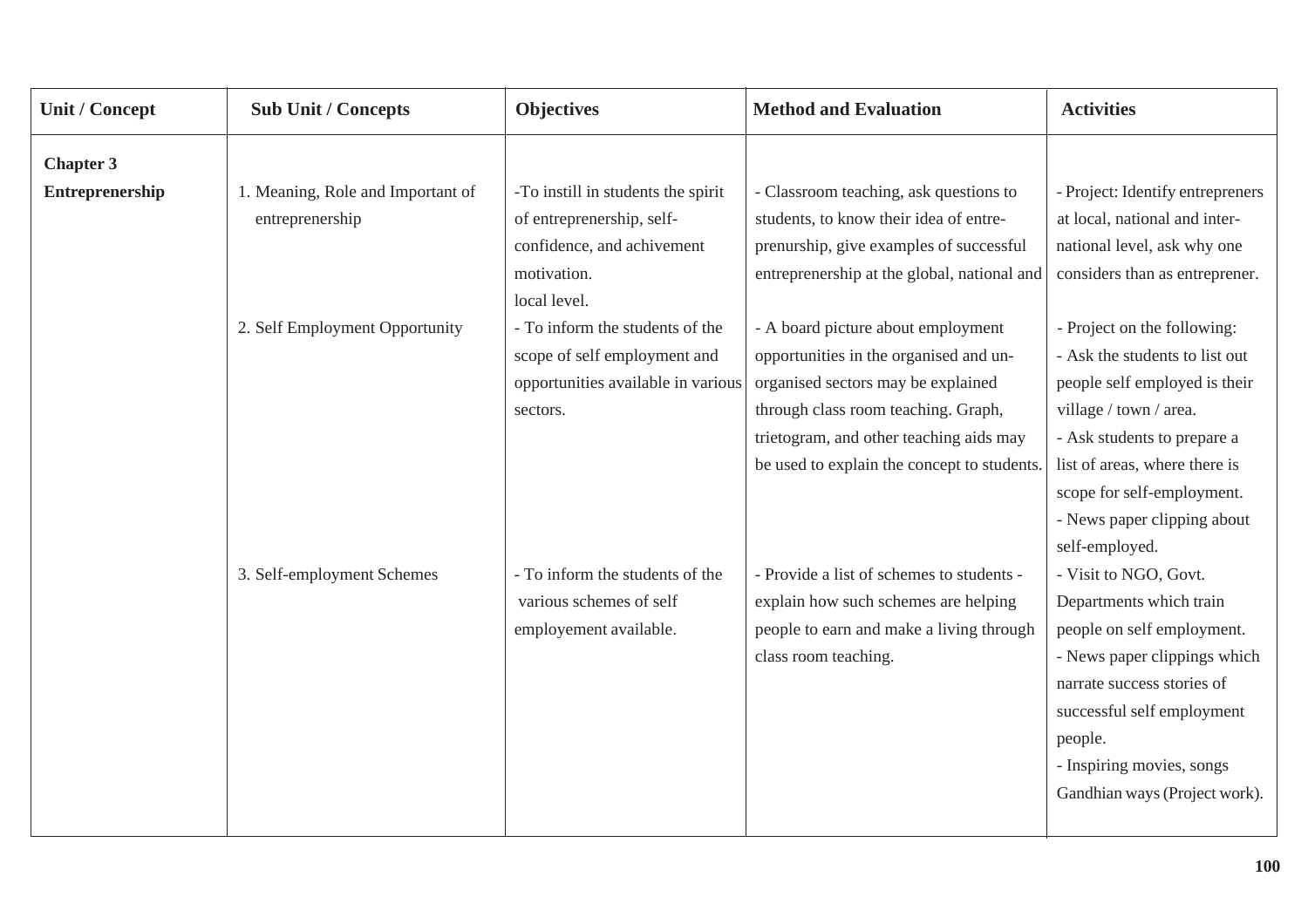| <b>Unit / Concept</b> | <b>Sub Unit / Concepts</b>                           | <b>Objectives</b>                                                                                                            | <b>Method and Evaluation</b>                                                                                                                                                                                                                        | <b>Activities</b>                                                                                                                                                                                                                                                       |
|-----------------------|------------------------------------------------------|------------------------------------------------------------------------------------------------------------------------------|-----------------------------------------------------------------------------------------------------------------------------------------------------------------------------------------------------------------------------------------------------|-------------------------------------------------------------------------------------------------------------------------------------------------------------------------------------------------------------------------------------------------------------------------|
| <b>Chapter 3</b>      |                                                      |                                                                                                                              |                                                                                                                                                                                                                                                     |                                                                                                                                                                                                                                                                         |
| Entreprenership       | 1. Meaning, Role and Important of<br>entreprenership | -To instill in students the spirit<br>of entreprenership, self-<br>confidence, and achivement<br>motivation.<br>local level. | - Classroom teaching, ask questions to<br>students, to know their idea of entre-<br>prenurship, give examples of successful<br>entreprenership at the global, national and                                                                          | - Project: Identify entrepreners<br>at local, national and inter-<br>national level, ask why one<br>considers than as entreprener.                                                                                                                                      |
|                       | 2. Self Employment Opportunity                       | - To inform the students of the<br>scope of self employment and<br>opportunities available in various<br>sectors.            | - A board picture about employment<br>opportunities in the organised and un-<br>organised sectors may be explained<br>through class room teaching. Graph,<br>trietogram, and other teaching aids may<br>be used to explain the concept to students. | - Project on the following:<br>- Ask the students to list out<br>people self employed is their<br>village / town / area.<br>- Ask students to prepare a<br>list of areas, where there is<br>scope for self-employment.<br>- News paper clipping about<br>self-employed. |
|                       | 3. Self-employment Schemes                           | - To inform the students of the<br>various schemes of self<br>employement available.                                         | - Provide a list of schemes to students -<br>explain how such schemes are helping<br>people to earn and make a living through<br>class room teaching.                                                                                               | - Visit to NGO, Govt.<br>Departments which train<br>people on self employment.<br>- News paper clippings which<br>narrate success stories of<br>successful self employment<br>people.<br>- Inspiring movies, songs<br>Gandhian ways (Project work).                     |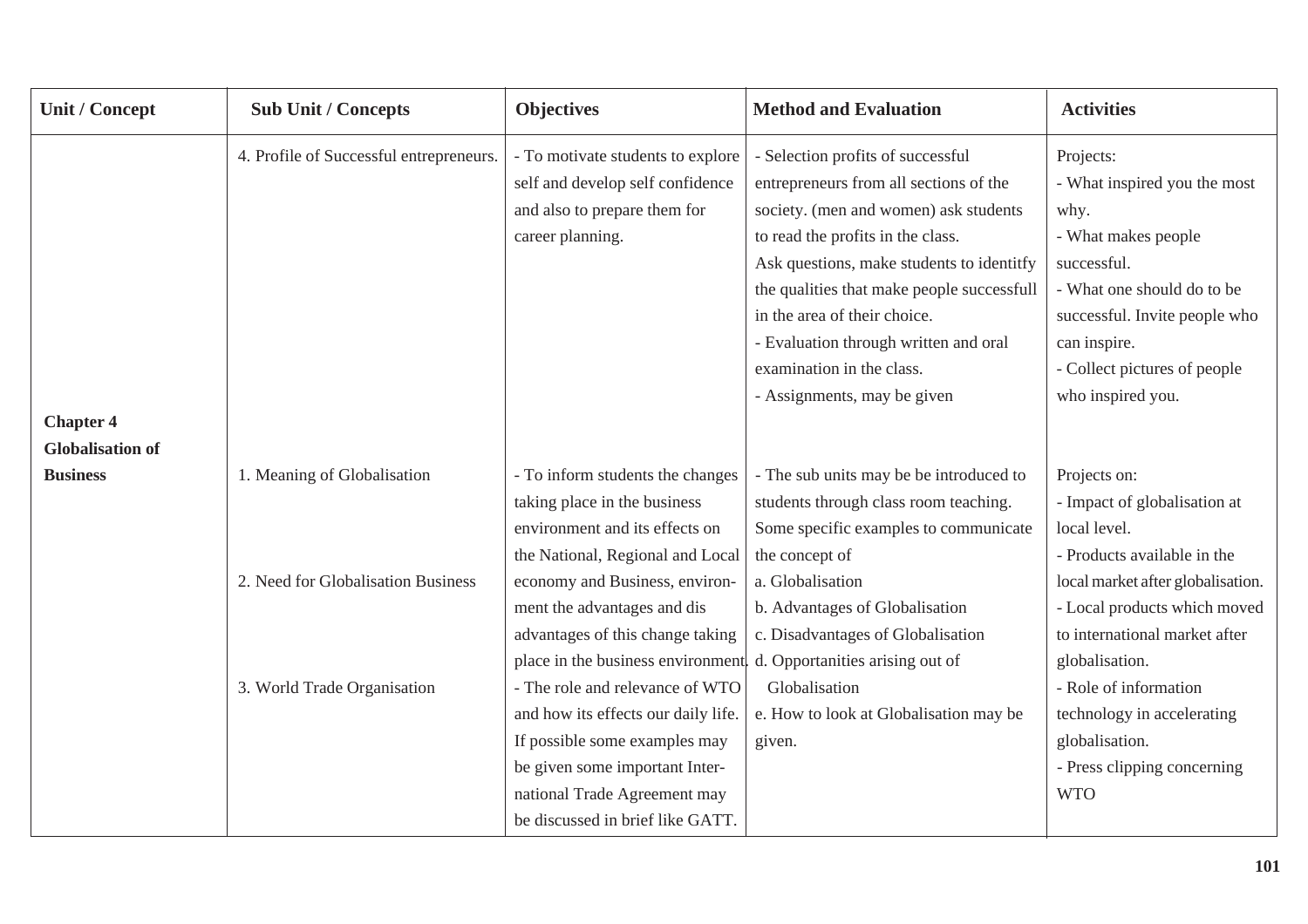| <b>Unit / Concept</b>   | <b>Sub Unit / Concepts</b>              | <b>Objectives</b>                                                                                                         | <b>Method and Evaluation</b>                                                                                                                                                                                                                                                                                                                                                              | <b>Activities</b>                                                                                                                                                                                                           |
|-------------------------|-----------------------------------------|---------------------------------------------------------------------------------------------------------------------------|-------------------------------------------------------------------------------------------------------------------------------------------------------------------------------------------------------------------------------------------------------------------------------------------------------------------------------------------------------------------------------------------|-----------------------------------------------------------------------------------------------------------------------------------------------------------------------------------------------------------------------------|
|                         | 4. Profile of Successful entrepreneurs. | - To motivate students to explore<br>self and develop self confidence<br>and also to prepare them for<br>career planning. | - Selection profits of successful<br>entrepreneurs from all sections of the<br>society. (men and women) ask students<br>to read the profits in the class.<br>Ask questions, make students to identitfy<br>the qualities that make people successfull<br>in the area of their choice.<br>- Evaluation through written and oral<br>examination in the class.<br>- Assignments, may be given | Projects:<br>- What inspired you the most<br>why.<br>- What makes people<br>successful.<br>- What one should do to be<br>successful. Invite people who<br>can inspire.<br>- Collect pictures of people<br>who inspired you. |
| <b>Chapter 4</b>        |                                         |                                                                                                                           |                                                                                                                                                                                                                                                                                                                                                                                           |                                                                                                                                                                                                                             |
| <b>Globalisation of</b> |                                         |                                                                                                                           |                                                                                                                                                                                                                                                                                                                                                                                           |                                                                                                                                                                                                                             |
| <b>Business</b>         | 1. Meaning of Globalisation             | - To inform students the changes                                                                                          | - The sub units may be be introduced to                                                                                                                                                                                                                                                                                                                                                   | Projects on:                                                                                                                                                                                                                |
|                         |                                         | taking place in the business                                                                                              | students through class room teaching.                                                                                                                                                                                                                                                                                                                                                     | - Impact of globalisation at                                                                                                                                                                                                |
|                         |                                         | environment and its effects on                                                                                            | Some specific examples to communicate                                                                                                                                                                                                                                                                                                                                                     | local level.                                                                                                                                                                                                                |
|                         |                                         | the National, Regional and Local                                                                                          | the concept of                                                                                                                                                                                                                                                                                                                                                                            | - Products available in the                                                                                                                                                                                                 |
|                         | 2. Need for Globalisation Business      | economy and Business, environ-                                                                                            | a. Globalisation                                                                                                                                                                                                                                                                                                                                                                          | local market after globalisation.                                                                                                                                                                                           |
|                         |                                         | ment the advantages and dis                                                                                               | b. Advantages of Globalisation                                                                                                                                                                                                                                                                                                                                                            | - Local products which moved                                                                                                                                                                                                |
|                         |                                         | advantages of this change taking                                                                                          | c. Disadvantages of Globalisation                                                                                                                                                                                                                                                                                                                                                         | to international market after                                                                                                                                                                                               |
|                         |                                         | place in the business environment. d. Opportanities arising out of                                                        |                                                                                                                                                                                                                                                                                                                                                                                           | globalisation.                                                                                                                                                                                                              |
|                         | 3. World Trade Organisation             | - The role and relevance of WTO                                                                                           | Globalisation                                                                                                                                                                                                                                                                                                                                                                             | - Role of information                                                                                                                                                                                                       |
|                         |                                         | and how its effects our daily life.                                                                                       | e. How to look at Globalisation may be                                                                                                                                                                                                                                                                                                                                                    | technology in accelerating                                                                                                                                                                                                  |
|                         |                                         | If possible some examples may                                                                                             | given.                                                                                                                                                                                                                                                                                                                                                                                    | globalisation.                                                                                                                                                                                                              |
|                         |                                         | be given some important Inter-                                                                                            |                                                                                                                                                                                                                                                                                                                                                                                           | - Press clipping concerning                                                                                                                                                                                                 |
|                         |                                         | national Trade Agreement may                                                                                              |                                                                                                                                                                                                                                                                                                                                                                                           | <b>WTO</b>                                                                                                                                                                                                                  |
|                         |                                         | be discussed in brief like GATT.                                                                                          |                                                                                                                                                                                                                                                                                                                                                                                           |                                                                                                                                                                                                                             |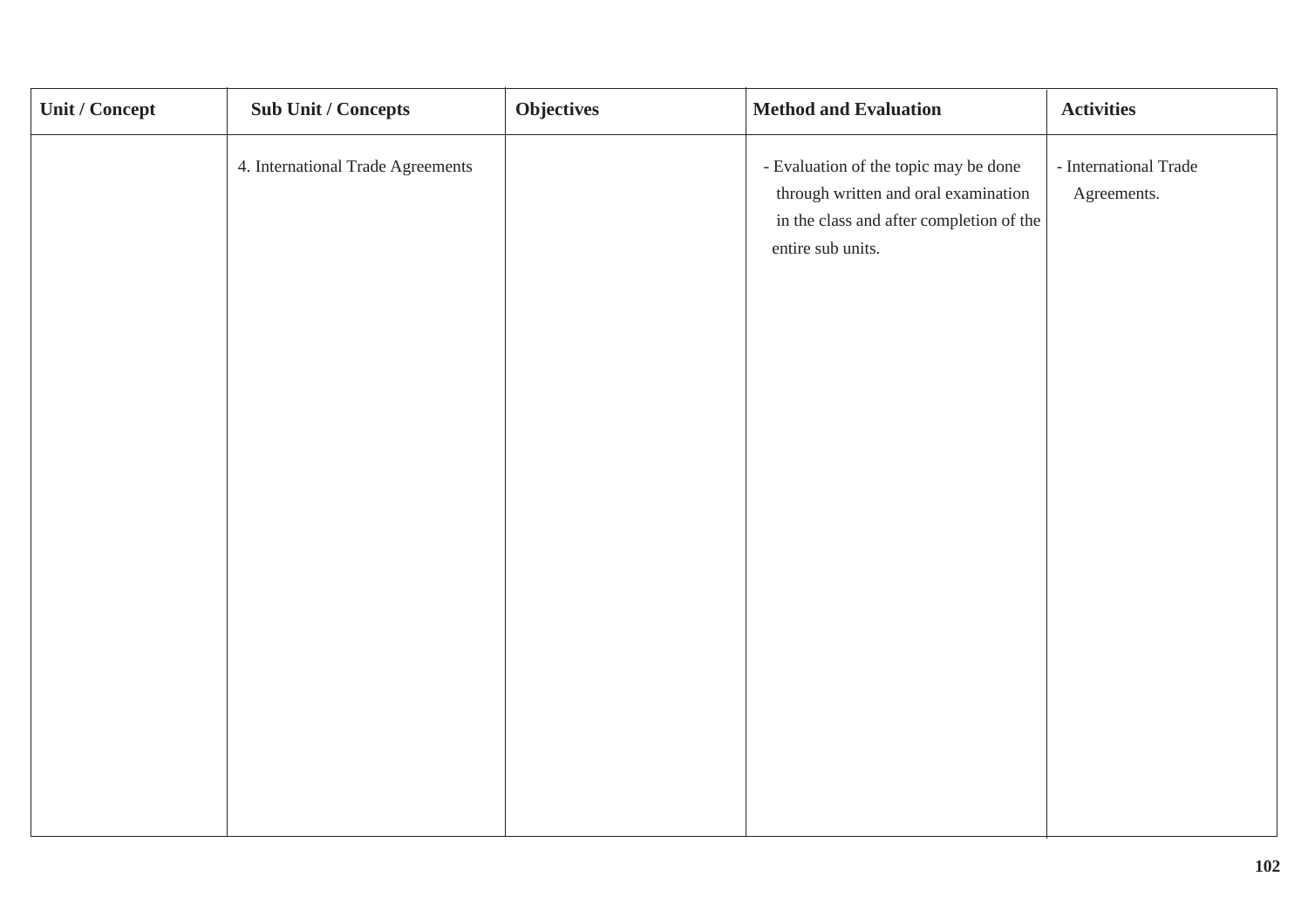| <b>Unit / Concept</b> | <b>Sub Unit / Concepts</b>        | Objectives | <b>Method and Evaluation</b>                                                                                                                   | <b>Activities</b>                    |
|-----------------------|-----------------------------------|------------|------------------------------------------------------------------------------------------------------------------------------------------------|--------------------------------------|
|                       | 4. International Trade Agreements |            | - Evaluation of the topic may be done<br>through written and oral examination<br>in the class and after completion of the<br>entire sub units. | - International Trade<br>Agreements. |
|                       |                                   |            |                                                                                                                                                |                                      |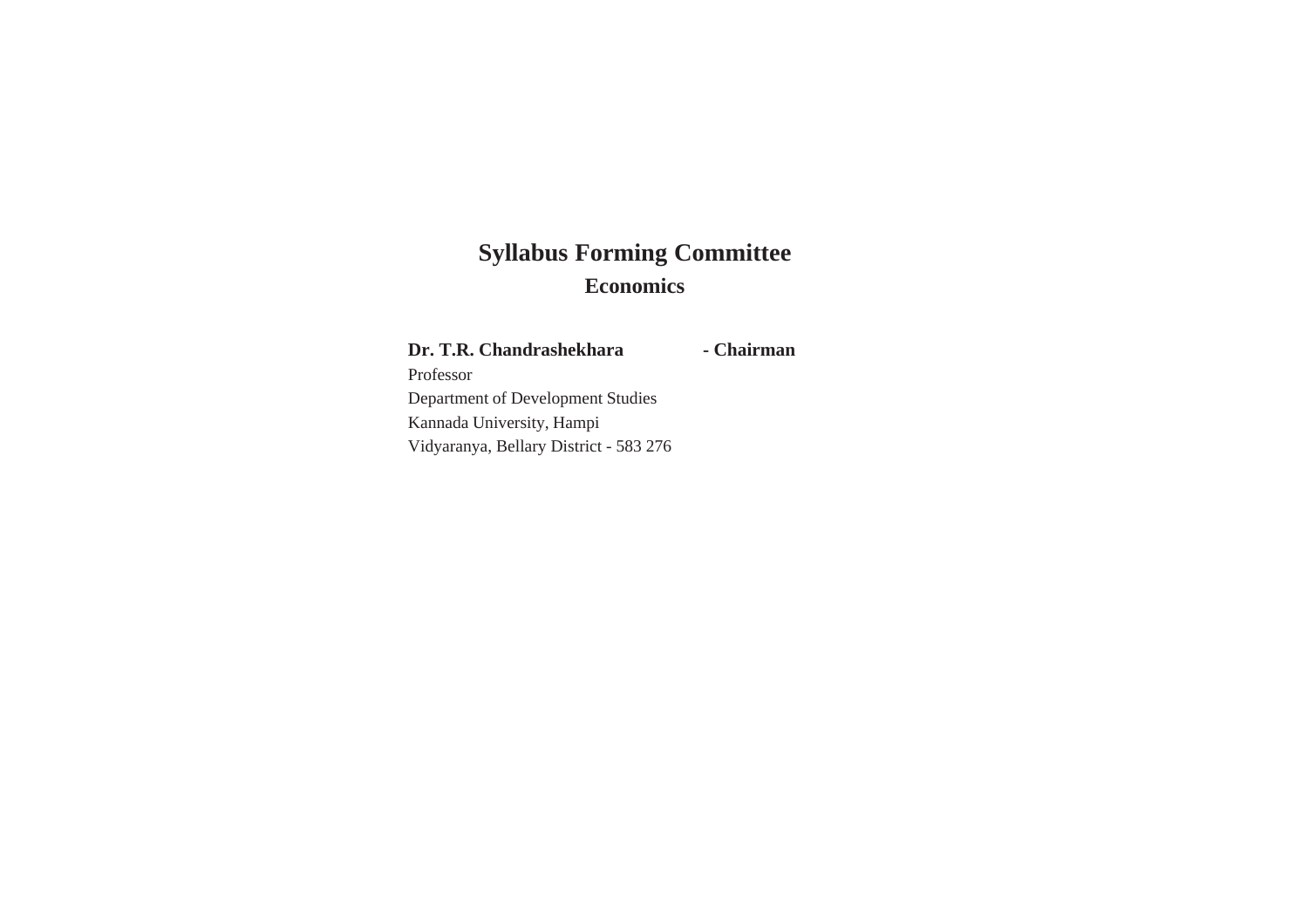#### **Syllabus Forming Committee Economics**

#### Dr. T.R. Chandrashekhara **- Chairman**

Professor Department of Development Studies Kannada University, Hampi Vidyaranya, Bellary District - 583 276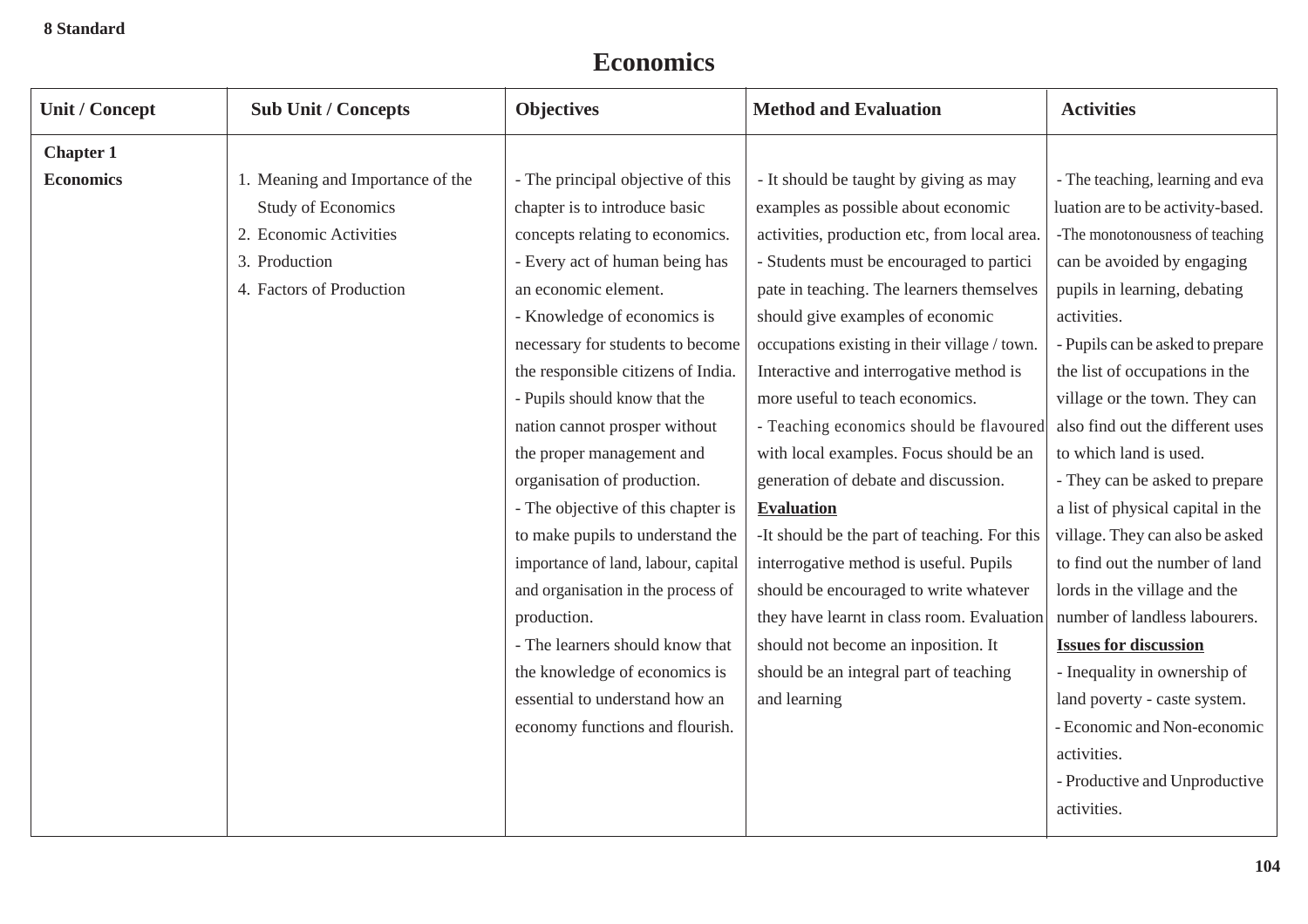## **Economics**

| <b>Unit / Concept</b> | <b>Sub Unit / Concepts</b>       | <b>Objectives</b>                   | <b>Method and Evaluation</b>                  | <b>Activities</b>                 |
|-----------------------|----------------------------------|-------------------------------------|-----------------------------------------------|-----------------------------------|
| <b>Chapter 1</b>      |                                  |                                     |                                               |                                   |
| <b>Economics</b>      | 1. Meaning and Importance of the | - The principal objective of this   | - It should be taught by giving as may        | - The teaching, learning and eva  |
|                       | <b>Study of Economics</b>        | chapter is to introduce basic       | examples as possible about economic           | luation are to be activity-based. |
|                       | 2. Economic Activities           | concepts relating to economics.     | activities, production etc, from local area.  | -The monotonousness of teaching   |
|                       | 3. Production                    | - Every act of human being has      | - Students must be encouraged to partici      | can be avoided by engaging        |
|                       | 4. Factors of Production         | an economic element.                | pate in teaching. The learners themselves     | pupils in learning, debating      |
|                       |                                  | - Knowledge of economics is         | should give examples of economic              | activities.                       |
|                       |                                  | necessary for students to become    | occupations existing in their village / town. | - Pupils can be asked to prepare  |
|                       |                                  | the responsible citizens of India.  | Interactive and interrogative method is       | the list of occupations in the    |
|                       |                                  | - Pupils should know that the       | more useful to teach economics.               | village or the town. They can     |
|                       |                                  | nation cannot prosper without       | - Teaching economics should be flavoured      | also find out the different uses  |
|                       |                                  | the proper management and           | with local examples. Focus should be an       | to which land is used.            |
|                       |                                  | organisation of production.         | generation of debate and discussion.          | - They can be asked to prepare    |
|                       |                                  | - The objective of this chapter is  | <b>Evaluation</b>                             | a list of physical capital in the |
|                       |                                  | to make pupils to understand the    | -It should be the part of teaching. For this  | village. They can also be asked   |
|                       |                                  | importance of land, labour, capital | interrogative method is useful. Pupils        | to find out the number of land    |
|                       |                                  | and organisation in the process of  | should be encouraged to write whatever        | lords in the village and the      |
|                       |                                  | production.                         | they have learnt in class room. Evaluation    | number of landless labourers.     |
|                       |                                  | - The learners should know that     | should not become an inposition. It           | <b>Issues for discussion</b>      |
|                       |                                  | the knowledge of economics is       | should be an integral part of teaching        | - Inequality in ownership of      |
|                       |                                  | essential to understand how an      | and learning                                  | land poverty - caste system.      |
|                       |                                  | economy functions and flourish.     |                                               | - Economic and Non-economic       |
|                       |                                  |                                     |                                               | activities.                       |
|                       |                                  |                                     |                                               | - Productive and Unproductive     |
|                       |                                  |                                     |                                               | activities.                       |
|                       |                                  |                                     |                                               |                                   |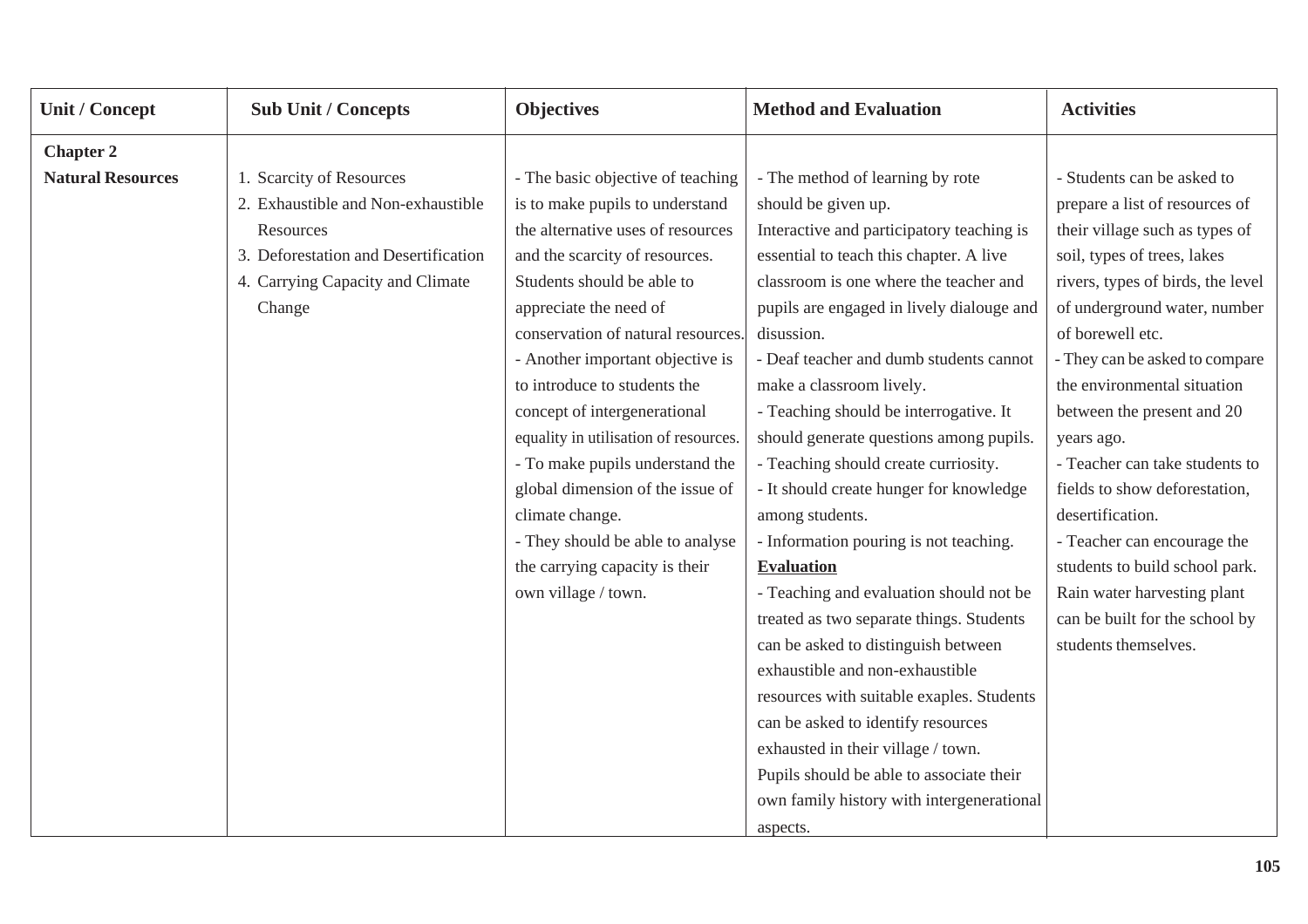| <b>Unit / Concept</b>    | <b>Sub Unit / Concepts</b>           | <b>Objectives</b>                     | <b>Method and Evaluation</b>              | <b>Activities</b>                 |
|--------------------------|--------------------------------------|---------------------------------------|-------------------------------------------|-----------------------------------|
| <b>Chapter 2</b>         |                                      |                                       |                                           |                                   |
| <b>Natural Resources</b> | 1. Scarcity of Resources             | - The basic objective of teaching     | - The method of learning by rote          | - Students can be asked to        |
|                          | 2. Exhaustible and Non-exhaustible   | is to make pupils to understand       | should be given up.                       | prepare a list of resources of    |
|                          | Resources                            | the alternative uses of resources     | Interactive and participatory teaching is | their village such as types of    |
|                          | 3. Deforestation and Desertification | and the scarcity of resources.        | essential to teach this chapter. A live   | soil, types of trees, lakes       |
|                          | 4. Carrying Capacity and Climate     | Students should be able to            | classroom is one where the teacher and    | rivers, types of birds, the level |
|                          | Change                               | appreciate the need of                | pupils are engaged in lively dialouge and | of underground water, number      |
|                          |                                      | conservation of natural resources.    | disussion.                                | of borewell etc.                  |
|                          |                                      | - Another important objective is      | - Deaf teacher and dumb students cannot   | - They can be asked to compare    |
|                          |                                      | to introduce to students the          | make a classroom lively.                  | the environmental situation       |
|                          |                                      | concept of intergenerational          | - Teaching should be interrogative. It    | between the present and 20        |
|                          |                                      | equality in utilisation of resources. | should generate questions among pupils.   | years ago.                        |
|                          |                                      | - To make pupils understand the       | - Teaching should create curriosity.      | - Teacher can take students to    |
|                          |                                      | global dimension of the issue of      | - It should create hunger for knowledge   | fields to show deforestation,     |
|                          |                                      | climate change.                       | among students.                           | desertification.                  |
|                          |                                      | - They should be able to analyse      | - Information pouring is not teaching.    | - Teacher can encourage the       |
|                          |                                      | the carrying capacity is their        | <b>Evaluation</b>                         | students to build school park.    |
|                          |                                      | own village / town.                   | - Teaching and evaluation should not be   | Rain water harvesting plant       |
|                          |                                      |                                       | treated as two separate things. Students  | can be built for the school by    |
|                          |                                      |                                       | can be asked to distinguish between       | students themselves.              |
|                          |                                      |                                       | exhaustible and non-exhaustible           |                                   |
|                          |                                      |                                       | resources with suitable exaples. Students |                                   |
|                          |                                      |                                       | can be asked to identify resources        |                                   |
|                          |                                      |                                       | exhausted in their village / town.        |                                   |
|                          |                                      |                                       | Pupils should be able to associate their  |                                   |
|                          |                                      |                                       | own family history with intergenerational |                                   |
|                          |                                      |                                       | aspects.                                  |                                   |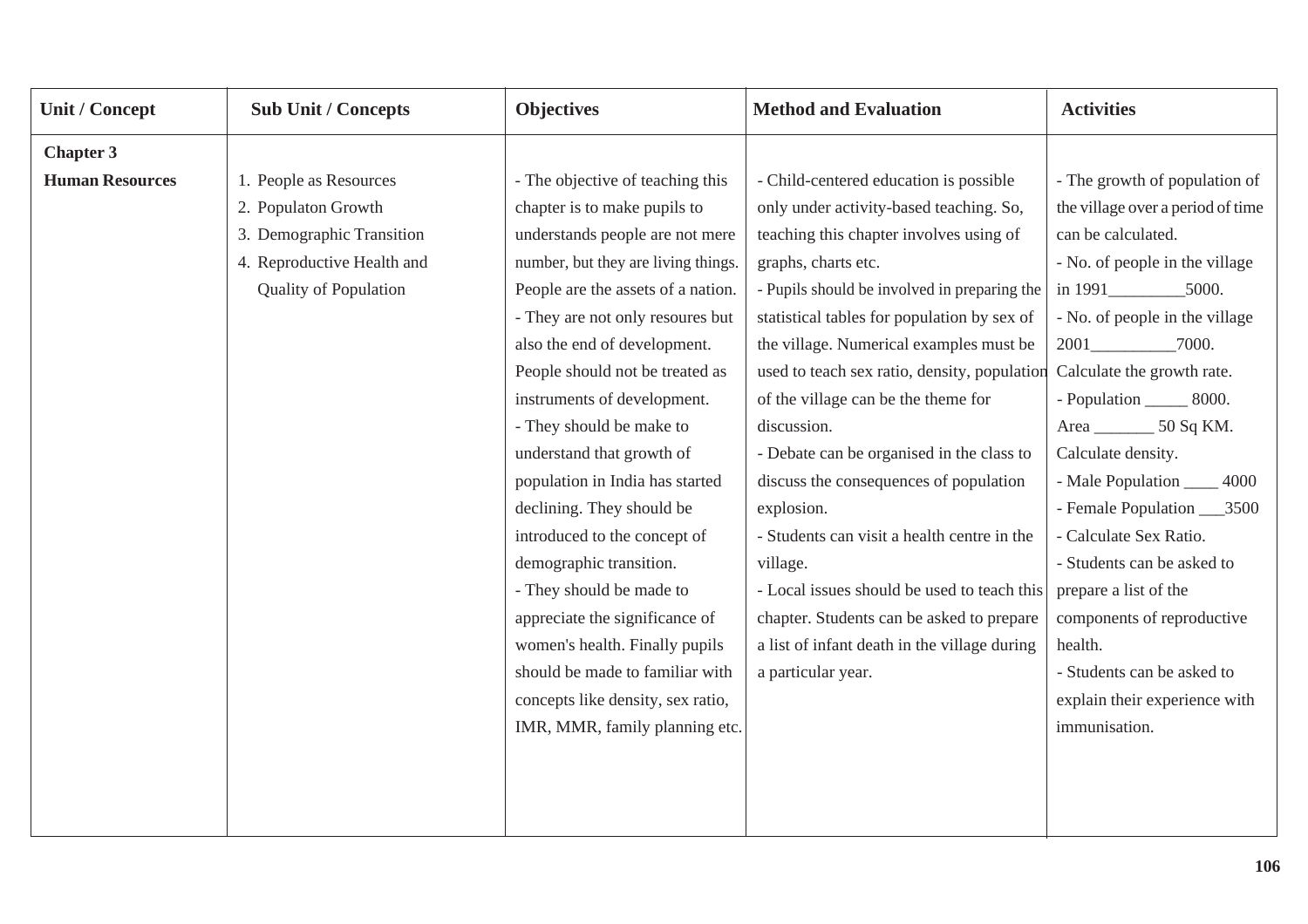| <b>Unit / Concept</b>  | <b>Sub Unit / Concepts</b>   | <b>Objectives</b>                   | <b>Method and Evaluation</b>                 | <b>Activities</b>                 |
|------------------------|------------------------------|-------------------------------------|----------------------------------------------|-----------------------------------|
| <b>Chapter 3</b>       |                              |                                     |                                              |                                   |
| <b>Human Resources</b> | 1. People as Resources       | - The objective of teaching this    | - Child-centered education is possible       | - The growth of population of     |
|                        | 2. Populaton Growth          | chapter is to make pupils to        | only under activity-based teaching. So,      | the village over a period of time |
|                        | 3. Demographic Transition    | understands people are not mere     | teaching this chapter involves using of      | can be calculated.                |
|                        | 4. Reproductive Health and   | number, but they are living things. | graphs, charts etc.                          | - No. of people in the village    |
|                        | <b>Quality of Population</b> | People are the assets of a nation.  | - Pupils should be involved in preparing the | in 1991 5000.                     |
|                        |                              | - They are not only resoures but    | statistical tables for population by sex of  | - No. of people in the village    |
|                        |                              | also the end of development.        | the village. Numerical examples must be      | 2001 7000.                        |
|                        |                              | People should not be treated as     | used to teach sex ratio, density, population | Calculate the growth rate.        |
|                        |                              | instruments of development.         | of the village can be the theme for          | - Population _________ 8000.      |
|                        |                              | - They should be make to            | discussion.                                  |                                   |
|                        |                              | understand that growth of           | - Debate can be organised in the class to    | Calculate density.                |
|                        |                              | population in India has started     | discuss the consequences of population       | - Male Population _____ 4000      |
|                        |                              | declining. They should be           | explosion.                                   | - Female Population ___3500       |
|                        |                              | introduced to the concept of        | - Students can visit a health centre in the  | - Calculate Sex Ratio.            |
|                        |                              | demographic transition.             | village.                                     | - Students can be asked to        |
|                        |                              | - They should be made to            | - Local issues should be used to teach this  | prepare a list of the             |
|                        |                              | appreciate the significance of      | chapter. Students can be asked to prepare    | components of reproductive        |
|                        |                              | women's health. Finally pupils      | a list of infant death in the village during | health.                           |
|                        |                              | should be made to familiar with     | a particular year.                           | - Students can be asked to        |
|                        |                              | concepts like density, sex ratio,   |                                              | explain their experience with     |
|                        |                              | IMR, MMR, family planning etc.      |                                              | immunisation.                     |
|                        |                              |                                     |                                              |                                   |
|                        |                              |                                     |                                              |                                   |
|                        |                              |                                     |                                              |                                   |
|                        |                              |                                     |                                              |                                   |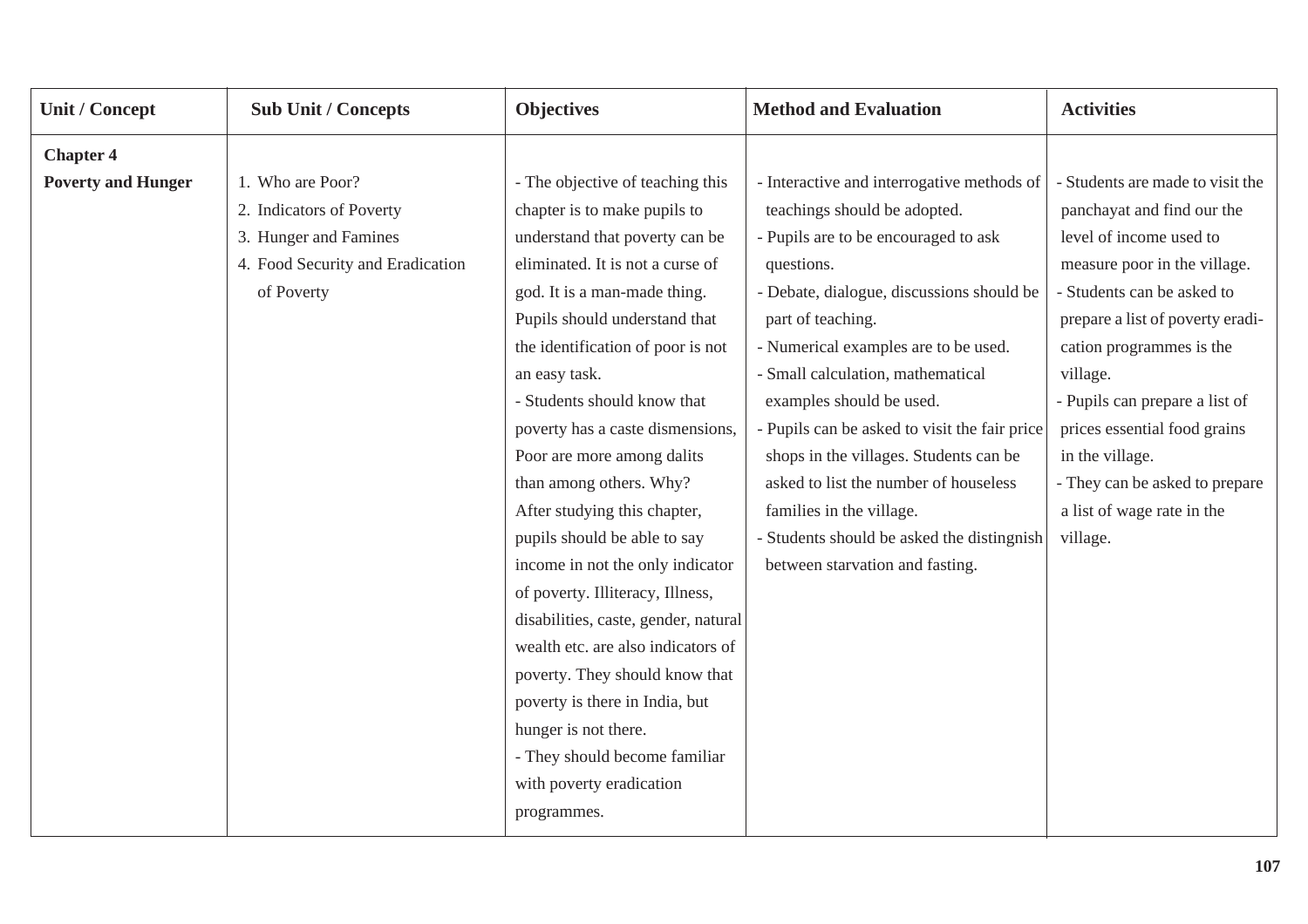| <b>Unit / Concept</b>     | <b>Sub Unit / Concepts</b>       | <b>Objectives</b>                    | <b>Method and Evaluation</b>                  | <b>Activities</b>                |
|---------------------------|----------------------------------|--------------------------------------|-----------------------------------------------|----------------------------------|
| <b>Chapter 4</b>          |                                  |                                      |                                               |                                  |
| <b>Poverty and Hunger</b> | 1. Who are Poor?                 | - The objective of teaching this     | - Interactive and interrogative methods of    | - Students are made to visit the |
|                           | 2. Indicators of Poverty         | chapter is to make pupils to         | teachings should be adopted.                  | panchayat and find our the       |
|                           | 3. Hunger and Famines            | understand that poverty can be       | - Pupils are to be encouraged to ask          | level of income used to          |
|                           | 4. Food Security and Eradication | eliminated. It is not a curse of     | questions.                                    | measure poor in the village.     |
|                           | of Poverty                       | god. It is a man-made thing.         | - Debate, dialogue, discussions should be     | - Students can be asked to       |
|                           |                                  | Pupils should understand that        | part of teaching.                             | prepare a list of poverty eradi- |
|                           |                                  | the identification of poor is not    | - Numerical examples are to be used.          | cation programmes is the         |
|                           |                                  | an easy task.                        | - Small calculation, mathematical             | village.                         |
|                           |                                  | - Students should know that          | examples should be used.                      | - Pupils can prepare a list of   |
|                           |                                  | poverty has a caste dismensions,     | - Pupils can be asked to visit the fair price | prices essential food grains     |
|                           |                                  | Poor are more among dalits           | shops in the villages. Students can be        | in the village.                  |
|                           |                                  | than among others. Why?              | asked to list the number of houseless         | - They can be asked to prepare   |
|                           |                                  | After studying this chapter,         | families in the village.                      | a list of wage rate in the       |
|                           |                                  | pupils should be able to say         | - Students should be asked the distingnish    | village.                         |
|                           |                                  | income in not the only indicator     | between starvation and fasting.               |                                  |
|                           |                                  | of poverty. Illiteracy, Illness,     |                                               |                                  |
|                           |                                  | disabilities, caste, gender, natural |                                               |                                  |
|                           |                                  | wealth etc. are also indicators of   |                                               |                                  |
|                           |                                  | poverty. They should know that       |                                               |                                  |
|                           |                                  | poverty is there in India, but       |                                               |                                  |
|                           |                                  | hunger is not there.                 |                                               |                                  |
|                           |                                  | - They should become familiar        |                                               |                                  |
|                           |                                  | with poverty eradication             |                                               |                                  |
|                           |                                  | programmes.                          |                                               |                                  |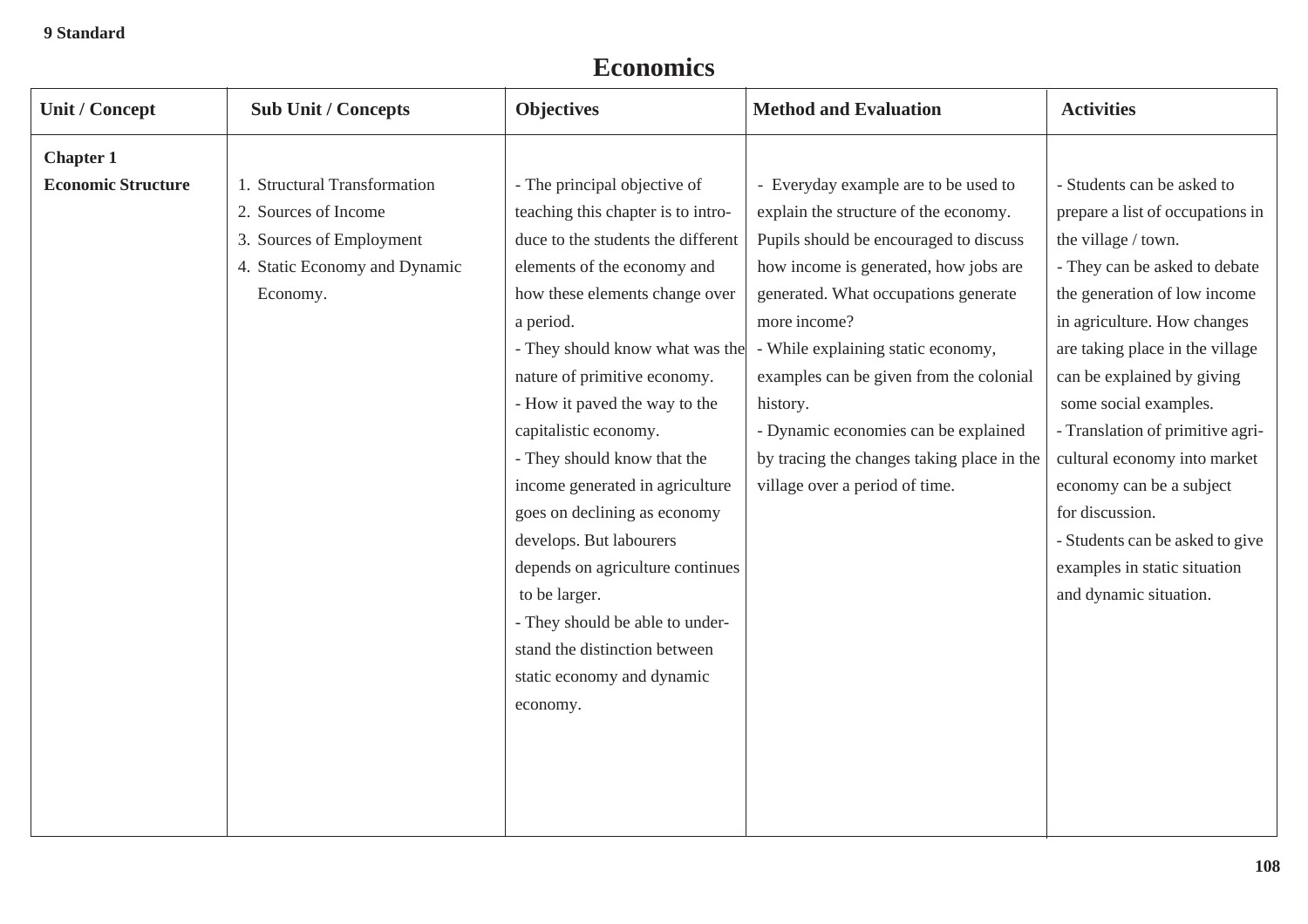## Unit / Concept Sub Unit / Concepts | Objectives | Method and Evaluation | Activities **Chapter 1 Economic Structure** 1. Structural Transformation - The principal objective of - Everyday example are to be used to - Students can be asked to 2. Sources of Income teaching this chapter is to intro- explain the structure of the economy. prepare a list of occupations in 3. Sources of Employment duce to the students the different Pupils should be encouraged to discuss the village / town. 4. Static Economy and Dynamic elements of the economy and how income is generated, how jobs are - They can be asked to debate Economy. how these elements change over generated. What occupations generate the generation of low income a period. more income? in agriculture. How changes - They should know what was the  $\vert$  - While explaining static economy,  $\vert$  are taking place in the village nature of primitive economy.  $\parallel$  examples can be given from the colonial  $\parallel$  can be explained by giving - How it paved the way to the history. capitalistic economy.  $\vert$  - Dynamic economies can be explained  $\vert$  - Translation of primitive agri-- They should know that the by tracing the changes taking place in the cultural economy into market income generated in agriculture  $\vert$  village over a period of time.  $\vert$  economy can be a subject goes on declining as economy for discussion. develops. But labourers  $\vert$  - Students can be asked to give depends on agriculture continues  $\vert$  examples in static situation to be larger. and dynamic situation. - They should be able to understand the distinction between static economy and dynamic economy.

#### **Economics**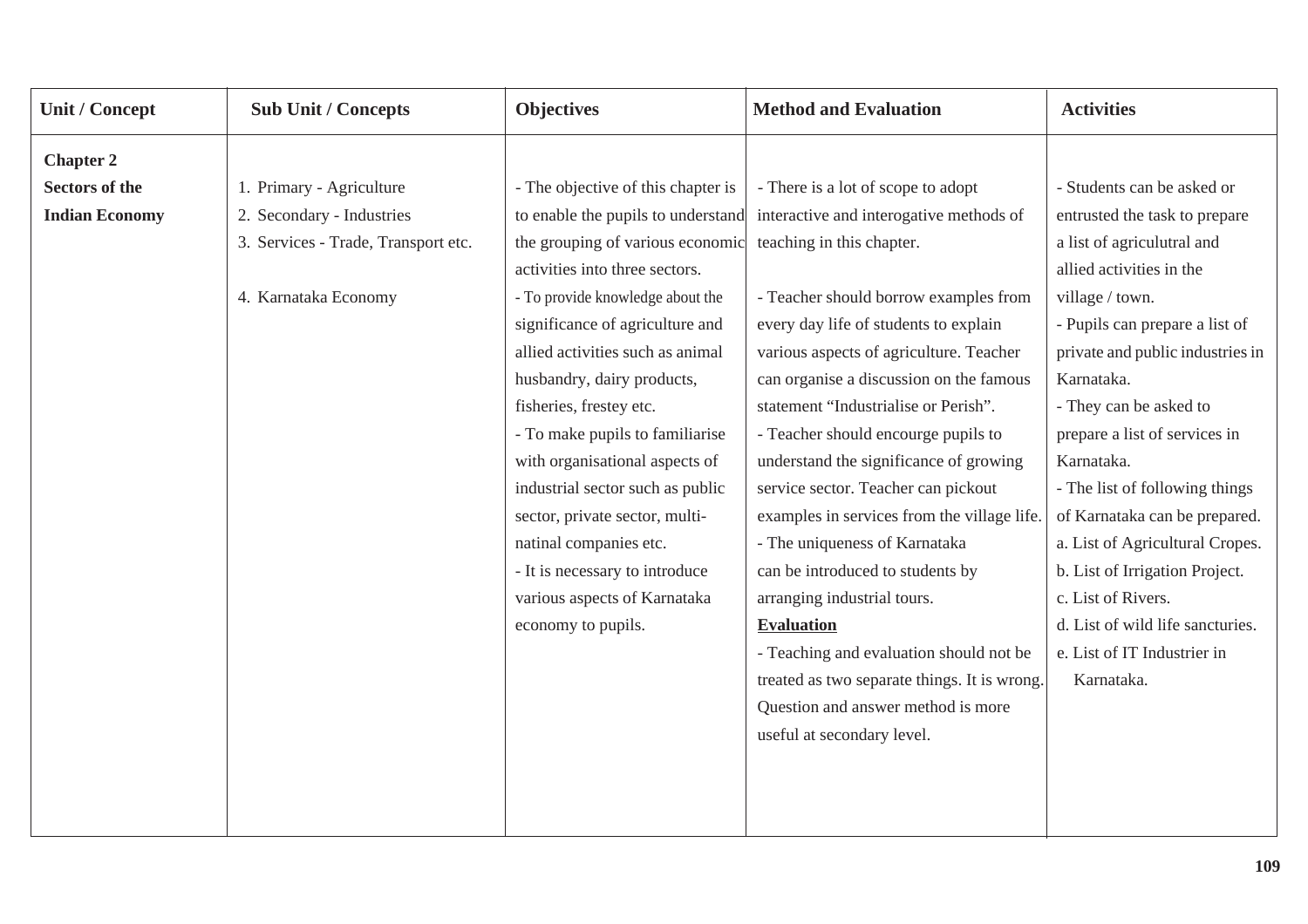| <b>Unit / Concept</b> | <b>Sub Unit / Concepts</b>          | <b>Objectives</b>                  | <b>Method and Evaluation</b>                 | <b>Activities</b>                |
|-----------------------|-------------------------------------|------------------------------------|----------------------------------------------|----------------------------------|
| <b>Chapter 2</b>      |                                     |                                    |                                              |                                  |
| <b>Sectors of the</b> | 1. Primary - Agriculture            | - The objective of this chapter is | - There is a lot of scope to adopt           | - Students can be asked or       |
| <b>Indian Economy</b> | 2. Secondary - Industries           | to enable the pupils to understand | interactive and interogative methods of      | entrusted the task to prepare    |
|                       | 3. Services - Trade, Transport etc. | the grouping of various economic   | teaching in this chapter.                    | a list of agriculutral and       |
|                       |                                     | activities into three sectors.     |                                              | allied activities in the         |
|                       | 4. Karnataka Economy                | - To provide knowledge about the   | - Teacher should borrow examples from        | village / town.                  |
|                       |                                     | significance of agriculture and    | every day life of students to explain        | - Pupils can prepare a list of   |
|                       |                                     | allied activities such as animal   | various aspects of agriculture. Teacher      | private and public industries in |
|                       |                                     | husbandry, dairy products,         | can organise a discussion on the famous      | Karnataka.                       |
|                       |                                     | fisheries, frestey etc.            | statement "Industrialise or Perish".         | - They can be asked to           |
|                       |                                     | - To make pupils to familiarise    | - Teacher should encourge pupils to          | prepare a list of services in    |
|                       |                                     | with organisational aspects of     | understand the significance of growing       | Karnataka.                       |
|                       |                                     | industrial sector such as public   | service sector. Teacher can pickout          | - The list of following things   |
|                       |                                     | sector, private sector, multi-     | examples in services from the village life.  | of Karnataka can be prepared.    |
|                       |                                     | natinal companies etc.             | - The uniqueness of Karnataka                | a. List of Agricultural Cropes.  |
|                       |                                     | - It is necessary to introduce     | can be introduced to students by             | b. List of Irrigation Project.   |
|                       |                                     | various aspects of Karnataka       | arranging industrial tours.                  | c. List of Rivers.               |
|                       |                                     | economy to pupils.                 | <b>Evaluation</b>                            | d. List of wild life sancturies. |
|                       |                                     |                                    | - Teaching and evaluation should not be      | e. List of IT Industrier in      |
|                       |                                     |                                    | treated as two separate things. It is wrong. | Karnataka.                       |
|                       |                                     |                                    | Question and answer method is more           |                                  |
|                       |                                     |                                    | useful at secondary level.                   |                                  |
|                       |                                     |                                    |                                              |                                  |
|                       |                                     |                                    |                                              |                                  |
|                       |                                     |                                    |                                              |                                  |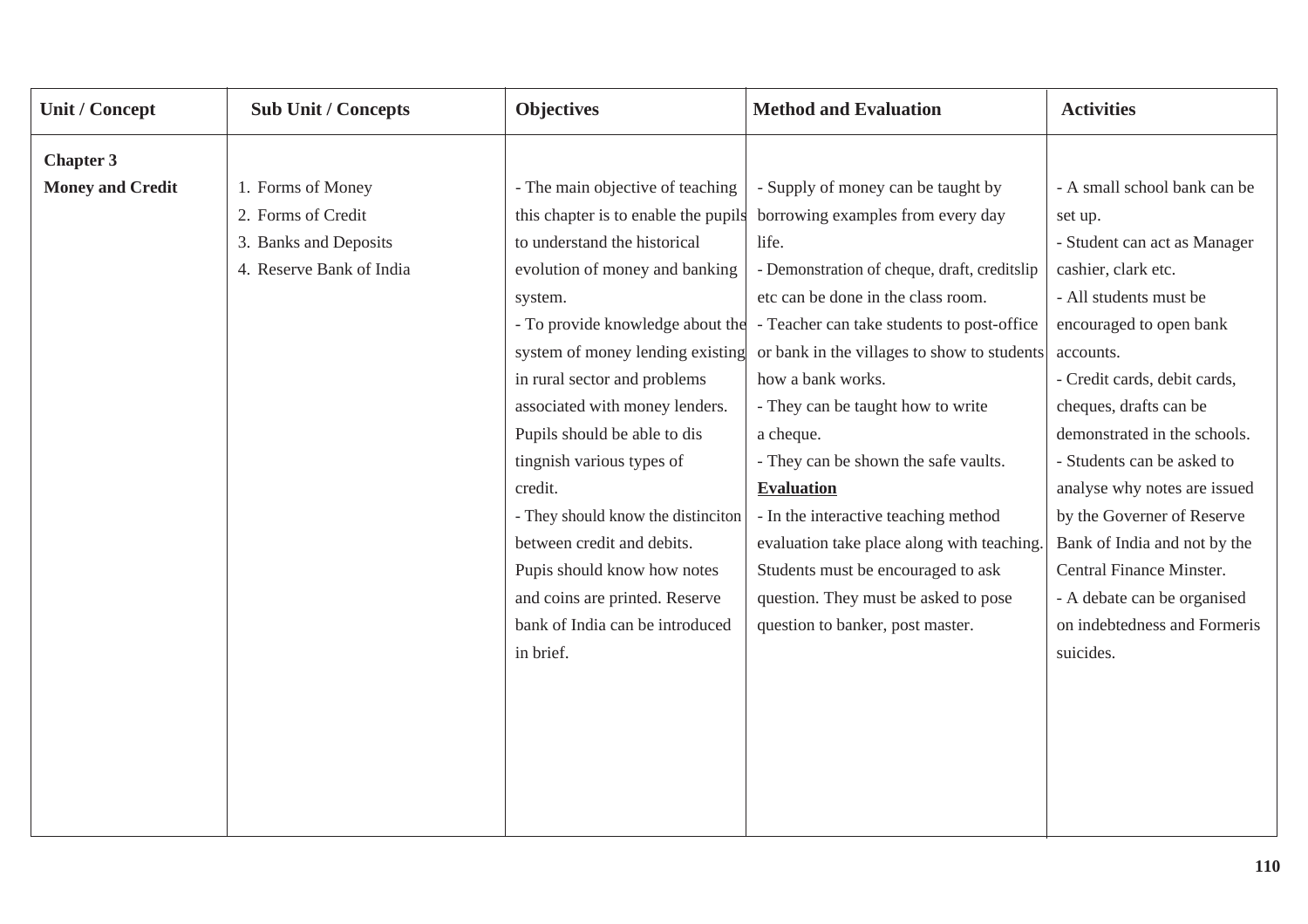| <b>Unit / Concept</b>   | <b>Sub Unit / Concepts</b> | <b>Objectives</b>                  | <b>Method and Evaluation</b>                                                 | <b>Activities</b>            |
|-------------------------|----------------------------|------------------------------------|------------------------------------------------------------------------------|------------------------------|
| <b>Chapter 3</b>        |                            |                                    |                                                                              |                              |
| <b>Money and Credit</b> | 1. Forms of Money          | - The main objective of teaching   | - Supply of money can be taught by                                           | - A small school bank can be |
|                         | 2. Forms of Credit         |                                    | this chapter is to enable the pupils borrowing examples from every day       | set up.                      |
|                         | 3. Banks and Deposits      | to understand the historical       | life.                                                                        | - Student can act as Manager |
|                         | 4. Reserve Bank of India   | evolution of money and banking     | - Demonstration of cheque, draft, creditslip                                 | cashier, clark etc.          |
|                         |                            | system.                            | etc can be done in the class room.                                           | - All students must be       |
|                         |                            |                                    | - To provide knowledge about the - Teacher can take students to post-office  | encouraged to open bank      |
|                         |                            |                                    | system of money lending existing or bank in the villages to show to students | accounts.                    |
|                         |                            | in rural sector and problems       | how a bank works.                                                            | - Credit cards, debit cards, |
|                         |                            | associated with money lenders.     | - They can be taught how to write                                            | cheques, drafts can be       |
|                         |                            | Pupils should be able to dis       | a cheque.                                                                    | demonstrated in the schools. |
|                         |                            | tingnish various types of          | - They can be shown the safe vaults.                                         | - Students can be asked to   |
|                         |                            | credit.                            | <b>Evaluation</b>                                                            | analyse why notes are issued |
|                         |                            | - They should know the distinciton | - In the interactive teaching method                                         | by the Governer of Reserve   |
|                         |                            | between credit and debits.         | evaluation take place along with teaching.                                   | Bank of India and not by the |
|                         |                            | Pupis should know how notes        | Students must be encouraged to ask                                           | Central Finance Minster.     |
|                         |                            | and coins are printed. Reserve     | question. They must be asked to pose                                         | - A debate can be organised  |
|                         |                            | bank of India can be introduced    | question to banker, post master.                                             | on indebtedness and Formeris |
|                         |                            | in brief.                          |                                                                              | suicides.                    |
|                         |                            |                                    |                                                                              |                              |
|                         |                            |                                    |                                                                              |                              |
|                         |                            |                                    |                                                                              |                              |
|                         |                            |                                    |                                                                              |                              |
|                         |                            |                                    |                                                                              |                              |
|                         |                            |                                    |                                                                              |                              |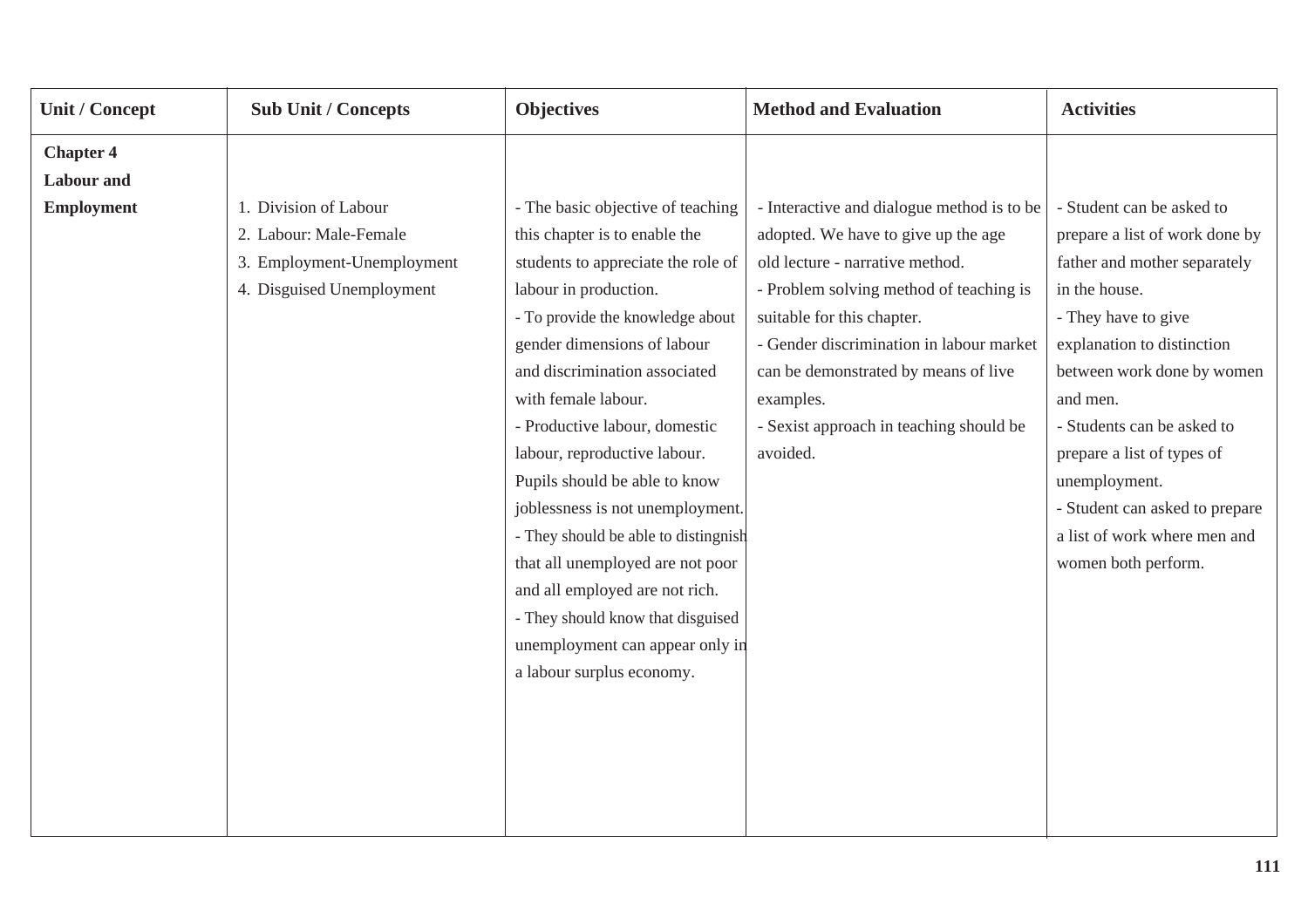| <b>Unit / Concept</b> | <b>Sub Unit / Concepts</b> | <b>Objectives</b>                    | <b>Method and Evaluation</b>               | <b>Activities</b>              |
|-----------------------|----------------------------|--------------------------------------|--------------------------------------------|--------------------------------|
| <b>Chapter 4</b>      |                            |                                      |                                            |                                |
| <b>Labour</b> and     |                            |                                      |                                            |                                |
| <b>Employment</b>     | 1. Division of Labour      | - The basic objective of teaching    | - Interactive and dialogue method is to be | - Student can be asked to      |
|                       | 2. Labour: Male-Female     | this chapter is to enable the        | adopted. We have to give up the age        | prepare a list of work done by |
|                       | 3. Employment-Unemployment | students to appreciate the role of   | old lecture - narrative method.            | father and mother separately   |
|                       | 4. Disguised Unemployment  | labour in production.                | - Problem solving method of teaching is    | in the house.                  |
|                       |                            | - To provide the knowledge about     | suitable for this chapter.                 | - They have to give            |
|                       |                            | gender dimensions of labour          | - Gender discrimination in labour market   | explanation to distinction     |
|                       |                            | and discrimination associated        | can be demonstrated by means of live       | between work done by women     |
|                       |                            | with female labour.                  | examples.                                  | and men.                       |
|                       |                            | - Productive labour, domestic        | - Sexist approach in teaching should be    | - Students can be asked to     |
|                       |                            | labour, reproductive labour.         | avoided.                                   | prepare a list of types of     |
|                       |                            | Pupils should be able to know        |                                            | unemployment.                  |
|                       |                            | joblessness is not unemployment.     |                                            | - Student can asked to prepare |
|                       |                            | - They should be able to distingnish |                                            | a list of work where men and   |
|                       |                            | that all unemployed are not poor     |                                            | women both perform.            |
|                       |                            | and all employed are not rich.       |                                            |                                |
|                       |                            | - They should know that disguised    |                                            |                                |
|                       |                            | unemployment can appear only in      |                                            |                                |
|                       |                            | a labour surplus economy.            |                                            |                                |
|                       |                            |                                      |                                            |                                |
|                       |                            |                                      |                                            |                                |
|                       |                            |                                      |                                            |                                |
|                       |                            |                                      |                                            |                                |
|                       |                            |                                      |                                            |                                |
|                       |                            |                                      |                                            |                                |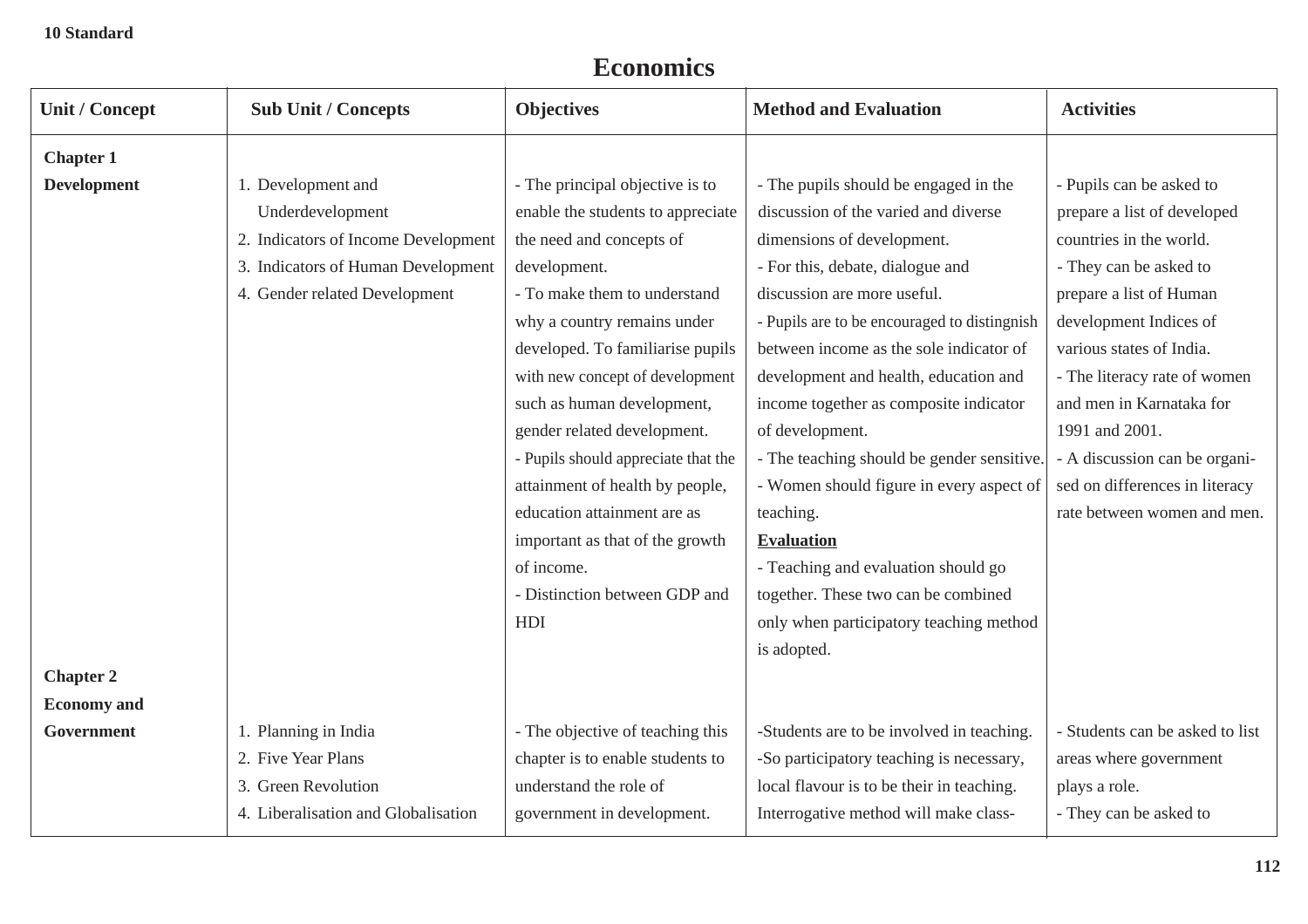#### **10 Standard**

## **Economics**

| <b>Unit / Concept</b> | <b>Sub Unit / Concepts</b>          | <b>Objectives</b>                   | <b>Method and Evaluation</b>                 | <b>Activities</b>               |
|-----------------------|-------------------------------------|-------------------------------------|----------------------------------------------|---------------------------------|
| <b>Chapter 1</b>      |                                     |                                     |                                              |                                 |
| <b>Development</b>    | 1. Development and                  | - The principal objective is to     | - The pupils should be engaged in the        | - Pupils can be asked to        |
|                       | Underdevelopment                    | enable the students to appreciate   | discussion of the varied and diverse         | prepare a list of developed     |
|                       | 2. Indicators of Income Development | the need and concepts of            | dimensions of development.                   | countries in the world.         |
|                       | 3. Indicators of Human Development  | development.                        | - For this, debate, dialogue and             | - They can be asked to          |
|                       | 4. Gender related Development       | - To make them to understand        | discussion are more useful.                  | prepare a list of Human         |
|                       |                                     | why a country remains under         | - Pupils are to be encouraged to distingnish | development Indices of          |
|                       |                                     | developed. To familiarise pupils    | between income as the sole indicator of      | various states of India.        |
|                       |                                     | with new concept of development     | development and health, education and        | - The literacy rate of women    |
|                       |                                     | such as human development,          | income together as composite indicator       | and men in Karnataka for        |
|                       |                                     | gender related development.         | of development.                              | 1991 and 2001.                  |
|                       |                                     | - Pupils should appreciate that the | - The teaching should be gender sensitive.   | - A discussion can be organi-   |
|                       |                                     | attainment of health by people,     | - Women should figure in every aspect of     | sed on differences in literacy  |
|                       |                                     | education attainment are as         | teaching.                                    | rate between women and men.     |
|                       |                                     | important as that of the growth     | <b>Evaluation</b>                            |                                 |
|                       |                                     | of income.                          | - Teaching and evaluation should go          |                                 |
|                       |                                     | - Distinction between GDP and       | together. These two can be combined          |                                 |
|                       |                                     | HDI                                 | only when participatory teaching method      |                                 |
|                       |                                     |                                     | is adopted.                                  |                                 |
| <b>Chapter 2</b>      |                                     |                                     |                                              |                                 |
| <b>Economy</b> and    |                                     |                                     |                                              |                                 |
| <b>Government</b>     | 1. Planning in India                | - The objective of teaching this    | -Students are to be involved in teaching.    | - Students can be asked to list |
|                       | 2. Five Year Plans                  | chapter is to enable students to    | -So participatory teaching is necessary,     | areas where government          |
|                       | 3. Green Revolution                 | understand the role of              | local flavour is to be their in teaching.    | plays a role.                   |
|                       | 4. Liberalisation and Globalisation | government in development.          | Interrogative method will make class-        | - They can be asked to          |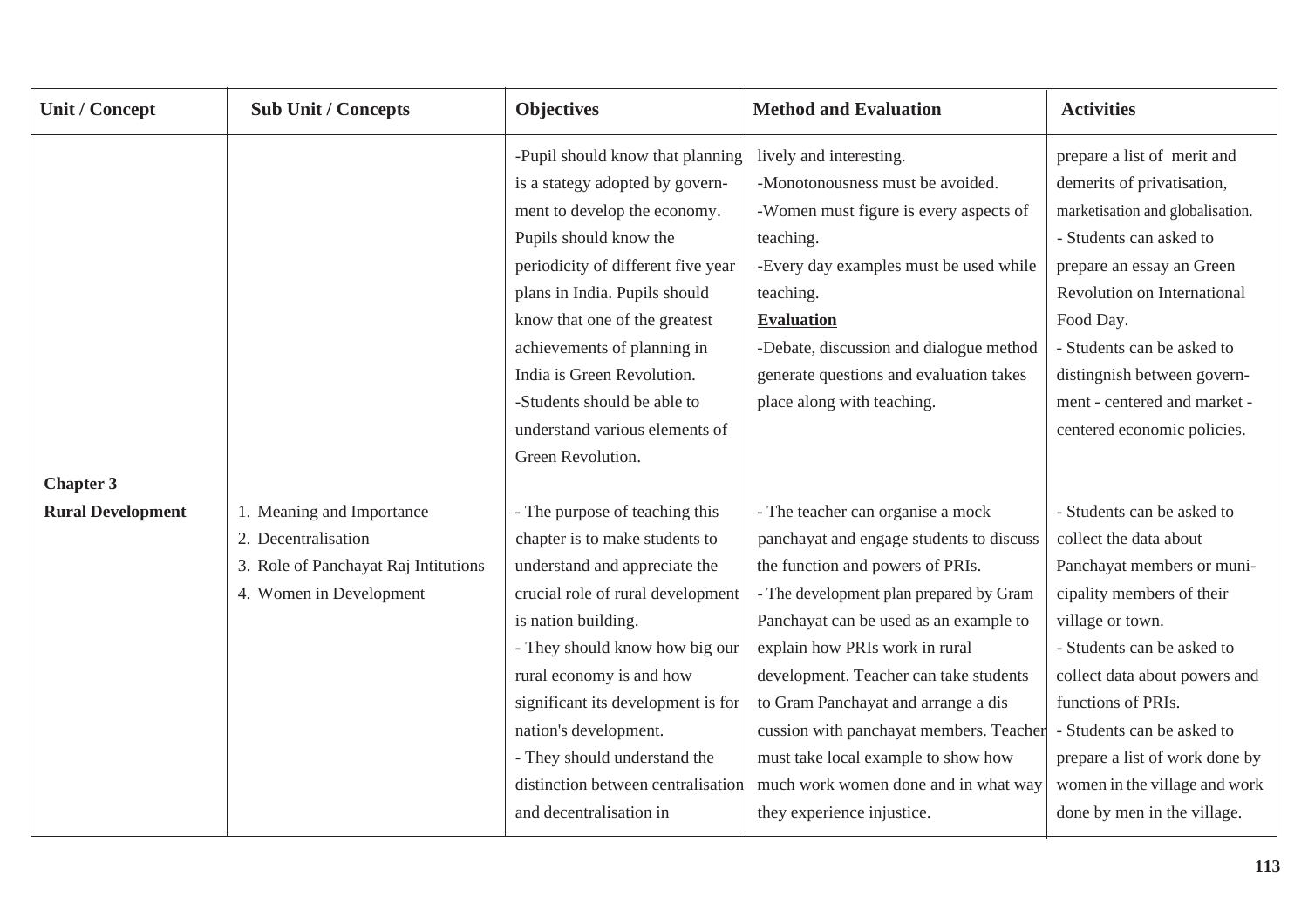| <b>Unit / Concept</b>    | <b>Sub Unit / Concepts</b>                                                                                          | <b>Objectives</b>                                                                                                                                                                                                                                                                                                                                                                           | <b>Method and Evaluation</b>                                                                                                                                                                                                                                                                                                                                                                                                                                                      | <b>Activities</b>                                                                                                                                                                                                                                                                                                                                        |
|--------------------------|---------------------------------------------------------------------------------------------------------------------|---------------------------------------------------------------------------------------------------------------------------------------------------------------------------------------------------------------------------------------------------------------------------------------------------------------------------------------------------------------------------------------------|-----------------------------------------------------------------------------------------------------------------------------------------------------------------------------------------------------------------------------------------------------------------------------------------------------------------------------------------------------------------------------------------------------------------------------------------------------------------------------------|----------------------------------------------------------------------------------------------------------------------------------------------------------------------------------------------------------------------------------------------------------------------------------------------------------------------------------------------------------|
| <b>Chapter 3</b>         |                                                                                                                     | -Pupil should know that planning<br>is a stategy adopted by govern-<br>ment to develop the economy.<br>Pupils should know the<br>periodicity of different five year<br>plans in India. Pupils should<br>know that one of the greatest<br>achievements of planning in<br>India is Green Revolution.<br>-Students should be able to<br>understand various elements of<br>Green Revolution.    | lively and interesting.<br>-Monotonousness must be avoided.<br>-Women must figure is every aspects of<br>teaching.<br>-Every day examples must be used while<br>teaching.<br><b>Evaluation</b><br>-Debate, discussion and dialogue method<br>generate questions and evaluation takes<br>place along with teaching.                                                                                                                                                                | prepare a list of merit and<br>demerits of privatisation,<br>marketisation and globalisation.<br>- Students can asked to<br>prepare an essay an Green<br>Revolution on International<br>Food Day.<br>- Students can be asked to<br>distingnish between govern-<br>ment - centered and market -<br>centered economic policies.                            |
| <b>Rural Development</b> | 1. Meaning and Importance<br>2. Decentralisation<br>3. Role of Panchayat Raj Intitutions<br>4. Women in Development | - The purpose of teaching this<br>chapter is to make students to<br>understand and appreciate the<br>crucial role of rural development<br>is nation building.<br>- They should know how big our<br>rural economy is and how<br>significant its development is for<br>nation's development.<br>- They should understand the<br>distinction between centralisation<br>and decentralisation in | - The teacher can organise a mock<br>panchayat and engage students to discuss<br>the function and powers of PRIs.<br>- The development plan prepared by Gram<br>Panchayat can be used as an example to<br>explain how PRIs work in rural<br>development. Teacher can take students<br>to Gram Panchayat and arrange a dis<br>cussion with panchayat members. Teacher<br>must take local example to show how<br>much work women done and in what way<br>they experience injustice. | - Students can be asked to<br>collect the data about<br>Panchayat members or muni-<br>cipality members of their<br>village or town.<br>- Students can be asked to<br>collect data about powers and<br>functions of PRIs.<br>- Students can be asked to<br>prepare a list of work done by<br>women in the village and work<br>done by men in the village. |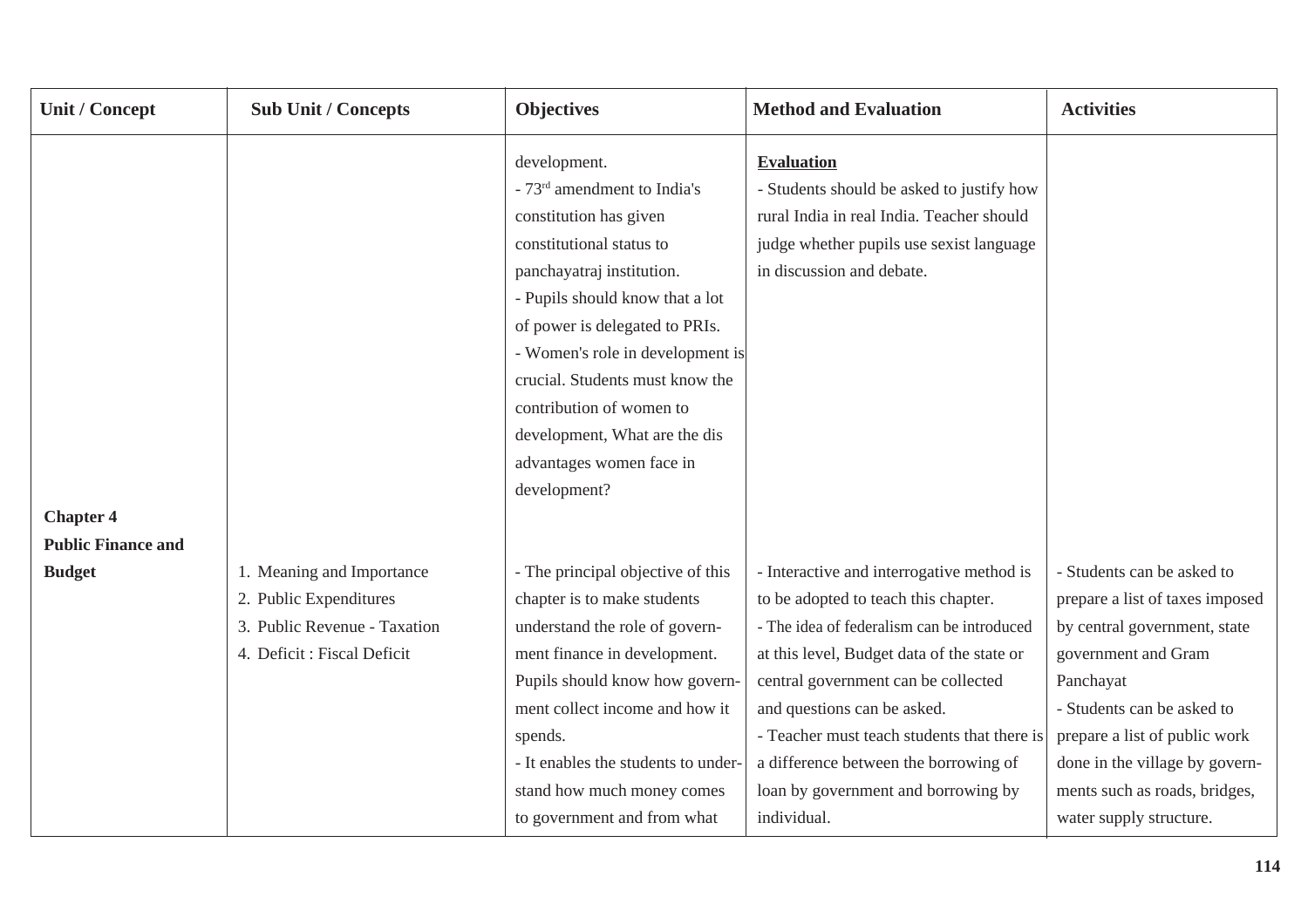| <b>Unit / Concept</b>     | <b>Sub Unit / Concepts</b>                                                                                         | <b>Objectives</b>                                                                                                                                                                                                                                                                                                                                                                               | <b>Method and Evaluation</b>                                                                                                                                                                                                                                                                                                                                                                      | <b>Activities</b>                                                                                                                                                                                                                                                                              |
|---------------------------|--------------------------------------------------------------------------------------------------------------------|-------------------------------------------------------------------------------------------------------------------------------------------------------------------------------------------------------------------------------------------------------------------------------------------------------------------------------------------------------------------------------------------------|---------------------------------------------------------------------------------------------------------------------------------------------------------------------------------------------------------------------------------------------------------------------------------------------------------------------------------------------------------------------------------------------------|------------------------------------------------------------------------------------------------------------------------------------------------------------------------------------------------------------------------------------------------------------------------------------------------|
| <b>Chapter 4</b>          |                                                                                                                    | development.<br>- 73 <sup>rd</sup> amendment to India's<br>constitution has given<br>constitutional status to<br>panchayatraj institution.<br>- Pupils should know that a lot<br>of power is delegated to PRIs.<br>- Women's role in development is<br>crucial. Students must know the<br>contribution of women to<br>development, What are the dis<br>advantages women face in<br>development? | <b>Evaluation</b><br>- Students should be asked to justify how<br>rural India in real India. Teacher should<br>judge whether pupils use sexist language<br>in discussion and debate.                                                                                                                                                                                                              |                                                                                                                                                                                                                                                                                                |
| <b>Public Finance and</b> |                                                                                                                    |                                                                                                                                                                                                                                                                                                                                                                                                 |                                                                                                                                                                                                                                                                                                                                                                                                   |                                                                                                                                                                                                                                                                                                |
| <b>Budget</b>             | 1. Meaning and Importance<br>2. Public Expenditures<br>3. Public Revenue - Taxation<br>4. Deficit : Fiscal Deficit | - The principal objective of this<br>chapter is to make students<br>understand the role of govern-<br>ment finance in development.<br>Pupils should know how govern-<br>ment collect income and how it<br>spends.<br>- It enables the students to under-<br>stand how much money comes<br>to government and from what                                                                           | - Interactive and interrogative method is<br>to be adopted to teach this chapter.<br>- The idea of federalism can be introduced<br>at this level, Budget data of the state or<br>central government can be collected<br>and questions can be asked.<br>- Teacher must teach students that there is<br>a difference between the borrowing of<br>loan by government and borrowing by<br>individual. | - Students can be asked to<br>prepare a list of taxes imposed<br>by central government, state<br>government and Gram<br>Panchayat<br>- Students can be asked to<br>prepare a list of public work<br>done in the village by govern-<br>ments such as roads, bridges,<br>water supply structure. |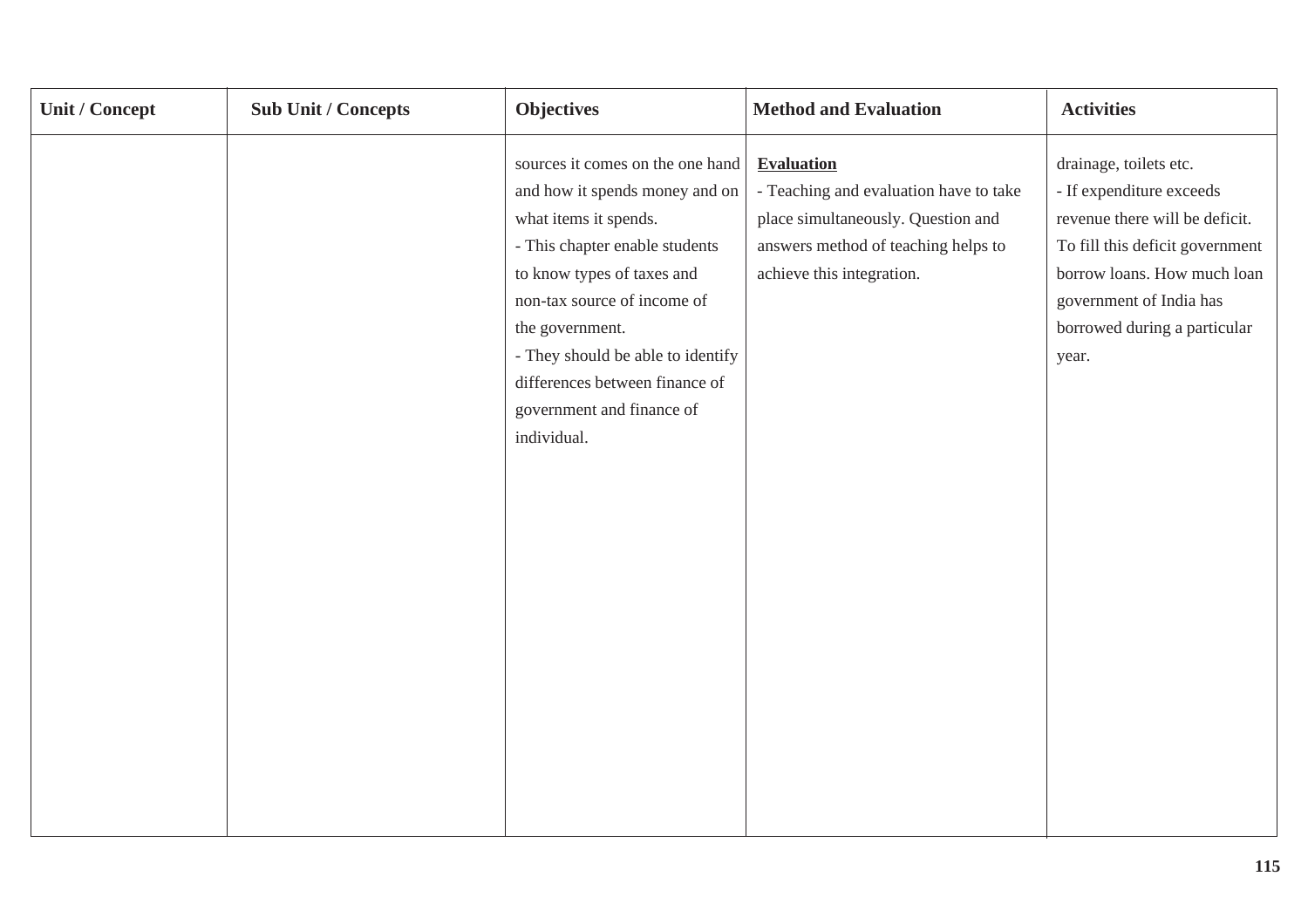| <b>Unit / Concept</b> | <b>Sub Unit / Concepts</b> | <b>Objectives</b>                                                                                                                                                                                                                                                                                                                | <b>Method and Evaluation</b>                                                                                                                                          | <b>Activities</b>                                                                                                                                                                                                          |
|-----------------------|----------------------------|----------------------------------------------------------------------------------------------------------------------------------------------------------------------------------------------------------------------------------------------------------------------------------------------------------------------------------|-----------------------------------------------------------------------------------------------------------------------------------------------------------------------|----------------------------------------------------------------------------------------------------------------------------------------------------------------------------------------------------------------------------|
|                       |                            | sources it comes on the one hand<br>and how it spends money and on<br>what items it spends.<br>- This chapter enable students<br>to know types of taxes and<br>non-tax source of income of<br>the government.<br>- They should be able to identify<br>differences between finance of<br>government and finance of<br>individual. | <b>Evaluation</b><br>- Teaching and evaluation have to take<br>place simultaneously. Question and<br>answers method of teaching helps to<br>achieve this integration. | drainage, toilets etc.<br>- If expenditure exceeds<br>revenue there will be deficit.<br>To fill this deficit government<br>borrow loans. How much loan<br>government of India has<br>borrowed during a particular<br>year. |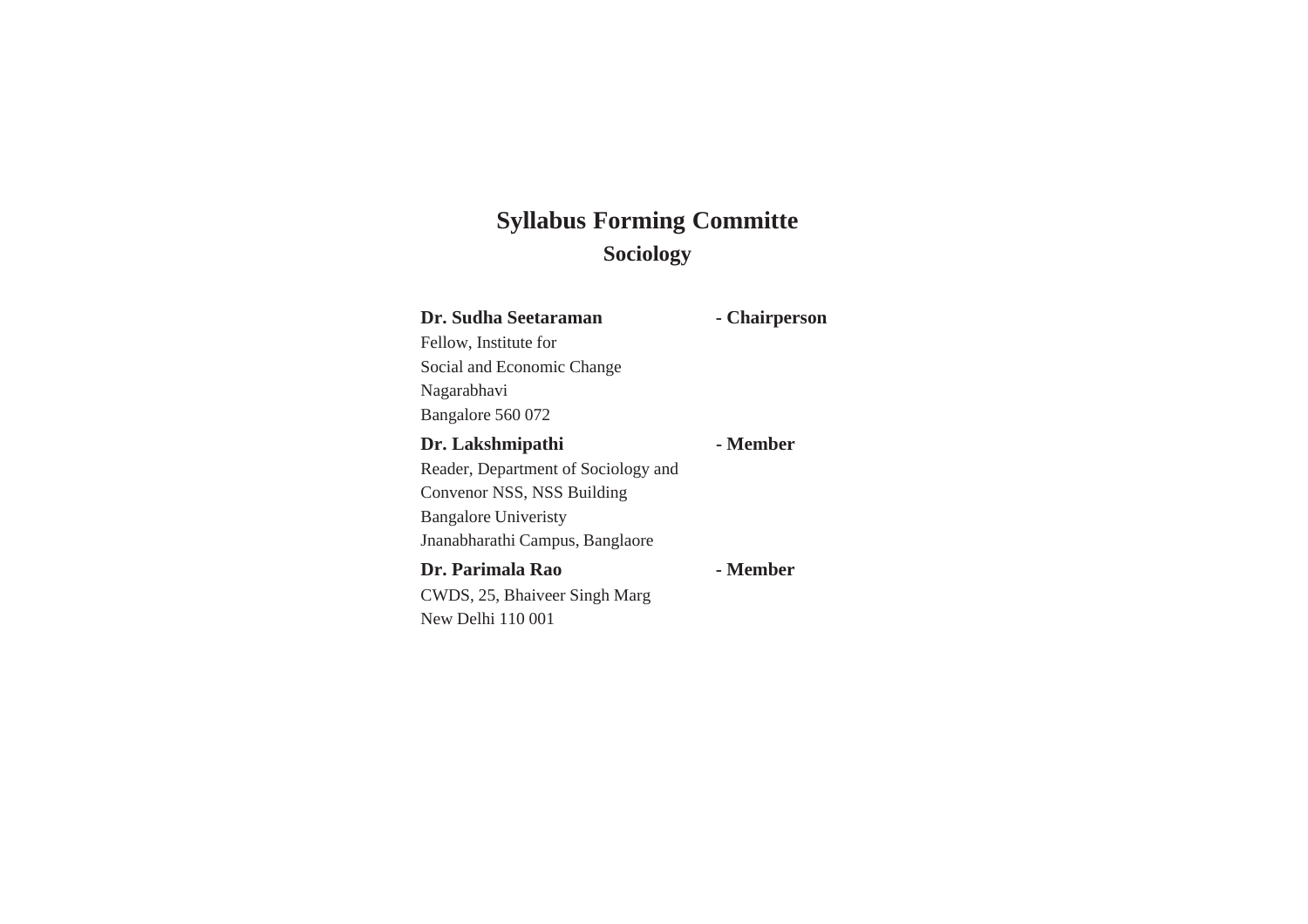## **Syllabus Forming Committe Sociology**

#### **Dr. Sudha Seetaraman** - Chairperson

Fellow, Institute for Social and Economic Change Nagarabhavi Bangalore 560 072

#### Dr. Lakshmipathi - Member

Reader, Department of Sociology and Convenor NSS, NSS Building Bangalore Univeristy Jnanabharathi Campus, Banglaore

#### **Dr. Parimala Rao - Member**

CWDS, 25, Bhaiveer Singh Marg

New Delhi 110 001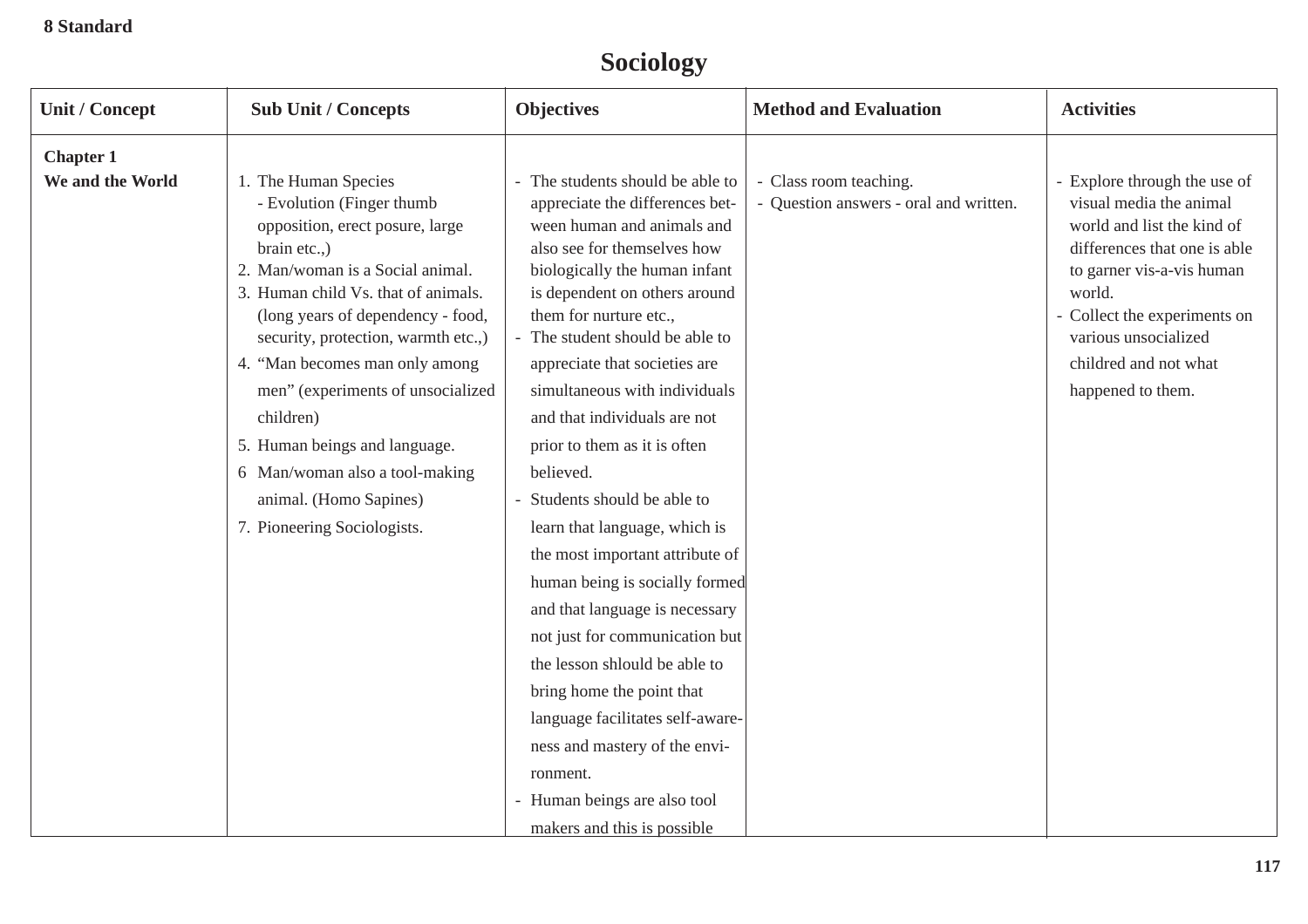**Sociology**

| <b>Unit / Concept</b> | <b>Sub Unit / Concepts</b>                                                                                                                                                                                                                                                                                                                                                                                                                                                  | <b>Objectives</b>                                                                                                                                                                                                                                                                                                                                                                                                                                                                                                                                                                                                                                                                                                                                                                                       | <b>Method and Evaluation</b>                                   | <b>Activities</b>                                                                                                                                                                                                                                                  |
|-----------------------|-----------------------------------------------------------------------------------------------------------------------------------------------------------------------------------------------------------------------------------------------------------------------------------------------------------------------------------------------------------------------------------------------------------------------------------------------------------------------------|---------------------------------------------------------------------------------------------------------------------------------------------------------------------------------------------------------------------------------------------------------------------------------------------------------------------------------------------------------------------------------------------------------------------------------------------------------------------------------------------------------------------------------------------------------------------------------------------------------------------------------------------------------------------------------------------------------------------------------------------------------------------------------------------------------|----------------------------------------------------------------|--------------------------------------------------------------------------------------------------------------------------------------------------------------------------------------------------------------------------------------------------------------------|
| <b>Chapter 1</b>      |                                                                                                                                                                                                                                                                                                                                                                                                                                                                             |                                                                                                                                                                                                                                                                                                                                                                                                                                                                                                                                                                                                                                                                                                                                                                                                         |                                                                |                                                                                                                                                                                                                                                                    |
| We and the World      | 1. The Human Species<br>- Evolution (Finger thumb<br>opposition, erect posure, large<br>brain etc.,)<br>2. Man/woman is a Social animal.<br>3. Human child Vs. that of animals.<br>(long years of dependency - food,<br>security, protection, warmth etc.,)<br>4. "Man becomes man only among<br>men" (experiments of unsocialized<br>children)<br>5. Human beings and language.<br>6 Man/woman also a tool-making<br>animal. (Homo Sapines)<br>7. Pioneering Sociologists. | - The students should be able to<br>appreciate the differences bet-<br>ween human and animals and<br>also see for themselves how<br>biologically the human infant<br>is dependent on others around<br>them for nurture etc.,<br>- The student should be able to<br>appreciate that societies are<br>simultaneous with individuals<br>and that individuals are not<br>prior to them as it is often<br>believed.<br>- Students should be able to<br>learn that language, which is<br>the most important attribute of<br>human being is socially formed<br>and that language is necessary<br>not just for communication but<br>the lesson shlould be able to<br>bring home the point that<br>language facilitates self-aware-<br>ness and mastery of the envi-<br>ronment.<br>- Human beings are also tool | Class room teaching.<br>- Question answers - oral and written. | - Explore through the use of<br>visual media the animal<br>world and list the kind of<br>differences that one is able<br>to garner vis-a-vis human<br>world.<br>- Collect the experiments on<br>various unsocialized<br>childred and not what<br>happened to them. |
|                       |                                                                                                                                                                                                                                                                                                                                                                                                                                                                             | makers and this is possible                                                                                                                                                                                                                                                                                                                                                                                                                                                                                                                                                                                                                                                                                                                                                                             |                                                                |                                                                                                                                                                                                                                                                    |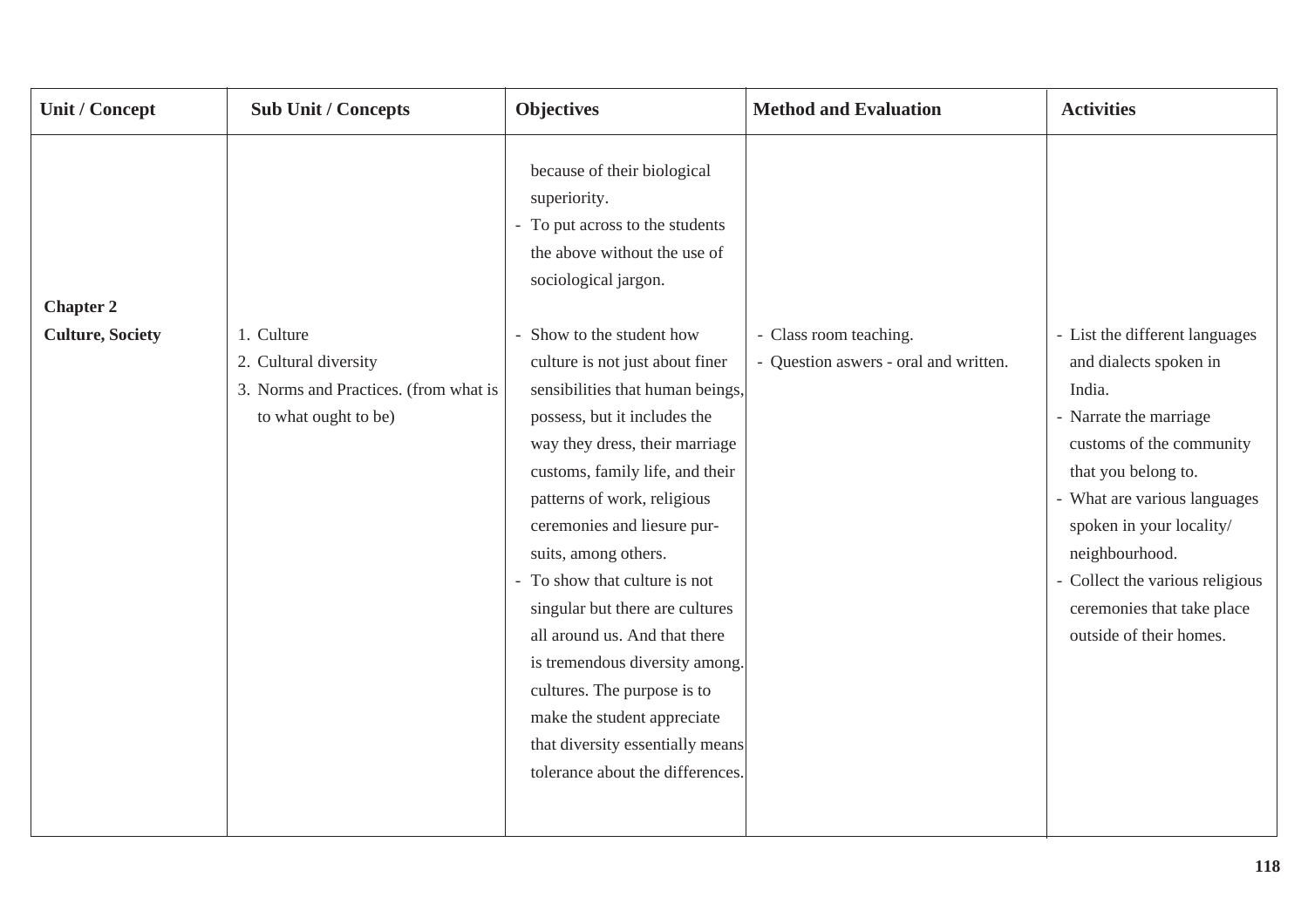| <b>Unit / Concept</b>   | <b>Sub Unit / Concepts</b>            | <b>Objectives</b>                                                                                                                      | <b>Method and Evaluation</b>        | <b>Activities</b>               |
|-------------------------|---------------------------------------|----------------------------------------------------------------------------------------------------------------------------------------|-------------------------------------|---------------------------------|
| <b>Chapter 2</b>        |                                       | because of their biological<br>superiority.<br>- To put across to the students<br>the above without the use of<br>sociological jargon. |                                     |                                 |
| <b>Culture, Society</b> | 1. Culture                            | - Show to the student how                                                                                                              | Class room teaching.                | - List the different languages  |
|                         | 2. Cultural diversity                 | culture is not just about finer                                                                                                        | Question aswers - oral and written. | and dialects spoken in          |
|                         | 3. Norms and Practices. (from what is | sensibilities that human beings,                                                                                                       |                                     | India.                          |
|                         | to what ought to be)                  | possess, but it includes the                                                                                                           |                                     | - Narrate the marriage          |
|                         |                                       | way they dress, their marriage                                                                                                         |                                     | customs of the community        |
|                         |                                       | customs, family life, and their                                                                                                        |                                     | that you belong to.             |
|                         |                                       | patterns of work, religious                                                                                                            |                                     | - What are various languages    |
|                         |                                       | ceremonies and liesure pur-                                                                                                            |                                     | spoken in your locality/        |
|                         |                                       | suits, among others.                                                                                                                   |                                     | neighbourhood.                  |
|                         |                                       | - To show that culture is not                                                                                                          |                                     | - Collect the various religious |
|                         |                                       | singular but there are cultures                                                                                                        |                                     | ceremonies that take place      |
|                         |                                       | all around us. And that there                                                                                                          |                                     | outside of their homes.         |
|                         |                                       | is tremendous diversity among.                                                                                                         |                                     |                                 |
|                         |                                       | cultures. The purpose is to                                                                                                            |                                     |                                 |
|                         |                                       | make the student appreciate                                                                                                            |                                     |                                 |
|                         |                                       | that diversity essentially means                                                                                                       |                                     |                                 |
|                         |                                       | tolerance about the differences.                                                                                                       |                                     |                                 |
|                         |                                       |                                                                                                                                        |                                     |                                 |
|                         |                                       |                                                                                                                                        |                                     |                                 |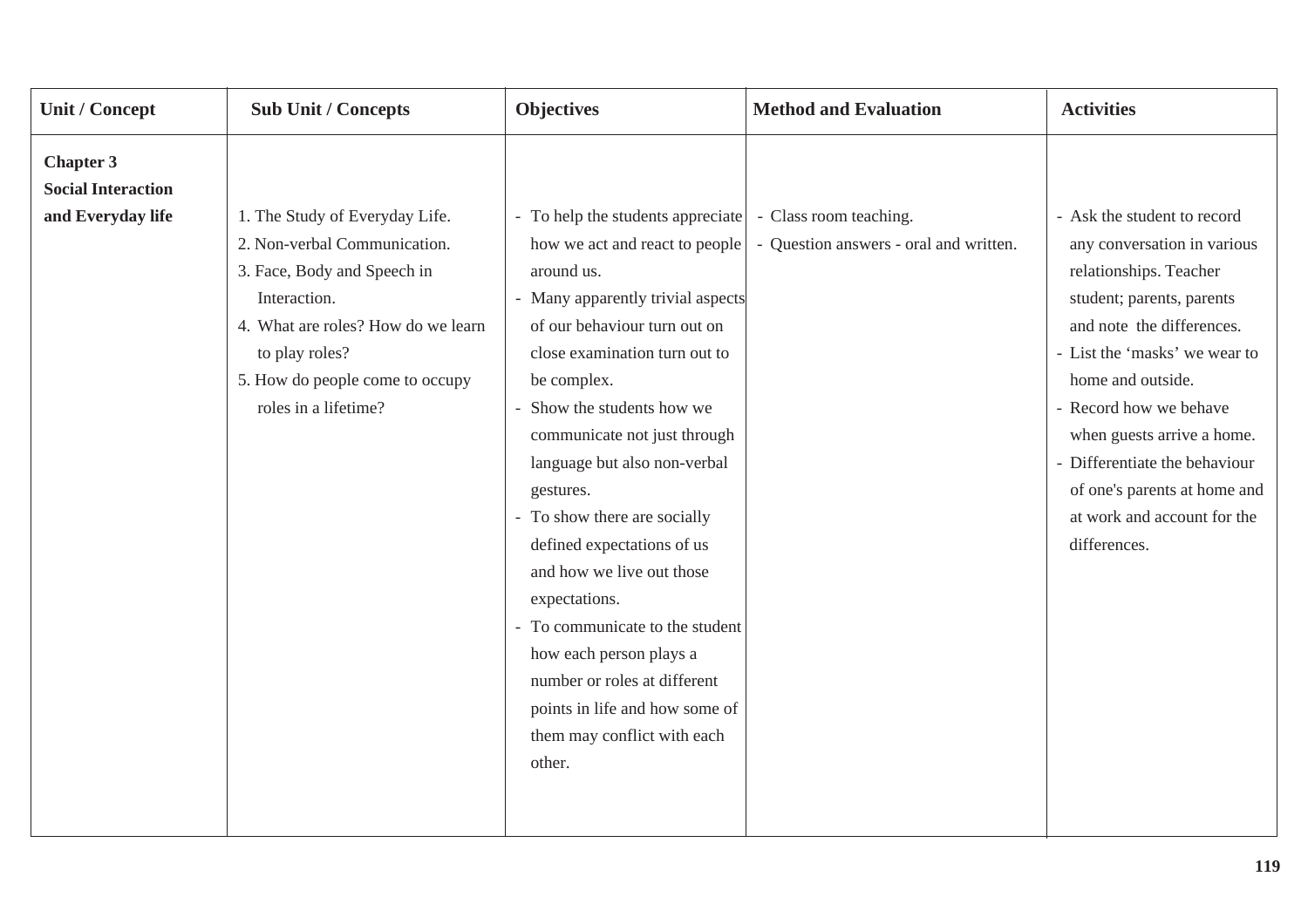| <b>Unit / Concept</b>                                              | <b>Sub Unit / Concepts</b>                                                                                                                                                                                                       | <b>Objectives</b>                                                                                                                                                                                                                                                                                                                                              | <b>Method and Evaluation</b>                                                             | <b>Activities</b>                                                                                                                                                                                                              |
|--------------------------------------------------------------------|----------------------------------------------------------------------------------------------------------------------------------------------------------------------------------------------------------------------------------|----------------------------------------------------------------------------------------------------------------------------------------------------------------------------------------------------------------------------------------------------------------------------------------------------------------------------------------------------------------|------------------------------------------------------------------------------------------|--------------------------------------------------------------------------------------------------------------------------------------------------------------------------------------------------------------------------------|
| <b>Chapter 3</b><br><b>Social Interaction</b><br>and Everyday life | 1. The Study of Everyday Life.<br>2. Non-verbal Communication.<br>3. Face, Body and Speech in<br>Interaction.<br>4. What are roles? How do we learn<br>to play roles?<br>5. How do people come to occupy<br>roles in a lifetime? | - To help the students appreciate<br>how we act and react to people<br>around us.<br>- Many apparently trivial aspects<br>of our behaviour turn out on<br>close examination turn out to<br>be complex.<br>- Show the students how we                                                                                                                           | Class room teaching.<br>$\overline{\phantom{a}}$<br>Question answers - oral and written. | - Ask the student to record<br>any conversation in various<br>relationships. Teacher<br>student; parents, parents<br>and note the differences.<br>- List the 'masks' we wear to<br>home and outside.<br>- Record how we behave |
|                                                                    |                                                                                                                                                                                                                                  | communicate not just through<br>language but also non-verbal<br>gestures.<br>- To show there are socially<br>defined expectations of us<br>and how we live out those<br>expectations.<br>- To communicate to the student<br>how each person plays a<br>number or roles at different<br>points in life and how some of<br>them may conflict with each<br>other. |                                                                                          | when guests arrive a home.<br>- Differentiate the behaviour<br>of one's parents at home and<br>at work and account for the<br>differences.                                                                                     |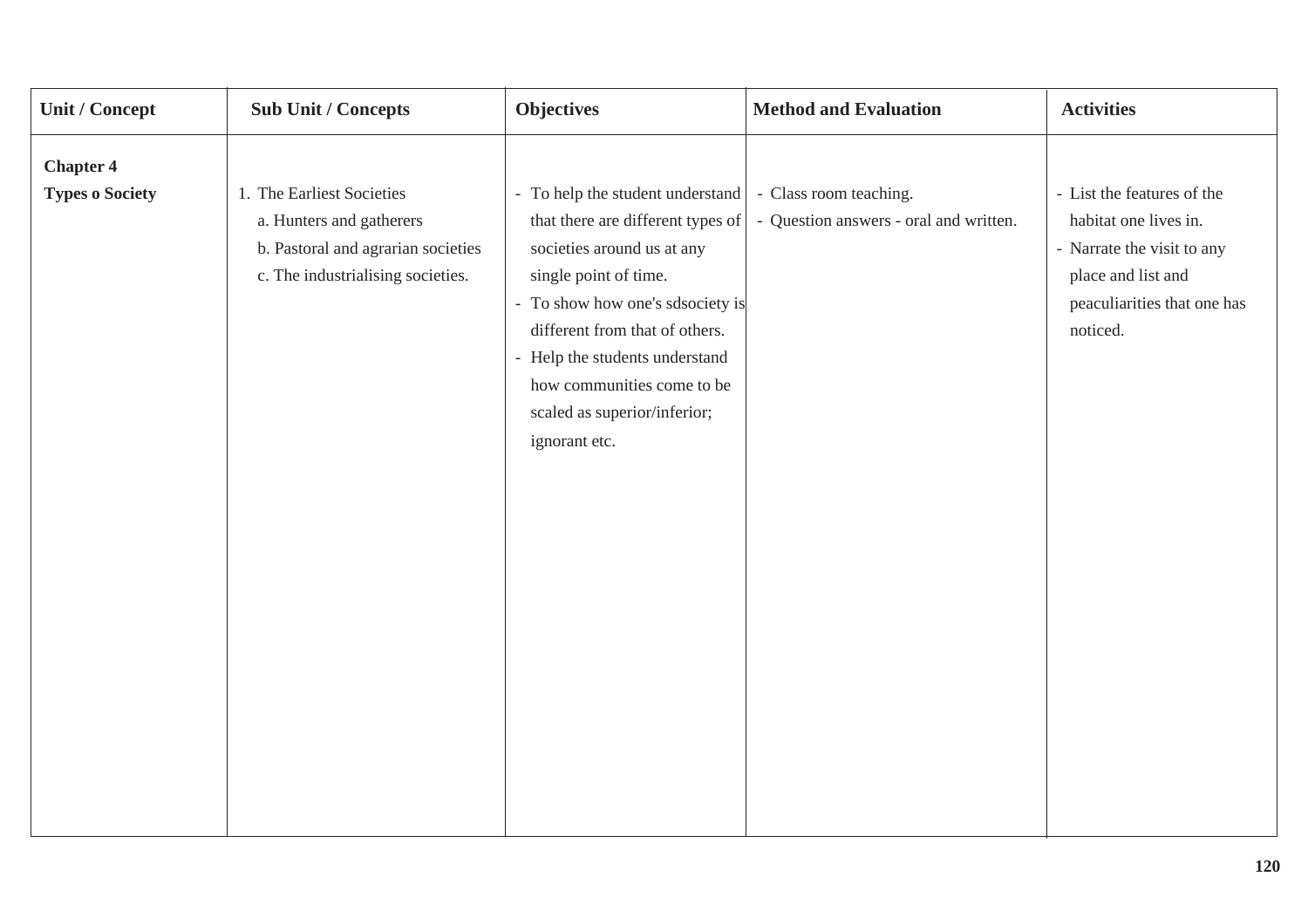| <b>Unit / Concept</b>                      | <b>Sub Unit / Concepts</b>                                                                                                       | <b>Objectives</b>                                                                                                                                                                                                                                                                                                   | <b>Method and Evaluation</b>                                     | <b>Activities</b>                                                                                                                                  |
|--------------------------------------------|----------------------------------------------------------------------------------------------------------------------------------|---------------------------------------------------------------------------------------------------------------------------------------------------------------------------------------------------------------------------------------------------------------------------------------------------------------------|------------------------------------------------------------------|----------------------------------------------------------------------------------------------------------------------------------------------------|
| <b>Chapter 4</b><br><b>Types o Society</b> | 1. The Earliest Societies<br>a. Hunters and gatherers<br>b. Pastoral and agrarian societies<br>c. The industrialising societies. | - To help the student understand<br>that there are different types of<br>societies around us at any<br>single point of time.<br>- To show how one's sdsociety is<br>different from that of others.<br>- Help the students understand<br>how communities come to be<br>scaled as superior/inferior;<br>ignorant etc. | - Class room teaching.<br>- Question answers - oral and written. | - List the features of the<br>habitat one lives in.<br>- Narrate the visit to any<br>place and list and<br>peaculiarities that one has<br>noticed. |
|                                            |                                                                                                                                  |                                                                                                                                                                                                                                                                                                                     |                                                                  |                                                                                                                                                    |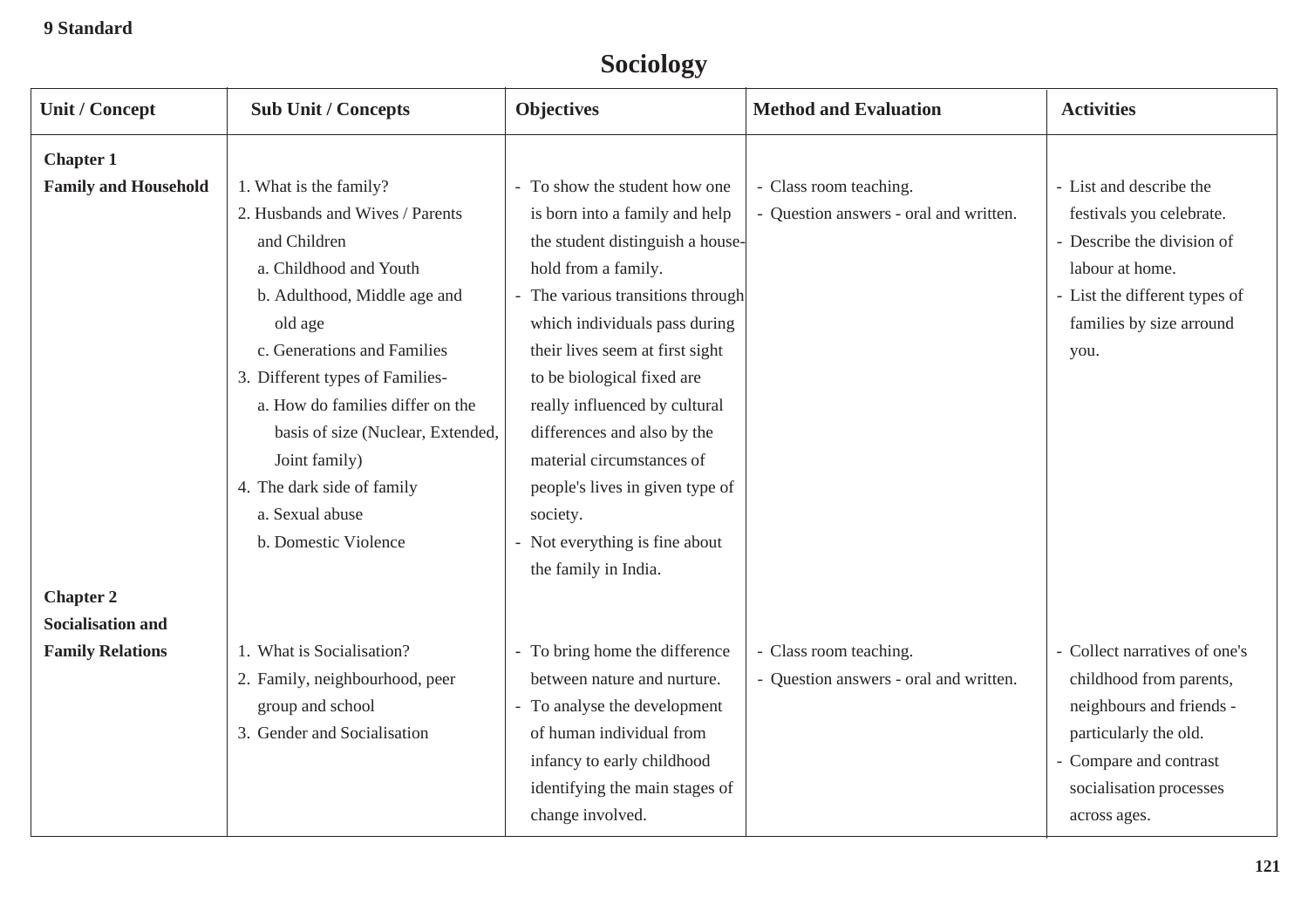### **9 Standard**

## **Sociology**

| <b>Unit / Concept</b>       | <b>Sub Unit / Concepts</b>        | <b>Objectives</b>                 | <b>Method and Evaluation</b>           | <b>Activities</b>             |
|-----------------------------|-----------------------------------|-----------------------------------|----------------------------------------|-------------------------------|
| <b>Chapter 1</b>            |                                   |                                   |                                        |                               |
| <b>Family and Household</b> | 1. What is the family?            | - To show the student how one     | - Class room teaching.                 | - List and describe the       |
|                             | 2. Husbands and Wives / Parents   | is born into a family and help    | - Question answers - oral and written. | festivals you celebrate.      |
|                             | and Children                      | the student distinguish a house-  |                                        | - Describe the division of    |
|                             | a. Childhood and Youth            | hold from a family.               |                                        | labour at home.               |
|                             | b. Adulthood, Middle age and      | - The various transitions through |                                        | - List the different types of |
|                             | old age                           | which individuals pass during     |                                        | families by size arround      |
|                             | c. Generations and Families       | their lives seem at first sight   |                                        | you.                          |
|                             | 3. Different types of Families-   | to be biological fixed are        |                                        |                               |
|                             | a. How do families differ on the  | really influenced by cultural     |                                        |                               |
|                             | basis of size (Nuclear, Extended, | differences and also by the       |                                        |                               |
|                             | Joint family)                     | material circumstances of         |                                        |                               |
|                             | 4. The dark side of family        | people's lives in given type of   |                                        |                               |
|                             | a. Sexual abuse                   | society.                          |                                        |                               |
|                             | b. Domestic Violence              | - Not everything is fine about    |                                        |                               |
|                             |                                   | the family in India.              |                                        |                               |
| <b>Chapter 2</b>            |                                   |                                   |                                        |                               |
| <b>Socialisation and</b>    |                                   |                                   |                                        |                               |
| <b>Family Relations</b>     | 1. What is Socialisation?         | - To bring home the difference    | Class room teaching.                   | Collect narratives of one's   |
|                             | 2. Family, neighbourhood, peer    | between nature and nurture.       | - Question answers - oral and written. | childhood from parents,       |
|                             | group and school                  | - To analyse the development      |                                        | neighbours and friends -      |
|                             | 3. Gender and Socialisation       | of human individual from          |                                        | particularly the old.         |
|                             |                                   | infancy to early childhood        |                                        | - Compare and contrast        |
|                             |                                   | identifying the main stages of    |                                        | socialisation processes       |
|                             |                                   | change involved.                  |                                        | across ages.                  |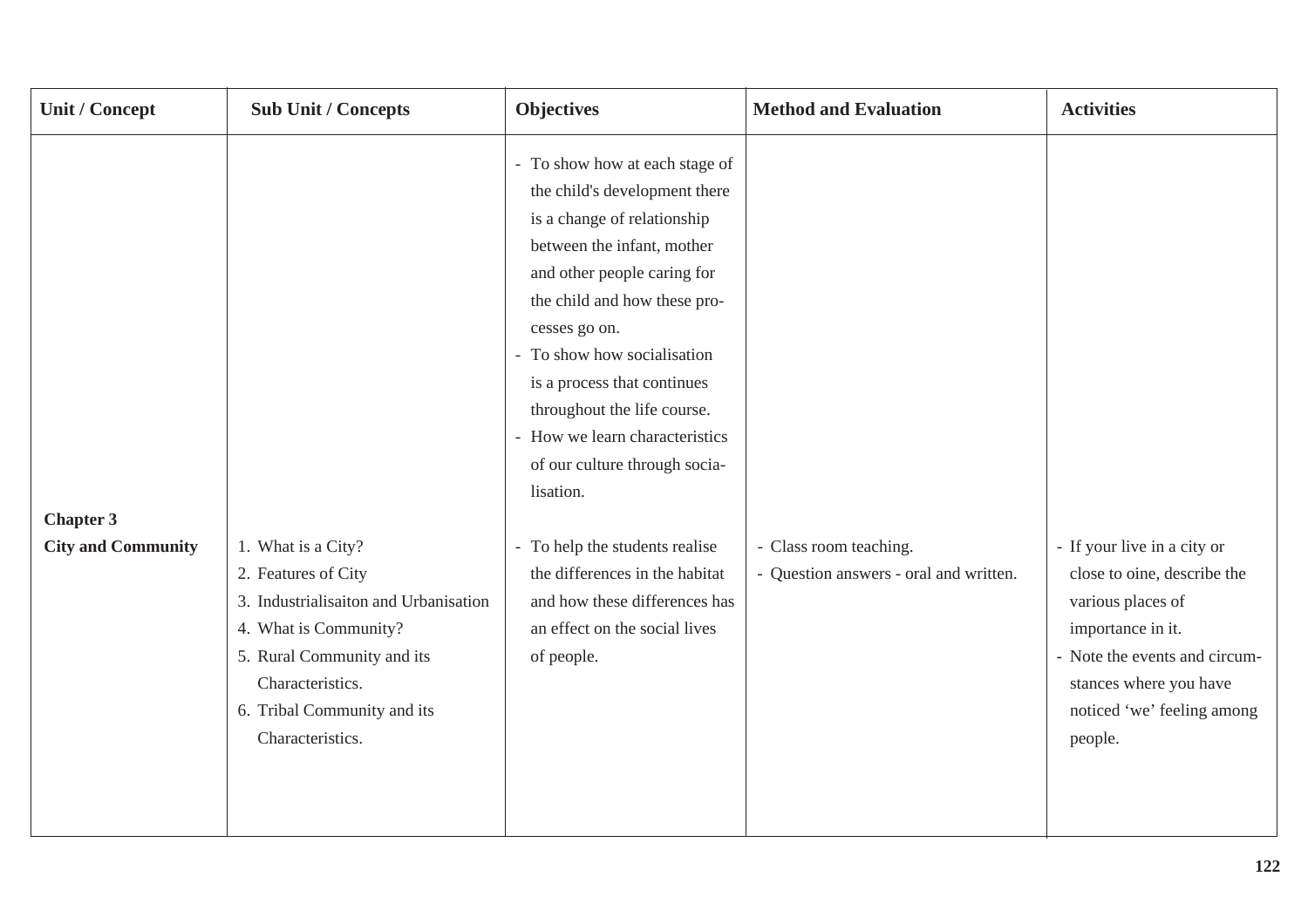| <b>Unit / Concept</b>                         | <b>Sub Unit / Concepts</b>                                                                                                                                                                                       | <b>Objectives</b>                                                                                                                                                                                                                                                                                                                                                                                                                                                                                                                             | <b>Method and Evaluation</b>                                     | <b>Activities</b>                                                                                                                                                                                        |
|-----------------------------------------------|------------------------------------------------------------------------------------------------------------------------------------------------------------------------------------------------------------------|-----------------------------------------------------------------------------------------------------------------------------------------------------------------------------------------------------------------------------------------------------------------------------------------------------------------------------------------------------------------------------------------------------------------------------------------------------------------------------------------------------------------------------------------------|------------------------------------------------------------------|----------------------------------------------------------------------------------------------------------------------------------------------------------------------------------------------------------|
| <b>Chapter 3</b><br><b>City and Community</b> | 1. What is a City?<br>2. Features of City<br>3. Industrialisaiton and Urbanisation<br>4. What is Community?<br>5. Rural Community and its<br>Characteristics.<br>6. Tribal Community and its<br>Characteristics. | - To show how at each stage of<br>the child's development there<br>is a change of relationship<br>between the infant, mother<br>and other people caring for<br>the child and how these pro-<br>cesses go on.<br>- To show how socialisation<br>is a process that continues<br>throughout the life course.<br>- How we learn characteristics<br>of our culture through socia-<br>lisation.<br>- To help the students realise<br>the differences in the habitat<br>and how these differences has<br>an effect on the social lives<br>of people. | - Class room teaching.<br>- Question answers - oral and written. | - If your live in a city or<br>close to oine, describe the<br>various places of<br>importance in it.<br>- Note the events and circum-<br>stances where you have<br>noticed 'we' feeling among<br>people. |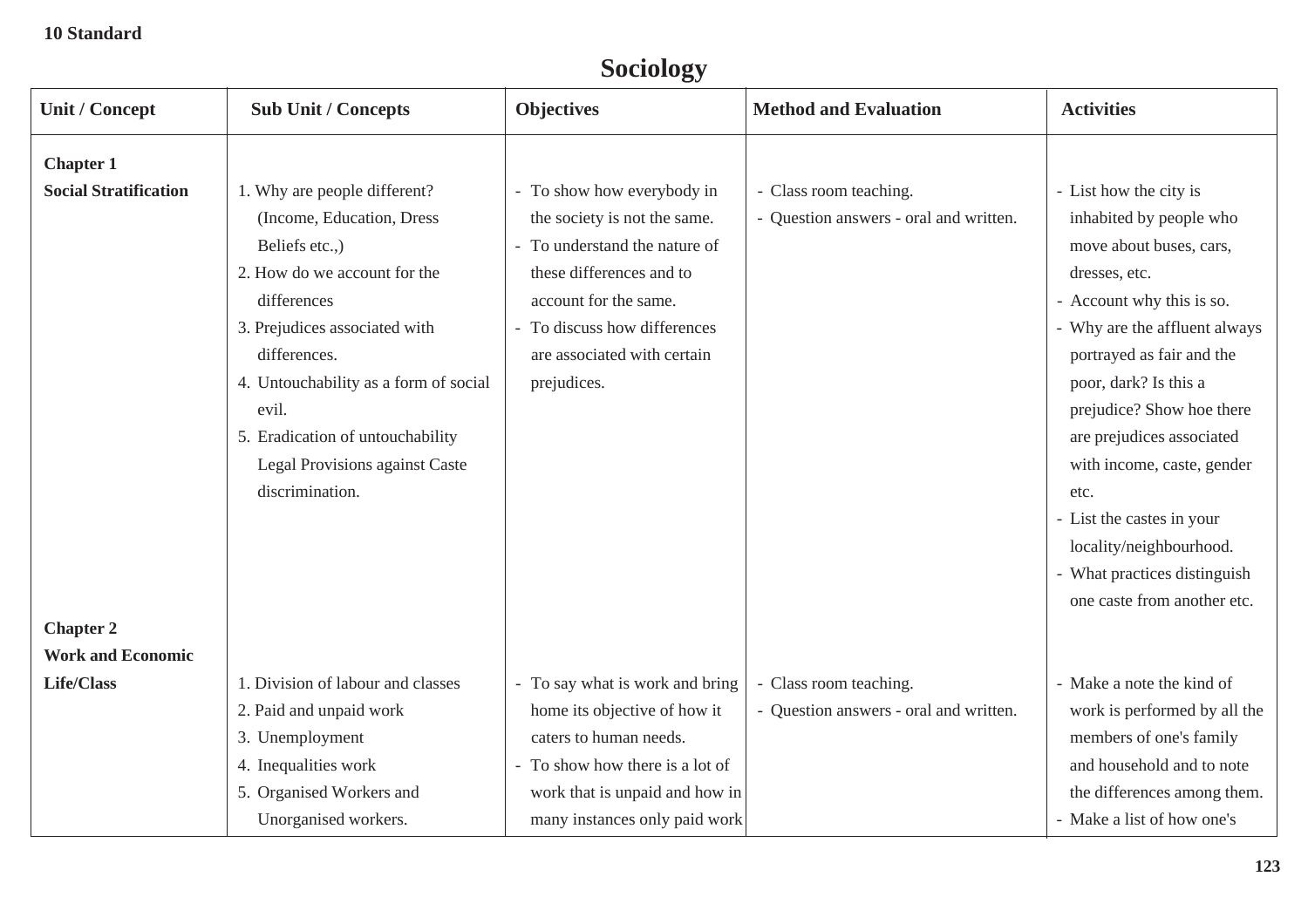#### **10 Standard**

## Unit / Concept Sub Unit / Concepts | Objectives | Method and Evaluation | Activities **Chapter 1 Social Stratification** 1. Why are people different?  $\vert$  - To show how everybody in  $\vert$  - Class room teaching. (Income, Education, Dress  $\parallel$  the society is not the same.  $\parallel$  - Question answers - oral and written.  $\parallel$  inhabited by people who Beliefs etc., and the nature of move about buses, cars, move about buses, cars, 2. How do we account for the these differences and to dresses, etc. differences account for the same. 3. Prejudices associated with  $\vert$  - To discuss how differences differences. a are associated with certain portrayed as fair and the portrayed as fair and the 4. Untouchability as a form of social prejudices. evil. **prejudice?** Show hoe there is no set that the set of the set of the set of the set of the set of the set of the set of the set of the set of the set of the set of the set of the set of the set of the set of the set 5. Eradication of untouchability  $\blacksquare$ Legal Provisions against Caste with income, caste, gender discrimination.  $\qquad \qquad$  etc. - List the castes in your locality/neighbourhood. - What practices distinguish one caste from another etc. **Chapter 2 Work and Economic Life/Class** 1. Division of labour and classes  $\vert$  - To say what is work and bring  $\vert$  - Class room teaching. 2. Paid and unpaid work home its objective of how it  $\vert$  - Question answers - oral and written. work is performed by all the 3. Unemployment caters to human needs. members of one's family 4. Inequalities work a contract the To show how there is a lot of and household and to note and household and to note 5. Organised Workers and work that is unpaid and how in the differences among them. Unorganised workers. many instances only paid work  $\vert$  - Make a list of how one's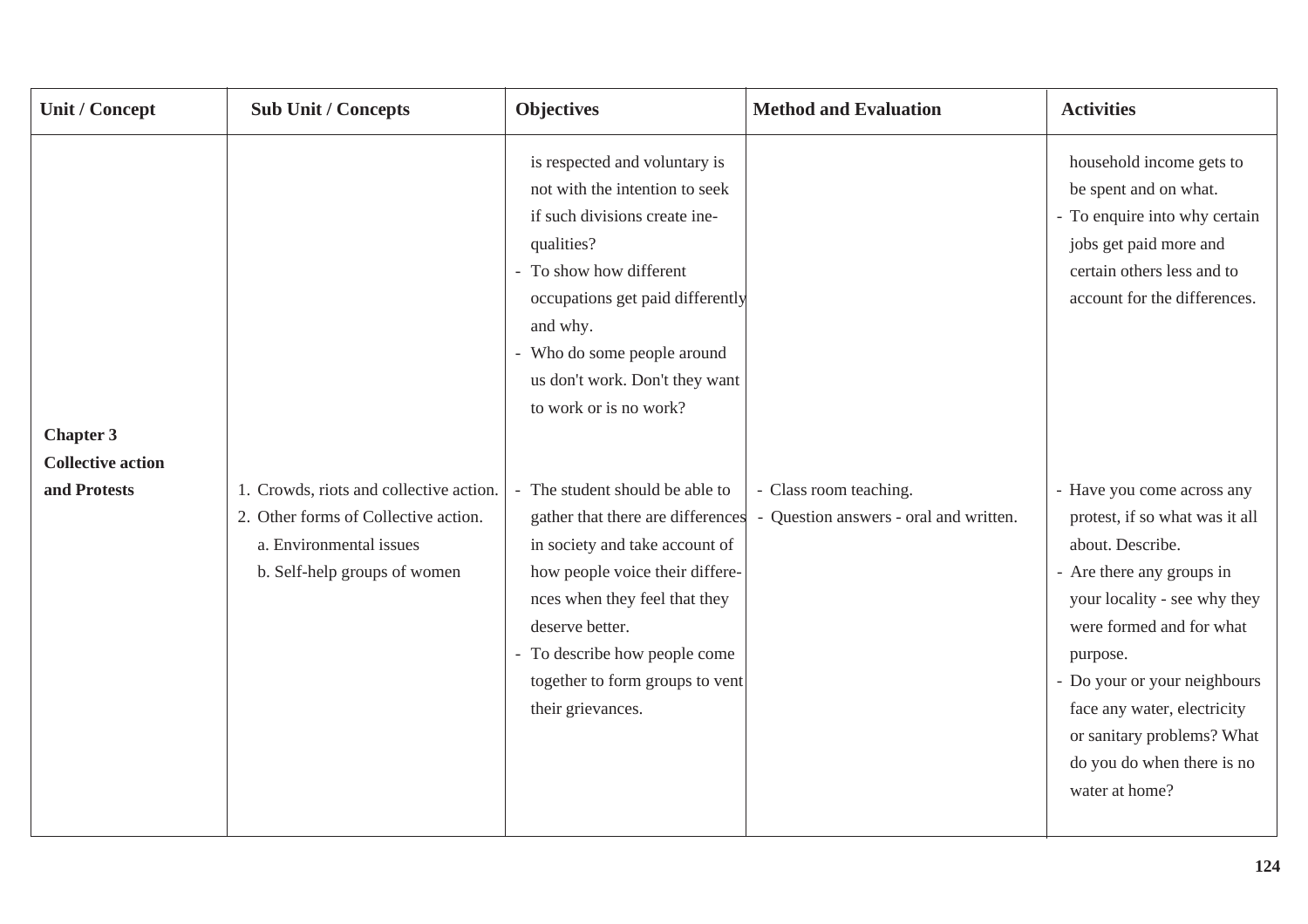| <b>Unit / Concept</b>                                        | <b>Sub Unit / Concepts</b>                                                                                                                 | <b>Objectives</b>                                                                                                                                                                                                                                                                                                                                                                                                                                                                                                                                                              | <b>Method and Evaluation</b>                                   | <b>Activities</b>                                                                                                                                                                                                                                                                                                                                                                                                                                                                                                |
|--------------------------------------------------------------|--------------------------------------------------------------------------------------------------------------------------------------------|--------------------------------------------------------------------------------------------------------------------------------------------------------------------------------------------------------------------------------------------------------------------------------------------------------------------------------------------------------------------------------------------------------------------------------------------------------------------------------------------------------------------------------------------------------------------------------|----------------------------------------------------------------|------------------------------------------------------------------------------------------------------------------------------------------------------------------------------------------------------------------------------------------------------------------------------------------------------------------------------------------------------------------------------------------------------------------------------------------------------------------------------------------------------------------|
| <b>Chapter 3</b><br><b>Collective action</b><br>and Protests | 1. Crowds, riots and collective action.<br>2. Other forms of Collective action.<br>a. Environmental issues<br>b. Self-help groups of women | is respected and voluntary is<br>not with the intention to seek<br>if such divisions create ine-<br>qualities?<br>- To show how different<br>occupations get paid differently<br>and why.<br>- Who do some people around<br>us don't work. Don't they want<br>to work or is no work?<br>- The student should be able to<br>gather that there are differences<br>in society and take account of<br>how people voice their differe-<br>nces when they feel that they<br>deserve better.<br>- To describe how people come<br>together to form groups to vent<br>their grievances. | - Class room teaching.<br>Question answers - oral and written. | household income gets to<br>be spent and on what.<br>- To enquire into why certain<br>jobs get paid more and<br>certain others less and to<br>account for the differences.<br>- Have you come across any<br>protest, if so what was it all<br>about. Describe.<br>- Are there any groups in<br>your locality - see why they<br>were formed and for what<br>purpose.<br>- Do your or your neighbours<br>face any water, electricity<br>or sanitary problems? What<br>do you do when there is no<br>water at home? |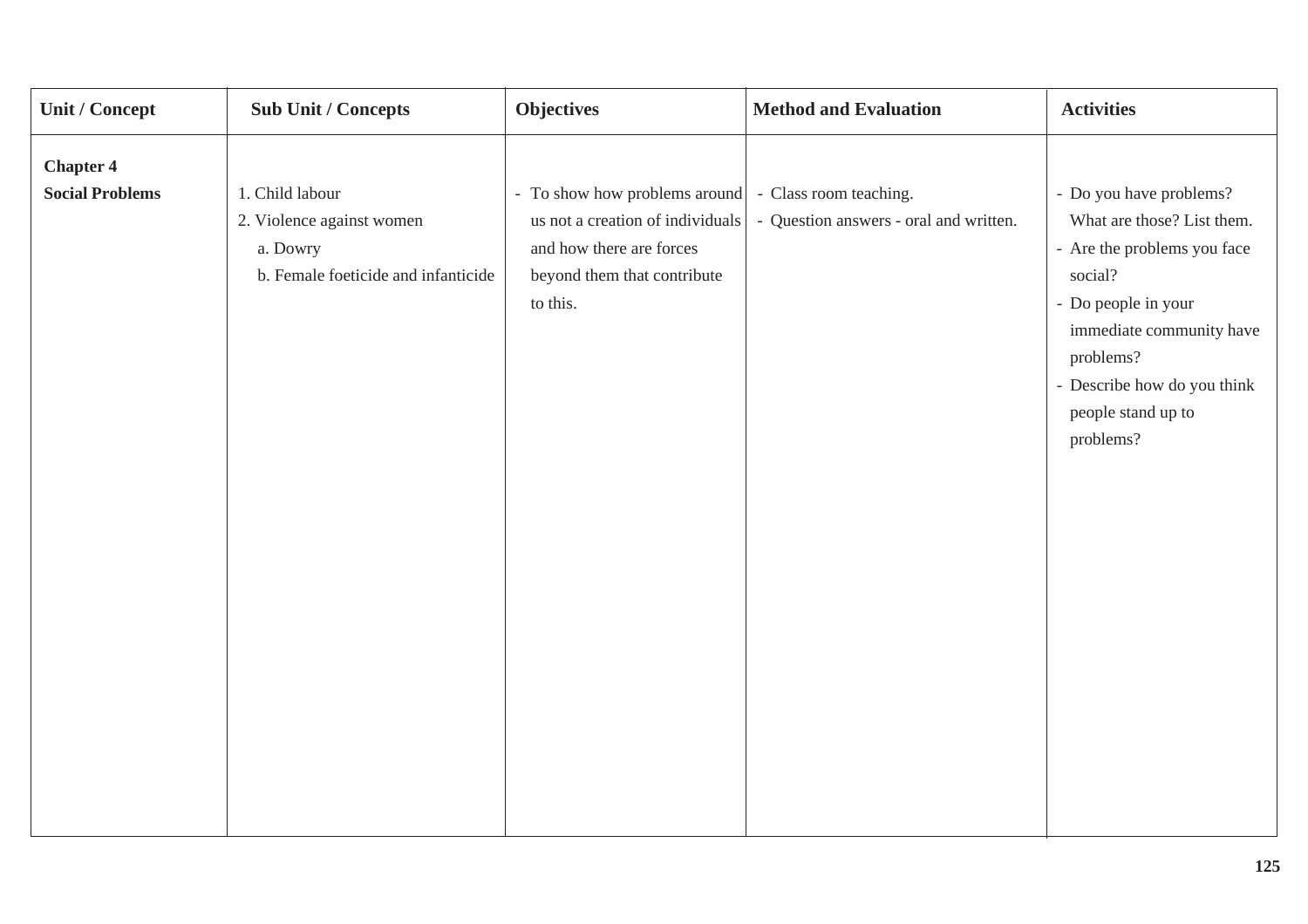| <b>Unit / Concept</b>                      | <b>Sub Unit / Concepts</b>                                                                      | <b>Objectives</b>                                                                                                                        | <b>Method and Evaluation</b>                                     | <b>Activities</b>                                                                                                                                                                                                                 |
|--------------------------------------------|-------------------------------------------------------------------------------------------------|------------------------------------------------------------------------------------------------------------------------------------------|------------------------------------------------------------------|-----------------------------------------------------------------------------------------------------------------------------------------------------------------------------------------------------------------------------------|
| <b>Chapter 4</b><br><b>Social Problems</b> | 1. Child labour<br>2. Violence against women<br>a. Dowry<br>b. Female foeticide and infanticide | - To show how problems around<br>us not a creation of individuals<br>and how there are forces<br>beyond them that contribute<br>to this. | - Class room teaching.<br>- Question answers - oral and written. | - Do you have problems?<br>What are those? List them.<br>- Are the problems you face<br>social?<br>- Do people in your<br>immediate community have<br>problems?<br>- Describe how do you think<br>people stand up to<br>problems? |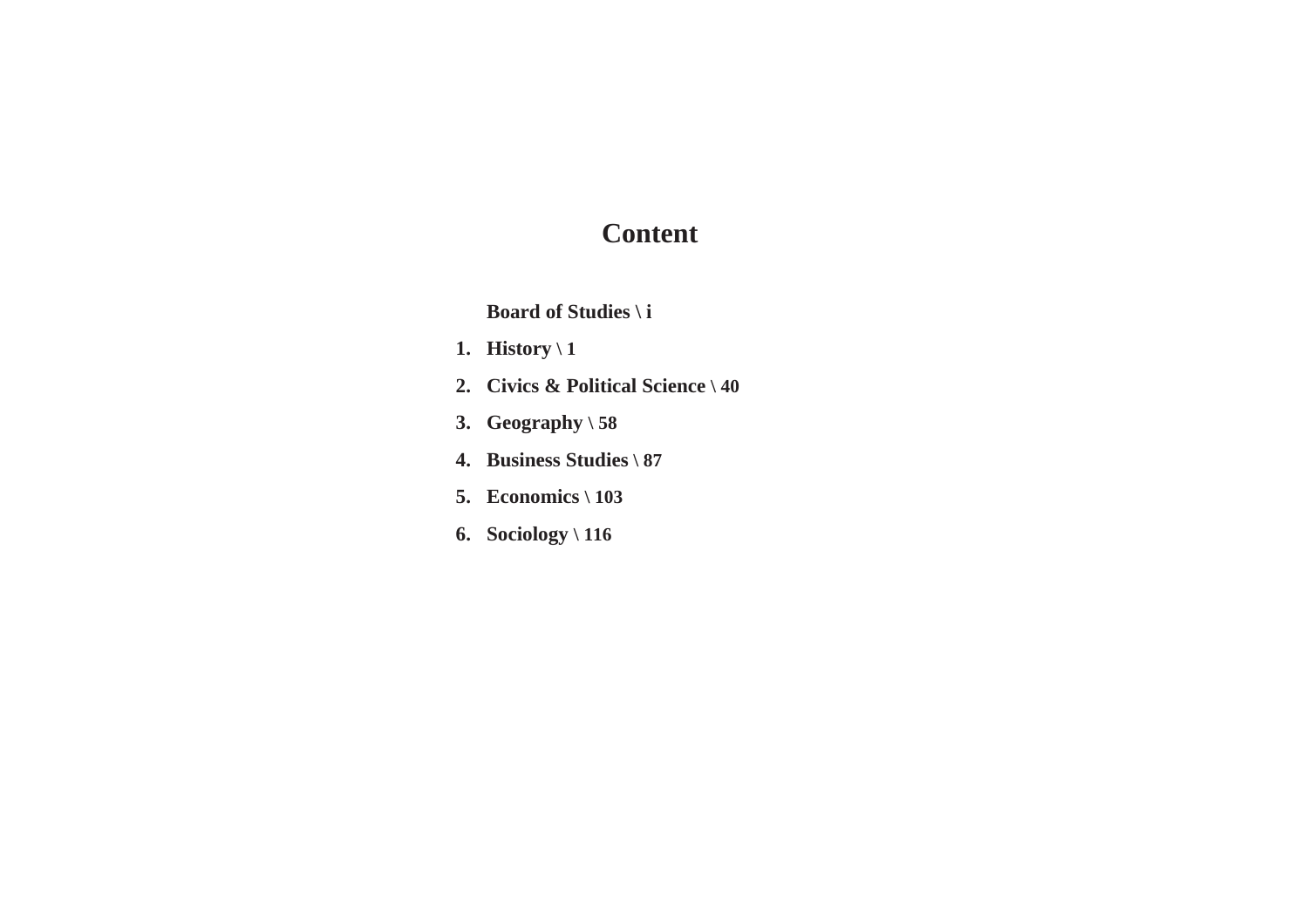## **Content**

**Board of Studies \ i**

- **1. History \ 1**
- **2. Civics & Political Science \ 40**
- **3. Geography \ 58**
- **4. Business Studies \ 87**
- **5. Economics \ 103**
- **6. Sociology \ 116**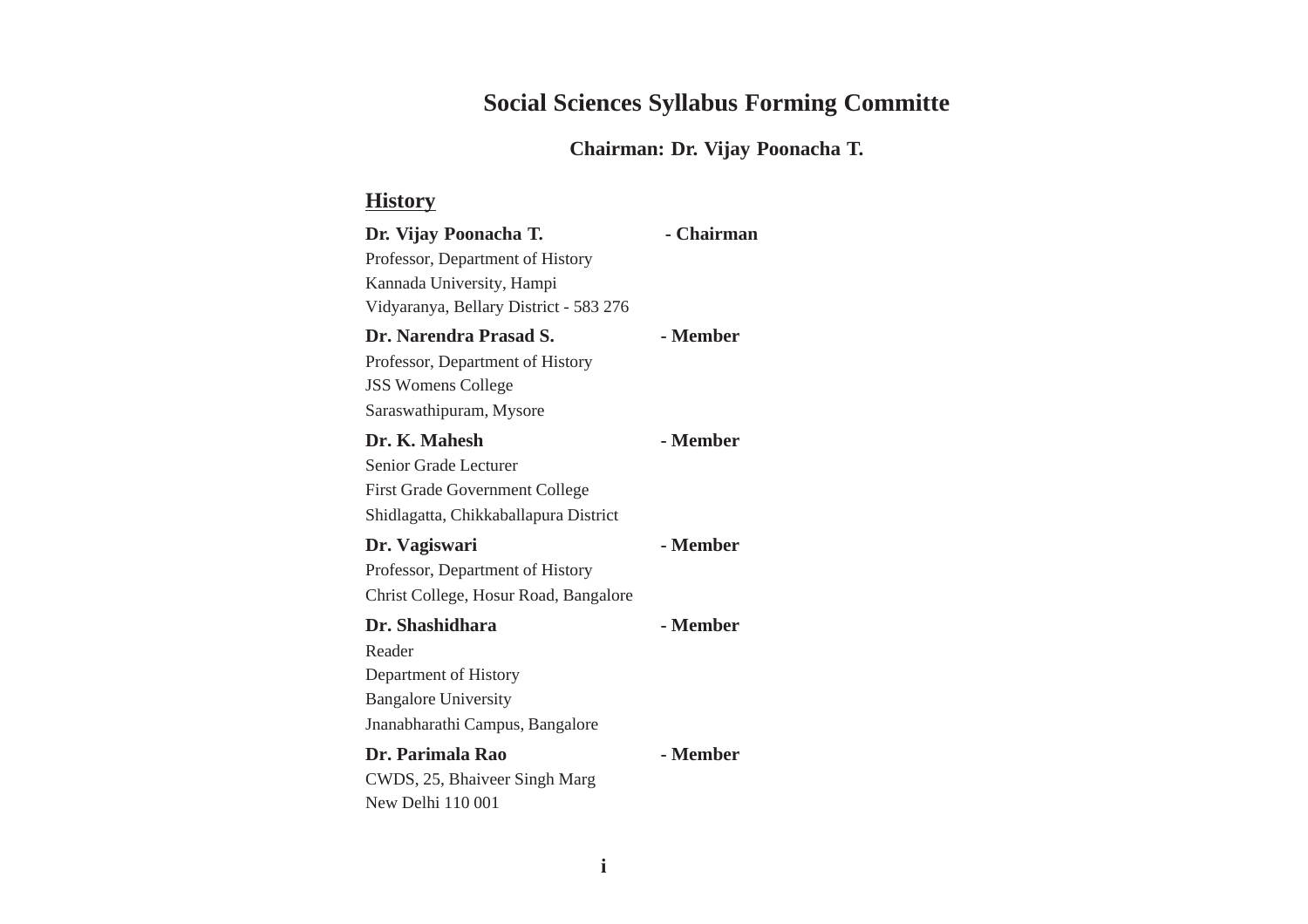## **Social Sciences Syllabus Forming Committe**

## **Chairman: Dr. Vijay Poonacha T.**

#### **History**

| Dr. Vijay Poonacha T.                  | - Chairman |
|----------------------------------------|------------|
| Professor, Department of History       |            |
| Kannada University, Hampi              |            |
| Vidyaranya, Bellary District - 583 276 |            |
| Dr. Narendra Prasad S.                 | - Member   |
| Professor, Department of History       |            |
| <b>JSS Womens College</b>              |            |
| Saraswathipuram, Mysore                |            |
| Dr. K. Mahesh                          | - Member   |
| Senior Grade Lecturer                  |            |
| <b>First Grade Government College</b>  |            |
| Shidlagatta, Chikkaballapura District  |            |
| Dr. Vagiswari                          | - Member   |
| Professor, Department of History       |            |
| Christ College, Hosur Road, Bangalore  |            |
| Dr. Shashidhara                        | - Member   |
| Reader                                 |            |
| Department of History                  |            |
| <b>Bangalore University</b>            |            |
| Jnanabharathi Campus, Bangalore        |            |
| Dr. Parimala Rao                       | - Member   |
| CWDS, 25, Bhaiveer Singh Marg          |            |
| New Delhi 110 001                      |            |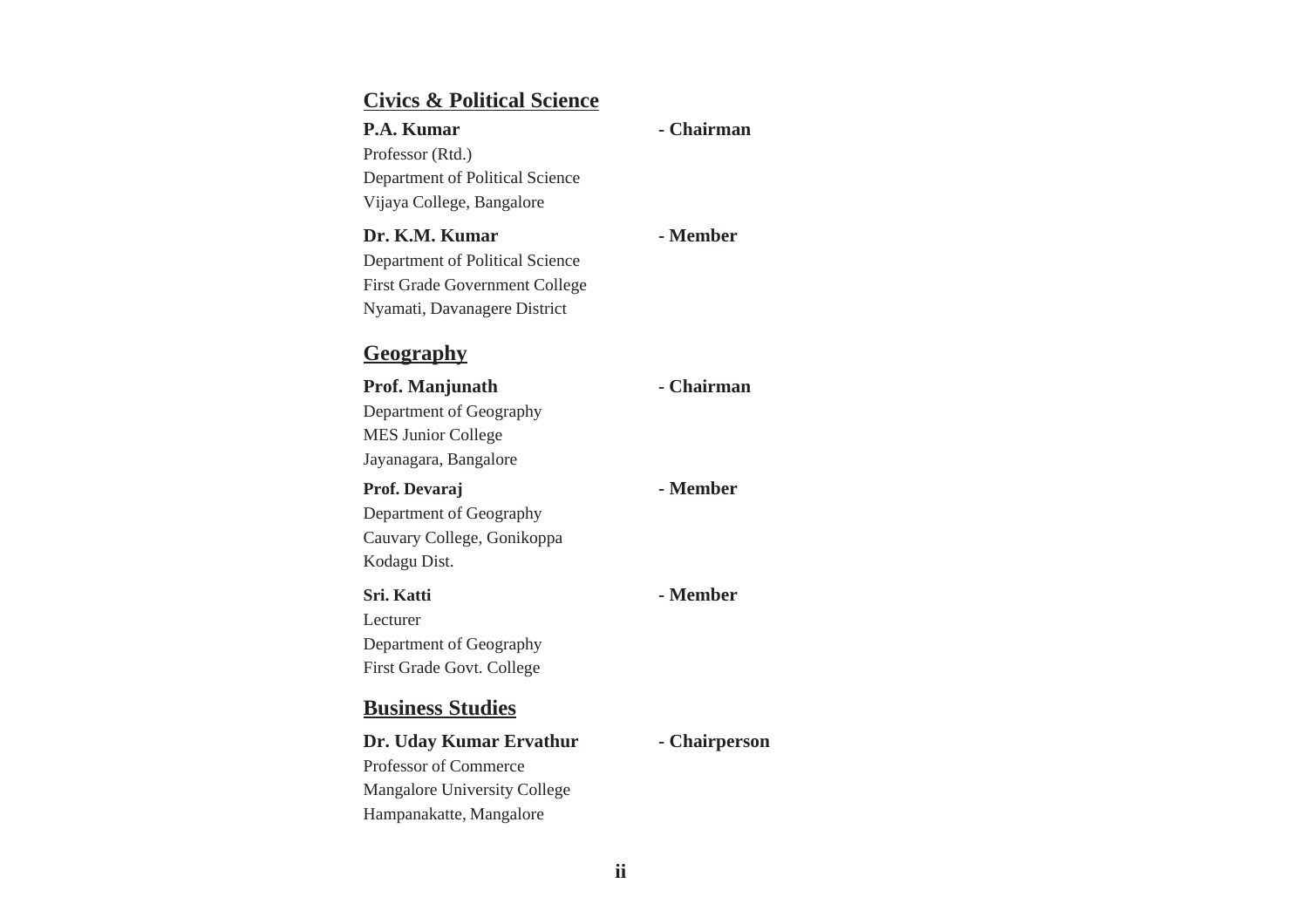#### **Civics & Political Science**

## **P.A. Kumar** - Chairman Professor (Rtd.) Department of Political Science Vijaya College, Bangalore **Dr. K.M. Kumar** - Member Department of Political Science First Grade Government College Nyamati, Davanagere District **Geography** Prof. Manjunath **- Chairman** Department of Geography MES Junior College Jayanagara, Bangalore **Prof. Devaraj - Member** Department of Geography Cauvary College, Gonikoppa Kodagu Dist. **Sri. Katti - Member** Lecturer Department of Geography First Grade Govt. College **Business Studies Dr. Uday Kumar Ervathur - Chairperson** Professor of Commerce Mangalore University College

Hampanakatte, Mangalore

**ii**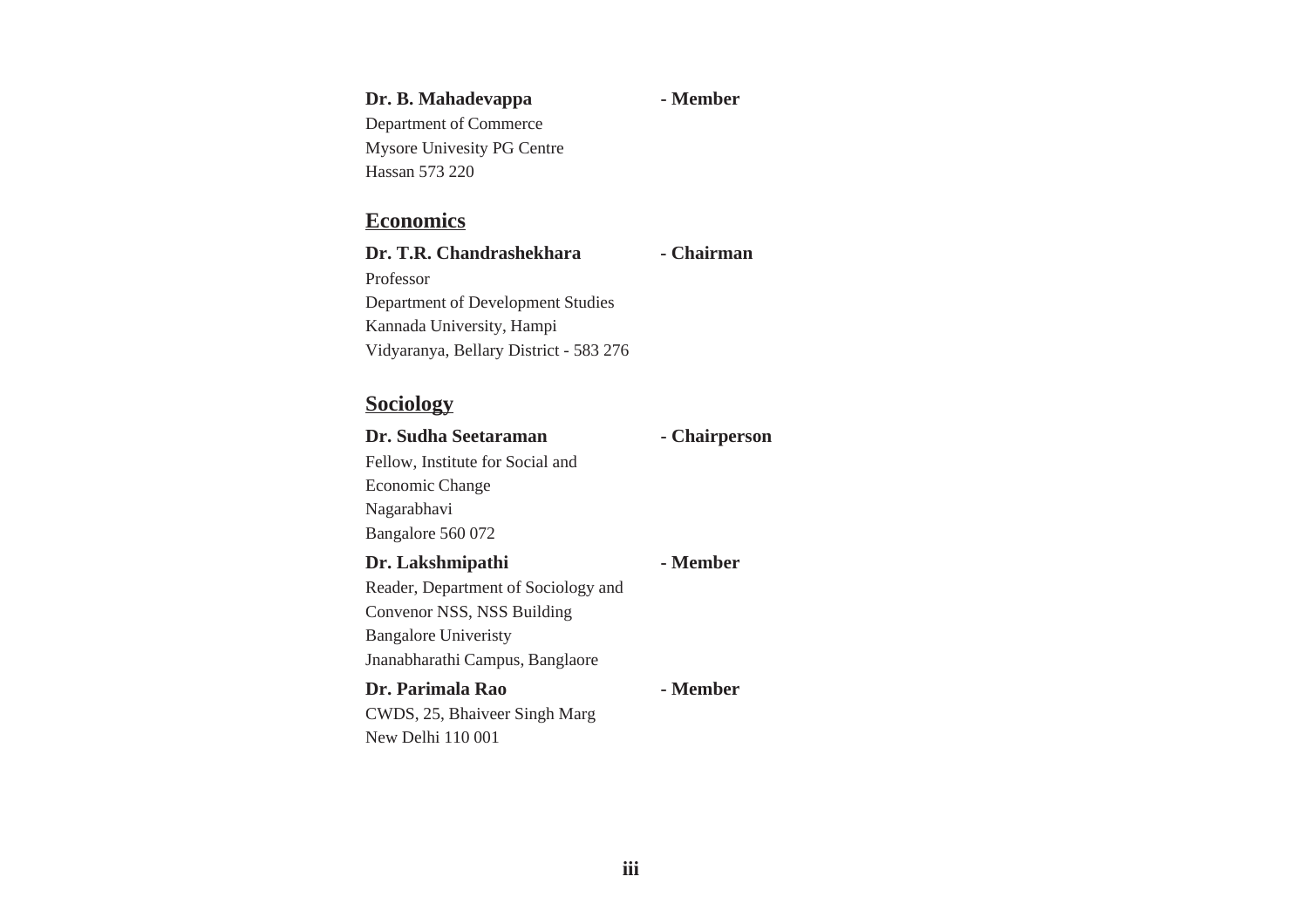# **Dr. B. Mahadevappa - Member**

Department of Commerce Mysore Univesity PG Centre Hassan 573 220

#### **Economics**

Dr. T.R. Chandrashekhara **- Chairman** Professor Department of Development Studies Kannada University, Hampi Vidyaranya, Bellary District - 583 276

### **Sociology**

| Dr. Sudha Seetaraman                | - Chairperson |
|-------------------------------------|---------------|
| Fellow, Institute for Social and    |               |
| <b>Economic Change</b>              |               |
| Nagarabhavi                         |               |
| Bangalore 560 072                   |               |
| Dr. Lakshmipathi                    | - Member      |
| Reader, Department of Sociology and |               |
| Convenor NSS, NSS Building          |               |
| <b>Bangalore Univeristy</b>         |               |
| Jnanabharathi Campus, Banglaore     |               |
| Dr. Parimala Rao                    | - Member      |
| CWDS, 25, Bhaiveer Singh Marg       |               |
| New Delhi 110 001                   |               |